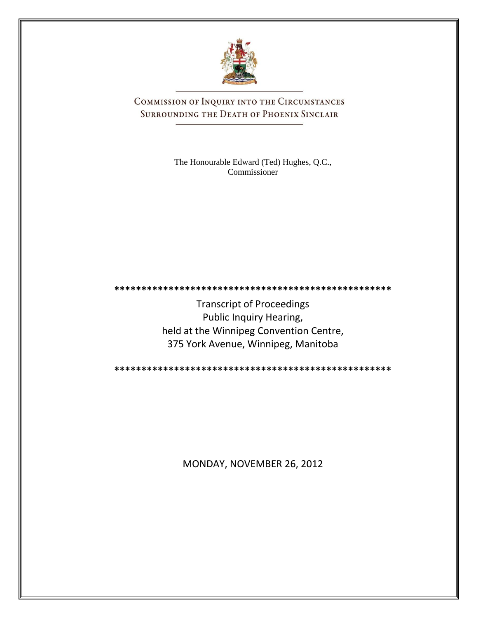

COMMISSION OF INQUIRY INTO THE CIRCUMSTANCES SURROUNDING THE DEATH OF PHOENIX SINCLAIR

> The Honourable Edward (Ted) Hughes, Q.C., Commissioner

Transcript of Proceedings Public Inquiry Hearing, held at the Winnipeg Convention Centre, 375 York Avenue, Winnipeg, Manitoba

**\*\*\*\*\*\*\*\*\*\*\*\*\*\*\*\*\*\*\*\*\*\*\*\*\*\*\*\*\*\*\*\*\*\*\*\*\*\*\*\*\*\*\*\*\*\*\*\*\*\*\***

**\*\*\*\*\*\*\*\*\*\*\*\*\*\*\*\*\*\*\*\*\*\*\*\*\*\*\*\*\*\*\*\*\*\*\*\*\*\*\*\*\*\*\*\*\*\*\*\*\*\*\***

MONDAY, NOVEMBER 26, 2012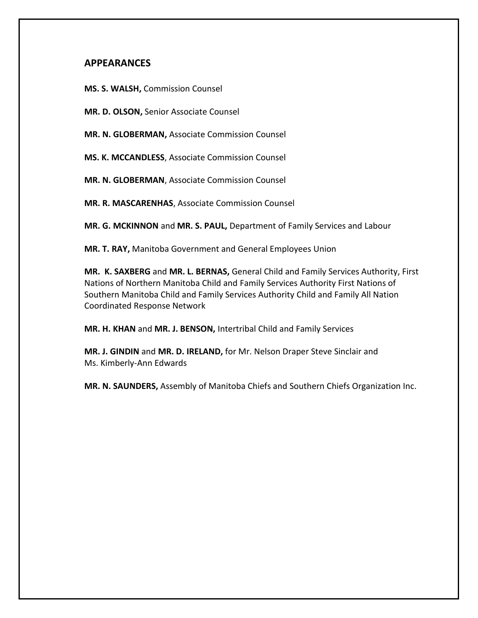## **APPEARANCES**

**MS. S. WALSH,** Commission Counsel

**MR. D. OLSON,** Senior Associate Counsel

**MR. N. GLOBERMAN,** Associate Commission Counsel

**MS. K. MCCANDLESS**, Associate Commission Counsel

**MR. N. GLOBERMAN**, Associate Commission Counsel

**MR. R. MASCARENHAS**, Associate Commission Counsel

**MR. G. MCKINNON** and **MR. S. PAUL,** Department of Family Services and Labour

**MR. T. RAY,** Manitoba Government and General Employees Union

**MR. K. SAXBERG** and **MR. L. BERNAS,** General Child and Family Services Authority, First Nations of Northern Manitoba Child and Family Services Authority First Nations of Southern Manitoba Child and Family Services Authority Child and Family All Nation Coordinated Response Network

**MR. H. KHAN** and **MR. J. BENSON,** Intertribal Child and Family Services

**MR. J. GINDIN** and **MR. D. IRELAND,** for Mr. Nelson Draper Steve Sinclair and Ms. Kimberly-Ann Edwards

**MR. N. SAUNDERS,** Assembly of Manitoba Chiefs and Southern Chiefs Organization Inc.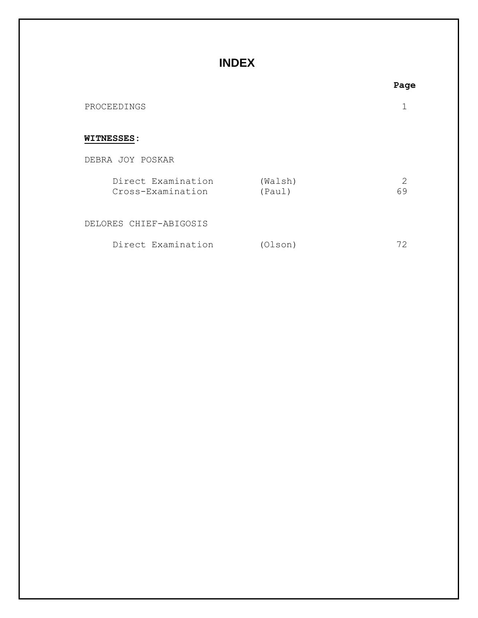## **INDEX**

|                   |                                         |                   | Page                |
|-------------------|-----------------------------------------|-------------------|---------------------|
| PROCEEDINGS       |                                         |                   |                     |
| <b>WITNESSES:</b> |                                         |                   |                     |
|                   | DEBRA JOY POSKAR                        |                   |                     |
|                   | Direct Examination<br>Cross-Examination | (Walsh)<br>(Paul) | $\mathcal{P}$<br>69 |
|                   | DELORES CHIEF-ABIGOSIS                  |                   |                     |
|                   | Direct Examination                      | (Olson)           | 72                  |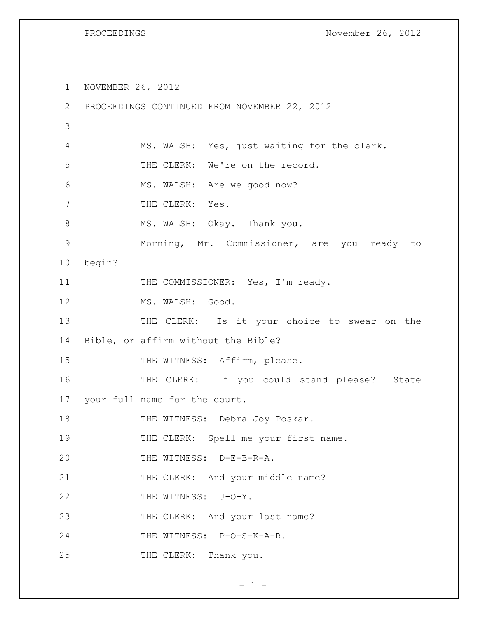PROCEEDINGS November 26, 2012

1 NOVEMBER 26, 2012 2 PROCEEDINGS CONTINUED FROM NOVEMBER 22, 2012 3 4 MS. WALSH: Yes, just waiting for the clerk. 5 THE CLERK: We're on the record. 6 MS. WALSH: Are we good now? 7 THE CLERK: Yes. 8 MS. WALSH: Okay. Thank you. 9 Morning, Mr. Commissioner, are you ready to 10 begin? 11 THE COMMISSIONER: Yes, I'm ready. 12 MS. WALSH: Good. 13 THE CLERK: Is it your choice to swear on the 14 Bible, or affirm without the Bible? 15 THE WITNESS: Affirm, please. 16 THE CLERK: If you could stand please? State 17 your full name for the court. 18 THE WITNESS: Debra Joy Poskar. 19 THE CLERK: Spell me your first name. 20 THE WITNESS: D-E-B-R-A. 21 THE CLERK: And your middle name? 22 THE WITNESS: J-O-Y. 23 THE CLERK: And your last name? 24 THE WITNESS: P-O-S-K-A-R. 25 THE CLERK: Thank you.

 $- 1 -$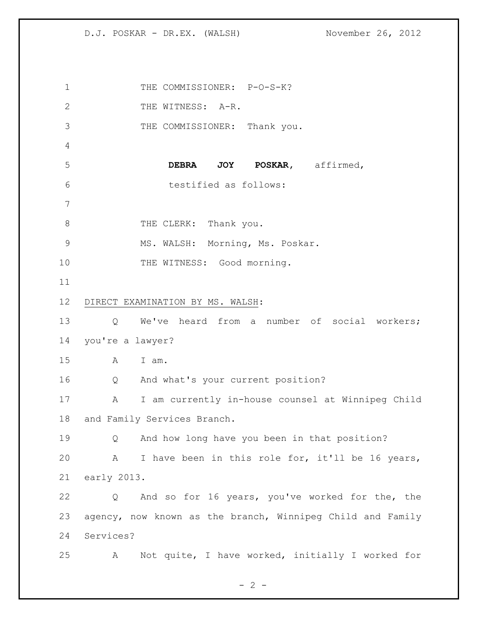1 THE COMMISSIONER: P-O-S-K? 2 THE WITNESS: A-R. THE COMMISSIONER: Thank you. **DEBRA JOY POSKAR,** affirmed, testified as follows: 8 THE CLERK: Thank you. MS. WALSH: Morning, Ms. Poskar. 10 THE WITNESS: Good morning. DIRECT EXAMINATION BY MS. WALSH: Q We've heard from a number of social workers; you're a lawyer? A I am. Q And what's your current position? A I am currently in-house counsel at Winnipeg Child and Family Services Branch. Q And how long have you been in that position? A I have been in this role for, it'll be 16 years, early 2013. Q And so for 16 years, you've worked for the, the agency, now known as the branch, Winnipeg Child and Family Services? A Not quite, I have worked, initially I worked for

 $- 2 -$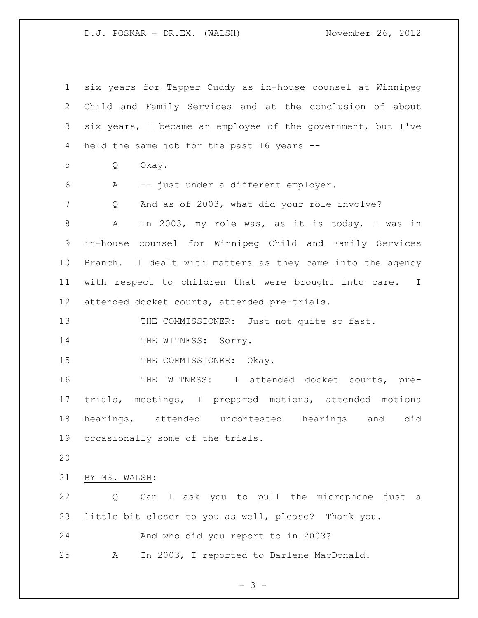| $\mathbf 1$     | six years for Tapper Cuddy as in-house counsel at Winnipeg  |
|-----------------|-------------------------------------------------------------|
| $\mathbf{2}$    | Child and Family Services and at the conclusion of about    |
| 3               | six years, I became an employee of the government, but I've |
| 4               | held the same job for the past 16 years --                  |
| 5               | Okay.<br>Q                                                  |
| 6               | -- just under a different employer.<br>Α                    |
| $7\phantom{.}$  | And as of 2003, what did your role involve?<br>Q            |
| 8               | In 2003, my role was, as it is today, I was in<br>A         |
| 9               | in-house counsel for Winnipeg Child and Family Services     |
| 10              | Branch. I dealt with matters as they came into the agency   |
| 11              | with respect to children that were brought into care. I     |
| 12 <sup>°</sup> | attended docket courts, attended pre-trials.                |
| 13              | THE COMMISSIONER: Just not quite so fast.                   |
| 14              | THE WITNESS: Sorry.                                         |
| 15              | THE COMMISSIONER: Okay.                                     |
| 16              | THE WITNESS: I attended docket courts, pre-                 |
| 17              | trials, meetings, I prepared motions, attended motions      |
| 18              | hearings, attended uncontested hearings and<br>did          |
| 19              | occasionally some of the trials.                            |
| 20              |                                                             |
| 21              | BY MS. WALSH:                                               |
| 22              | Can I ask you to pull the microphone just<br>Q<br>a         |
| 23              | little bit closer to you as well, please? Thank you.        |
| 24              | And who did you report to in 2003?                          |
| 25              | In 2003, I reported to Darlene MacDonald.<br>А              |

- 3 -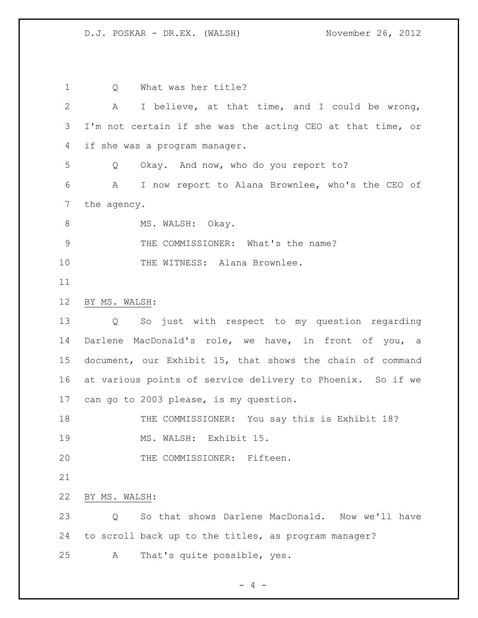1 0 What was her title? A I believe, at that time, and I could be wrong, I'm not certain if she was the acting CEO at that time, or if she was a program manager. Q Okay. And now, who do you report to? A I now report to Alana Brownlee, who's the CEO of the agency. 8 MS. WALSH: Okay. THE COMMISSIONER: What's the name? 10 THE WITNESS: Alana Brownlee. BY MS. WALSH: Q So just with respect to my question regarding Darlene MacDonald's role, we have, in front of you, a document, our Exhibit 15, that shows the chain of command at various points of service delivery to Phoenix. So if we can go to 2003 please, is my question. 18 THE COMMISSIONER: You say this is Exhibit 18? MS. WALSH: Exhibit 15. THE COMMISSIONER: Fifteen. BY MS. WALSH: Q So that shows Darlene MacDonald. Now we'll have to scroll back up to the titles, as program manager? A That's quite possible, yes.

 $- 4 -$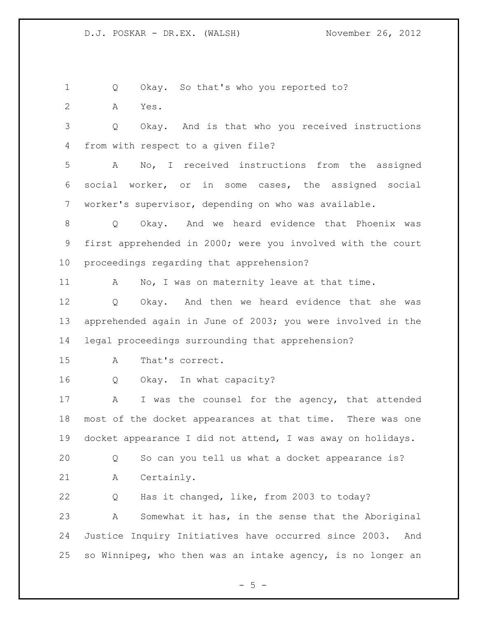1 Q Okay. So that's who you reported to? A Yes. Q Okay. And is that who you received instructions from with respect to a given file? A No, I received instructions from the assigned social worker, or in some cases, the assigned social worker's supervisor, depending on who was available. Q Okay. And we heard evidence that Phoenix was first apprehended in 2000; were you involved with the court proceedings regarding that apprehension? 11 A No, I was on maternity leave at that time. Q Okay. And then we heard evidence that she was apprehended again in June of 2003; you were involved in the legal proceedings surrounding that apprehension? A That's correct. Q Okay. In what capacity? 17 A I was the counsel for the agency, that attended most of the docket appearances at that time. There was one docket appearance I did not attend, I was away on holidays. Q So can you tell us what a docket appearance is? A Certainly. Q Has it changed, like, from 2003 to today? A Somewhat it has, in the sense that the Aboriginal Justice Inquiry Initiatives have occurred since 2003. And so Winnipeg, who then was an intake agency, is no longer an

 $- 5 -$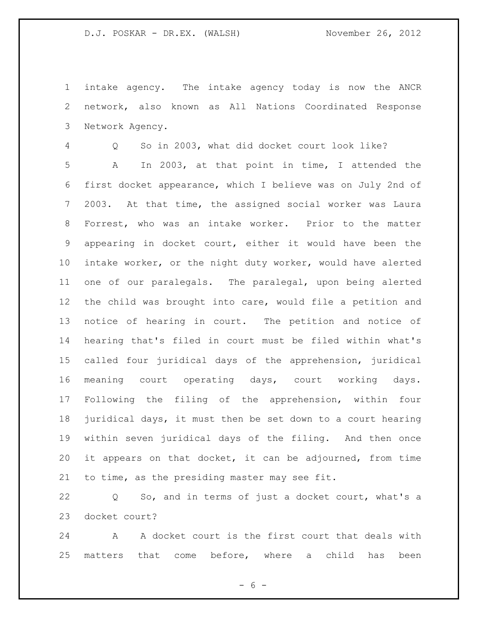intake agency. The intake agency today is now the ANCR network, also known as All Nations Coordinated Response Network Agency.

 Q So in 2003, what did docket court look like? A In 2003, at that point in time, I attended the first docket appearance, which I believe was on July 2nd of 2003. At that time, the assigned social worker was Laura Forrest, who was an intake worker. Prior to the matter appearing in docket court, either it would have been the intake worker, or the night duty worker, would have alerted one of our paralegals. The paralegal, upon being alerted the child was brought into care, would file a petition and notice of hearing in court. The petition and notice of hearing that's filed in court must be filed within what's called four juridical days of the apprehension, juridical meaning court operating days, court working days. Following the filing of the apprehension, within four juridical days, it must then be set down to a court hearing within seven juridical days of the filing. And then once it appears on that docket, it can be adjourned, from time to time, as the presiding master may see fit.

 Q So, and in terms of just a docket court, what's a docket court?

 A A docket court is the first court that deals with matters that come before, where a child has been

 $- 6 -$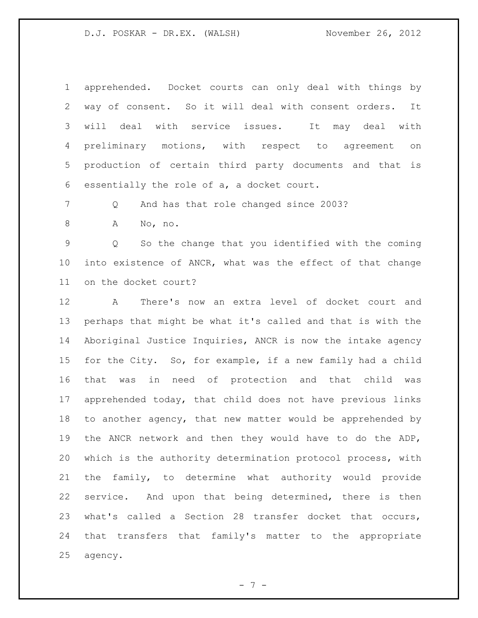apprehended. Docket courts can only deal with things by way of consent. So it will deal with consent orders. It will deal with service issues. It may deal with preliminary motions, with respect to agreement on production of certain third party documents and that is essentially the role of a, a docket court.

7 Q And has that role changed since 2003?

A No, no.

 Q So the change that you identified with the coming into existence of ANCR, what was the effect of that change on the docket court?

 A There's now an extra level of docket court and perhaps that might be what it's called and that is with the Aboriginal Justice Inquiries, ANCR is now the intake agency for the City. So, for example, if a new family had a child that was in need of protection and that child was apprehended today, that child does not have previous links to another agency, that new matter would be apprehended by the ANCR network and then they would have to do the ADP, which is the authority determination protocol process, with the family, to determine what authority would provide service. And upon that being determined, there is then what's called a Section 28 transfer docket that occurs, that transfers that family's matter to the appropriate agency.

- 7 -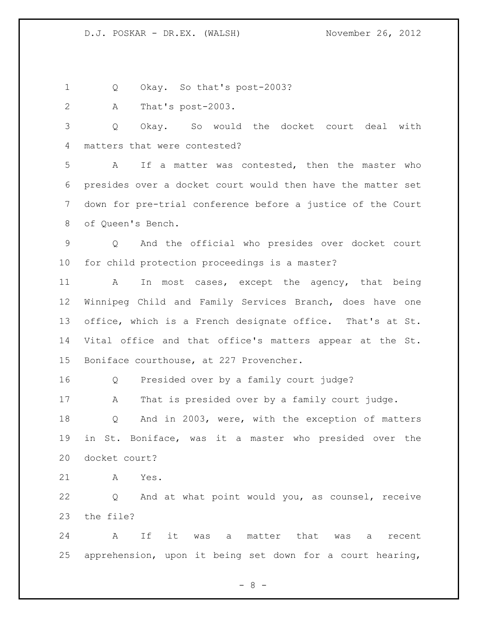Q Okay. So that's post-2003?

A That's post-2003.

 Q Okay. So would the docket court deal with matters that were contested?

 A If a matter was contested, then the master who presides over a docket court would then have the matter set down for pre-trial conference before a justice of the Court of Queen's Bench.

 Q And the official who presides over docket court for child protection proceedings is a master?

11 A In most cases, except the agency, that being Winnipeg Child and Family Services Branch, does have one office, which is a French designate office. That's at St. Vital office and that office's matters appear at the St. Boniface courthouse, at 227 Provencher.

Q Presided over by a family court judge?

17 A That is presided over by a family court judge.

 Q And in 2003, were, with the exception of matters in St. Boniface, was it a master who presided over the docket court?

A Yes.

 Q And at what point would you, as counsel, receive the file?

 A If it was a matter that was a recent apprehension, upon it being set down for a court hearing,

- 8 -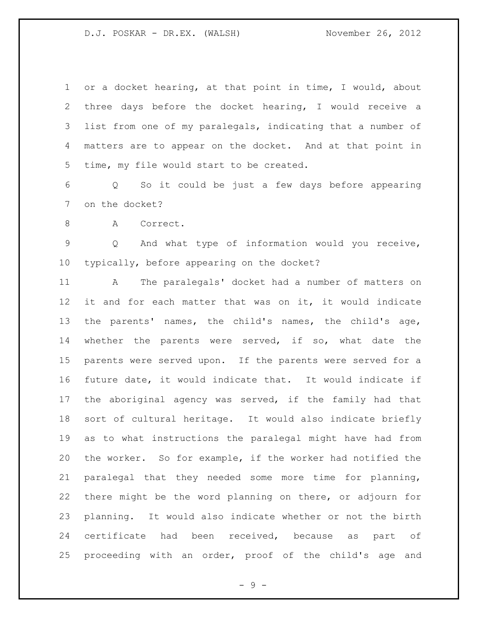or a docket hearing, at that point in time, I would, about three days before the docket hearing, I would receive a list from one of my paralegals, indicating that a number of matters are to appear on the docket. And at that point in time, my file would start to be created.

 Q So it could be just a few days before appearing on the docket?

8 A Correct.

 Q And what type of information would you receive, typically, before appearing on the docket?

 A The paralegals' docket had a number of matters on it and for each matter that was on it, it would indicate the parents' names, the child's names, the child's age, whether the parents were served, if so, what date the parents were served upon. If the parents were served for a future date, it would indicate that. It would indicate if the aboriginal agency was served, if the family had that sort of cultural heritage. It would also indicate briefly as to what instructions the paralegal might have had from the worker. So for example, if the worker had notified the paralegal that they needed some more time for planning, there might be the word planning on there, or adjourn for planning. It would also indicate whether or not the birth certificate had been received, because as part of proceeding with an order, proof of the child's age and

- 9 -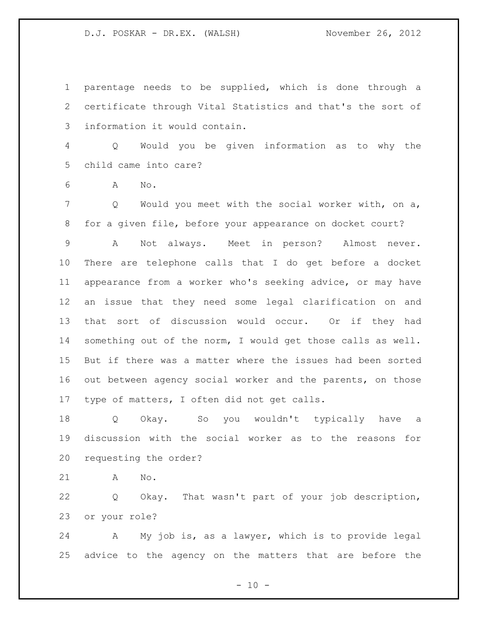parentage needs to be supplied, which is done through a certificate through Vital Statistics and that's the sort of information it would contain.

 Q Would you be given information as to why the child came into care?

A No.

 Q Would you meet with the social worker with, on a, for a given file, before your appearance on docket court?

 A Not always. Meet in person? Almost never. There are telephone calls that I do get before a docket appearance from a worker who's seeking advice, or may have an issue that they need some legal clarification on and that sort of discussion would occur. Or if they had something out of the norm, I would get those calls as well. But if there was a matter where the issues had been sorted out between agency social worker and the parents, on those type of matters, I often did not get calls.

 Q Okay. So you wouldn't typically have a discussion with the social worker as to the reasons for requesting the order?

A No.

 Q Okay. That wasn't part of your job description, or your role?

 A My job is, as a lawyer, which is to provide legal advice to the agency on the matters that are before the

 $- 10 -$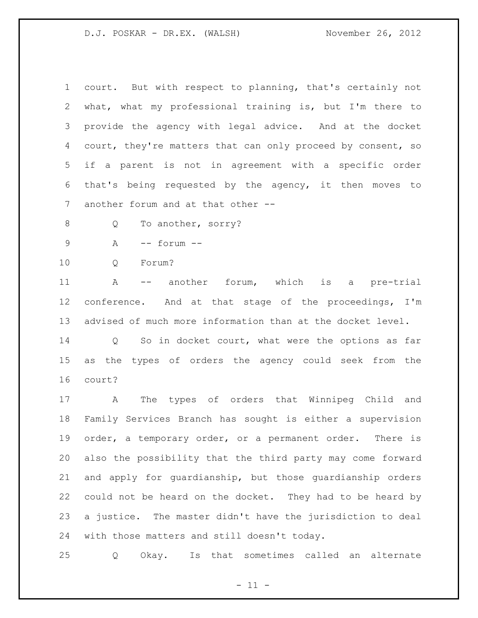court. But with respect to planning, that's certainly not what, what my professional training is, but I'm there to provide the agency with legal advice. And at the docket 4 court, they're matters that can only proceed by consent, so if a parent is not in agreement with a specific order that's being requested by the agency, it then moves to another forum and at that other --

8 O To another, sorry?

A -- forum --

10 O Forum?

 A -- another forum, which is a pre-trial conference. And at that stage of the proceedings, I'm advised of much more information than at the docket level.

 Q So in docket court, what were the options as far as the types of orders the agency could seek from the court?

 A The types of orders that Winnipeg Child and Family Services Branch has sought is either a supervision order, a temporary order, or a permanent order. There is also the possibility that the third party may come forward and apply for guardianship, but those guardianship orders could not be heard on the docket. They had to be heard by a justice. The master didn't have the jurisdiction to deal with those matters and still doesn't today.

Q Okay. Is that sometimes called an alternate

 $- 11 -$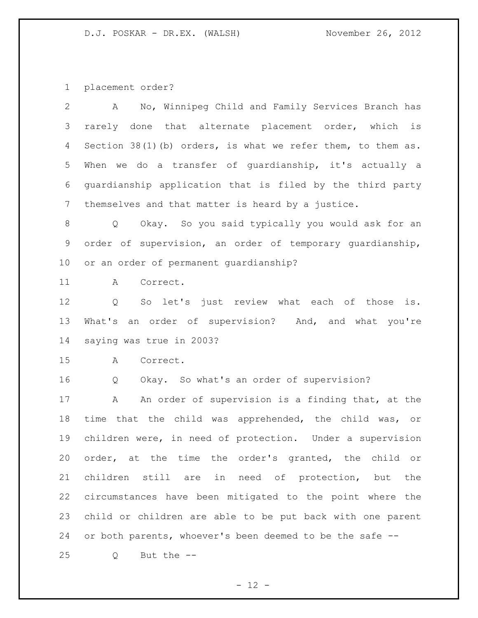placement order?

| $\mathbf{2}$    | No, Winnipeg Child and Family Services Branch has<br>A         |
|-----------------|----------------------------------------------------------------|
| 3               | rarely done that alternate placement order, which is           |
| 4               | Section $38(1)$ (b) orders, is what we refer them, to them as. |
| 5               | When we do a transfer of guardianship, it's actually a         |
| 6               | guardianship application that is filed by the third party      |
| $7\overline{ }$ | themselves and that matter is heard by a justice.              |
| 8               | Q Okay. So you said typically you would ask for an             |
| 9               | order of supervision, an order of temporary guardianship,      |
| 10 <sub>o</sub> | or an order of permanent quardianship?                         |
| 11              | Correct.<br>Α                                                  |
| 12              | So let's just review what each of those is.<br>Q               |
| 13              | What's an order of supervision? And, and what you're           |
| 14              | saying was true in 2003?                                       |
| 15              | A<br>Correct.                                                  |
| 16              | Okay. So what's an order of supervision?<br>Q                  |
| 17              | An order of supervision is a finding that, at the<br>A         |
| 18              | time that the child was apprehended, the child was, or         |
| 19              | children were, in need of protection. Under a supervision      |
| 20              | order, at the time the order's granted, the child or           |
| 21              | children still are in need of protection, but the              |
| 22              | circumstances have been mitigated to the point where the       |
| 23              | child or children are able to be put back with one parent      |
| 24              |                                                                |
|                 | or both parents, whoever's been deemed to be the safe --       |

- 12 -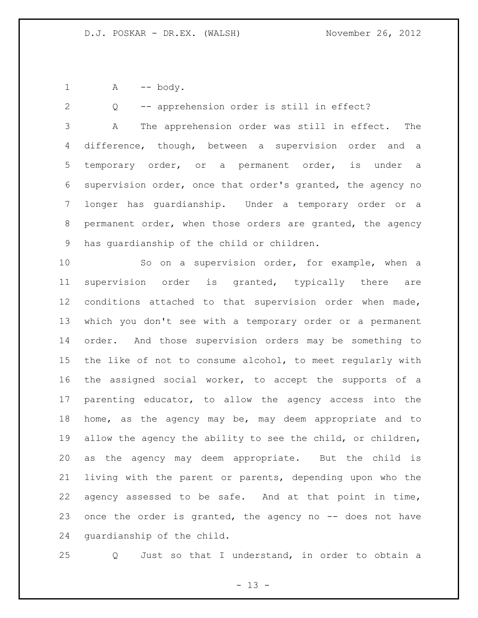1 A -- body.

 Q -- apprehension order is still in effect? A The apprehension order was still in effect. The difference, though, between a supervision order and a temporary order, or a permanent order, is under a supervision order, once that order's granted, the agency no longer has guardianship. Under a temporary order or a permanent order, when those orders are granted, the agency has guardianship of the child or children.

 So on a supervision order, for example, when a supervision order is granted, typically there are conditions attached to that supervision order when made, which you don't see with a temporary order or a permanent order. And those supervision orders may be something to the like of not to consume alcohol, to meet regularly with the assigned social worker, to accept the supports of a parenting educator, to allow the agency access into the home, as the agency may be, may deem appropriate and to 19 allow the agency the ability to see the child, or children, as the agency may deem appropriate. But the child is living with the parent or parents, depending upon who the agency assessed to be safe. And at that point in time, once the order is granted, the agency no -- does not have guardianship of the child.

Q Just so that I understand, in order to obtain a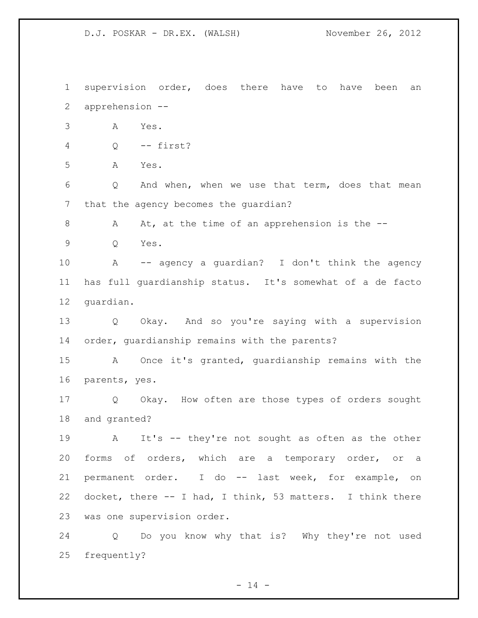supervision order, does there have to have been an apprehension -- A Yes. Q -- first? A Yes. Q And when, when we use that term, does that mean that the agency becomes the guardian? 8 A At, at the time of an apprehension is the -- Q Yes. A -- agency a guardian? I don't think the agency has full guardianship status. It's somewhat of a de facto guardian. Q Okay. And so you're saying with a supervision order, guardianship remains with the parents? A Once it's granted, guardianship remains with the parents, yes. Q Okay. How often are those types of orders sought and granted? A It's -- they're not sought as often as the other forms of orders, which are a temporary order, or a permanent order. I do -- last week, for example, on docket, there -- I had, I think, 53 matters. I think there was one supervision order. Q Do you know why that is? Why they're not used

frequently?

 $- 14 -$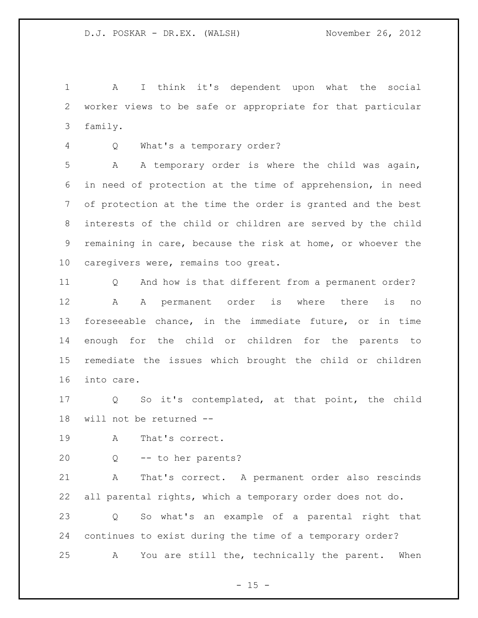A I think it's dependent upon what the social worker views to be safe or appropriate for that particular family.

Q What's a temporary order?

 A A temporary order is where the child was again, in need of protection at the time of apprehension, in need of protection at the time the order is granted and the best interests of the child or children are served by the child remaining in care, because the risk at home, or whoever the caregivers were, remains too great.

 Q And how is that different from a permanent order? A A permanent order is where there is no foreseeable chance, in the immediate future, or in time enough for the child or children for the parents to remediate the issues which brought the child or children into care.

 Q So it's contemplated, at that point, the child will not be returned --

- A That's correct.
- 

Q -- to her parents?

 A That's correct. A permanent order also rescinds all parental rights, which a temporary order does not do. Q So what's an example of a parental right that continues to exist during the time of a temporary order? A You are still the, technically the parent. When

 $- 15 -$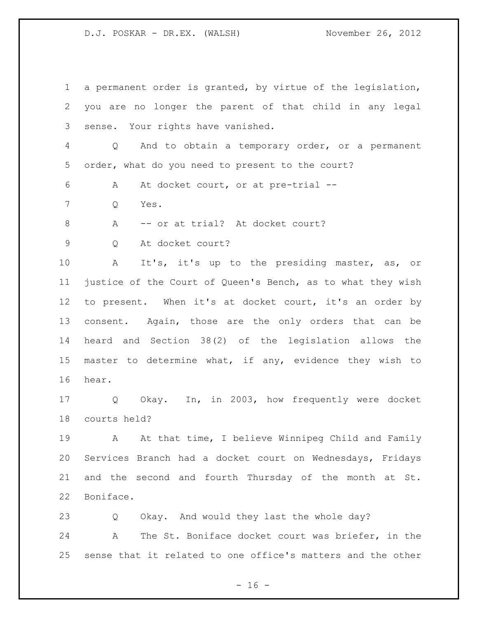a permanent order is granted, by virtue of the legislation, you are no longer the parent of that child in any legal sense. Your rights have vanished. Q And to obtain a temporary order, or a permanent order, what do you need to present to the court? A At docket court, or at pre-trial -- Q Yes. 8 A -- or at trial? At docket court? Q At docket court? A It's, it's up to the presiding master, as, or justice of the Court of Queen's Bench, as to what they wish to present. When it's at docket court, it's an order by 13 consent. Again, those are the only orders that can be heard and Section 38(2) of the legislation allows the master to determine what, if any, evidence they wish to hear. Q Okay. In, in 2003, how frequently were docket courts held? A At that time, I believe Winnipeg Child and Family Services Branch had a docket court on Wednesdays, Fridays and the second and fourth Thursday of the month at St. Boniface. Q Okay. And would they last the whole day? A The St. Boniface docket court was briefer, in the

sense that it related to one office's matters and the other

 $- 16 -$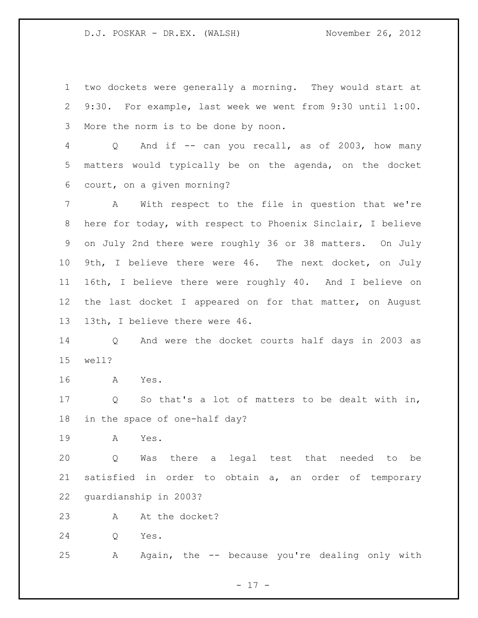two dockets were generally a morning. They would start at 9:30. For example, last week we went from 9:30 until 1:00. More the norm is to be done by noon.

 Q And if -- can you recall, as of 2003, how many matters would typically be on the agenda, on the docket court, on a given morning?

 A With respect to the file in question that we're here for today, with respect to Phoenix Sinclair, I believe on July 2nd there were roughly 36 or 38 matters. On July 9th, I believe there were 46. The next docket, on July 16th, I believe there were roughly 40. And I believe on the last docket I appeared on for that matter, on August 13th, I believe there were 46.

 Q And were the docket courts half days in 2003 as well?

A Yes.

 Q So that's a lot of matters to be dealt with in, in the space of one-half day?

A Yes.

 Q Was there a legal test that needed to be satisfied in order to obtain a, an order of temporary guardianship in 2003?

23 A At the docket?

Q Yes.

A Again, the -- because you're dealing only with

- 17 -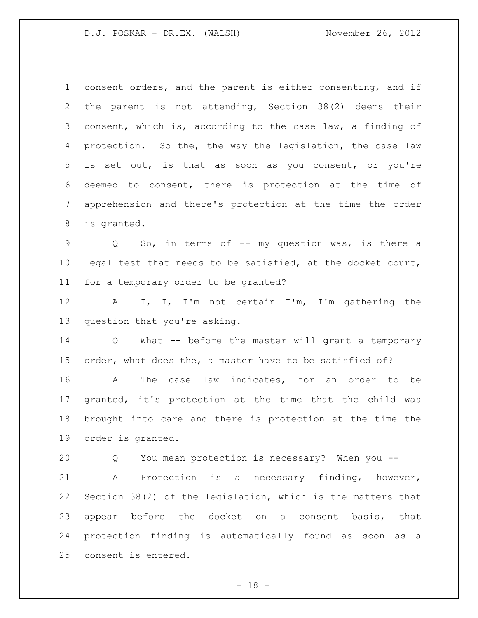consent orders, and the parent is either consenting, and if the parent is not attending, Section 38(2) deems their consent, which is, according to the case law, a finding of protection. So the, the way the legislation, the case law is set out, is that as soon as you consent, or you're deemed to consent, there is protection at the time of apprehension and there's protection at the time the order is granted. 9 Q So, in terms of -- my question was, is there a legal test that needs to be satisfied, at the docket court, for a temporary order to be granted? A I, I, I'm not certain I'm, I'm gathering the question that you're asking. Q What -- before the master will grant a temporary order, what does the, a master have to be satisfied of? A The case law indicates, for an order to be granted, it's protection at the time that the child was brought into care and there is protection at the time the order is granted. Q You mean protection is necessary? When you -- A Protection is a necessary finding, however, Section 38(2) of the legislation, which is the matters that appear before the docket on a consent basis, that protection finding is automatically found as soon as a consent is entered.

 $- 18 -$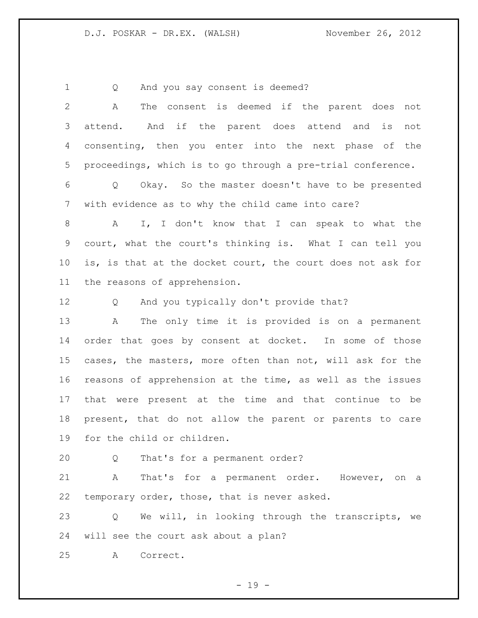1 Q And you say consent is deemed? A The consent is deemed if the parent does not attend. And if the parent does attend and is not consenting, then you enter into the next phase of the proceedings, which is to go through a pre-trial conference.

 Q Okay. So the master doesn't have to be presented with evidence as to why the child came into care?

 A I, I don't know that I can speak to what the court, what the court's thinking is. What I can tell you is, is that at the docket court, the court does not ask for the reasons of apprehension.

Q And you typically don't provide that?

 A The only time it is provided is on a permanent order that goes by consent at docket. In some of those cases, the masters, more often than not, will ask for the reasons of apprehension at the time, as well as the issues that were present at the time and that continue to be present, that do not allow the parent or parents to care for the child or children.

Q That's for a permanent order?

 A That's for a permanent order. However, on a temporary order, those, that is never asked.

 Q We will, in looking through the transcripts, we will see the court ask about a plan?

A Correct.

- 19 -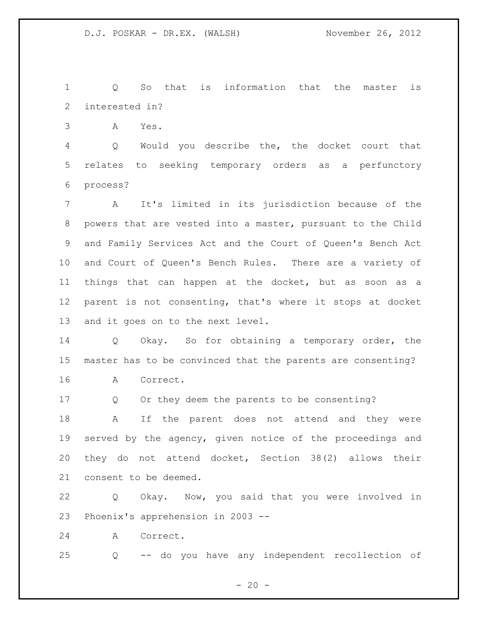Q So that is information that the master is interested in?

A Yes.

 Q Would you describe the, the docket court that relates to seeking temporary orders as a perfunctory process?

 A It's limited in its jurisdiction because of the powers that are vested into a master, pursuant to the Child and Family Services Act and the Court of Queen's Bench Act and Court of Queen's Bench Rules. There are a variety of things that can happen at the docket, but as soon as a parent is not consenting, that's where it stops at docket and it goes on to the next level.

 Q Okay. So for obtaining a temporary order, the master has to be convinced that the parents are consenting? A Correct.

Q Or they deem the parents to be consenting?

 A If the parent does not attend and they were served by the agency, given notice of the proceedings and they do not attend docket, Section 38(2) allows their consent to be deemed.

 Q Okay. Now, you said that you were involved in Phoenix's apprehension in 2003 --

A Correct.

Q -- do you have any independent recollection of

 $- 20 -$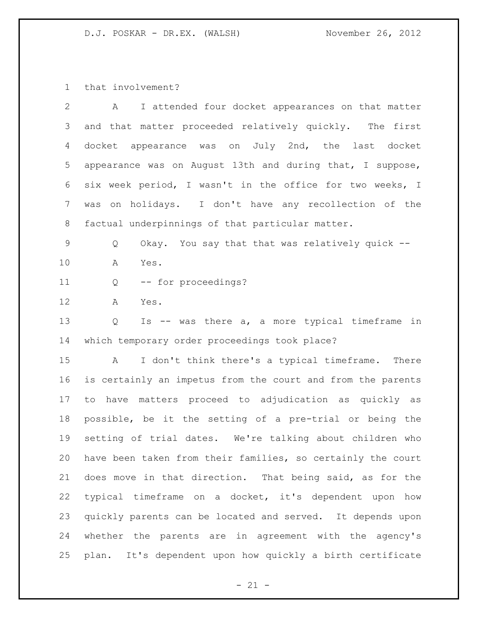that involvement?

| 2  | I attended four docket appearances on that matter<br>A             |
|----|--------------------------------------------------------------------|
| 3  | and that matter proceeded relatively quickly. The first            |
| 4  | docket appearance was on July 2nd, the last docket                 |
| 5  | appearance was on August 13th and during that, I suppose,          |
| 6  | six week period, I wasn't in the office for two weeks, I           |
| 7  | was on holidays. I don't have any recollection of the              |
| 8  | factual underpinnings of that particular matter.                   |
| 9  | Okay. You say that that was relatively quick --<br>Q               |
| 10 | A<br>Yes.                                                          |
| 11 | -- for proceedings?<br>Q                                           |
| 12 | A<br>Yes.                                                          |
| 13 | Is -- was there a, a more typical timeframe in<br>Q                |
| 14 | which temporary order proceedings took place?                      |
| 15 | I don't think there's a typical timeframe.<br>$\mathbb A$<br>There |

 is certainly an impetus from the court and from the parents to have matters proceed to adjudication as quickly as possible, be it the setting of a pre-trial or being the setting of trial dates. We're talking about children who have been taken from their families, so certainly the court does move in that direction. That being said, as for the typical timeframe on a docket, it's dependent upon how quickly parents can be located and served. It depends upon whether the parents are in agreement with the agency's plan. It's dependent upon how quickly a birth certificate

 $- 21 -$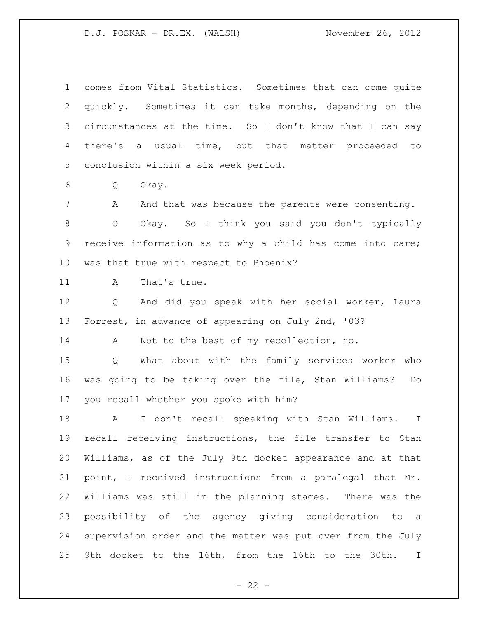comes from Vital Statistics. Sometimes that can come quite quickly. Sometimes it can take months, depending on the circumstances at the time. So I don't know that I can say there's a usual time, but that matter proceeded to conclusion within a six week period. Q Okay. 7 A And that was because the parents were consenting. Q Okay. So I think you said you don't typically receive information as to why a child has come into care; was that true with respect to Phoenix? 11 A That's true. Q And did you speak with her social worker, Laura Forrest, in advance of appearing on July 2nd, '03? 14 A Not to the best of my recollection, no. Q What about with the family services worker who was going to be taking over the file, Stan Williams? Do you recall whether you spoke with him? A I don't recall speaking with Stan Williams. I recall receiving instructions, the file transfer to Stan Williams, as of the July 9th docket appearance and at that point, I received instructions from a paralegal that Mr. Williams was still in the planning stages. There was the possibility of the agency giving consideration to a supervision order and the matter was put over from the July 9th docket to the 16th, from the 16th to the 30th. I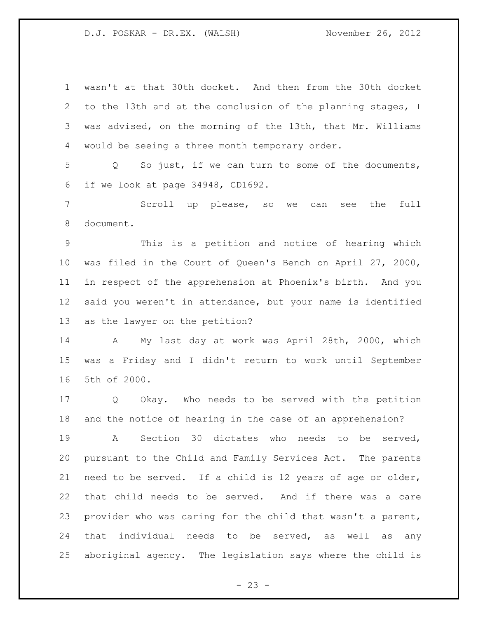wasn't at that 30th docket. And then from the 30th docket to the 13th and at the conclusion of the planning stages, I was advised, on the morning of the 13th, that Mr. Williams would be seeing a three month temporary order.

 Q So just, if we can turn to some of the documents, if we look at page 34948, CD1692.

 Scroll up please, so we can see the full document.

 This is a petition and notice of hearing which was filed in the Court of Queen's Bench on April 27, 2000, in respect of the apprehension at Phoenix's birth. And you said you weren't in attendance, but your name is identified as the lawyer on the petition?

 A My last day at work was April 28th, 2000, which was a Friday and I didn't return to work until September 5th of 2000.

 Q Okay. Who needs to be served with the petition and the notice of hearing in the case of an apprehension?

 A Section 30 dictates who needs to be served, pursuant to the Child and Family Services Act. The parents need to be served. If a child is 12 years of age or older, that child needs to be served. And if there was a care provider who was caring for the child that wasn't a parent, that individual needs to be served, as well as any aboriginal agency. The legislation says where the child is

 $- 23 -$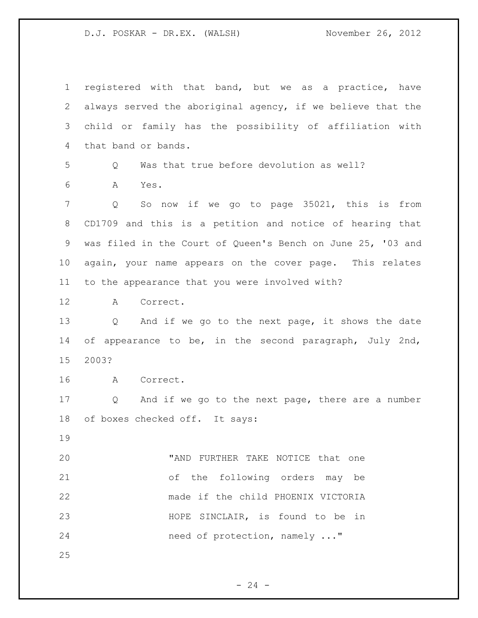registered with that band, but we as a practice, have always served the aboriginal agency, if we believe that the child or family has the possibility of affiliation with that band or bands. Q Was that true before devolution as well? A Yes. Q So now if we go to page 35021, this is from CD1709 and this is a petition and notice of hearing that was filed in the Court of Queen's Bench on June 25, '03 and again, your name appears on the cover page. This relates to the appearance that you were involved with? A Correct. Q And if we go to the next page, it shows the date of appearance to be, in the second paragraph, July 2nd, 2003? A Correct. Q And if we go to the next page, there are a number of boxes checked off. It says: "AND FURTHER TAKE NOTICE that one of the following orders may be made if the child PHOENIX VICTORIA HOPE SINCLAIR, is found to be in 24 need of protection, namely ..." 

 $- 24 -$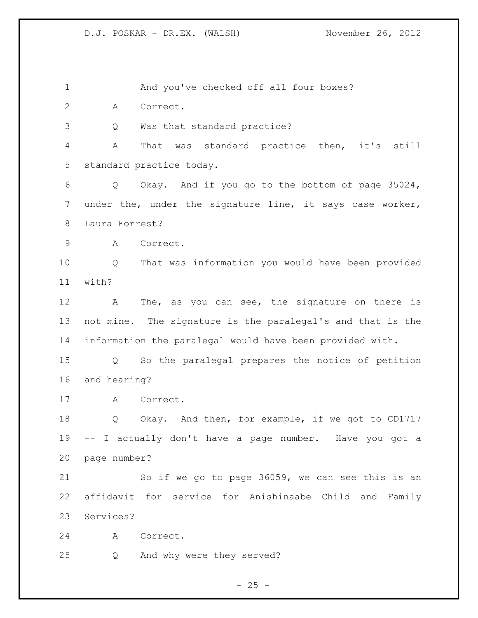And you've checked off all four boxes?

A Correct.

Q Was that standard practice?

 A That was standard practice then, it's still standard practice today.

 Q Okay. And if you go to the bottom of page 35024, under the, under the signature line, it says case worker, Laura Forrest?

A Correct.

 Q That was information you would have been provided with?

12 A The, as you can see, the signature on there is not mine. The signature is the paralegal's and that is the information the paralegal would have been provided with.

 Q So the paralegal prepares the notice of petition and hearing?

A Correct.

 Q Okay. And then, for example, if we got to CD1717 -- I actually don't have a page number. Have you got a page number?

 So if we go to page 36059, we can see this is an affidavit for service for Anishinaabe Child and Family Services?

A Correct.

Q And why were they served?

 $- 25 -$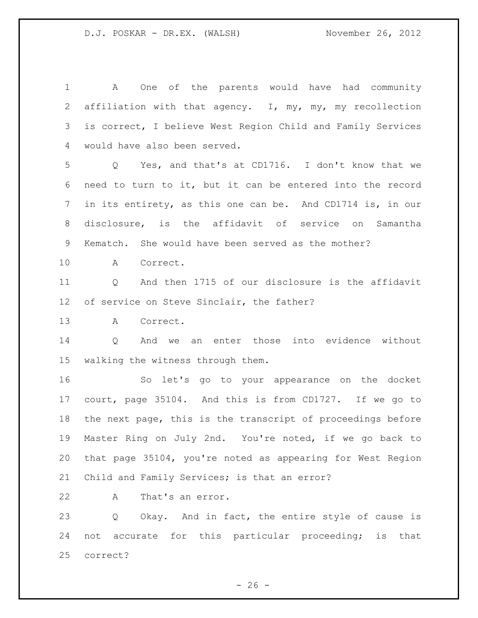A One of the parents would have had community affiliation with that agency. I, my, my, my recollection is correct, I believe West Region Child and Family Services would have also been served. Q Yes, and that's at CD1716. I don't know that we need to turn to it, but it can be entered into the record in its entirety, as this one can be. And CD1714 is, in our disclosure, is the affidavit of service on Samantha Kematch. She would have been served as the mother? A Correct. Q And then 1715 of our disclosure is the affidavit of service on Steve Sinclair, the father? A Correct. Q And we an enter those into evidence without walking the witness through them. So let's go to your appearance on the docket court, page 35104. And this is from CD1727. If we go to the next page, this is the transcript of proceedings before Master Ring on July 2nd. You're noted, if we go back to that page 35104, you're noted as appearing for West Region Child and Family Services; is that an error? A That's an error. Q Okay. And in fact, the entire style of cause is not accurate for this particular proceeding; is that

correct?

 $- 26 -$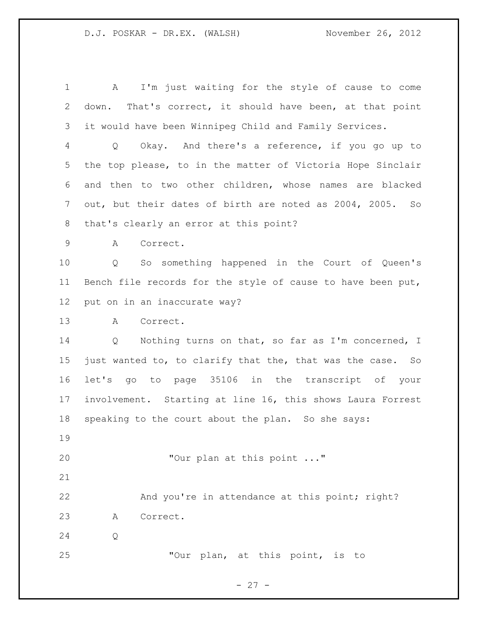A I'm just waiting for the style of cause to come down. That's correct, it should have been, at that point it would have been Winnipeg Child and Family Services. Q Okay. And there's a reference, if you go up to the top please, to in the matter of Victoria Hope Sinclair and then to two other children, whose names are blacked out, but their dates of birth are noted as 2004, 2005. So that's clearly an error at this point? A Correct. Q So something happened in the Court of Queen's Bench file records for the style of cause to have been put, put on in an inaccurate way? A Correct. Q Nothing turns on that, so far as I'm concerned, I just wanted to, to clarify that the, that was the case. So let's go to page 35106 in the transcript of your involvement. Starting at line 16, this shows Laura Forrest speaking to the court about the plan. So she says: "Our plan at this point ..." 22 And you're in attendance at this point; right? A Correct. Q "Our plan, at this point, is to

- 27 -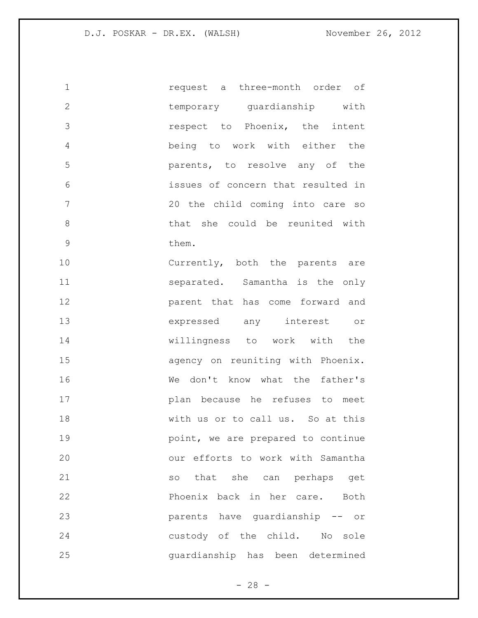| $\mathbf 1$   | request a three-month order of     |
|---------------|------------------------------------|
| $\mathbf{2}$  | temporary guardianship with        |
| 3             | respect to Phoenix, the intent     |
| 4             | being to work with either the      |
| 5             | parents, to resolve any of the     |
| 6             | issues of concern that resulted in |
| 7             | 20 the child coming into care so   |
| $8\,$         | that she could be reunited with    |
| $\mathcal{G}$ | them.                              |
| 10            | Currently, both the parents are    |
| 11            | separated. Samantha is the only    |
| 12            | parent that has come forward and   |
| 13            | expressed any interest or          |
| 14            | willingness to work with the       |
| 15            | agency on reuniting with Phoenix.  |
| 16            | don't know what the father's<br>We |
| 17            | plan because he refuses to meet    |
| 18            | with us or to call us. So at this  |
| 19            | point, we are prepared to continue |
| 20            | our efforts to work with Samantha  |
| 21            | so that she can perhaps get        |
| 22            | Phoenix back in her care. Both     |
| 23            | parents have quardianship -- or    |
| 24            | custody of the child. No sole      |
| 25            | guardianship has been determined   |

- 28 -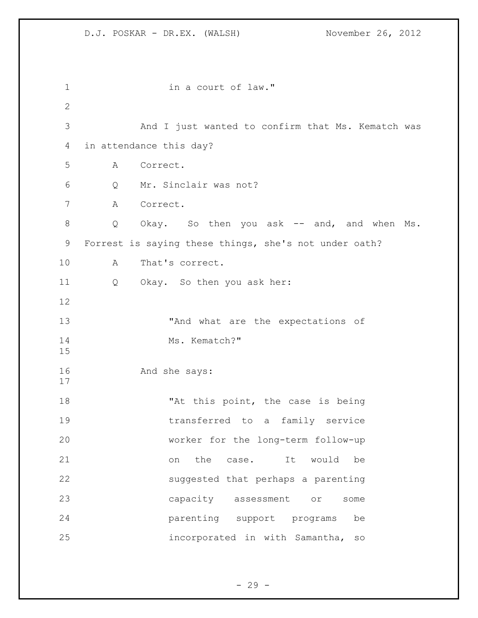1 in a court of law." And I just wanted to confirm that Ms. Kematch was in attendance this day? A Correct. Q Mr. Sinclair was not? A Correct. Q Okay. So then you ask -- and, and when Ms. Forrest is saying these things, she's not under oath? A That's correct. Q Okay. So then you ask her: 13 That what are the expectations of 14 Ms. Kematch?" And she says: 18 The Matthis point, the case is being transferred to a family service worker for the long-term follow-up on the case. It would be suggested that perhaps a parenting capacity assessment or some parenting support programs be incorporated in with Samantha, so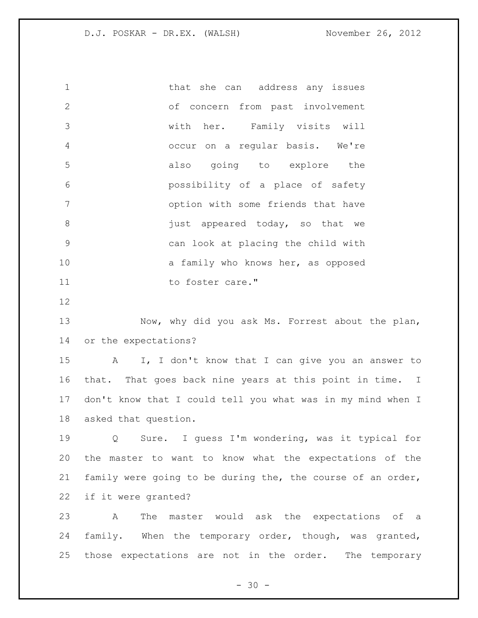1 that she can address any issues of concern from past involvement with her. Family visits will occur on a regular basis. We're also going to explore the possibility of a place of safety option with some friends that have 8 appeared today, so that we can look at placing the child with 10 a family who knows her, as opposed 11 to foster care." Now, why did you ask Ms. Forrest about the plan, or the expectations? A I, I don't know that I can give you an answer to that. That goes back nine years at this point in time. I don't know that I could tell you what was in my mind when I asked that question.

 Q Sure. I guess I'm wondering, was it typical for the master to want to know what the expectations of the family were going to be during the, the course of an order, if it were granted?

 A The master would ask the expectations of a family. When the temporary order, though, was granted, those expectations are not in the order. The temporary

 $- 30 -$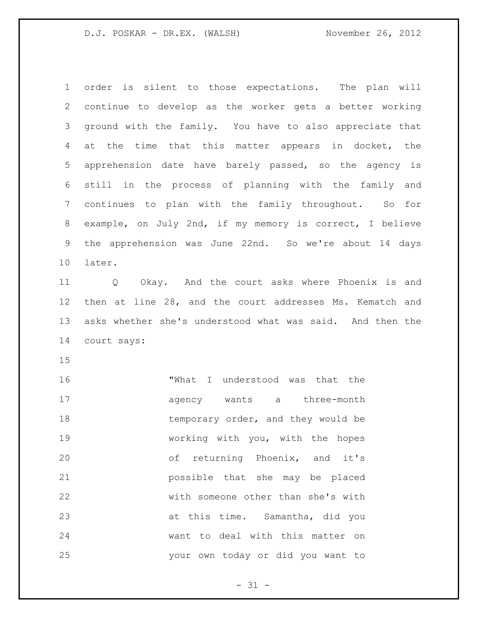order is silent to those expectations. The plan will continue to develop as the worker gets a better working ground with the family. You have to also appreciate that 4 at the time that this matter appears in docket, the apprehension date have barely passed, so the agency is still in the process of planning with the family and continues to plan with the family throughout. So for example, on July 2nd, if my memory is correct, I believe the apprehension was June 22nd. So we're about 14 days later.

 Q Okay. And the court asks where Phoenix is and then at line 28, and the court addresses Ms. Kematch and asks whether she's understood what was said. And then the court says:

 "What I understood was that the 17 agency wants a three-month 18 temporary order, and they would be working with you, with the hopes of returning Phoenix, and it's possible that she may be placed with someone other than she's with at this time. Samantha, did you want to deal with this matter on your own today or did you want to

 $- 31 -$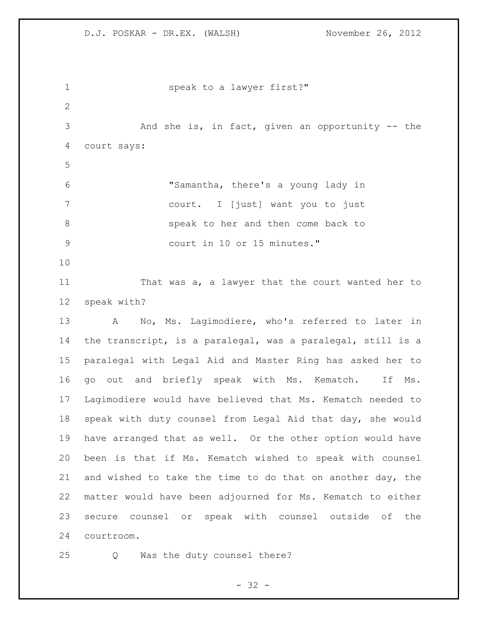1 speak to a lawyer first?" And she is, in fact, given an opportunity -- the court says: "Samantha, there's a young lady in court. I [just] want you to just speak to her and then come back to court in 10 or 15 minutes." That was a, a lawyer that the court wanted her to speak with? A No, Ms. Lagimodiere, who's referred to later in the transcript, is a paralegal, was a paralegal, still is a paralegal with Legal Aid and Master Ring has asked her to go out and briefly speak with Ms. Kematch. If Ms. Lagimodiere would have believed that Ms. Kematch needed to speak with duty counsel from Legal Aid that day, she would have arranged that as well. Or the other option would have been is that if Ms. Kematch wished to speak with counsel and wished to take the time to do that on another day, the matter would have been adjourned for Ms. Kematch to either secure counsel or speak with counsel outside of the courtroom.

Q Was the duty counsel there?

 $- 32 -$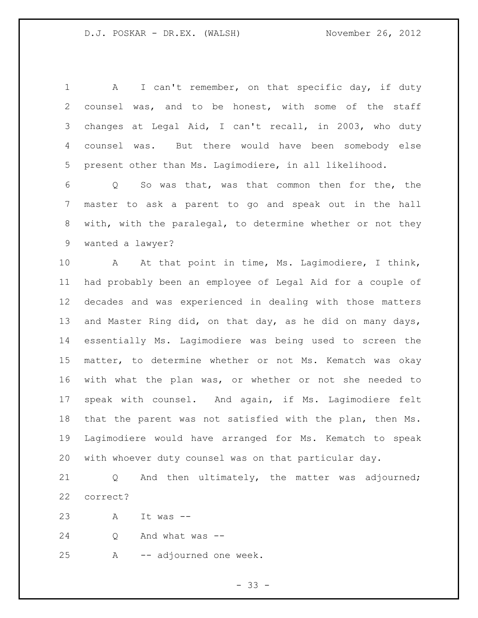A I can't remember, on that specific day, if duty counsel was, and to be honest, with some of the staff changes at Legal Aid, I can't recall, in 2003, who duty counsel was. But there would have been somebody else present other than Ms. Lagimodiere, in all likelihood.

 Q So was that, was that common then for the, the master to ask a parent to go and speak out in the hall with, with the paralegal, to determine whether or not they wanted a lawyer?

 A At that point in time, Ms. Lagimodiere, I think, had probably been an employee of Legal Aid for a couple of decades and was experienced in dealing with those matters and Master Ring did, on that day, as he did on many days, essentially Ms. Lagimodiere was being used to screen the matter, to determine whether or not Ms. Kematch was okay with what the plan was, or whether or not she needed to speak with counsel. And again, if Ms. Lagimodiere felt that the parent was not satisfied with the plan, then Ms. Lagimodiere would have arranged for Ms. Kematch to speak with whoever duty counsel was on that particular day.

 Q And then ultimately, the matter was adjourned; correct?

A It was --

Q And what was --

A -- adjourned one week.

 $- 33 -$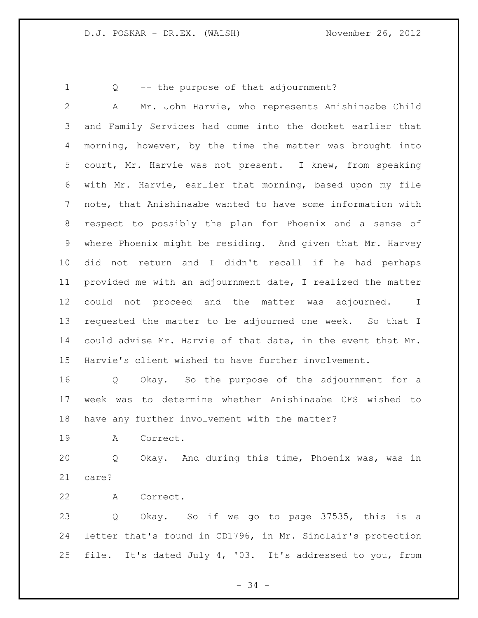Q -- the purpose of that adjournment?

 A Mr. John Harvie, who represents Anishinaabe Child and Family Services had come into the docket earlier that morning, however, by the time the matter was brought into court, Mr. Harvie was not present. I knew, from speaking with Mr. Harvie, earlier that morning, based upon my file note, that Anishinaabe wanted to have some information with respect to possibly the plan for Phoenix and a sense of where Phoenix might be residing. And given that Mr. Harvey did not return and I didn't recall if he had perhaps provided me with an adjournment date, I realized the matter could not proceed and the matter was adjourned. I requested the matter to be adjourned one week. So that I could advise Mr. Harvie of that date, in the event that Mr. Harvie's client wished to have further involvement.

 Q Okay. So the purpose of the adjournment for a week was to determine whether Anishinaabe CFS wished to have any further involvement with the matter?

A Correct.

 Q Okay. And during this time, Phoenix was, was in care?

A Correct.

 Q Okay. So if we go to page 37535, this is a letter that's found in CD1796, in Mr. Sinclair's protection file. It's dated July 4, '03. It's addressed to you, from

- 34 -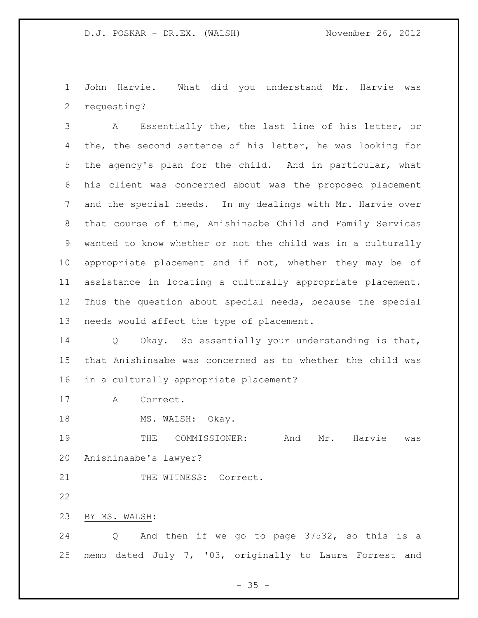John Harvie. What did you understand Mr. Harvie was requesting?

 A Essentially the, the last line of his letter, or the, the second sentence of his letter, he was looking for the agency's plan for the child. And in particular, what his client was concerned about was the proposed placement and the special needs. In my dealings with Mr. Harvie over that course of time, Anishinaabe Child and Family Services wanted to know whether or not the child was in a culturally appropriate placement and if not, whether they may be of assistance in locating a culturally appropriate placement. Thus the question about special needs, because the special needs would affect the type of placement.

 Q Okay. So essentially your understanding is that, that Anishinaabe was concerned as to whether the child was in a culturally appropriate placement?

A Correct.

18 MS. WALSH: Okay.

19 THE COMMISSIONER: And Mr. Harvie was Anishinaabe's lawyer?

21 THE WITNESS: Correct.

BY MS. WALSH:

 Q And then if we go to page 37532, so this is a memo dated July 7, '03, originally to Laura Forrest and

 $- 35 -$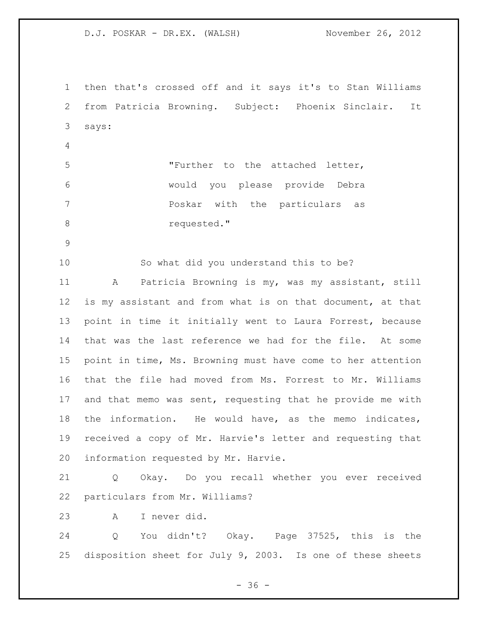then that's crossed off and it says it's to Stan Williams from Patricia Browning. Subject: Phoenix Sinclair. It says: "Further to the attached letter, would you please provide Debra Poskar with the particulars as 8 requested." So what did you understand this to be? A Patricia Browning is my, was my assistant, still is my assistant and from what is on that document, at that point in time it initially went to Laura Forrest, because that was the last reference we had for the file. At some point in time, Ms. Browning must have come to her attention that the file had moved from Ms. Forrest to Mr. Williams and that memo was sent, requesting that he provide me with the information. He would have, as the memo indicates, received a copy of Mr. Harvie's letter and requesting that information requested by Mr. Harvie. Q Okay. Do you recall whether you ever received particulars from Mr. Williams? A I never did. Q You didn't? Okay. Page 37525, this is the disposition sheet for July 9, 2003. Is one of these sheets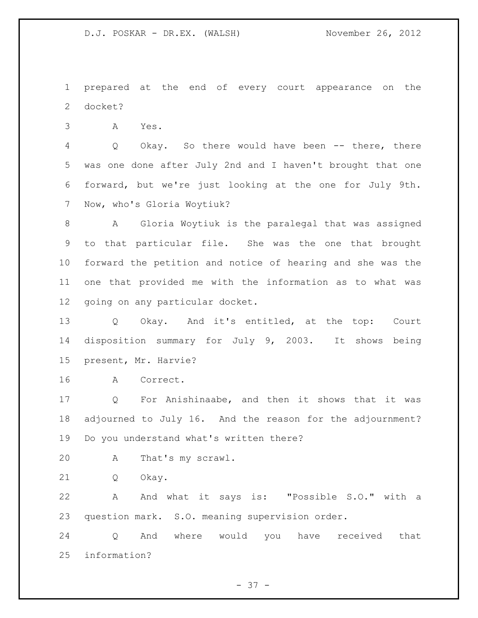prepared at the end of every court appearance on the docket?

A Yes.

 Q Okay. So there would have been -- there, there was one done after July 2nd and I haven't brought that one forward, but we're just looking at the one for July 9th. Now, who's Gloria Woytiuk?

 A Gloria Woytiuk is the paralegal that was assigned to that particular file. She was the one that brought forward the petition and notice of hearing and she was the one that provided me with the information as to what was going on any particular docket.

 Q Okay. And it's entitled, at the top: Court disposition summary for July 9, 2003. It shows being present, Mr. Harvie?

A Correct.

 Q For Anishinaabe, and then it shows that it was adjourned to July 16. And the reason for the adjournment? Do you understand what's written there?

- A That's my scrawl.
- Q Okay.

 A And what it says is: "Possible S.O." with a question mark. S.O. meaning supervision order.

 Q And where would you have received that information?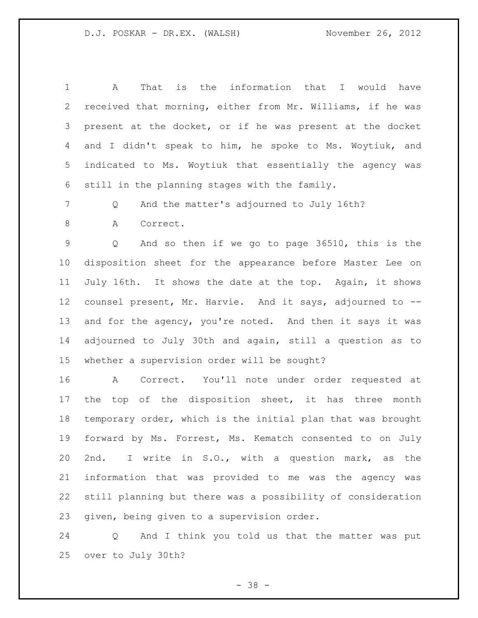A That is the information that I would have received that morning, either from Mr. Williams, if he was present at the docket, or if he was present at the docket and I didn't speak to him, he spoke to Ms. Woytiuk, and indicated to Ms. Woytiuk that essentially the agency was still in the planning stages with the family.

Q And the matter's adjourned to July 16th?

A Correct.

 Q And so then if we go to page 36510, this is the disposition sheet for the appearance before Master Lee on July 16th. It shows the date at the top. Again, it shows counsel present, Mr. Harvie. And it says, adjourned to -- and for the agency, you're noted. And then it says it was adjourned to July 30th and again, still a question as to whether a supervision order will be sought?

 A Correct. You'll note under order requested at 17 the top of the disposition sheet, it has three month temporary order, which is the initial plan that was brought forward by Ms. Forrest, Ms. Kematch consented to on July 2nd. I write in S.O., with a question mark, as the information that was provided to me was the agency was still planning but there was a possibility of consideration given, being given to a supervision order.

 Q And I think you told us that the matter was put over to July 30th?

- 38 -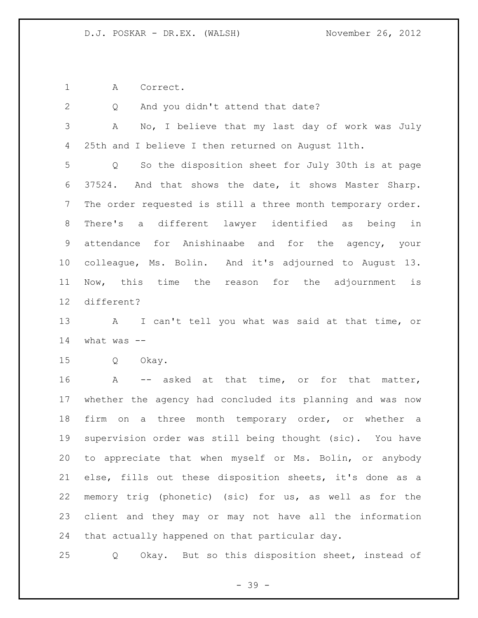A Correct.

| 2               | And you didn't attend that date?<br>Q                                  |
|-----------------|------------------------------------------------------------------------|
| 3               | No, I believe that my last day of work was July<br>A                   |
| 4               | 25th and I believe I then returned on August 11th.                     |
| 5               | So the disposition sheet for July 30th is at page<br>$Q \qquad \qquad$ |
| 6               | 37524. And that shows the date, it shows Master Sharp.                 |
| 7               | The order requested is still a three month temporary order.            |
| 8               | There's a different lawyer identified as being in                      |
| 9               | attendance for Anishinaabe and for the agency, your                    |
| 10 <sub>o</sub> | colleague, Ms. Bolin. And it's adjourned to August 13.                 |
| 11              | Now, this time the reason for the adjournment is                       |
| 12              | different?                                                             |
| 13              | A I can't tell you what was said at that time, or                      |
|                 |                                                                        |
| 14              | what was $--$                                                          |
| 15              | Q Okay.                                                                |
| 16              | -- asked at that time, or for that matter,<br>A                        |
| 17              | whether the agency had concluded its planning and was now              |
| 18              | firm on a three month temporary order, or whether a                    |
| 19              | supervision order was still being thought (sic). You have              |
|                 | 20 to appreciate that when myself or Ms. Bolin, or anybody             |
| 21              | else, fills out these disposition sheets, it's done as a               |
| 22              | memory trig (phonetic) (sic) for us, as well as for the                |
| 23              | client and they may or may not have all the information                |

Q Okay. But so this disposition sheet, instead of

- 39 -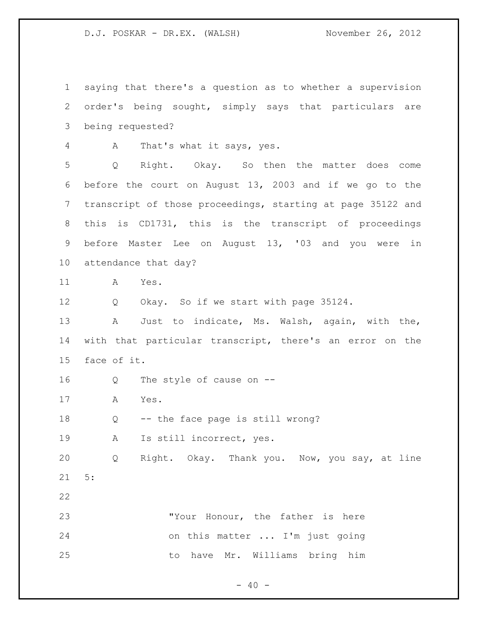saying that there's a question as to whether a supervision order's being sought, simply says that particulars are being requested? A That's what it says, yes. Q Right. Okay. So then the matter does come before the court on August 13, 2003 and if we go to the transcript of those proceedings, starting at page 35122 and this is CD1731, this is the transcript of proceedings before Master Lee on August 13, '03 and you were in attendance that day? A Yes. Q Okay. So if we start with page 35124. A Just to indicate, Ms. Walsh, again, with the, with that particular transcript, there's an error on the face of it. Q The style of cause on -- A Yes. Q -- the face page is still wrong? A Is still incorrect, yes. Q Right. Okay. Thank you. Now, you say, at line 5: "Your Honour, the father is here on this matter ... I'm just going to have Mr. Williams bring him

 $- 40 -$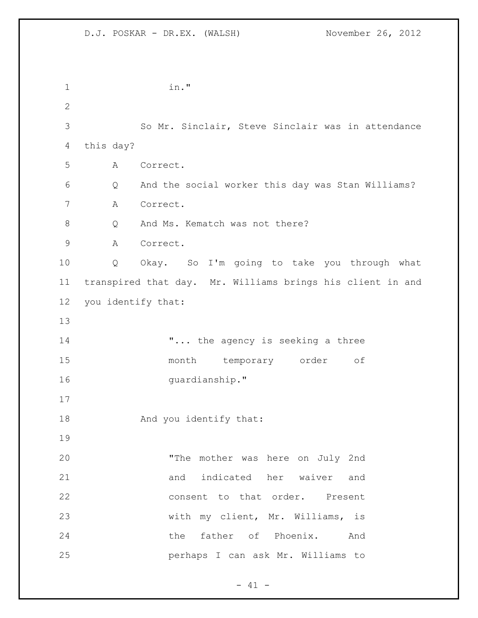| $\mathbf 1$  |                    | in."                                                       |
|--------------|--------------------|------------------------------------------------------------|
| $\mathbf{2}$ |                    |                                                            |
| 3            |                    | So Mr. Sinclair, Steve Sinclair was in attendance          |
| 4            | this day?          |                                                            |
| 5            | Α                  | Correct.                                                   |
| 6            | $\mathsf{Q}$       | And the social worker this day was Stan Williams?          |
| 7            | A                  | Correct.                                                   |
| 8            | Q                  | And Ms. Kematch was not there?                             |
| $\mathsf 9$  | Α                  | Correct.                                                   |
| 10           | Q                  | Okay. So I'm going to take you through what                |
| 11           |                    | transpired that day. Mr. Williams brings his client in and |
| 12           | you identify that: |                                                            |
| 13           |                    |                                                            |
| 14           |                    | " the agency is seeking a three                            |
| 15           |                    | month temporary order<br>оf                                |
| 16           |                    | quardianship."                                             |
| 17           |                    |                                                            |
| 18           |                    | And you identify that:                                     |
| 19           |                    |                                                            |
| 20           |                    | "The mother was here on July 2nd                           |
| 21           |                    | and indicated her waiver and                               |
| 22           |                    | consent to that order. Present                             |
| 23           |                    | with my client, Mr. Williams, is                           |
| 24           |                    | the father of Phoenix. And                                 |
| 25           |                    | perhaps I can ask Mr. Williams to                          |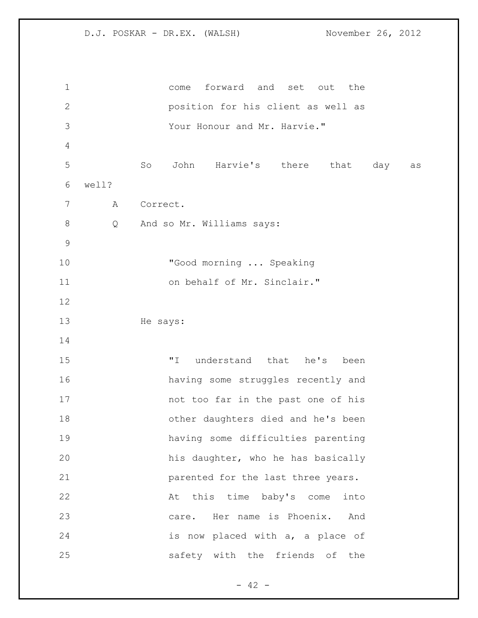| $\mathbf 1$    |       | forward and set out<br>the<br>come                |
|----------------|-------|---------------------------------------------------|
| $\mathbf{2}$   |       | position for his client as well as                |
| 3              |       | Your Honour and Mr. Harvie."                      |
| $\overline{4}$ |       |                                                   |
| 5              |       | John<br>Harvie's there<br>So<br>that<br>day<br>as |
| 6              | well? |                                                   |
| 7              | A     | Correct.                                          |
| $\,8\,$        | Q     | And so Mr. Williams says:                         |
| $\mathsf 9$    |       |                                                   |
| 10             |       | "Good morning  Speaking                           |
| 11             |       | on behalf of Mr. Sinclair."                       |
| 12             |       |                                                   |
| 13             |       | He says:                                          |
| 14             |       |                                                   |
| 15             |       | " I<br>understand that<br>he's<br>been            |
| 16             |       | having some struggles recently and                |
| 17             |       | not too far in the past one of his                |
| 18             |       | other daughters died and he's been                |
| 19             |       | having some difficulties parenting                |
| 20             |       | his daughter, who he has basically                |
| 21             |       | parented for the last three years.                |
| 22             |       | At this time baby's come<br>into                  |
| 23             |       | care. Her name is Phoenix. And                    |
| 24             |       | is now placed with a, a place of                  |
| 25             |       | safety with the friends of<br>the                 |

- 42 -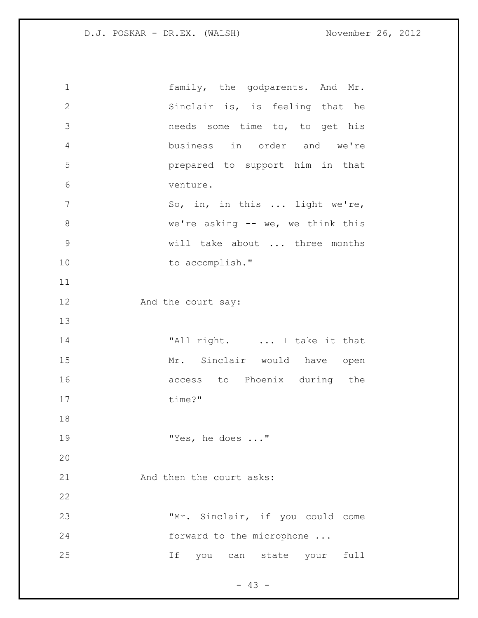| $\mathbf 1$    | family, the godparents. And Mr.     |
|----------------|-------------------------------------|
| $\mathbf{2}$   | Sinclair is, is feeling that he     |
| 3              | needs some time to, to get his      |
| $\overline{4}$ | business in order and we're         |
| 5              | prepared to support him in that     |
| 6              | venture.                            |
| 7              | So, in, in this  light we're,       |
| $\,8\,$        | we're asking $--$ we, we think this |
| $\mathcal{G}$  | will take about  three months       |
| 10             | to accomplish."                     |
| 11             |                                     |
| 12             | And the court say:                  |
| 13             |                                     |
| 14             | "All right.  I take it that         |
| 15             | Mr. Sinclair would have open        |
| 16             | access to Phoenix during the        |
| 17             | time?"                              |
| 18             |                                     |
| 19             | "Yes, he does "                     |
| 20             |                                     |
| 21             | And then the court asks:            |
| 22             |                                     |
| 23             | "Mr. Sinclair, if you could come    |
| 24             | forward to the microphone           |
| 25             | If<br>you can state your full       |
|                |                                     |

- 43 -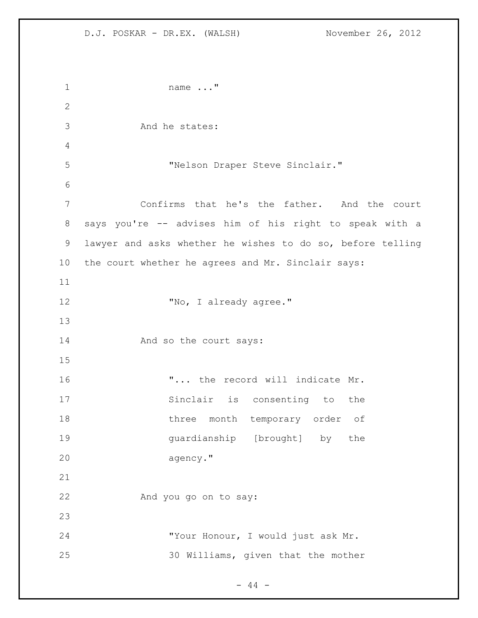name ..." And he states: "Nelson Draper Steve Sinclair." Confirms that he's the father. And the court says you're -- advises him of his right to speak with a lawyer and asks whether he wishes to do so, before telling the court whether he agrees and Mr. Sinclair says: 12 Tho, I already agree." 14 And so the court says: 16  $\ldots$  ... the record will indicate Mr. Sinclair is consenting to the 18 three month temporary order of guardianship [brought] by the agency." And you go on to say: "Your Honour, I would just ask Mr. 30 Williams, given that the mother

 $- 44 -$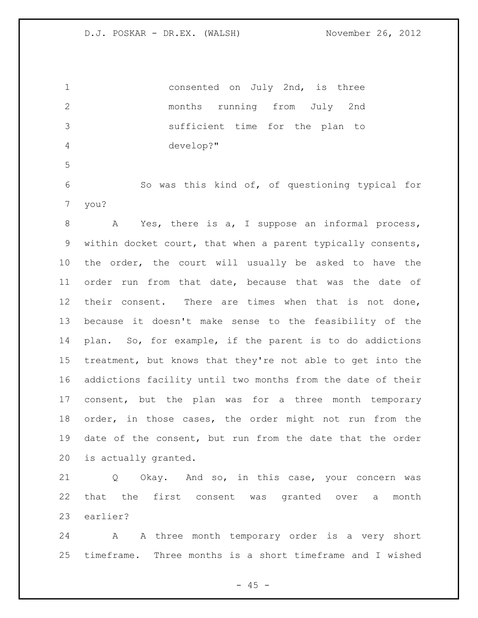| $\mathbf{1}$    |      | consented on July 2nd, is three                 |
|-----------------|------|-------------------------------------------------|
| 2               |      | months running from July 2nd                    |
| 3               |      | sufficient time for the plan to                 |
| $\overline{4}$  |      | develop?"                                       |
| 5               |      |                                                 |
| 6               |      | So was this kind of, of questioning typical for |
| $7\overline{ }$ | you? |                                                 |
| 8               | Α    | Yes, there is a, I suppose an informal process, |

 within docket court, that when a parent typically consents, the order, the court will usually be asked to have the order run from that date, because that was the date of their consent. There are times when that is not done, because it doesn't make sense to the feasibility of the plan. So, for example, if the parent is to do addictions treatment, but knows that they're not able to get into the addictions facility until two months from the date of their consent, but the plan was for a three month temporary order, in those cases, the order might not run from the date of the consent, but run from the date that the order is actually granted.

 Q Okay. And so, in this case, your concern was that the first consent was granted over a month earlier?

 A A three month temporary order is a very short timeframe. Three months is a short timeframe and I wished

 $- 45 -$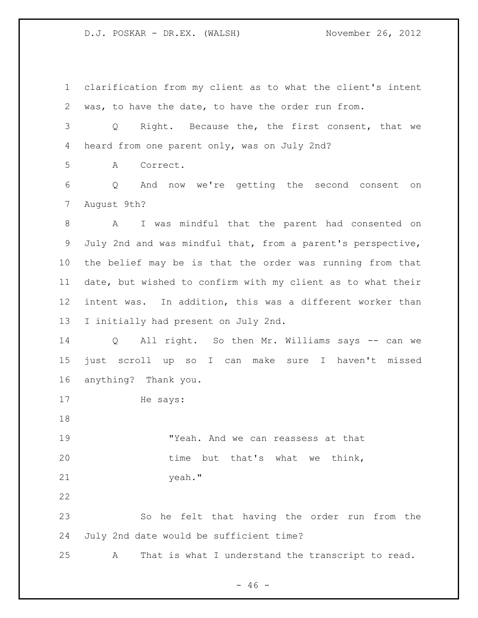clarification from my client as to what the client's intent was, to have the date, to have the order run from. Q Right. Because the, the first consent, that we heard from one parent only, was on July 2nd? A Correct. Q And now we're getting the second consent on August 9th? A I was mindful that the parent had consented on July 2nd and was mindful that, from a parent's perspective, the belief may be is that the order was running from that date, but wished to confirm with my client as to what their intent was. In addition, this was a different worker than I initially had present on July 2nd. Q All right. So then Mr. Williams says -- can we just scroll up so I can make sure I haven't missed anything? Thank you. He says: "Yeah. And we can reassess at that 20 time but that's what we think, yeah." So he felt that having the order run from the July 2nd date would be sufficient time? A That is what I understand the transcript to read.

 $- 46 -$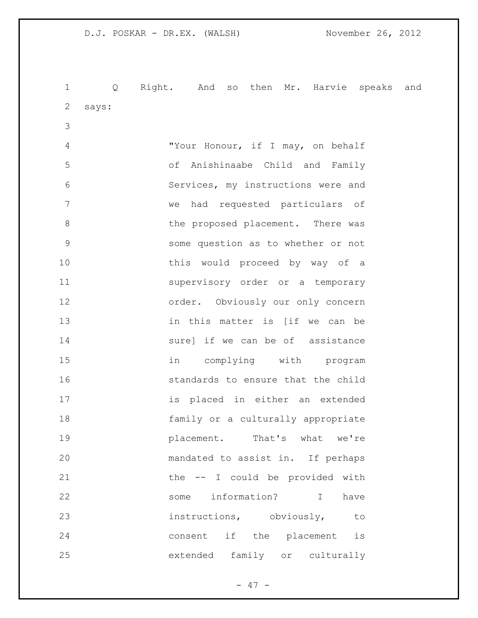Q Right. And so then Mr. Harvie speaks and says: "Your Honour, if I may, on behalf of Anishinaabe Child and Family Services, my instructions were and we had requested particulars of 8 b the proposed placement. There was some question as to whether or not 10 this would proceed by way of a supervisory order or a temporary order. Obviously our only concern in this matter is [if we can be **Surel if we can be of assistance**  in complying with program **standards** to ensure that the child is placed in either an extended family or a culturally appropriate **placement.** That's what we're mandated to assist in. If perhaps 21 the -- I could be provided with some information? I have instructions, obviously, to consent if the placement is extended family or culturally

- 47 -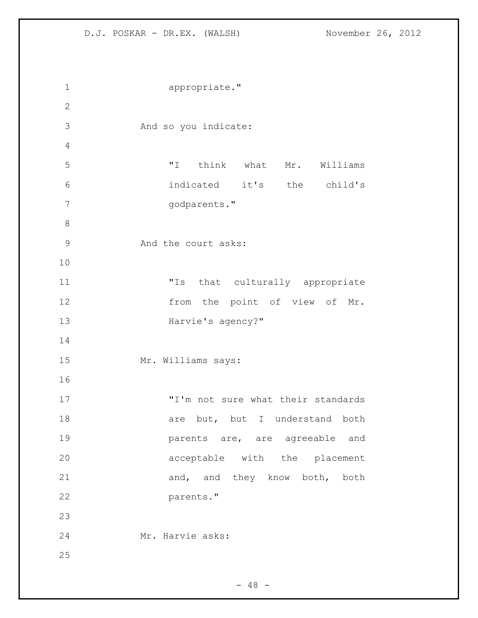appropriate." And so you indicate: "I think what Mr. Williams indicated it's the child's godparents." And the court asks: "Is that culturally appropriate 12 from the point of view of Mr. **Harvie's agency?"**  Mr. Williams says: 17 T'm not sure what their standards 18 are but, but I understand both parents are, are agreeable and acceptable with the placement 21 and, and they know both, both parents." Mr. Harvie asks: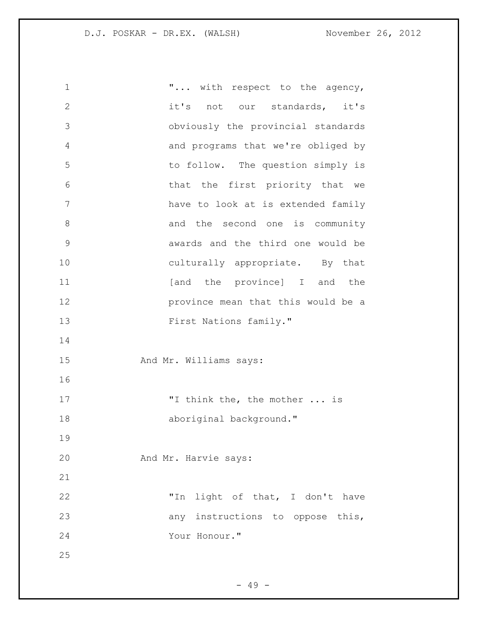**"...** with respect to the agency, it's not our standards, it's obviously the provincial standards and programs that we're obliged by to follow. The question simply is that the first priority that we have to look at is extended family 8 and the second one is community awards and the third one would be culturally appropriate. By that **11** [and the province] I and the province mean that this would be a 13 First Nations family." 15 And Mr. Williams says: 17 T think the, the mother ... is 18 aboriginal background." And Mr. Harvie says: "In light of that, I don't have any instructions to oppose this, Your Honour." 

 $- 49 -$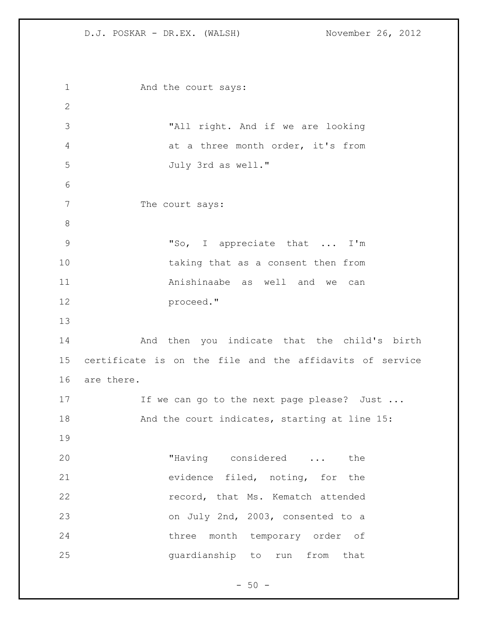1 And the court says: "All right. And if we are looking 4 at a three month order, it's from July 3rd as well." 7 The court says: "So, I appreciate that ... I'm taking that as a consent then from Anishinaabe as well and we can proceed." And then you indicate that the child's birth certificate is on the file and the affidavits of service are there. 17 If we can go to the next page please? Just ... And the court indicates, starting at line 15: "Having considered ... the evidence filed, noting, for the **record, that Ms. Kematch attended**  on July 2nd, 2003, consented to a three month temporary order of guardianship to run from that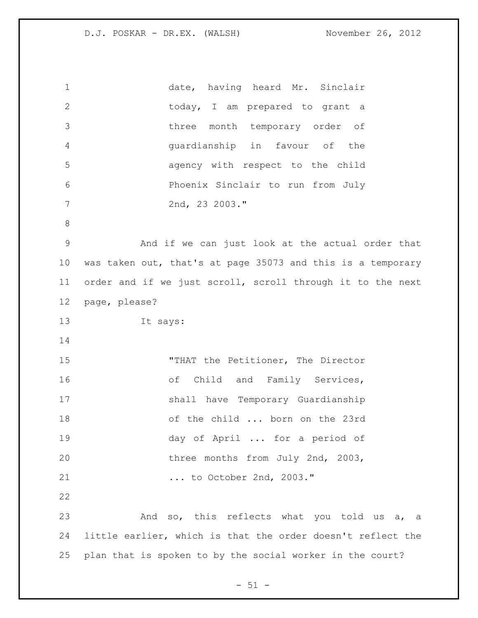| $\mathbf 1$  | date, having heard Mr. Sinclair                             |
|--------------|-------------------------------------------------------------|
| $\mathbf{2}$ | today, I am prepared to grant a                             |
| 3            | three month temporary order of                              |
| 4            | guardianship in favour of the                               |
| 5            | agency with respect to the child                            |
| 6            | Phoenix Sinclair to run from July                           |
| 7            | 2nd, 23 2003."                                              |
| $8\,$        |                                                             |
| 9            | And if we can just look at the actual order that            |
| 10           | was taken out, that's at page 35073 and this is a temporary |
| 11           | order and if we just scroll, scroll through it to the next  |
| 12           | page, please?                                               |
| 13           | It says:                                                    |
| 14           |                                                             |
| 15           | "THAT the Petitioner, The Director                          |
| 16           | of Child and Family Services,                               |
| 17           | shall have Temporary Guardianship                           |
| 18           | of the child  born on the 23rd                              |
| 19           | day of April  for a period of                               |
| 20           | three months from July 2nd, 2003,                           |
| 21           | to October 2nd, 2003."                                      |
| 22           |                                                             |
| 23           | And so, this reflects what you told us a, a                 |
| 24           | little earlier, which is that the order doesn't reflect the |
| 25           | plan that is spoken to by the social worker in the court?   |

 $- 51 -$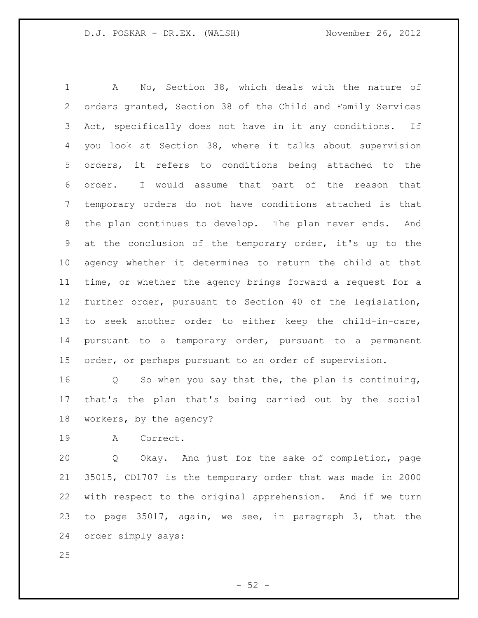A No, Section 38, which deals with the nature of orders granted, Section 38 of the Child and Family Services Act, specifically does not have in it any conditions. If you look at Section 38, where it talks about supervision orders, it refers to conditions being attached to the order. I would assume that part of the reason that temporary orders do not have conditions attached is that the plan continues to develop. The plan never ends. And at the conclusion of the temporary order, it's up to the agency whether it determines to return the child at that time, or whether the agency brings forward a request for a further order, pursuant to Section 40 of the legislation, to seek another order to either keep the child-in-care, pursuant to a temporary order, pursuant to a permanent order, or perhaps pursuant to an order of supervision.

 Q So when you say that the, the plan is continuing, that's the plan that's being carried out by the social workers, by the agency?

A Correct.

 Q Okay. And just for the sake of completion, page 35015, CD1707 is the temporary order that was made in 2000 with respect to the original apprehension. And if we turn to page 35017, again, we see, in paragraph 3, that the order simply says:

 $-52 -$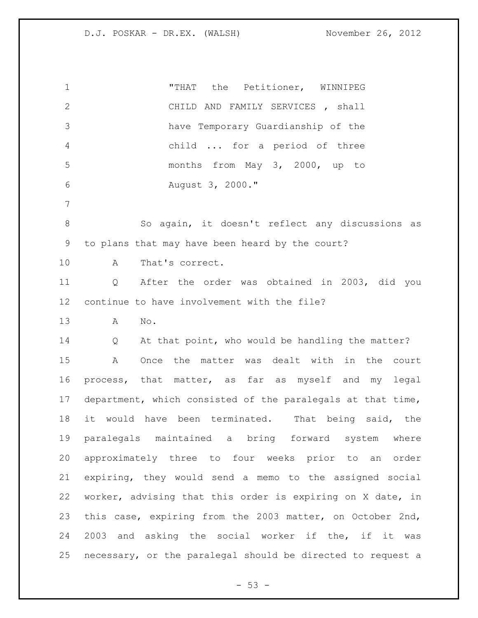| $\mathbf 1$    | the Petitioner, WINNIPEG<br>"THAT                           |
|----------------|-------------------------------------------------------------|
| $\overline{2}$ | CHILD AND FAMILY SERVICES, shall                            |
| 3              | have Temporary Guardianship of the                          |
| $\overline{4}$ | child  for a period of three                                |
| 5              | months from May 3, 2000, up to                              |
| 6              | August 3, 2000."                                            |
| 7              |                                                             |
| $\,8\,$        | So again, it doesn't reflect any discussions as             |
| 9              | to plans that may have been heard by the court?             |
| 10             | That's correct.<br>Α                                        |
| 11             | After the order was obtained in 2003, did you<br>Q          |
| 12             | continue to have involvement with the file?                 |
| 13             | No.<br>Α                                                    |
| 14             | At that point, who would be handling the matter?<br>Q       |
| 15             | Once the matter was dealt with in the court<br>Α            |
| 16             | process, that matter, as far as myself and my legal         |
| 17             | department, which consisted of the paralegals at that time, |
| 18             | it would have been terminated.<br>That being said, the      |
| 19             | paralegals maintained a bring forward system<br>where       |
| 20             | approximately three to four weeks prior to an order         |
| 21             | expiring, they would send a memo to the assigned social     |
| 22             | worker, advising that this order is expiring on X date, in  |
| 23             | this case, expiring from the 2003 matter, on October 2nd,   |
| 24             | 2003 and asking the social worker if the, if it was         |
| 25             | necessary, or the paralegal should be directed to request a |

- 53 -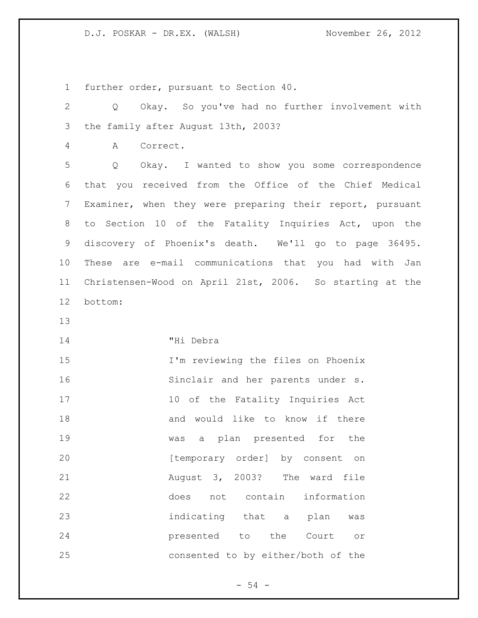further order, pursuant to Section 40.

| $\mathbf{2}$   | Okay. So you've had no further involvement with<br>Q      |
|----------------|-----------------------------------------------------------|
| 3              | the family after August 13th, 2003?                       |
| $\overline{4}$ | Correct.<br>Α                                             |
| 5              | Okay. I wanted to show you some correspondence<br>Q       |
| 6              | that you received from the Office of the Chief Medical    |
| 7              | Examiner, when they were preparing their report, pursuant |
| 8              | to Section 10 of the Fatality Inquiries Act, upon the     |
| $\mathsf 9$    | discovery of Phoenix's death. We'll go to page 36495.     |
| 10             | These are e-mail communications that you had with Jan     |
| 11             | Christensen-Wood on April 21st, 2006. So starting at the  |
| 12             | bottom:                                                   |
| 13             |                                                           |
| 14             | "Hi Debra                                                 |
| 15             | I'm reviewing the files on Phoenix                        |
| 16             | Sinclair and her parents under s.                         |
| 17             | 10 of the Fatality Inquiries Act                          |
| 18             | and would like to know if there                           |
| 19             | a plan presented for the<br>was                           |
| 20             | [temporary order] by consent on                           |
| 21             | August 3, 2003? The ward file                             |
| 22             | not contain<br>information<br>does                        |
| 23             | indicating that a plan<br>was                             |
| 24             | presented to the<br>Court<br>O <sub>T</sub>               |
| 25             | consented to by either/both of the                        |

- 54 -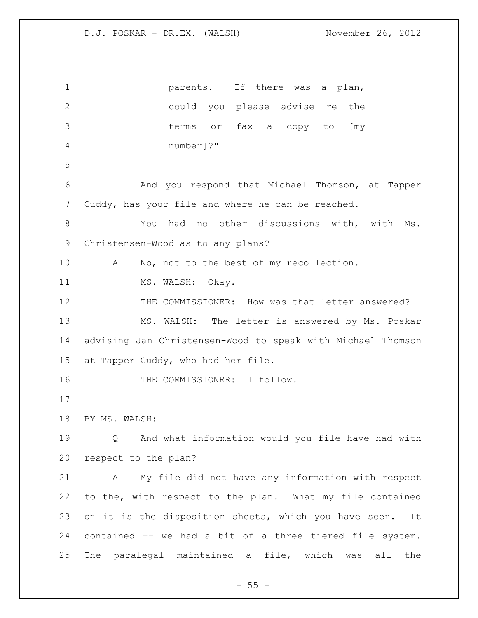**parents**. If there was a plan, could you please advise re the terms or fax a copy to [my number]?" And you respond that Michael Thomson, at Tapper Cuddy, has your file and where he can be reached. You had no other discussions with, with Ms. Christensen-Wood as to any plans? 10 A No, not to the best of my recollection. 11 MS. WALSH: Okay. THE COMMISSIONER: How was that letter answered? MS. WALSH: The letter is answered by Ms. Poskar advising Jan Christensen-Wood to speak with Michael Thomson at Tapper Cuddy, who had her file. 16 THE COMMISSIONER: I follow. BY MS. WALSH: Q And what information would you file have had with respect to the plan? A My file did not have any information with respect to the, with respect to the plan. What my file contained 23 on it is the disposition sheets, which you have seen. It contained -- we had a bit of a three tiered file system. The paralegal maintained a file, which was all the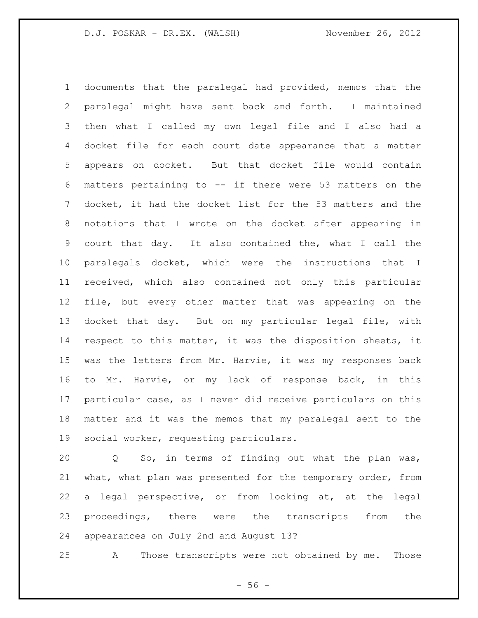documents that the paralegal had provided, memos that the paralegal might have sent back and forth. I maintained then what I called my own legal file and I also had a docket file for each court date appearance that a matter appears on docket. But that docket file would contain matters pertaining to -- if there were 53 matters on the docket, it had the docket list for the 53 matters and the notations that I wrote on the docket after appearing in court that day. It also contained the, what I call the paralegals docket, which were the instructions that I received, which also contained not only this particular file, but every other matter that was appearing on the docket that day. But on my particular legal file, with respect to this matter, it was the disposition sheets, it was the letters from Mr. Harvie, it was my responses back to Mr. Harvie, or my lack of response back, in this particular case, as I never did receive particulars on this matter and it was the memos that my paralegal sent to the social worker, requesting particulars.

 Q So, in terms of finding out what the plan was, what, what plan was presented for the temporary order, from a legal perspective, or from looking at, at the legal proceedings, there were the transcripts from the appearances on July 2nd and August 13?

A Those transcripts were not obtained by me. Those

 $-56 -$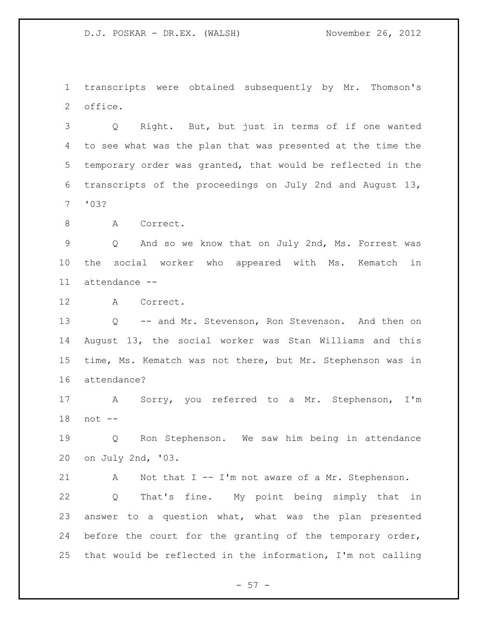transcripts were obtained subsequently by Mr. Thomson's office.

 Q Right. But, but just in terms of if one wanted to see what was the plan that was presented at the time the temporary order was granted, that would be reflected in the transcripts of the proceedings on July 2nd and August 13, '03?

8 A Correct.

 Q And so we know that on July 2nd, Ms. Forrest was the social worker who appeared with Ms. Kematch in attendance --

A Correct.

 Q -- and Mr. Stevenson, Ron Stevenson. And then on August 13, the social worker was Stan Williams and this time, Ms. Kematch was not there, but Mr. Stephenson was in attendance?

 A Sorry, you referred to a Mr. Stephenson, I'm not --

 Q Ron Stephenson. We saw him being in attendance on July 2nd, '03.

 A Not that I -- I'm not aware of a Mr. Stephenson. Q That's fine. My point being simply that in answer to a question what, what was the plan presented before the court for the granting of the temporary order, that would be reflected in the information, I'm not calling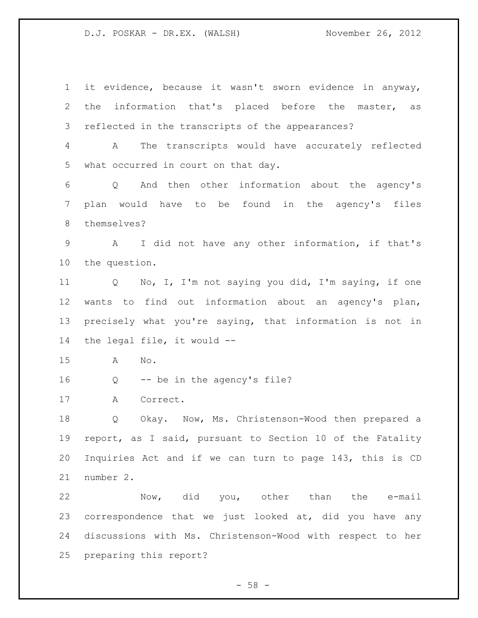it evidence, because it wasn't sworn evidence in anyway, the information that's placed before the master, as reflected in the transcripts of the appearances? A The transcripts would have accurately reflected what occurred in court on that day. Q And then other information about the agency's plan would have to be found in the agency's files themselves? A I did not have any other information, if that's the question. Q No, I, I'm not saying you did, I'm saying, if one wants to find out information about an agency's plan, precisely what you're saying, that information is not in the legal file, it would -- A No. Q -- be in the agency's file? A Correct. Q Okay. Now, Ms. Christenson-Wood then prepared a report, as I said, pursuant to Section 10 of the Fatality Inquiries Act and if we can turn to page 143, this is CD number 2. Now, did you, other than the e-mail correspondence that we just looked at, did you have any discussions with Ms. Christenson-Wood with respect to her preparing this report?

 $-58 -$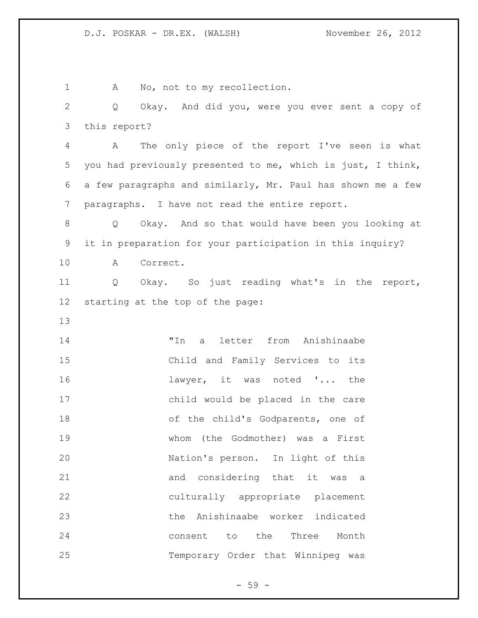1 A No, not to my recollection. Q Okay. And did you, were you ever sent a copy of this report? A The only piece of the report I've seen is what you had previously presented to me, which is just, I think, a few paragraphs and similarly, Mr. Paul has shown me a few paragraphs. I have not read the entire report. Q Okay. And so that would have been you looking at it in preparation for your participation in this inquiry? A Correct. Q Okay. So just reading what's in the report, starting at the top of the page: "In a letter from Anishinaabe Child and Family Services to its lawyer, it was noted '... the child would be placed in the care 18 of the child's Godparents, one of whom (the Godmother) was a First Nation's person. In light of this and considering that it was a culturally appropriate placement the Anishinaabe worker indicated consent to the Three Month Temporary Order that Winnipeg was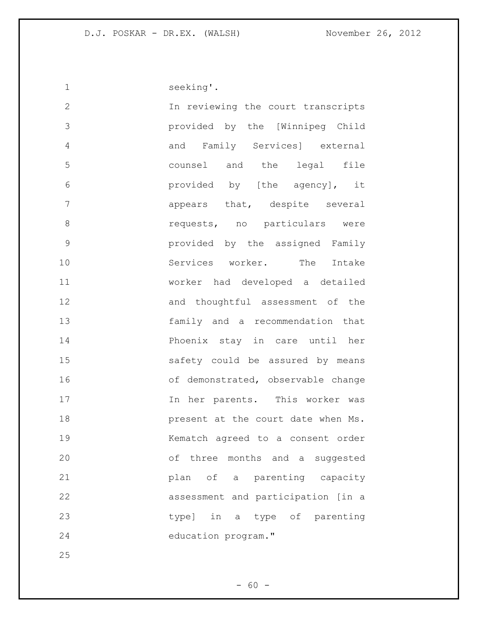| 1             | seeking'.                          |
|---------------|------------------------------------|
| $\mathbf 2$   | In reviewing the court transcripts |
| 3             | provided by the [Winnipeg Child    |
| 4             | and Family Services] external      |
| 5             | counsel and the legal file         |
| 6             | provided by [the agency], it       |
| 7             | appears that, despite several      |
| 8             | requests, no particulars were      |
| $\mathcal{G}$ | provided by the assigned Family    |
| 10            | Services worker. The Intake        |
| 11            | worker had developed a detailed    |
| 12            | and thoughtful assessment of the   |
| 13            | family and a recommendation that   |
| 14            | Phoenix stay in care until her     |
| 15            | safety could be assured by means   |
| 16            | of demonstrated, observable change |
| 17            | In her parents. This worker was    |
| 18            | present at the court date when Ms. |
| 19            | Kematch agreed to a consent order  |
| 20            | of three months and a suggested    |
| 21            | plan of a parenting capacity       |
| 22            | assessment and participation [in a |
| 23            | type] in a type of parenting       |
| 24            | education program."                |

- 60 -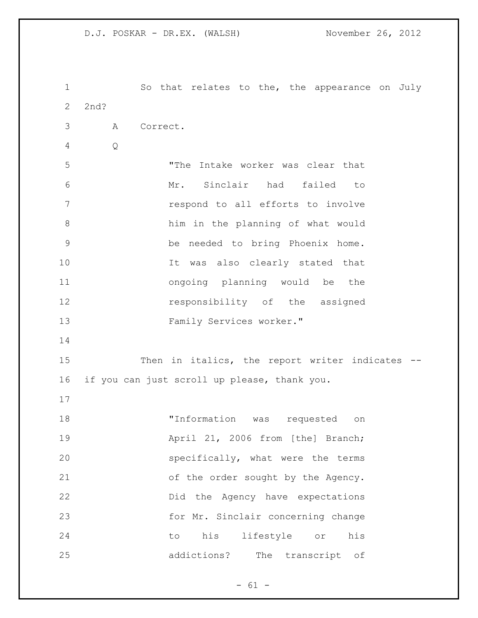So that relates to the, the appearance on July 2nd? A Correct. Q "The Intake worker was clear that Mr. Sinclair had failed to respond to all efforts to involve him in the planning of what would be needed to bring Phoenix home. It was also clearly stated that ongoing planning would be the **responsibility** of the assigned Family Services worker." 15 Then in italics, the report writer indicates -- if you can just scroll up please, thank you. "Information was requested on **April 21, 2006 from [the] Branch;**  specifically, what were the terms of the order sought by the Agency. Did the Agency have expectations for Mr. Sinclair concerning change to his lifestyle or his addictions? The transcript of

 $- 61 -$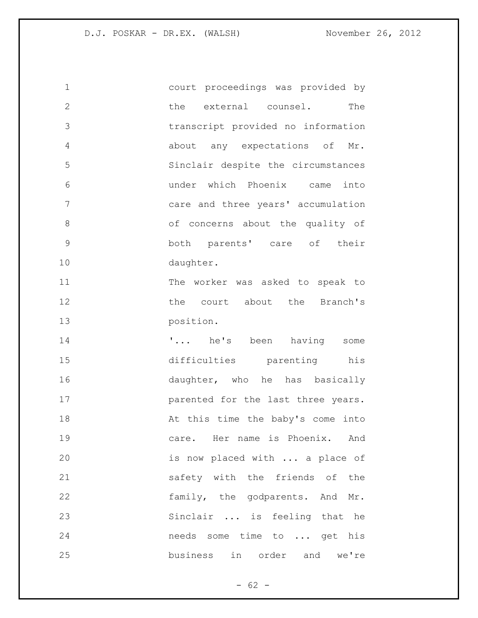court proceedings was provided by 2 the external counsel. The transcript provided no information about any expectations of Mr. Sinclair despite the circumstances under which Phoenix came into care and three years' accumulation of concerns about the quality of both parents' care of their daughter. The worker was asked to speak to 12 the court about the Branch's position. **'...** he's been having some difficulties parenting his 16 daughter, who he has basically **parented for the last three years.** 18 At this time the baby's come into care. Her name is Phoenix. And is now placed with ... a place of safety with the friends of the family, the godparents. And Mr. Sinclair ... is feeling that he needs some time to ... get his business in order and we're

 $- 62 -$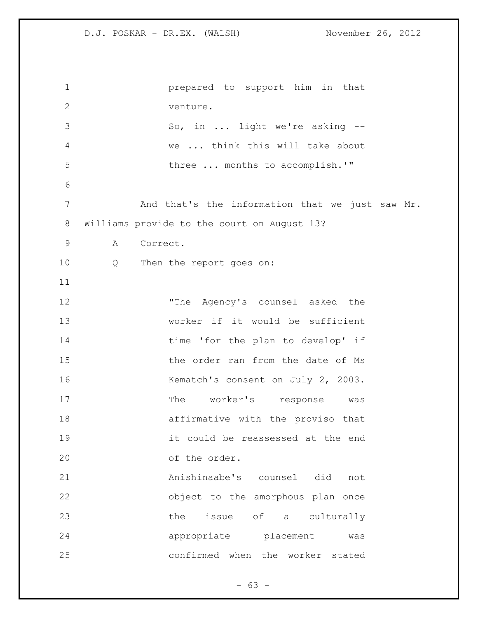| $\mathbf 1$  | prepared to support him in that                 |
|--------------|-------------------------------------------------|
| $\mathbf{2}$ | venture.                                        |
| 3            | So, in  light we're asking --                   |
| 4            | we  think this will take about                  |
| 5            | three  months to accomplish.'"                  |
| 6            |                                                 |
| 7            | And that's the information that we just saw Mr. |
| $8\,$        | Williams provide to the court on August 13?     |
| $\mathsf 9$  | Correct.<br>A                                   |
| 10           | $\overline{Q}$<br>Then the report goes on:      |
| 11           |                                                 |
| 12           | "The Agency's counsel asked the                 |
| 13           | worker if it would be sufficient                |
| 14           | time 'for the plan to develop' if               |
| 15           | the order ran from the date of Ms               |
| 16           | Kematch's consent on July 2, 2003.              |
| 17           | The worker's response was                       |
| 18           | affirmative with the proviso that               |
| 19           | it could be reassessed at the end               |
| 20           | of the order.                                   |
| 21           | Anishinaabe's counsel did not                   |
| 22           | object to the amorphous plan once               |
| 23           | issue of a culturally<br>the                    |
| 24           | appropriate placement<br>was                    |
| 25           | confirmed when the worker stated                |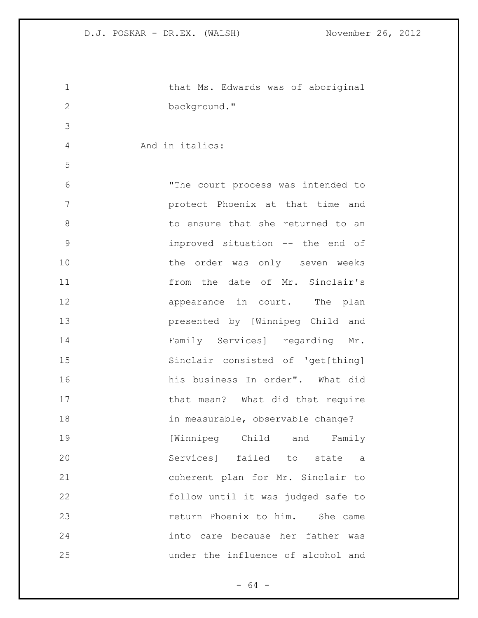| $\mathbf 1$    | that Ms. Edwards was of aboriginal |
|----------------|------------------------------------|
| $\overline{2}$ | background."                       |
|                |                                    |
| 3              |                                    |
| 4              | And in italics:                    |
| 5              |                                    |
| 6              | "The court process was intended to |
| 7              | protect Phoenix at that time and   |
| 8              | to ensure that she returned to an  |
| 9              | improved situation -- the end of   |
| 10             | the order was only seven weeks     |
| 11             | from the date of Mr. Sinclair's    |
| 12             | appearance in court. The plan      |
| 13             | presented by [Winnipeg Child and   |
| 14             | Family Services] regarding Mr.     |
| 15             | Sinclair consisted of 'get[thing]  |
| 16             | his business In order". What did   |
| 17             | that mean? What did that require   |
| 18             | in measurable, observable change?  |
| 19             | [Winnipeg Child and Family         |
| 20             | Services] failed to state<br>a a   |
| 21             | coherent plan for Mr. Sinclair to  |
| 22             | follow until it was judged safe to |
| 23             | return Phoenix to him. She came    |
| 24             | into care because her father was   |
| 25             | under the influence of alcohol and |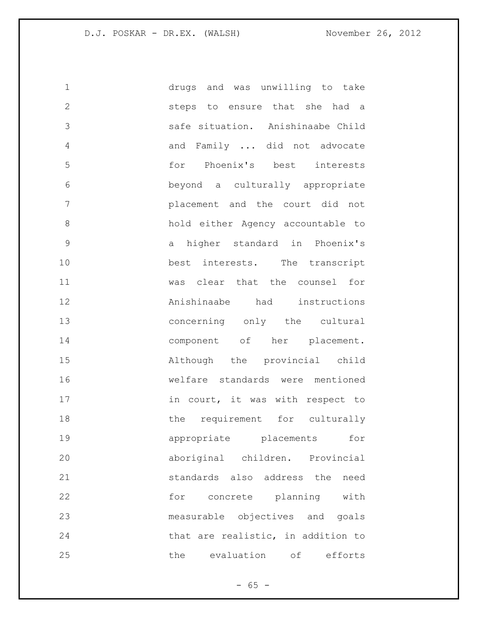| 1            | drugs and was unwilling to take    |
|--------------|------------------------------------|
| $\mathbf{2}$ | steps to ensure that she had a     |
| 3            | safe situation. Anishinaabe Child  |
| 4            | and Family  did not advocate       |
| 5            | for Phoenix's best interests       |
| 6            | beyond a culturally appropriate    |
| 7            | placement and the court did not    |
| 8            | hold either Agency accountable to  |
| 9            | a higher standard in Phoenix's     |
| 10           | best interests. The transcript     |
| 11           | was clear that the counsel for     |
| 12           | Anishinaabe had instructions       |
| 13           | concerning only the cultural       |
| 14           | component of her placement.        |
| 15           | Although the provincial child      |
| 16           | welfare standards were mentioned   |
| 17           | in court, it was with respect to   |
| 18           | the requirement for culturally     |
| 19           | for<br>appropriate placements      |
| 20           | aboriginal children. Provincial    |
| 21           | standards also address the<br>need |
| 22           | for concrete planning with         |
| 23           | measurable objectives and goals    |
| 24           | that are realistic, in addition to |
| 25           | the<br>evaluation<br>оf<br>efforts |

- 65 -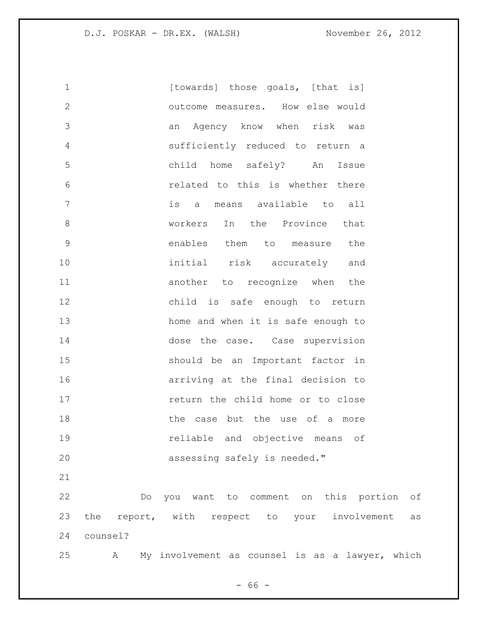| $\mathbf 1$  |          | [towards] those goals, [that is]                      |
|--------------|----------|-------------------------------------------------------|
| $\mathbf{2}$ |          | outcome measures. How else would                      |
| 3            |          | Agency know when risk was<br>an                       |
| 4            |          | sufficiently reduced to return a                      |
| 5            |          | child home safely? An<br>Issue                        |
| 6            |          | related to this is whether there                      |
| 7            |          | is a means available to all                           |
| $\,8\,$      |          | In the Province<br>workers<br>that                    |
| $\mathsf 9$  |          | enables them to<br>measure the                        |
| 10           |          | initial risk accurately and                           |
| 11           |          | another to recognize when the                         |
| 12           |          | child is safe enough to return                        |
| 13           |          | home and when it is safe enough to                    |
| 14           |          | dose the case. Case supervision                       |
| 15           |          | should be an Important factor in                      |
| 16           |          | arriving at the final decision to                     |
| 17           |          | return the child home or to close                     |
| 18           |          | the case but the use of a more                        |
| 19           |          | reliable and objective means of                       |
| 20           |          | assessing safely is needed."                          |
| 21           |          |                                                       |
| 22           | Do       | you want to comment on this portion<br>оf             |
| 23           |          | the report, with respect to your<br>involvement<br>as |
| 24           | counsel? |                                                       |
| 25           | А        | My involvement as counsel is as a lawyer, which       |

- 66 -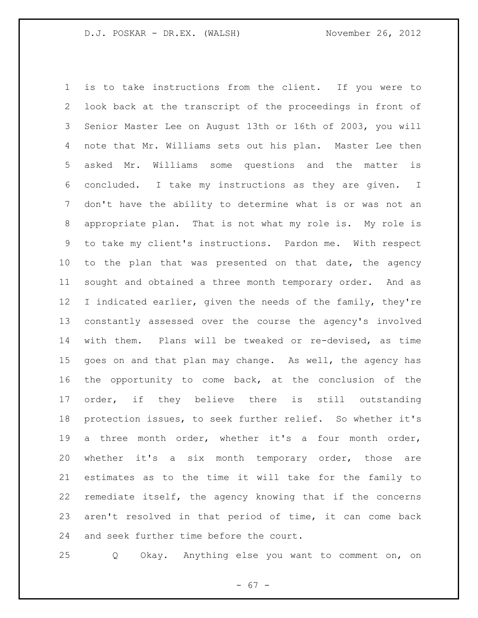is to take instructions from the client. If you were to look back at the transcript of the proceedings in front of Senior Master Lee on August 13th or 16th of 2003, you will note that Mr. Williams sets out his plan. Master Lee then asked Mr. Williams some questions and the matter is concluded. I take my instructions as they are given. I don't have the ability to determine what is or was not an appropriate plan. That is not what my role is. My role is to take my client's instructions. Pardon me. With respect to the plan that was presented on that date, the agency sought and obtained a three month temporary order. And as I indicated earlier, given the needs of the family, they're constantly assessed over the course the agency's involved with them. Plans will be tweaked or re-devised, as time goes on and that plan may change. As well, the agency has the opportunity to come back, at the conclusion of the order, if they believe there is still outstanding protection issues, to seek further relief. So whether it's a three month order, whether it's a four month order, whether it's a six month temporary order, those are estimates as to the time it will take for the family to remediate itself, the agency knowing that if the concerns aren't resolved in that period of time, it can come back and seek further time before the court.

Q Okay. Anything else you want to comment on, on

- 67 -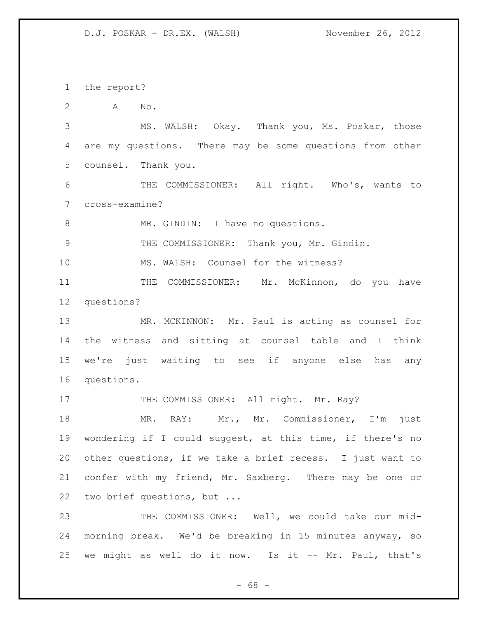the report?

A No.

 MS. WALSH: Okay. Thank you, Ms. Poskar, those are my questions. There may be some questions from other counsel. Thank you.

 THE COMMISSIONER: All right. Who's, wants to cross-examine?

8 MR. GINDIN: I have no questions.

THE COMMISSIONER: Thank you, Mr. Gindin.

MS. WALSH: Counsel for the witness?

11 THE COMMISSIONER: Mr. McKinnon, do you have questions?

 MR. MCKINNON: Mr. Paul is acting as counsel for the witness and sitting at counsel table and I think we're just waiting to see if anyone else has any questions.

17 THE COMMISSIONER: All right. Mr. Ray?

18 MR. RAY: Mr., Mr. Commissioner, I'm just wondering if I could suggest, at this time, if there's no other questions, if we take a brief recess. I just want to confer with my friend, Mr. Saxberg. There may be one or two brief questions, but ...

 THE COMMISSIONER: Well, we could take our mid- morning break. We'd be breaking in 15 minutes anyway, so we might as well do it now. Is it -- Mr. Paul, that's

- 68 -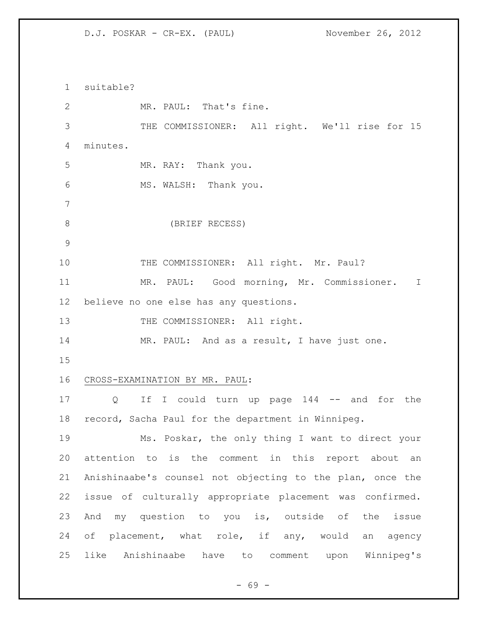D.J. POSKAR - CR-EX. (PAUL) November 26, 2012

 suitable? MR. PAUL: That's fine. THE COMMISSIONER: All right. We'll rise for 15 minutes. MR. RAY: Thank you. MS. WALSH: Thank you. (BRIEF RECESS) 10 THE COMMISSIONER: All right. Mr. Paul? MR. PAUL: Good morning, Mr. Commissioner. I believe no one else has any questions. 13 THE COMMISSIONER: All right. MR. PAUL: And as a result, I have just one. CROSS-EXAMINATION BY MR. PAUL: Q If I could turn up page 144 -- and for the record, Sacha Paul for the department in Winnipeg. Ms. Poskar, the only thing I want to direct your attention to is the comment in this report about an Anishinaabe's counsel not objecting to the plan, once the issue of culturally appropriate placement was confirmed. And my question to you is, outside of the issue of placement, what role, if any, would an agency like Anishinaabe have to comment upon Winnipeg's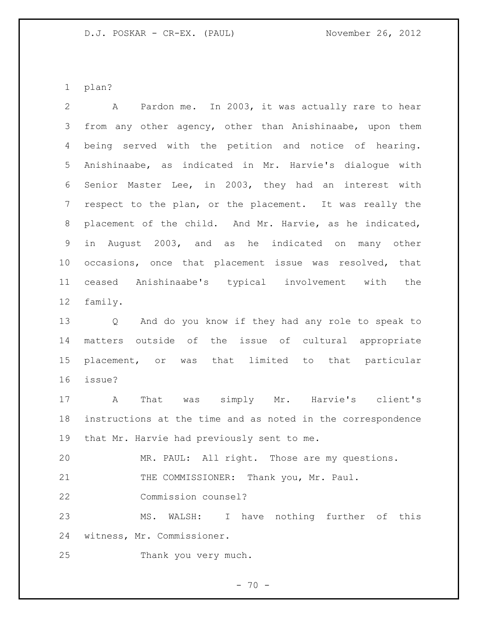plan?

 A Pardon me. In 2003, it was actually rare to hear from any other agency, other than Anishinaabe, upon them being served with the petition and notice of hearing. Anishinaabe, as indicated in Mr. Harvie's dialogue with Senior Master Lee, in 2003, they had an interest with respect to the plan, or the placement. It was really the placement of the child. And Mr. Harvie, as he indicated, in August 2003, and as he indicated on many other occasions, once that placement issue was resolved, that ceased Anishinaabe's typical involvement with the family. Q And do you know if they had any role to speak to matters outside of the issue of cultural appropriate placement, or was that limited to that particular issue? A That was simply Mr. Harvie's client's instructions at the time and as noted in the correspondence that Mr. Harvie had previously sent to me. MR. PAUL: All right. Those are my questions. 21 THE COMMISSIONER: Thank you, Mr. Paul. Commission counsel? MS. WALSH: I have nothing further of this witness, Mr. Commissioner. Thank you very much.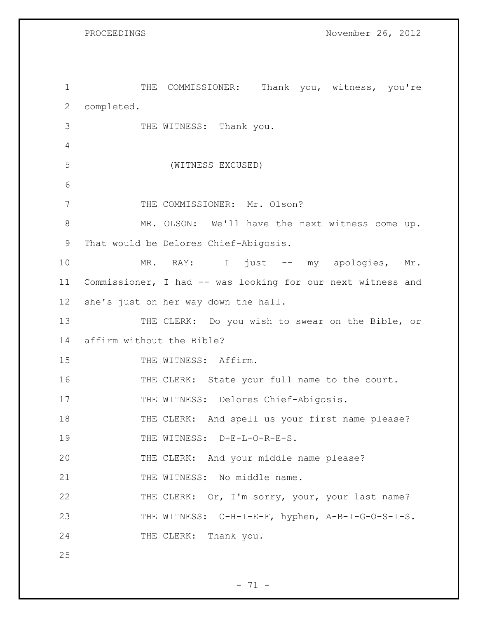PROCEEDINGS November 26, 2012

1 THE COMMISSIONER: Thank you, witness, you're 2 completed. 3 THE WITNESS: Thank you. 4 5 (WITNESS EXCUSED) 6 7 THE COMMISSIONER: Mr. Olson? 8 MR. OLSON: We'll have the next witness come up. 9 That would be Delores Chief-Abigosis. 10 MR. RAY: I just -- my apologies, Mr. 11 Commissioner, I had -- was looking for our next witness and 12 she's just on her way down the hall. 13 THE CLERK: Do you wish to swear on the Bible, or 14 affirm without the Bible? 15 THE WITNESS: Affirm. 16 THE CLERK: State your full name to the court. 17 THE WITNESS: Delores Chief-Abigosis. 18 THE CLERK: And spell us your first name please? 19 THE WITNESS: D-E-L-O-R-E-S. 20 THE CLERK: And your middle name please? 21 THE WITNESS: No middle name. 22 THE CLERK: Or, I'm sorry, your, your last name? 23 THE WITNESS: C-H-I-E-F, hyphen, A-B-I-G-O-S-I-S. 24 THE CLERK: Thank you. 25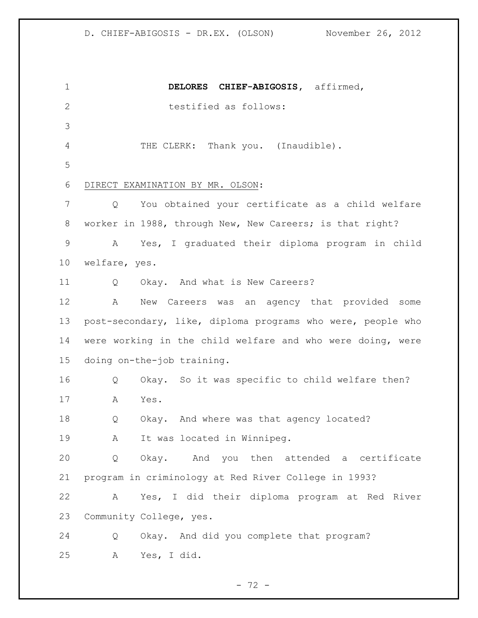**DELORES CHIEF-ABIGOSIS,** affirmed, 2 testified as follows: 4 THE CLERK: Thank you. (Inaudible). DIRECT EXAMINATION BY MR. OLSON: Q You obtained your certificate as a child welfare worker in 1988, through New, New Careers; is that right? A Yes, I graduated their diploma program in child welfare, yes. Q Okay. And what is New Careers? A New Careers was an agency that provided some post-secondary, like, diploma programs who were, people who were working in the child welfare and who were doing, were doing on-the-job training. Q Okay. So it was specific to child welfare then? A Yes. Q Okay. And where was that agency located? 19 A It was located in Winnipeg. Q Okay. And you then attended a certificate program in criminology at Red River College in 1993? A Yes, I did their diploma program at Red River Community College, yes. Q Okay. And did you complete that program? A Yes, I did.

- 72 -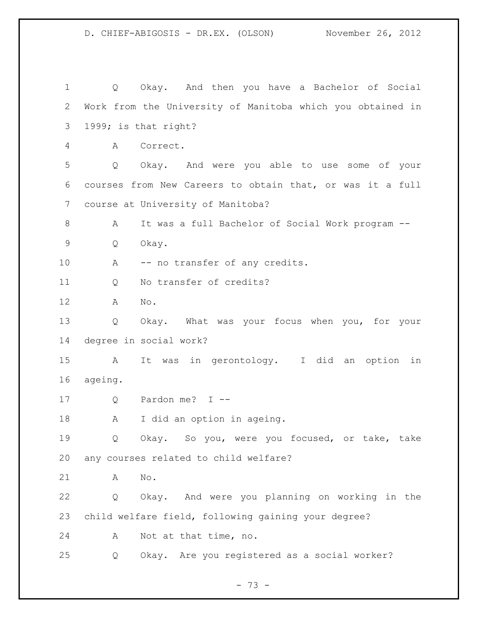Q Okay. And then you have a Bachelor of Social Work from the University of Manitoba which you obtained in 1999; is that right? A Correct. Q Okay. And were you able to use some of your courses from New Careers to obtain that, or was it a full course at University of Manitoba? A It was a full Bachelor of Social Work program -- Q Okay. 10 A -- no transfer of any credits. Q No transfer of credits? A No. Q Okay. What was your focus when you, for your degree in social work? A It was in gerontology. I did an option in ageing. Q Pardon me? I -- A I did an option in ageing. Q Okay. So you, were you focused, or take, take any courses related to child welfare? A No. Q Okay. And were you planning on working in the child welfare field, following gaining your degree? A Not at that time, no. Q Okay. Are you registered as a social worker?

- 73 -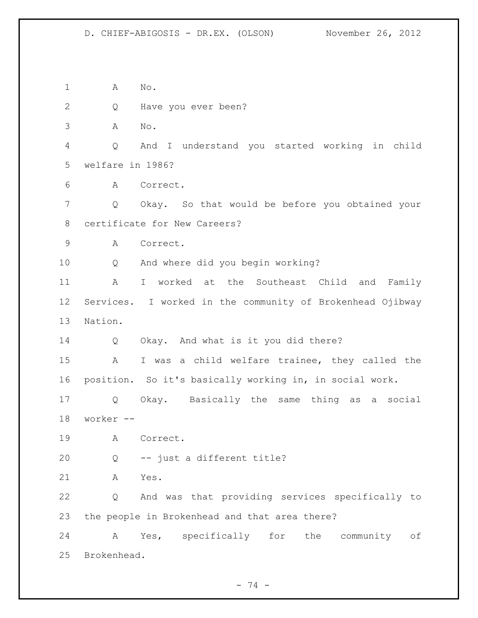A No. Q Have you ever been? A No. Q And I understand you started working in child welfare in 1986? A Correct. Q Okay. So that would be before you obtained your certificate for New Careers? A Correct. Q And where did you begin working? A I worked at the Southeast Child and Family Services. I worked in the community of Brokenhead Ojibway Nation. Q Okay. And what is it you did there? A I was a child welfare trainee, they called the position. So it's basically working in, in social work. Q Okay. Basically the same thing as a social worker -- A Correct. Q -- just a different title? A Yes. Q And was that providing services specifically to the people in Brokenhead and that area there? A Yes, specifically for the community of Brokenhead.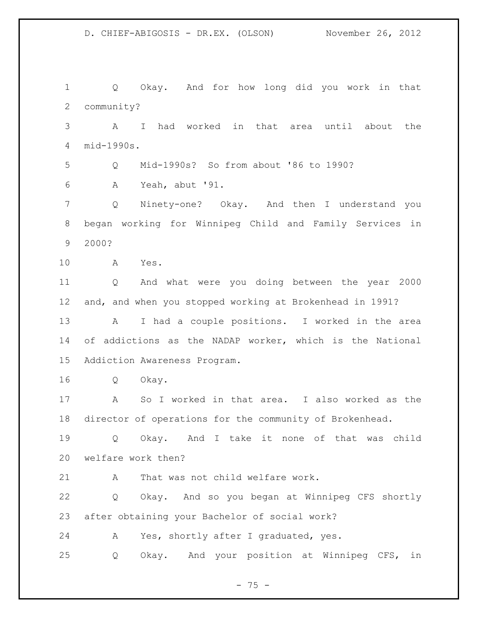Q Okay. And for how long did you work in that community? A I had worked in that area until about the mid-1990s. Q Mid-1990s? So from about '86 to 1990? A Yeah, abut '91. Q Ninety-one? Okay. And then I understand you began working for Winnipeg Child and Family Services in 2000? A Yes. Q And what were you doing between the year 2000 and, and when you stopped working at Brokenhead in 1991? A I had a couple positions. I worked in the area of addictions as the NADAP worker, which is the National Addiction Awareness Program. Q Okay. A So I worked in that area. I also worked as the director of operations for the community of Brokenhead. Q Okay. And I take it none of that was child welfare work then? 21 A That was not child welfare work. Q Okay. And so you began at Winnipeg CFS shortly after obtaining your Bachelor of social work? A Yes, shortly after I graduated, yes. Q Okay. And your position at Winnipeg CFS, in

- 75 -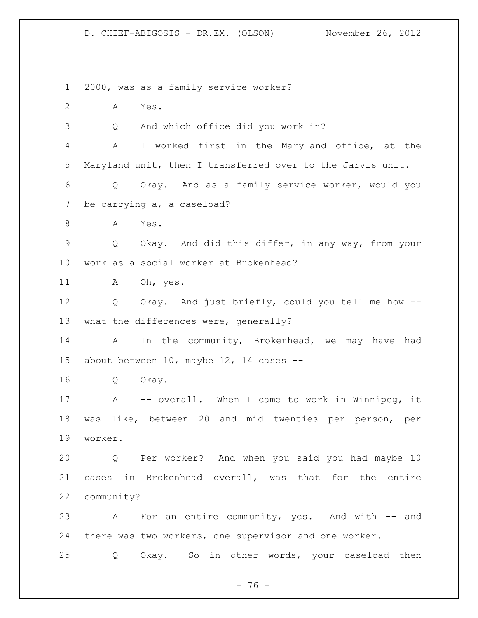2000, was as a family service worker? A Yes. Q And which office did you work in? A I worked first in the Maryland office, at the Maryland unit, then I transferred over to the Jarvis unit. Q Okay. And as a family service worker, would you be carrying a, a caseload? 8 A Yes. Q Okay. And did this differ, in any way, from your work as a social worker at Brokenhead? 11 A Oh, yes.

 Q Okay. And just briefly, could you tell me how -- what the differences were, generally?

14 A In the community, Brokenhead, we may have had about between 10, maybe 12, 14 cases --

Q Okay.

 A -- overall. When I came to work in Winnipeg, it was like, between 20 and mid twenties per person, per worker.

 Q Per worker? And when you said you had maybe 10 cases in Brokenhead overall, was that for the entire community?

 A For an entire community, yes. And with -- and there was two workers, one supervisor and one worker.

Q Okay. So in other words, your caseload then

 $- 76 -$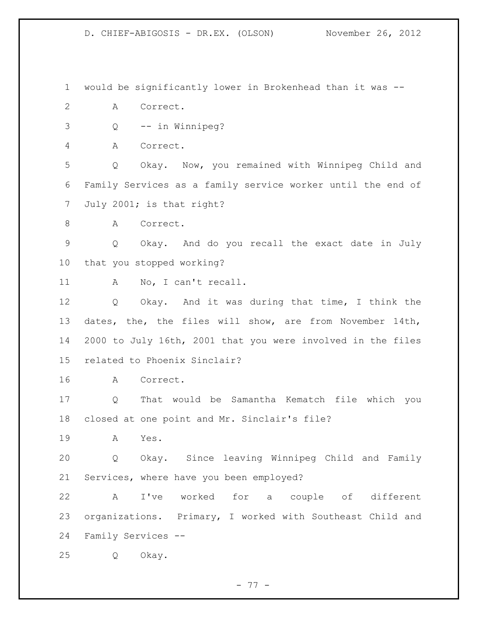would be significantly lower in Brokenhead than it was --

A Correct.

Q -- in Winnipeg?

A Correct.

 Q Okay. Now, you remained with Winnipeg Child and Family Services as a family service worker until the end of July 2001; is that right?

8 A Correct.

 Q Okay. And do you recall the exact date in July that you stopped working?

A No, I can't recall.

 Q Okay. And it was during that time, I think the dates, the, the files will show, are from November 14th, 2000 to July 16th, 2001 that you were involved in the files related to Phoenix Sinclair?

A Correct.

 Q That would be Samantha Kematch file which you closed at one point and Mr. Sinclair's file?

A Yes.

 Q Okay. Since leaving Winnipeg Child and Family Services, where have you been employed?

 A I've worked for a couple of different organizations. Primary, I worked with Southeast Child and Family Services --

Q Okay.

- 77 -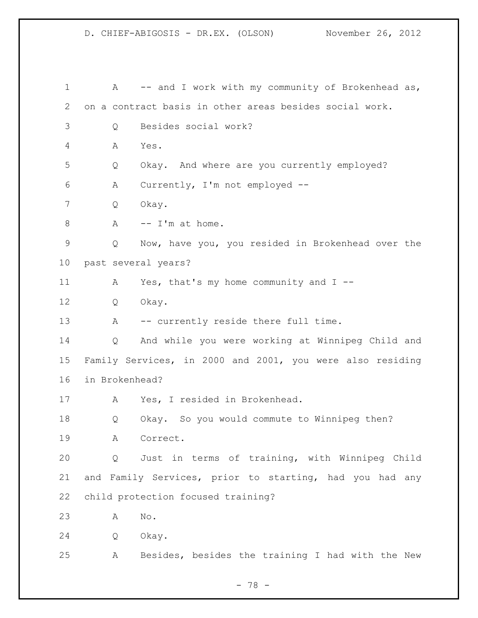1 A -- and I work with my community of Brokenhead as, on a contract basis in other areas besides social work. Q Besides social work? A Yes. Q Okay. And where are you currently employed? A Currently, I'm not employed -- Q Okay.  $A - I'm$  at home. Q Now, have you, you resided in Brokenhead over the past several years? 11 A Yes, that's my home community and I -- Q Okay. 13 A -- currently reside there full time. Q And while you were working at Winnipeg Child and Family Services, in 2000 and 2001, you were also residing in Brokenhead? A Yes, I resided in Brokenhead. Q Okay. So you would commute to Winnipeg then? A Correct. Q Just in terms of training, with Winnipeg Child and Family Services, prior to starting, had you had any child protection focused training? A No. Q Okay. A Besides, besides the training I had with the New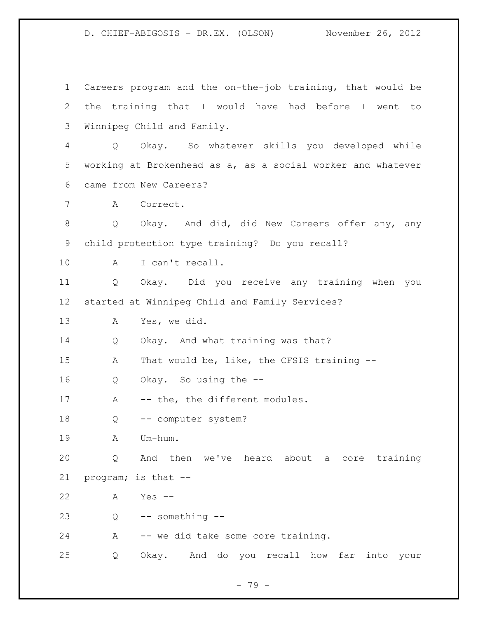Careers program and the on-the-job training, that would be the training that I would have had before I went to Winnipeg Child and Family. Q Okay. So whatever skills you developed while working at Brokenhead as a, as a social worker and whatever came from New Careers? A Correct. Q Okay. And did, did New Careers offer any, any child protection type training? Do you recall? A I can't recall. Q Okay. Did you receive any training when you started at Winnipeg Child and Family Services? A Yes, we did. Q Okay. And what training was that? A That would be, like, the CFSIS training -- Q Okay. So using the -- 17 A -- the, the different modules. Q -- computer system? A Um-hum. Q And then we've heard about a core training program; is that -- A Yes -- Q -- something -- A -- we did take some core training. Q Okay. And do you recall how far into your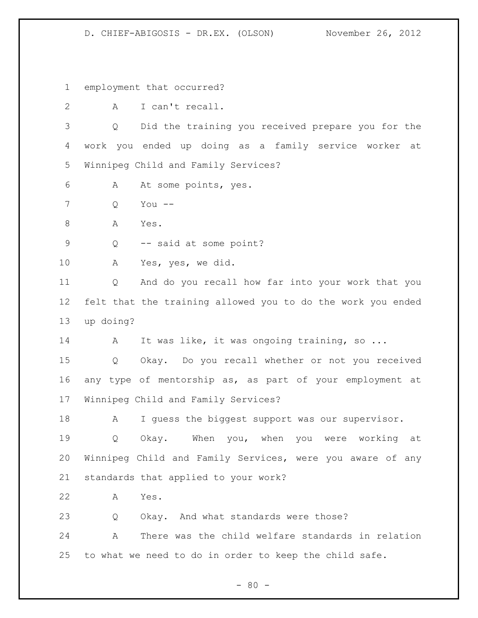employment that occurred?

A I can't recall.

 Q Did the training you received prepare you for the work you ended up doing as a family service worker at Winnipeg Child and Family Services?

- A At some points, yes.
- Q You --
- 8 A Yes.

Q -- said at some point?

A Yes, yes, we did.

 Q And do you recall how far into your work that you felt that the training allowed you to do the work you ended up doing?

14 A It was like, it was ongoing training, so ...

 Q Okay. Do you recall whether or not you received any type of mentorship as, as part of your employment at Winnipeg Child and Family Services?

18 A I guess the biggest support was our supervisor.

 Q Okay. When you, when you were working at Winnipeg Child and Family Services, were you aware of any standards that applied to your work?

A Yes.

Q Okay. And what standards were those?

 A There was the child welfare standards in relation to what we need to do in order to keep the child safe.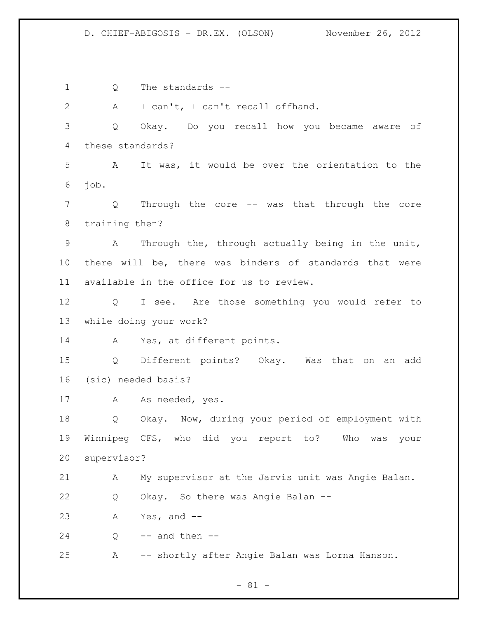Q The standards -- A I can't, I can't recall offhand. Q Okay. Do you recall how you became aware of these standards? A It was, it would be over the orientation to the job. Q Through the core -- was that through the core training then? A Through the, through actually being in the unit, there will be, there was binders of standards that were available in the office for us to review. Q I see. Are those something you would refer to while doing your work? A Yes, at different points. Q Different points? Okay. Was that on an add (sic) needed basis? 17 A As needed, yes. Q Okay. Now, during your period of employment with Winnipeg CFS, who did you report to? Who was your supervisor? A My supervisor at the Jarvis unit was Angie Balan. Q Okay. So there was Angie Balan -- A Yes, and -- Q -- and then --A -- shortly after Angie Balan was Lorna Hanson.

 $- 81 -$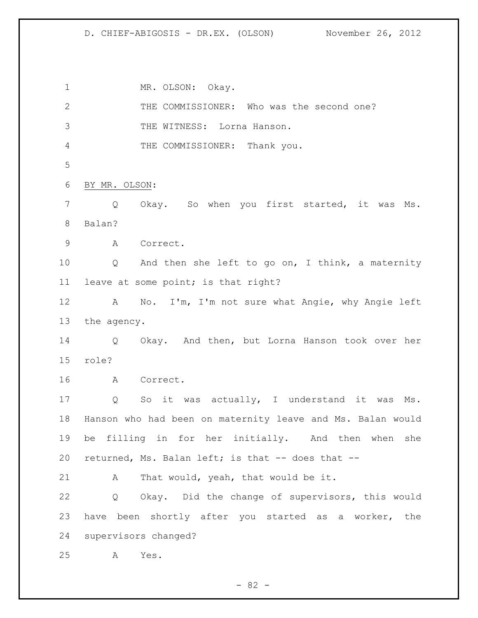1 MR. OLSON: Okay. THE COMMISSIONER: Who was the second one? THE WITNESS: Lorna Hanson. THE COMMISSIONER: Thank you. BY MR. OLSON: Q Okay. So when you first started, it was Ms. Balan? A Correct. Q And then she left to go on, I think, a maternity leave at some point; is that right? A No. I'm, I'm not sure what Angie, why Angie left the agency. Q Okay. And then, but Lorna Hanson took over her role? A Correct. Q So it was actually, I understand it was Ms. Hanson who had been on maternity leave and Ms. Balan would be filling in for her initially. And then when she 20 returned, Ms. Balan left; is that -- does that -- A That would, yeah, that would be it. Q Okay. Did the change of supervisors, this would have been shortly after you started as a worker, the supervisors changed? A Yes.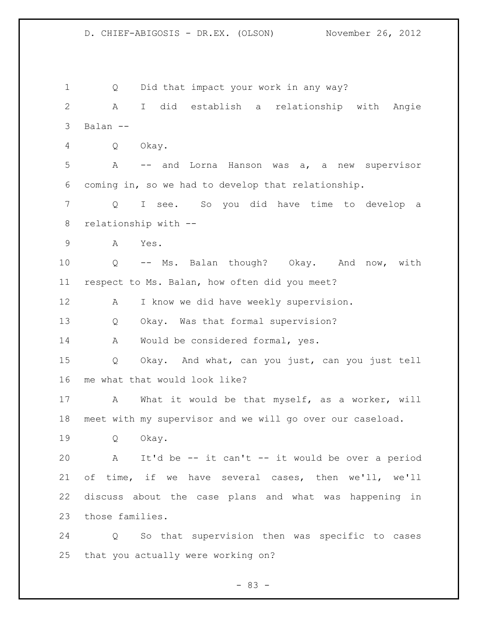Q Did that impact your work in any way? A I did establish a relationship with Angie Balan -- Q Okay. A -- and Lorna Hanson was a, a new supervisor coming in, so we had to develop that relationship. Q I see. So you did have time to develop a relationship with -- A Yes. Q -- Ms. Balan though? Okay. And now, with respect to Ms. Balan, how often did you meet? 12 A I know we did have weekly supervision. Q Okay. Was that formal supervision? 14 A Would be considered formal, yes. Q Okay. And what, can you just, can you just tell me what that would look like? A What it would be that myself, as a worker, will meet with my supervisor and we will go over our caseload. Q Okay. A It'd be -- it can't -- it would be over a period of time, if we have several cases, then we'll, we'll discuss about the case plans and what was happening in those families. Q So that supervision then was specific to cases that you actually were working on?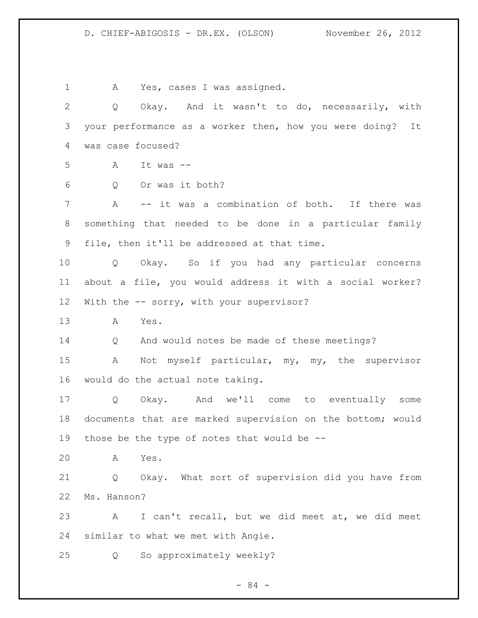A Yes, cases I was assigned. Q Okay. And it wasn't to do, necessarily, with your performance as a worker then, how you were doing? It was case focused? A It was -- Q Or was it both? 7 A -- it was a combination of both. If there was something that needed to be done in a particular family file, then it'll be addressed at that time. Q Okay. So if you had any particular concerns about a file, you would address it with a social worker? 12 With the -- sorry, with your supervisor? A Yes. Q And would notes be made of these meetings? A Not myself particular, my, my, the supervisor would do the actual note taking. Q Okay. And we'll come to eventually some documents that are marked supervision on the bottom; would those be the type of notes that would be -- A Yes. Q Okay. What sort of supervision did you have from Ms. Hanson? A I can't recall, but we did meet at, we did meet similar to what we met with Angie. Q So approximately weekly?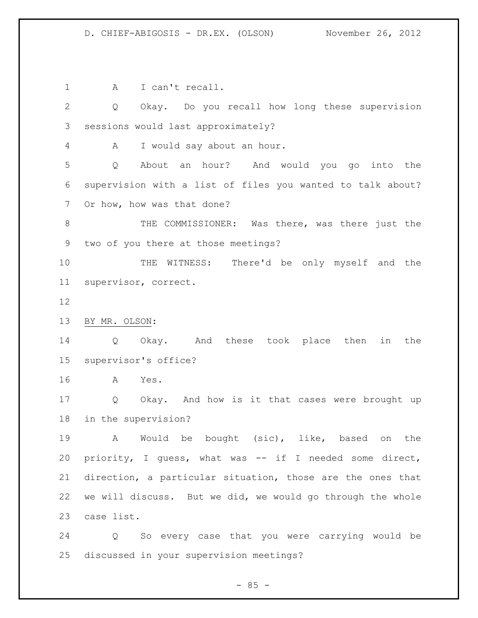1 A I can't recall. Q Okay. Do you recall how long these supervision sessions would last approximately? A I would say about an hour. Q About an hour? And would you go into the supervision with a list of files you wanted to talk about? Or how, how was that done? 8 THE COMMISSIONER: Was there, was there just the two of you there at those meetings? THE WITNESS: There'd be only myself and the supervisor, correct. BY MR. OLSON: Q Okay. And these took place then in the supervisor's office? A Yes. Q Okay. And how is it that cases were brought up in the supervision? A Would be bought (sic), like, based on the priority, I guess, what was -- if I needed some direct, direction, a particular situation, those are the ones that we will discuss. But we did, we would go through the whole case list. Q So every case that you were carrying would be discussed in your supervision meetings?

$$
- 85 -
$$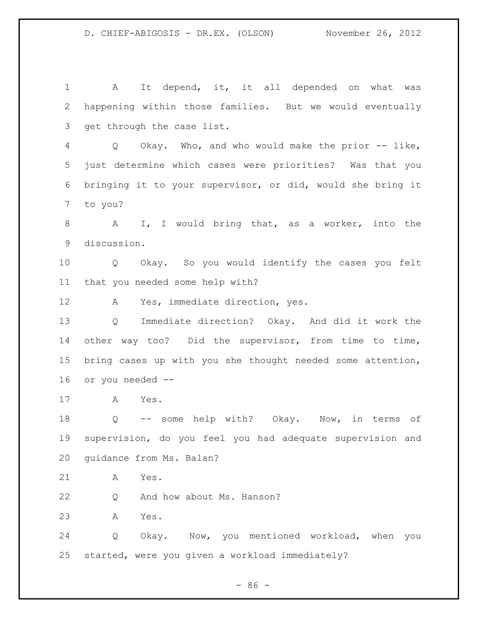1 A It depend, it, it all depended on what was happening within those families. But we would eventually get through the case list. Q Okay. Who, and who would make the prior -- like, just determine which cases were priorities? Was that you bringing it to your supervisor, or did, would she bring it to you? 8 A I, I would bring that, as a worker, into the discussion. Q Okay. So you would identify the cases you felt that you needed some help with? A Yes, immediate direction, yes. Q Immediate direction? Okay. And did it work the 14 other way too? Did the supervisor, from time to time, bring cases up with you she thought needed some attention, or you needed -- A Yes. Q -- some help with? Okay. Now, in terms of supervision, do you feel you had adequate supervision and guidance from Ms. Balan? A Yes. Q And how about Ms. Hanson? A Yes. Q Okay. Now, you mentioned workload, when you started, were you given a workload immediately?

 $-86 -$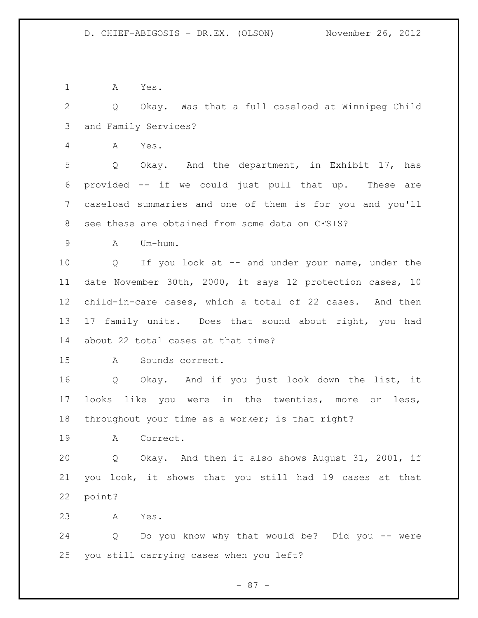A Yes.

 Q Okay. Was that a full caseload at Winnipeg Child and Family Services?

A Yes.

 Q Okay. And the department, in Exhibit 17, has provided -- if we could just pull that up. These are caseload summaries and one of them is for you and you'll see these are obtained from some data on CFSIS?

A Um-hum.

 Q If you look at -- and under your name, under the date November 30th, 2000, it says 12 protection cases, 10 child-in-care cases, which a total of 22 cases. And then 17 family units. Does that sound about right, you had about 22 total cases at that time?

A Sounds correct.

 Q Okay. And if you just look down the list, it looks like you were in the twenties, more or less, throughout your time as a worker; is that right?

A Correct.

 Q Okay. And then it also shows August 31, 2001, if you look, it shows that you still had 19 cases at that point?

A Yes.

 Q Do you know why that would be? Did you -- were you still carrying cases when you left?

- 87 -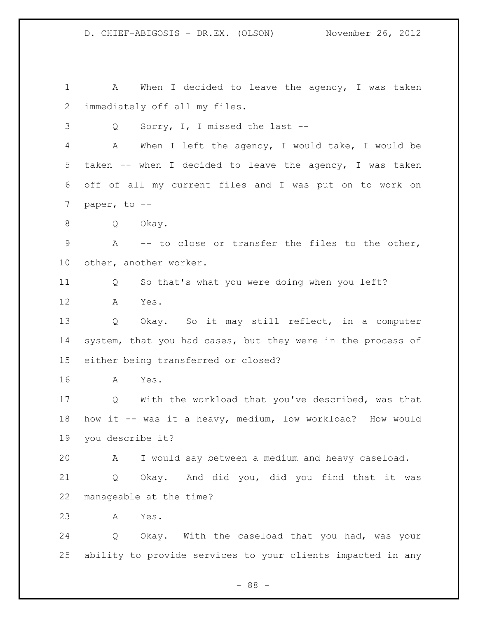1 A When I decided to leave the agency, I was taken immediately off all my files. Q Sorry, I, I missed the last -- A When I left the agency, I would take, I would be taken -- when I decided to leave the agency, I was taken off of all my current files and I was put on to work on paper, to -- Q Okay. A -- to close or transfer the files to the other, other, another worker. Q So that's what you were doing when you left? A Yes. Q Okay. So it may still reflect, in a computer system, that you had cases, but they were in the process of either being transferred or closed? A Yes. Q With the workload that you've described, was that how it -- was it a heavy, medium, low workload? How would you describe it? A I would say between a medium and heavy caseload. Q Okay. And did you, did you find that it was manageable at the time? A Yes. Q Okay. With the caseload that you had, was your ability to provide services to your clients impacted in any

- 88 -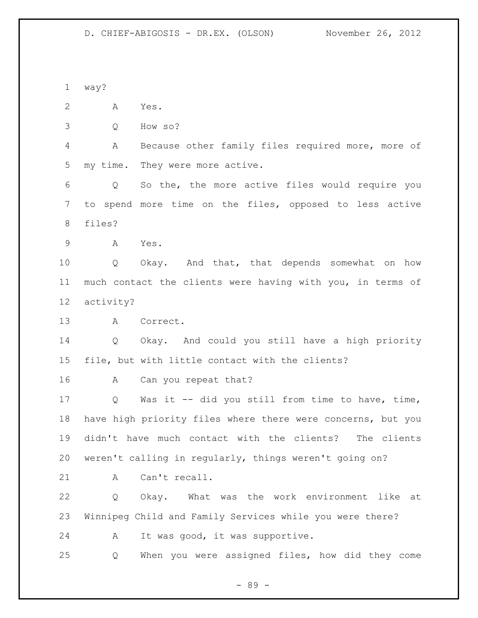way? A Yes. Q How so? A Because other family files required more, more of my time. They were more active. Q So the, the more active files would require you to spend more time on the files, opposed to less active files? A Yes. Q Okay. And that, that depends somewhat on how much contact the clients were having with you, in terms of activity? A Correct. Q Okay. And could you still have a high priority file, but with little contact with the clients? A Can you repeat that? Q Was it -- did you still from time to have, time, have high priority files where there were concerns, but you didn't have much contact with the clients? The clients weren't calling in regularly, things weren't going on? 21 A Can't recall. Q Okay. What was the work environment like at Winnipeg Child and Family Services while you were there? A It was good, it was supportive. Q When you were assigned files, how did they come

- 89 -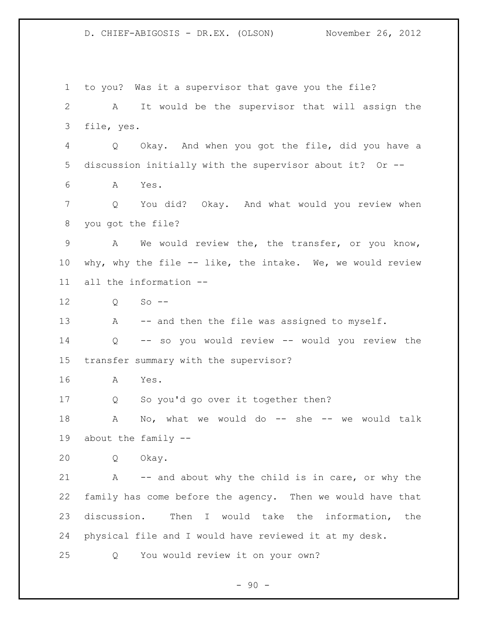to you? Was it a supervisor that gave you the file? A It would be the supervisor that will assign the file, yes. Q Okay. And when you got the file, did you have a discussion initially with the supervisor about it? Or -- A Yes. Q You did? Okay. And what would you review when you got the file? A We would review the, the transfer, or you know, why, why the file -- like, the intake. We, we would review all the information -- Q So -- 13 A -- and then the file was assigned to myself. Q -- so you would review -- would you review the transfer summary with the supervisor? A Yes. Q So you'd go over it together then? 18 A No, what we would do -- she -- we would talk about the family -- Q Okay. A -- and about why the child is in care, or why the family has come before the agency. Then we would have that discussion. Then I would take the information, the physical file and I would have reviewed it at my desk. Q You would review it on your own?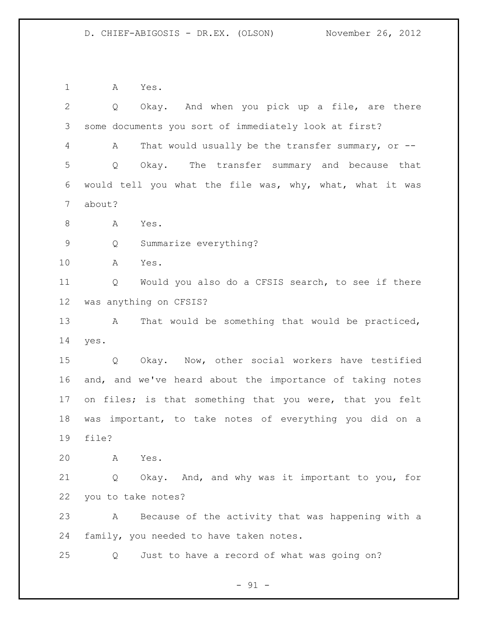A Yes.

| $\overline{2}$ | Okay. And when you pick up a file, are there<br>$Q \qquad \qquad$ |
|----------------|-------------------------------------------------------------------|
| 3              | some documents you sort of immediately look at first?             |
| 4              | That would usually be the transfer summary, or $-$ -<br>A         |
| 5              | Okay. The transfer summary and because that<br>Q                  |
| 6              | would tell you what the file was, why, what, what it was          |
| 7              | about?                                                            |
| $8\,$          | Yes.<br>A                                                         |
| $\mathsf 9$    | Summarize everything?<br>Q                                        |
| 10             | A<br>Yes.                                                         |
| 11             | Would you also do a CFSIS search, to see if there<br>Q            |
| 12             | was anything on CFSIS?                                            |
| 13             | That would be something that would be practiced,<br>$\mathbf{A}$  |
| 14             | yes.                                                              |
| 15             | Okay. Now, other social workers have testified<br>Q               |
| 16             | and, and we've heard about the importance of taking notes         |
| 17             | on files; is that something that you were, that you felt          |
| 18             | was important, to take notes of everything you did on a           |
| 19             | file?                                                             |
| 20             | Yes.<br>A                                                         |
| 21             | Okay. And, and why was it important to you, for<br>Q              |
| 22             | you to take notes?                                                |
| 23             | Because of the activity that was happening with a<br>A            |
| 24             | family, you needed to have taken notes.                           |
| 25             | Just to have a record of what was going on?<br>Q                  |

- 91 -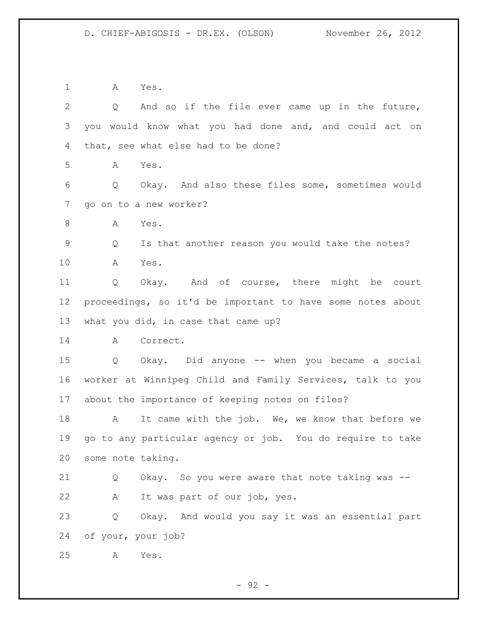A Yes. Q And so if the file ever came up in the future, you would know what you had done and, and could act on that, see what else had to be done? A Yes. Q Okay. And also these files some, sometimes would go on to a new worker? 8 A Yes. Q Is that another reason you would take the notes? A Yes. Q Okay. And of course, there might be court proceedings, so it'd be important to have some notes about what you did, in case that came up? A Correct. Q Okay. Did anyone -- when you became a social worker at Winnipeg Child and Family Services, talk to you about the importance of keeping notes on files? 18 A It came with the job. We, we know that before we go to any particular agency or job. You do require to take some note taking. Q Okay. So you were aware that note taking was -- A It was part of our job, yes. Q Okay. And would you say it was an essential part of your, your job? A Yes.

 $-92 -$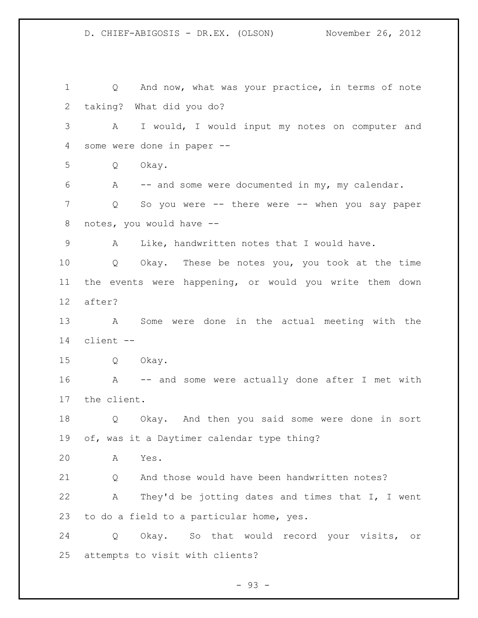Q And now, what was your practice, in terms of note taking? What did you do? A I would, I would input my notes on computer and some were done in paper -- Q Okay. A -- and some were documented in my, my calendar. Q So you were -- there were -- when you say paper notes, you would have -- A Like, handwritten notes that I would have. Q Okay. These be notes you, you took at the time the events were happening, or would you write them down after? A Some were done in the actual meeting with the client -- Q Okay. A -- and some were actually done after I met with the client. Q Okay. And then you said some were done in sort of, was it a Daytimer calendar type thing? A Yes. 21 O And those would have been handwritten notes? A They'd be jotting dates and times that I, I went to do a field to a particular home, yes. Q Okay. So that would record your visits, or attempts to visit with clients?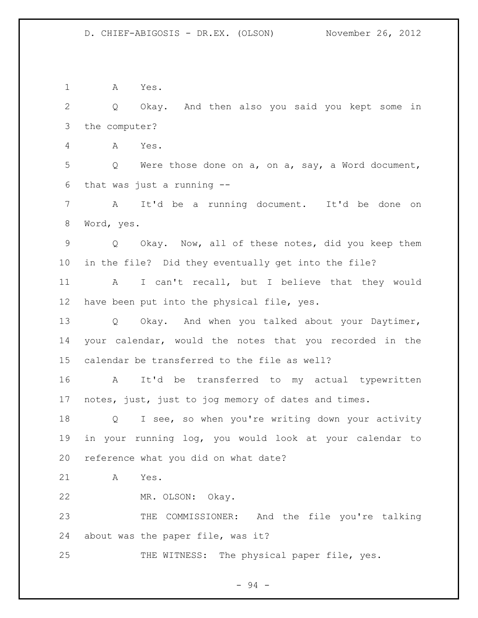A Yes. Q Okay. And then also you said you kept some in the computer? A Yes. Q Were those done on a, on a, say, a Word document, that was just a running -- A It'd be a running document. It'd be done on Word, yes. Q Okay. Now, all of these notes, did you keep them in the file? Did they eventually get into the file? A I can't recall, but I believe that they would have been put into the physical file, yes. Q Okay. And when you talked about your Daytimer, your calendar, would the notes that you recorded in the calendar be transferred to the file as well? A It'd be transferred to my actual typewritten notes, just, just to jog memory of dates and times. Q I see, so when you're writing down your activity in your running log, you would look at your calendar to reference what you did on what date? A Yes. MR. OLSON: Okay.

 THE COMMISSIONER: And the file you're talking about was the paper file, was it?

25 THE WITNESS: The physical paper file, yes.

- 94 -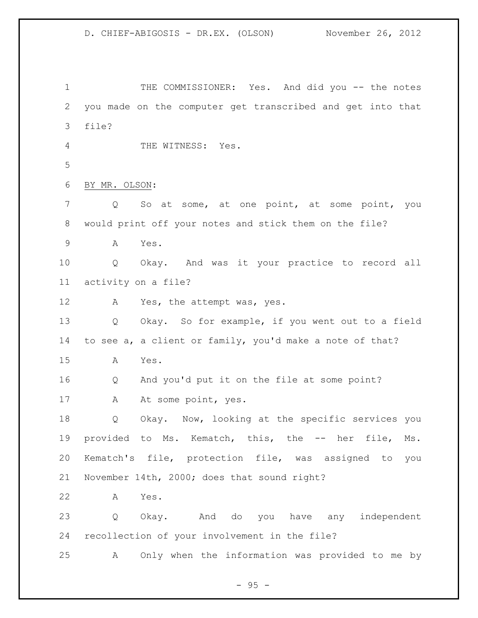1 THE COMMISSIONER: Yes. And did you -- the notes you made on the computer get transcribed and get into that file? 4 THE WITNESS: Yes. BY MR. OLSON: Q So at some, at one point, at some point, you would print off your notes and stick them on the file? A Yes. Q Okay. And was it your practice to record all activity on a file? 12 A Yes, the attempt was, yes. Q Okay. So for example, if you went out to a field to see a, a client or family, you'd make a note of that? A Yes. Q And you'd put it on the file at some point? 17 A At some point, yes. Q Okay. Now, looking at the specific services you provided to Ms. Kematch, this, the -- her file, Ms. Kematch's file, protection file, was assigned to you November 14th, 2000; does that sound right? A Yes. Q Okay. And do you have any independent recollection of your involvement in the file? A Only when the information was provided to me by

 $- 95 -$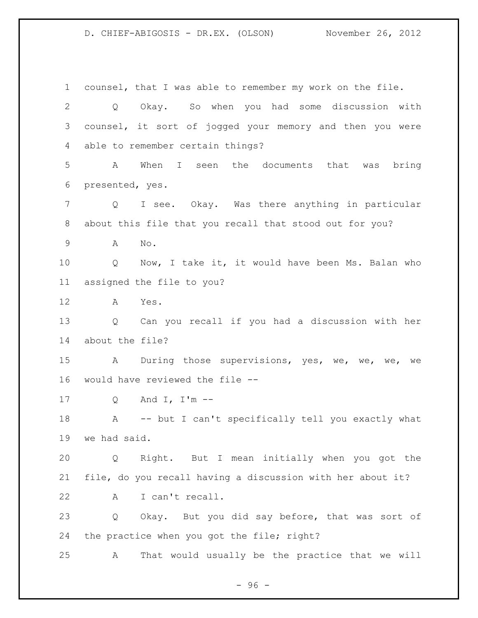counsel, that I was able to remember my work on the file. Q Okay. So when you had some discussion with counsel, it sort of jogged your memory and then you were able to remember certain things? A When I seen the documents that was bring presented, yes. Q I see. Okay. Was there anything in particular about this file that you recall that stood out for you? A No. Q Now, I take it, it would have been Ms. Balan who assigned the file to you? A Yes. Q Can you recall if you had a discussion with her about the file? 15 A During those supervisions, yes, we, we, we, we would have reviewed the file -- Q And I, I'm -- A -- but I can't specifically tell you exactly what we had said. Q Right. But I mean initially when you got the file, do you recall having a discussion with her about it? A I can't recall. Q Okay. But you did say before, that was sort of 24 the practice when you got the file; right? A That would usually be the practice that we will

- 96 -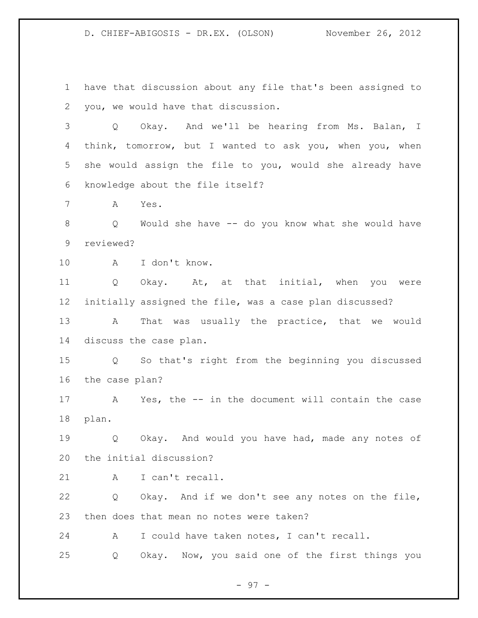have that discussion about any file that's been assigned to you, we would have that discussion.

 Q Okay. And we'll be hearing from Ms. Balan, I think, tomorrow, but I wanted to ask you, when you, when she would assign the file to you, would she already have knowledge about the file itself?

A Yes.

 Q Would she have -- do you know what she would have reviewed?

A I don't know.

 Q Okay. At, at that initial, when you were initially assigned the file, was a case plan discussed? 13 A That was usually the practice, that we would discuss the case plan.

 Q So that's right from the beginning you discussed the case plan?

 A Yes, the -- in the document will contain the case plan.

 Q Okay. And would you have had, made any notes of the initial discussion?

21 A I can't recall.

 Q Okay. And if we don't see any notes on the file, then does that mean no notes were taken?

A I could have taken notes, I can't recall.

Q Okay. Now, you said one of the first things you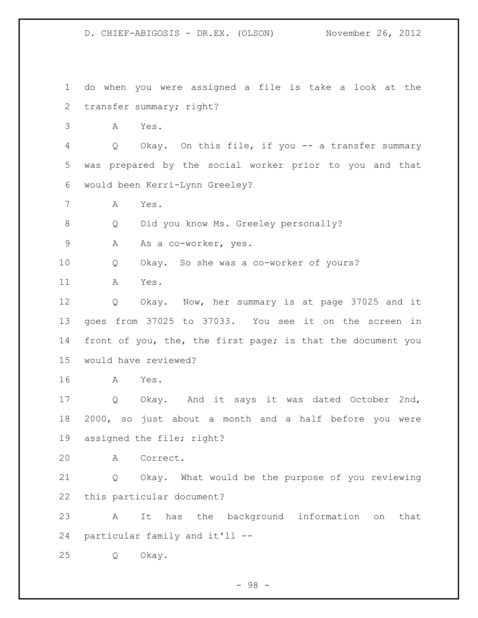do when you were assigned a file is take a look at the transfer summary; right?

A Yes.

 Q Okay. On this file, if you -- a transfer summary was prepared by the social worker prior to you and that would been Kerri-Lynn Greeley?

A Yes.

8 Q Did you know Ms. Greeley personally?

9 A As a co-worker, yes.

Q Okay. So she was a co-worker of yours?

A Yes.

 Q Okay. Now, her summary is at page 37025 and it goes from 37025 to 37033. You see it on the screen in front of you, the, the first page; is that the document you would have reviewed?

A Yes.

 Q Okay. And it says it was dated October 2nd, 2000, so just about a month and a half before you were assigned the file; right?

A Correct.

 Q Okay. What would be the purpose of you reviewing this particular document?

 A It has the background information on that particular family and it'll --

Q Okay.

- 98 -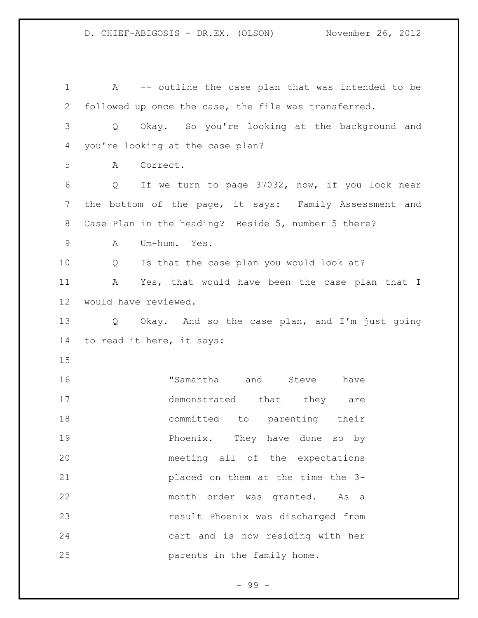A -- outline the case plan that was intended to be followed up once the case, the file was transferred. Q Okay. So you're looking at the background and you're looking at the case plan? A Correct. Q If we turn to page 37032, now, if you look near the bottom of the page, it says: Family Assessment and Case Plan in the heading? Beside 5, number 5 there? A Um-hum. Yes. Q Is that the case plan you would look at? A Yes, that would have been the case plan that I would have reviewed. Q Okay. And so the case plan, and I'm just going to read it here, it says: "Samantha and Steve have 17 demonstrated that they are committed to parenting their **Phoenix.** They have done so by meeting all of the expectations placed on them at the time the 3- month order was granted. As a result Phoenix was discharged from cart and is now residing with her parents in the family home.

- 99 -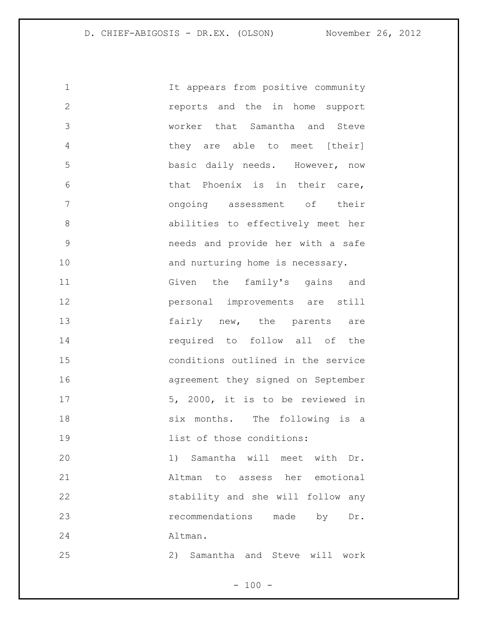1 1 It appears from positive community reports and the in home support worker that Samantha and Steve they are able to meet [their] basic daily needs. However, now that Phoenix is in their care, ongoing assessment of their abilities to effectively meet her needs and provide her with a safe 10 and nurturing home is necessary. Given the family's gains and personal improvements are still 13 fairly new, the parents are required to follow all of the conditions outlined in the service agreement they signed on September 17 5, 2000, it is to be reviewed in 18 six months. The following is a **list of those conditions:**  1) Samantha will meet with Dr. Altman to assess her emotional stability and she will follow any **recommendations** made by Dr. Altman. 2) Samantha and Steve will work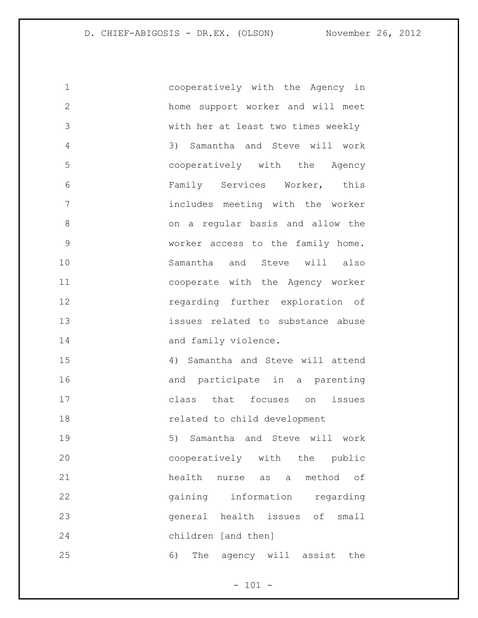cooperatively with the Agency in home support worker and will meet with her at least two times weekly 3) Samantha and Steve will work cooperatively with the Agency Family Services Worker, this includes meeting with the worker on a regular basis and allow the worker access to the family home. 10 Samantha and Steve will also cooperate with the Agency worker regarding further exploration of issues related to substance abuse 14 and family violence. 4) Samantha and Steve will attend 16 and participate in a parenting class that focuses on issues related to child development 5) Samantha and Steve will work cooperatively with the public 21 health nurse as a method of gaining information regarding general health issues of small children [and then] 6) The agency will assist the

 $- 101 -$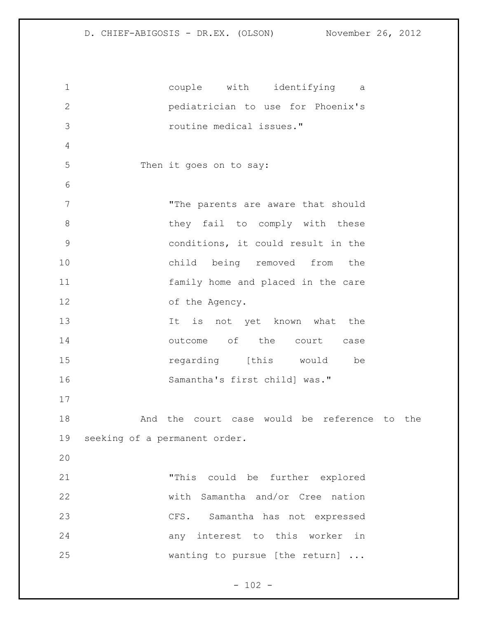```
1 couple with identifying a 
2 pediatrician to use for Phoenix's 
3 routine medical issues."
4
5 Then it goes on to say:
6
7 The parents are aware that should
8 they fail to comply with these
9 conditions, it could result in the 
10 child being removed from the 
11 family home and placed in the care 
12 of the Agency. 
13 13 It is not yet known what the
14 outcome of the court case
15 15 regarding [this would be
16 Samantha's first child] was."
17
18 And the court case would be reference to the 
19 seeking of a permanent order.
20
21 "This could be further explored 
22 with Samantha and/or Cree nation 
23 CFS. Samantha has not expressed 
24 any interest to this worker in 
25 wanting to pursue [the return] ...
```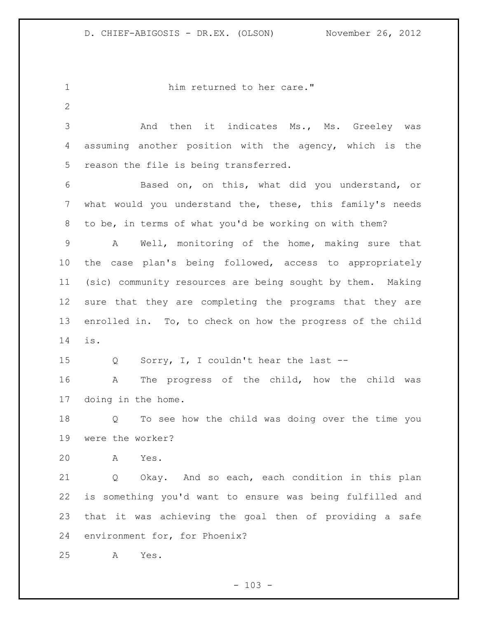1 him returned to her care." 3 And then it indicates Ms., Ms. Greeley was assuming another position with the agency, which is the reason the file is being transferred. Based on, on this, what did you understand, or what would you understand the, these, this family's needs to be, in terms of what you'd be working on with them? A Well, monitoring of the home, making sure that the case plan's being followed, access to appropriately (sic) community resources are being sought by them. Making sure that they are completing the programs that they are enrolled in. To, to check on how the progress of the child is. Q Sorry, I, I couldn't hear the last -- A The progress of the child, how the child was doing in the home. Q To see how the child was doing over the time you were the worker? A Yes. Q Okay. And so each, each condition in this plan is something you'd want to ensure was being fulfilled and that it was achieving the goal then of providing a safe environment for, for Phoenix? A Yes.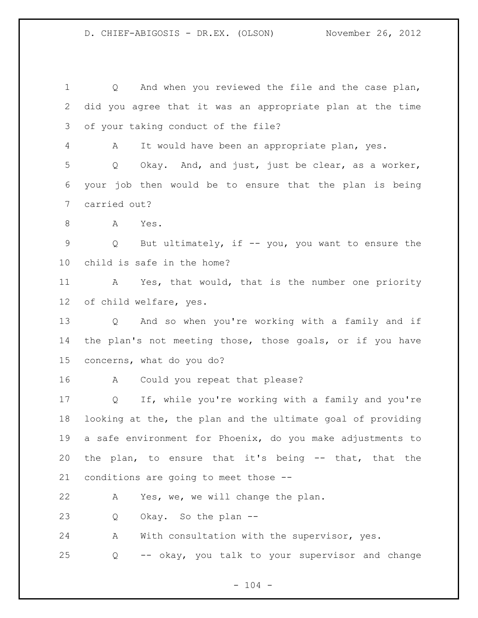Q And when you reviewed the file and the case plan, did you agree that it was an appropriate plan at the time of your taking conduct of the file? A It would have been an appropriate plan, yes. Q Okay. And, and just, just be clear, as a worker, your job then would be to ensure that the plan is being carried out? A Yes. Q But ultimately, if -- you, you want to ensure the child is safe in the home? 11 A Yes, that would, that is the number one priority of child welfare, yes. Q And so when you're working with a family and if the plan's not meeting those, those goals, or if you have concerns, what do you do? A Could you repeat that please? Q If, while you're working with a family and you're looking at the, the plan and the ultimate goal of providing a safe environment for Phoenix, do you make adjustments to the plan, to ensure that it's being -- that, that the conditions are going to meet those -- A Yes, we, we will change the plan. Q Okay. So the plan -- A With consultation with the supervisor, yes. Q -- okay, you talk to your supervisor and change

 $- 104 -$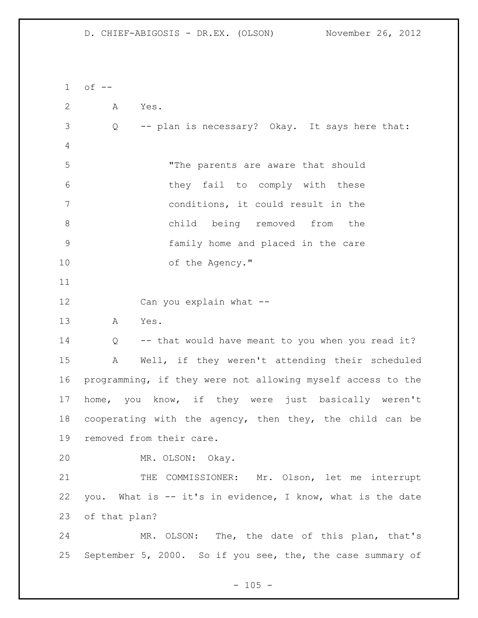of  $-$  A Yes. Q -- plan is necessary? Okay. It says here that: "The parents are aware that should they fail to comply with these conditions, it could result in the child being removed from the family home and placed in the care 10 of the Agency." Can you explain what -- A Yes. 14 Q -- that would have meant to you when you read it? A Well, if they weren't attending their scheduled programming, if they were not allowing myself access to the home, you know, if they were just basically weren't cooperating with the agency, then they, the child can be removed from their care. MR. OLSON: Okay. 21 THE COMMISSIONER: Mr. Olson, let me interrupt you. What is -- it's in evidence, I know, what is the date of that plan? MR. OLSON: The, the date of this plan, that's September 5, 2000. So if you see, the, the case summary of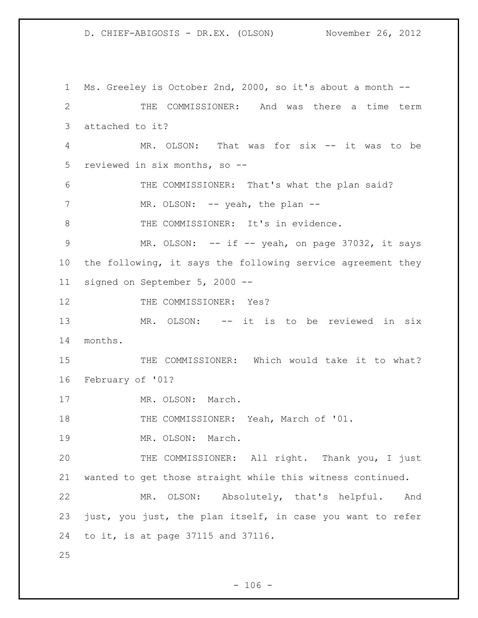Ms. Greeley is October 2nd, 2000, so it's about a month -- THE COMMISSIONER: And was there a time term attached to it? MR. OLSON: That was for six -- it was to be reviewed in six months, so -- THE COMMISSIONER: That's what the plan said? 7 MR. OLSON: -- yeah, the plan --8 THE COMMISSIONER: It's in evidence. 9 MR. OLSON: -- if -- yeah, on page 37032, it says the following, it says the following service agreement they signed on September 5, 2000 -- 12 THE COMMISSIONER: Yes? MR. OLSON: -- it is to be reviewed in six months. THE COMMISSIONER: Which would take it to what? February of '01? 17 MR. OLSON: March. 18 THE COMMISSIONER: Yeah, March of '01. MR. OLSON: March. 20 THE COMMISSIONER: All right. Thank you, I just wanted to get those straight while this witness continued. MR. OLSON: Absolutely, that's helpful. And just, you just, the plan itself, in case you want to refer to it, is at page 37115 and 37116.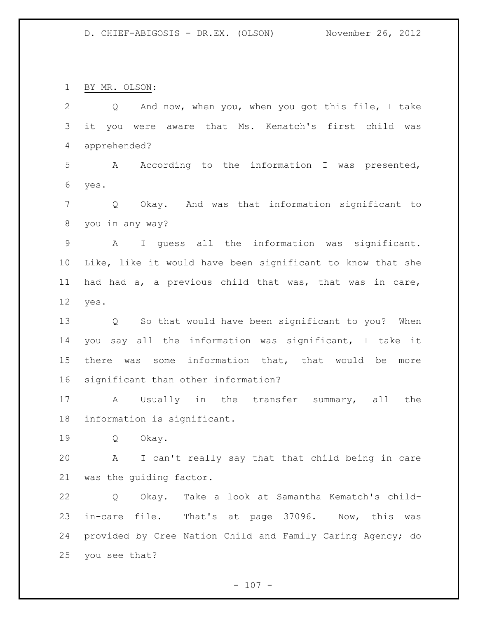BY MR. OLSON:

 Q And now, when you, when you got this file, I take it you were aware that Ms. Kematch's first child was apprehended? A According to the information I was presented, yes. Q Okay. And was that information significant to you in any way? A I guess all the information was significant. Like, like it would have been significant to know that she had had a, a previous child that was, that was in care, yes. Q So that would have been significant to you? When you say all the information was significant, I take it there was some information that, that would be more significant than other information? A Usually in the transfer summary, all the information is significant. Q Okay. A I can't really say that that child being in care was the guiding factor. Q Okay. Take a look at Samantha Kematch's child- in-care file. That's at page 37096. Now, this was provided by Cree Nation Child and Family Caring Agency; do you see that?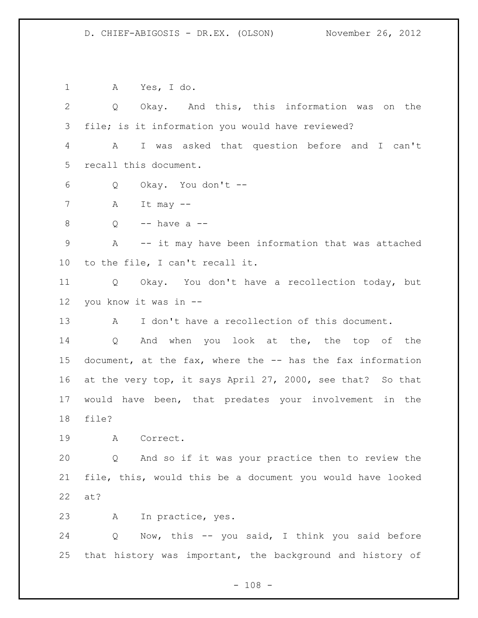A Yes, I do. Q Okay. And this, this information was on the file; is it information you would have reviewed? A I was asked that question before and I can't recall this document. Q Okay. You don't -- 7 A It may  $-$  Q -- have a -- A -- it may have been information that was attached to the file, I can't recall it. Q Okay. You don't have a recollection today, but you know it was in -- A I don't have a recollection of this document. Q And when you look at the, the top of the document, at the fax, where the -- has the fax information at the very top, it says April 27, 2000, see that? So that would have been, that predates your involvement in the file? A Correct. Q And so if it was your practice then to review the file, this, would this be a document you would have looked at? A In practice, yes. Q Now, this -- you said, I think you said before that history was important, the background and history of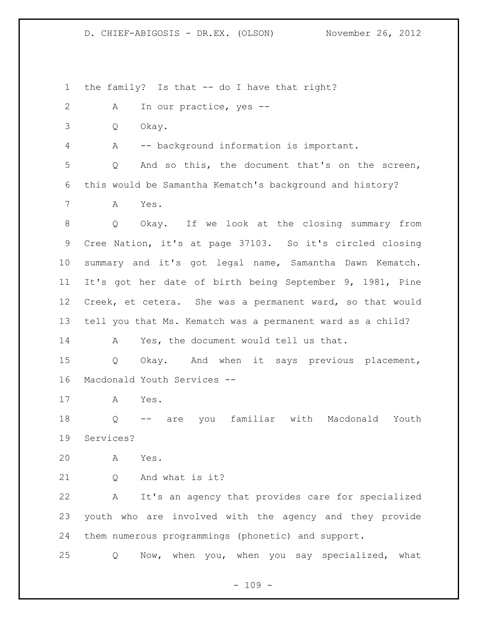the family? Is that -- do I have that right? A In our practice, yes -- Q Okay. A -- background information is important. Q And so this, the document that's on the screen, this would be Samantha Kematch's background and history? A Yes. Q Okay. If we look at the closing summary from Cree Nation, it's at page 37103. So it's circled closing summary and it's got legal name, Samantha Dawn Kematch. It's got her date of birth being September 9, 1981, Pine Creek, et cetera. She was a permanent ward, so that would tell you that Ms. Kematch was a permanent ward as a child? A Yes, the document would tell us that. Q Okay. And when it says previous placement, Macdonald Youth Services -- A Yes. Q -- are you familiar with Macdonald Youth Services? A Yes. 21 0 And what is it? A It's an agency that provides care for specialized youth who are involved with the agency and they provide them numerous programmings (phonetic) and support. Q Now, when you, when you say specialized, what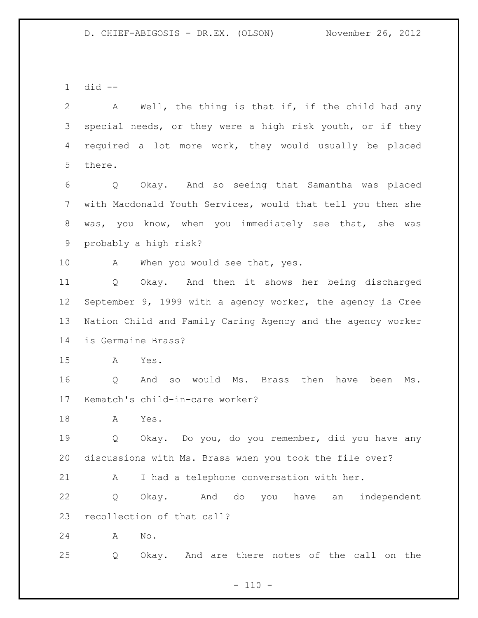did --

 A Well, the thing is that if, if the child had any special needs, or they were a high risk youth, or if they required a lot more work, they would usually be placed there.

 Q Okay. And so seeing that Samantha was placed with Macdonald Youth Services, would that tell you then she was, you know, when you immediately see that, she was probably a high risk?

10 A When you would see that, yes.

 Q Okay. And then it shows her being discharged September 9, 1999 with a agency worker, the agency is Cree Nation Child and Family Caring Agency and the agency worker is Germaine Brass?

A Yes.

 Q And so would Ms. Brass then have been Ms. Kematch's child-in-care worker?

A Yes.

 Q Okay. Do you, do you remember, did you have any discussions with Ms. Brass when you took the file over?

A I had a telephone conversation with her.

 Q Okay. And do you have an independent recollection of that call?

A No.

Q Okay. And are there notes of the call on the

 $- 110 -$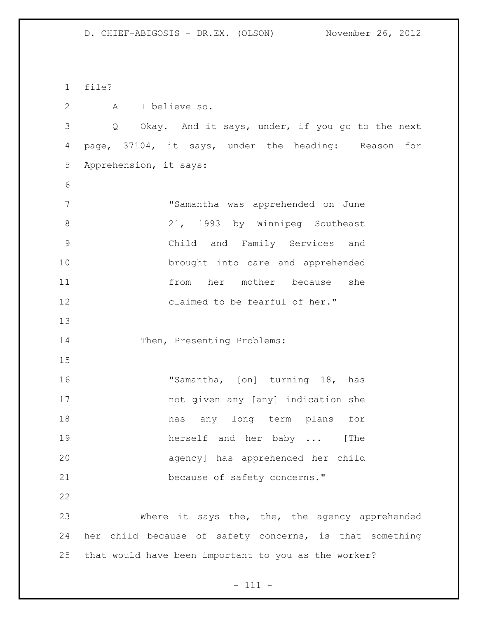file?

A I believe so.

 Q Okay. And it says, under, if you go to the next page, 37104, it says, under the heading: Reason for Apprehension, it says:

 "Samantha was apprehended on June 21, 1993 by Winnipeg Southeast Child and Family Services and brought into care and apprehended from her mother because she claimed to be fearful of her."

14 Then, Presenting Problems:

16 "Samantha, [on] turning 18, has not given any [any] indication she has any long term plans for herself and her baby ... [The agency] has apprehended her child 21 because of safety concerns."

 Where it says the, the, the agency apprehended her child because of safety concerns, is that something that would have been important to you as the worker?

- 111 -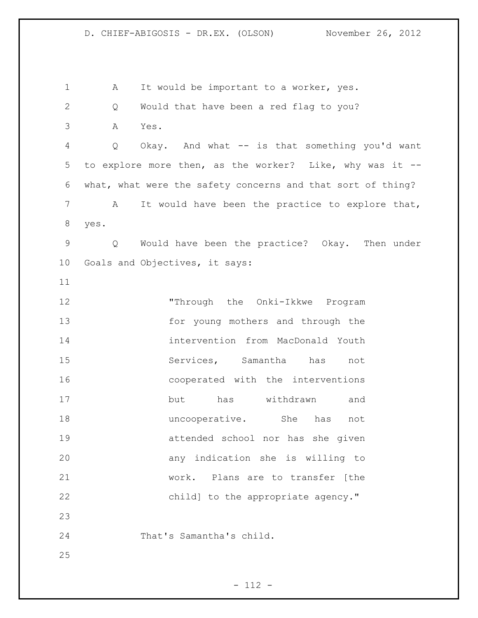1 A It would be important to a worker, yes. Q Would that have been a red flag to you? A Yes. Q Okay. And what -- is that something you'd want to explore more then, as the worker? Like, why was it -- what, what were the safety concerns and that sort of thing? A It would have been the practice to explore that, yes. Q Would have been the practice? Okay. Then under Goals and Objectives, it says: "Through the Onki-Ikkwe Program for young mothers and through the intervention from MacDonald Youth Services, Samantha has not cooperated with the interventions but has withdrawn and 18 18 uncooperative. She has not attended school nor has she given any indication she is willing to work. Plans are to transfer [the 22 child] to the appropriate agency." That's Samantha's child.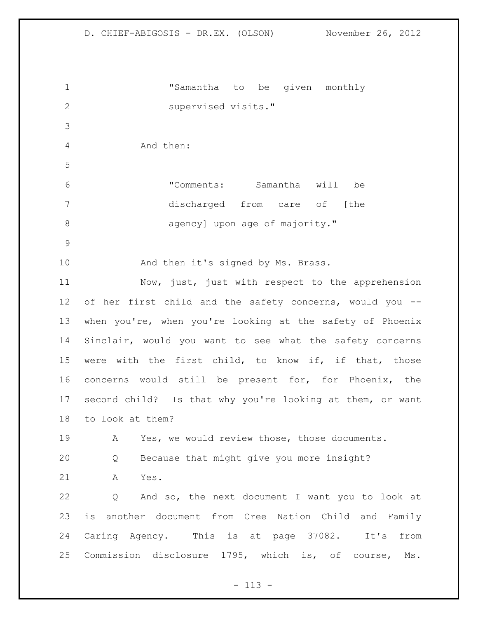"Samantha to be given monthly supervised visits." And then: "Comments: Samantha will be discharged from care of [the **agency**] upon age of majority." 10 And then it's signed by Ms. Brass. Now, just, just with respect to the apprehension of her first child and the safety concerns, would you -- when you're, when you're looking at the safety of Phoenix Sinclair, would you want to see what the safety concerns were with the first child, to know if, if that, those concerns would still be present for, for Phoenix, the second child? Is that why you're looking at them, or want to look at them? A Yes, we would review those, those documents. Q Because that might give you more insight? A Yes. Q And so, the next document I want you to look at is another document from Cree Nation Child and Family Caring Agency. This is at page 37082. It's from Commission disclosure 1795, which is, of course, Ms.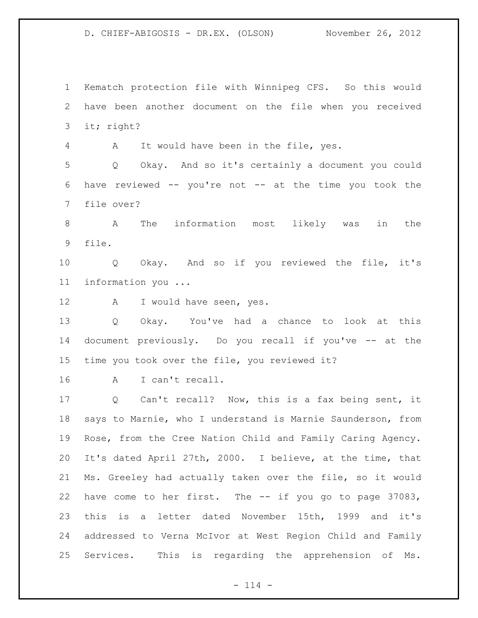Kematch protection file with Winnipeg CFS. So this would have been another document on the file when you received it; right? A It would have been in the file, yes. Q Okay. And so it's certainly a document you could have reviewed -- you're not -- at the time you took the file over? A The information most likely was in the file. Q Okay. And so if you reviewed the file, it's information you ... 12 A I would have seen, yes. Q Okay. You've had a chance to look at this document previously. Do you recall if you've -- at the time you took over the file, you reviewed it? A I can't recall. Q Can't recall? Now, this is a fax being sent, it says to Marnie, who I understand is Marnie Saunderson, from Rose, from the Cree Nation Child and Family Caring Agency. It's dated April 27th, 2000. I believe, at the time, that

 Ms. Greeley had actually taken over the file, so it would have come to her first. The -- if you go to page 37083, this is a letter dated November 15th, 1999 and it's addressed to Verna McIvor at West Region Child and Family Services. This is regarding the apprehension of Ms.

 $- 114 -$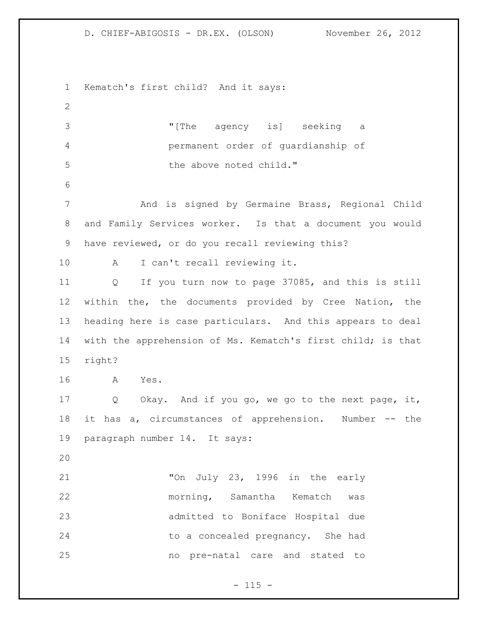Kematch's first child? And it says: "[The agency is] seeking a permanent order of guardianship of the above noted child." And is signed by Germaine Brass, Regional Child and Family Services worker. Is that a document you would have reviewed, or do you recall reviewing this? A I can't recall reviewing it. Q If you turn now to page 37085, and this is still within the, the documents provided by Cree Nation, the heading here is case particulars. And this appears to deal with the apprehension of Ms. Kematch's first child; is that right? A Yes. Q Okay. And if you go, we go to the next page, it, it has a, circumstances of apprehension. Number -- the paragraph number 14. It says: "On July 23, 1996 in the early morning, Samantha Kematch was admitted to Boniface Hospital due to a concealed pregnancy. She had no pre-natal care and stated to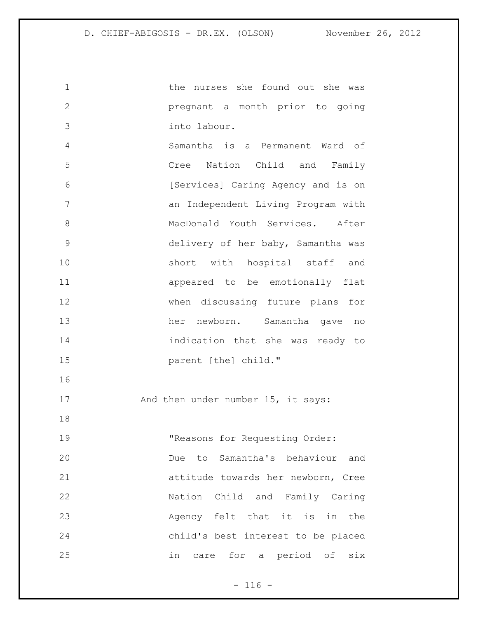the nurses she found out she was pregnant a month prior to going into labour. Samantha is a Permanent Ward of Cree Nation Child and Family [Services] Caring Agency and is on an Independent Living Program with 8 MacDonald Youth Services. After delivery of her baby, Samantha was short with hospital staff and appeared to be emotionally flat when discussing future plans for her newborn. Samantha gave no indication that she was ready to parent [the] child." 17 And then under number 15, it says: 19 The Theasons for Requesting Order: Due to Samantha's behaviour and attitude towards her newborn, Cree Nation Child and Family Caring Agency felt that it is in the child's best interest to be placed in care for a period of six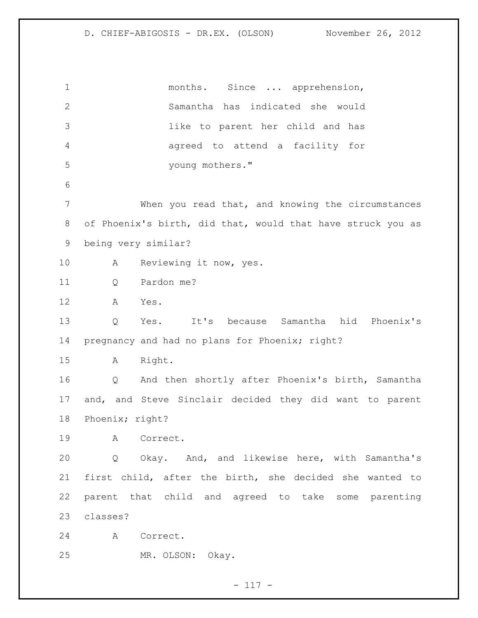1 months. Since ... apprehension, Samantha has indicated she would like to parent her child and has agreed to attend a facility for young mothers." When you read that, and knowing the circumstances of Phoenix's birth, did that, would that have struck you as being very similar? 10 A Reviewing it now, yes. Q Pardon me? A Yes. Q Yes. It's because Samantha hid Phoenix's pregnancy and had no plans for Phoenix; right? A Right. Q And then shortly after Phoenix's birth, Samantha and, and Steve Sinclair decided they did want to parent Phoenix; right? A Correct. Q Okay. And, and likewise here, with Samantha's first child, after the birth, she decided she wanted to parent that child and agreed to take some parenting classes? A Correct. MR. OLSON: Okay.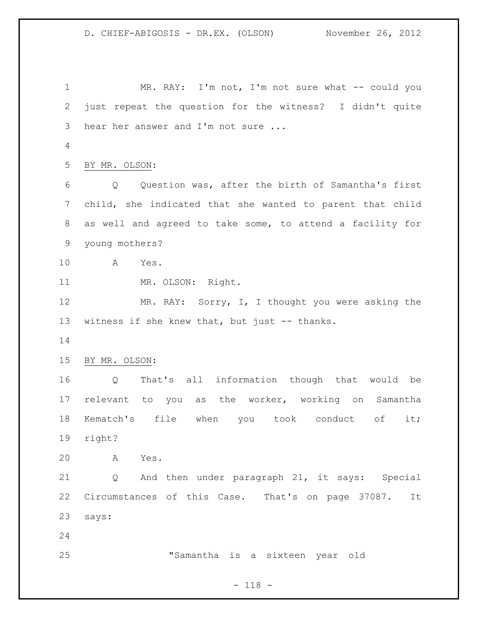1 MR. RAY: I'm not, I'm not sure what -- could you just repeat the question for the witness? I didn't quite hear her answer and I'm not sure ... BY MR. OLSON: Q Question was, after the birth of Samantha's first child, she indicated that she wanted to parent that child as well and agreed to take some, to attend a facility for young mothers? A Yes. 11 MR. OLSON: Right. 12 MR. RAY: Sorry, I, I thought you were asking the 13 witness if she knew that, but just -- thanks. BY MR. OLSON: Q That's all information though that would be relevant to you as the worker, working on Samantha Kematch's file when you took conduct of it; right? A Yes. Q And then under paragraph 21, it says: Special Circumstances of this Case. That's on page 37087. It says: "Samantha is a sixteen year old

- 118 -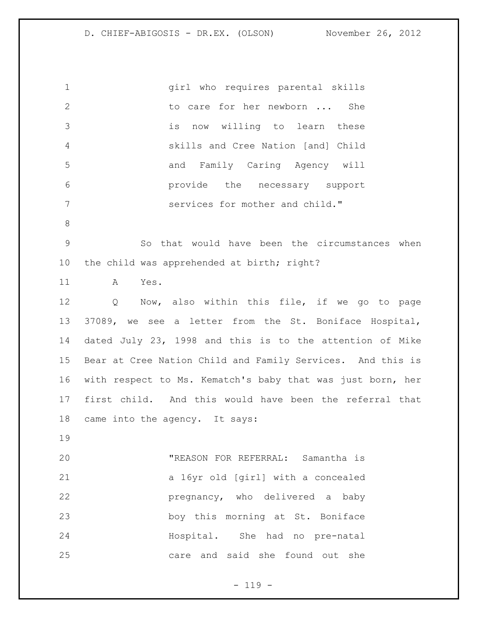girl who requires parental skills 2 to care for her newborn ... She is now willing to learn these skills and Cree Nation [and] Child and Family Caring Agency will provide the necessary support services for mother and child." So that would have been the circumstances when the child was apprehended at birth; right? A Yes. Q Now, also within this file, if we go to page 37089, we see a letter from the St. Boniface Hospital, dated July 23, 1998 and this is to the attention of Mike Bear at Cree Nation Child and Family Services. And this is with respect to Ms. Kematch's baby that was just born, her first child. And this would have been the referral that came into the agency. It says: "REASON FOR REFERRAL: Samantha is a 16yr old [girl] with a concealed pregnancy, who delivered a baby boy this morning at St. Boniface Hospital. She had no pre-natal care and said she found out she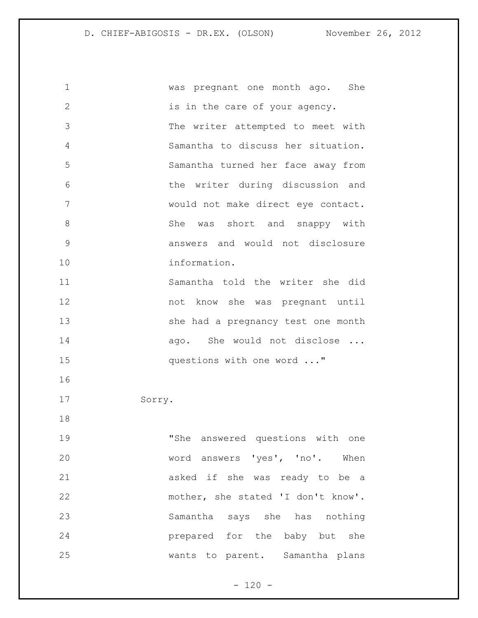| 1             | was pregnant one month ago. She    |
|---------------|------------------------------------|
| $\mathbf{2}$  | is in the care of your agency.     |
| 3             | The writer attempted to meet with  |
| 4             | Samantha to discuss her situation. |
| 5             | Samantha turned her face away from |
| 6             | the writer during discussion and   |
| 7             | would not make direct eye contact. |
| 8             | She was short and snappy with      |
| $\mathcal{G}$ | answers and would not disclosure   |
| 10            | information.                       |
| 11            | Samantha told the writer she did   |
| 12            | not know she was pregnant until    |
| 13            | she had a pregnancy test one month |
| 14            | ago. She would not disclose        |
| 15            | questions with one word "          |
| 16            |                                    |
| 17            | Sorry.                             |
| 18            |                                    |
| 19            | "She answered questions with one   |
| 20            | word answers 'yes', 'no'. When     |
| 21            | asked if she was ready to be a     |
| 22            | mother, she stated 'I don't know'. |
| 23            | Samantha says she has nothing      |
| 24            | prepared for the baby but she      |
| 25            | wants to parent. Samantha plans    |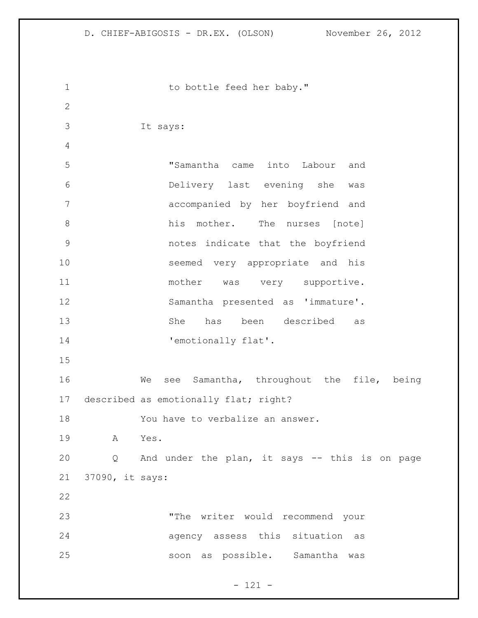| $\mathbf 1$  |                 | to bottle feed her baby."                        |
|--------------|-----------------|--------------------------------------------------|
| $\mathbf{2}$ |                 |                                                  |
| 3            |                 | It says:                                         |
| 4            |                 |                                                  |
| 5            |                 | "Samantha came into Labour and                   |
| 6            |                 | Delivery last evening she was                    |
| 7            |                 | accompanied by her boyfriend and                 |
| $8\,$        |                 | his mother. The nurses [note]                    |
| $\mathsf 9$  |                 | notes indicate that the boyfriend                |
| 10           |                 | seemed very appropriate and his                  |
| 11           |                 | mother<br>was very supportive.                   |
| 12           |                 | Samantha presented as 'immature'.                |
| 13           |                 | been described<br>She<br>has<br>as               |
| 14           |                 | 'emotionally flat'.                              |
| 15           |                 |                                                  |
| 16           |                 | see Samantha, throughout the file, being<br>We   |
| 17           |                 | described as emotionally flat; right?            |
| 18           |                 | You have to verbalize an answer.                 |
| 19           | A               | Yes.                                             |
| 20           |                 | Q And under the plan, it says -- this is on page |
| 21           | 37090, it says: |                                                  |
| 22           |                 |                                                  |
| 23           |                 | "The writer would recommend your                 |
| 24           |                 | agency assess this situation as                  |
| 25           |                 | soon as possible. Samantha was                   |
|              |                 |                                                  |

- 121 -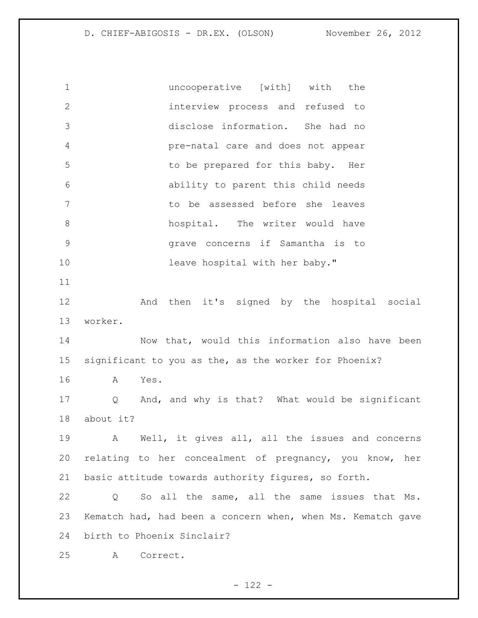uncooperative [with] with the interview process and refused to disclose information. She had no pre-natal care and does not appear 5 to be prepared for this baby. Her ability to parent this child needs to be assessed before she leaves 8 hospital. The writer would have grave concerns if Samantha is to 10 leave hospital with her baby." And then it's signed by the hospital social worker. Now that, would this information also have been significant to you as the, as the worker for Phoenix? A Yes. Q And, and why is that? What would be significant about it? A Well, it gives all, all the issues and concerns relating to her concealment of pregnancy, you know, her basic attitude towards authority figures, so forth. Q So all the same, all the same issues that Ms. Kematch had, had been a concern when, when Ms. Kematch gave birth to Phoenix Sinclair? A Correct.

 $- 122 -$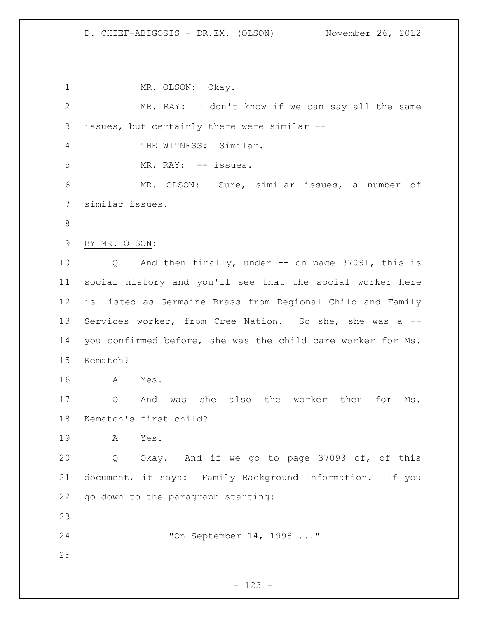1 MR. OLSON: Okay. MR. RAY: I don't know if we can say all the same issues, but certainly there were similar -- THE WITNESS: Similar. 5 MR. RAY: -- issues. MR. OLSON: Sure, similar issues, a number of similar issues. BY MR. OLSON: Q And then finally, under -- on page 37091, this is social history and you'll see that the social worker here is listed as Germaine Brass from Regional Child and Family Services worker, from Cree Nation. So she, she was a -- you confirmed before, she was the child care worker for Ms. Kematch? A Yes. Q And was she also the worker then for Ms. Kematch's first child? A Yes. Q Okay. And if we go to page 37093 of, of this document, it says: Family Background Information. If you go down to the paragraph starting: "On September 14, 1998 ..." 

- 123 -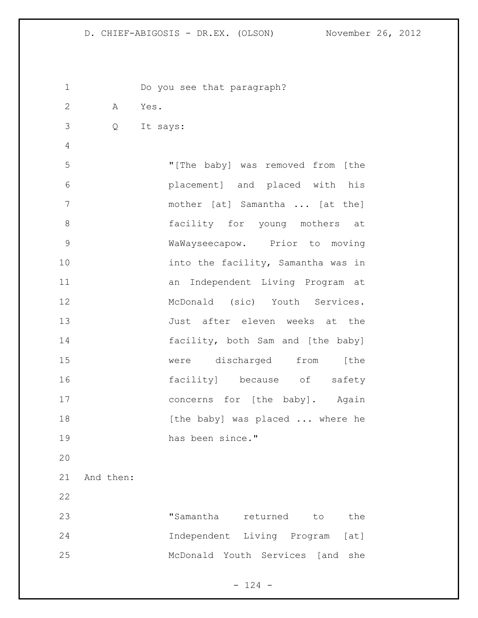| $\mathbf 1$   |           | Do you see that paragraph?          |
|---------------|-----------|-------------------------------------|
| $\mathbf{2}$  | A Yes.    |                                     |
| 3             | Q         | It says:                            |
| 4             |           |                                     |
| 5             |           | "[The baby] was removed from [the   |
| 6             |           | placement] and placed with his      |
| 7             |           | mother [at] Samantha  [at the]      |
| 8             |           | facility for young mothers at       |
| $\mathcal{G}$ |           | WaWayseecapow. Prior to moving      |
| 10            |           | into the facility, Samantha was in  |
| 11            |           | an Independent Living Program at    |
| 12            |           | McDonald (sic) Youth Services.      |
| 13            |           | Just after eleven weeks at the      |
| 14            |           | facility, both Sam and [the baby]   |
| 15            |           | were discharged from [the           |
| 16            |           | facility] because of safety         |
| 17            |           | concerns for [the baby]. Again      |
| 18            |           | [the baby] was placed  where he     |
| 19            |           | has been since."                    |
| 20            |           |                                     |
| 21            | And then: |                                     |
| 22            |           |                                     |
| 23            |           | "Samantha returned<br>the<br>to     |
| 24            |           | Independent Living Program [at]     |
| 25            |           | McDonald Youth Services [and<br>she |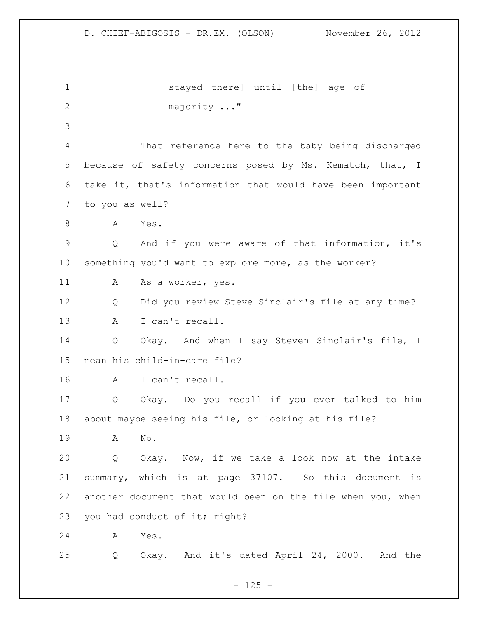stayed there] until [the] age of majority ..." That reference here to the baby being discharged because of safety concerns posed by Ms. Kematch, that, I take it, that's information that would have been important to you as well? A Yes. Q And if you were aware of that information, it's something you'd want to explore more, as the worker? 11 A As a worker, yes. Q Did you review Steve Sinclair's file at any time? A I can't recall. Q Okay. And when I say Steven Sinclair's file, I mean his child-in-care file? A I can't recall. Q Okay. Do you recall if you ever talked to him about maybe seeing his file, or looking at his file? A No. Q Okay. Now, if we take a look now at the intake summary, which is at page 37107. So this document is another document that would been on the file when you, when 23 you had conduct of it; right? A Yes. Q Okay. And it's dated April 24, 2000. And the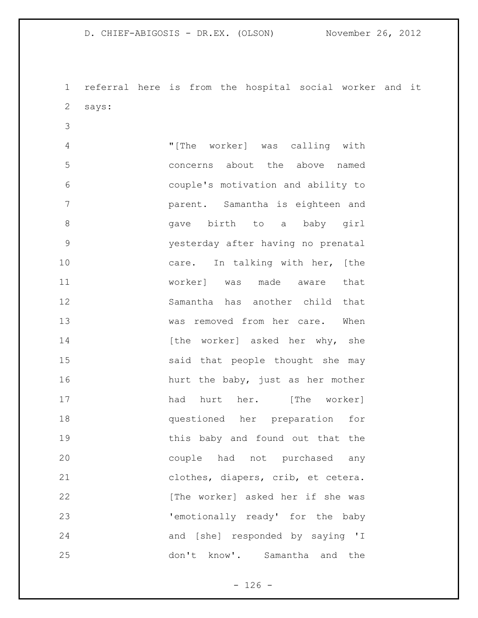referral here is from the hospital social worker and it says:

 "[The worker] was calling with concerns about the above named couple's motivation and ability to parent. Samantha is eighteen and gave birth to a baby girl yesterday after having no prenatal 10 care. In talking with her, [the worker] was made aware that Samantha has another child that was removed from her care. When 14 [the worker] asked her why, she said that people thought she may 16 hurt the baby, just as her mother 17 had hurt her. [The worker] questioned her preparation for this baby and found out that the couple had not purchased any clothes, diapers, crib, et cetera. **b** [The worker] asked her if she was 'emotionally ready' for the baby and [she] responded by saying 'I don't know'. Samantha and the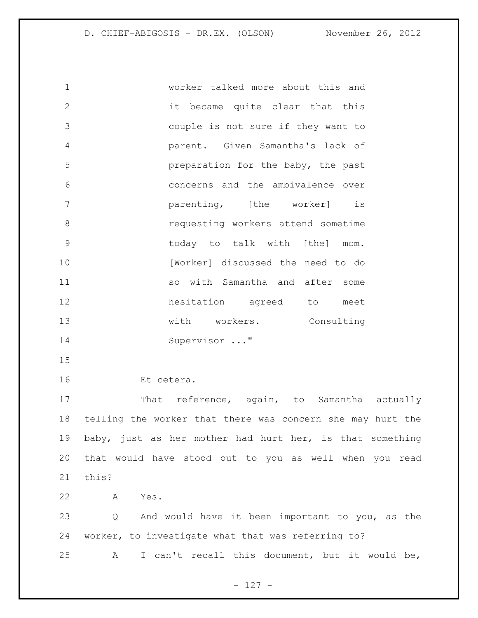worker talked more about this and it became quite clear that this couple is not sure if they want to parent. Given Samantha's lack of preparation for the baby, the past concerns and the ambivalence over parenting, [the worker] is requesting workers attend sometime today to talk with [the] mom. 10 [Worker] discussed the need to do so with Samantha and after some hesitation agreed to meet 13 with workers. Consulting Supervisor ..."

Et cetera.

17 That reference, again, to Samantha actually telling the worker that there was concern she may hurt the baby, just as her mother had hurt her, is that something that would have stood out to you as well when you read this?

A Yes.

 Q And would have it been important to you, as the worker, to investigate what that was referring to? A I can't recall this document, but it would be,

 $- 127 -$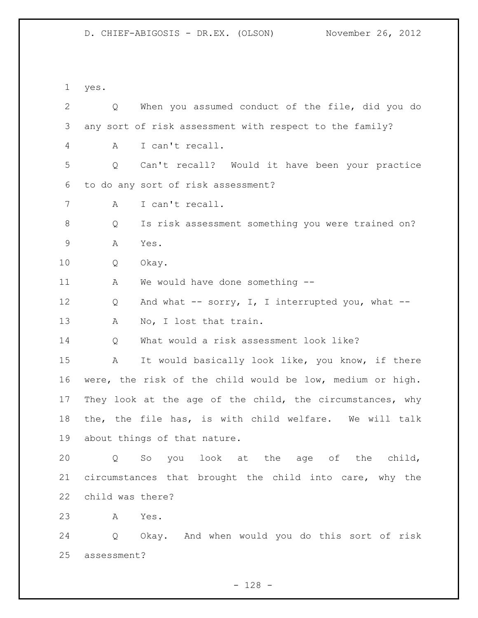yes. Q When you assumed conduct of the file, did you do any sort of risk assessment with respect to the family? A I can't recall. Q Can't recall? Would it have been your practice to do any sort of risk assessment? A I can't recall. Q Is risk assessment something you were trained on? A Yes. Q Okay. 11 A We would have done something --12 Q And what -- sorry, I, I interrupted you, what --13 A No, I lost that train. Q What would a risk assessment look like? A It would basically look like, you know, if there were, the risk of the child would be low, medium or high. They look at the age of the child, the circumstances, why the, the file has, is with child welfare. We will talk about things of that nature. Q So you look at the age of the child, circumstances that brought the child into care, why the child was there? A Yes. Q Okay. And when would you do this sort of risk assessment?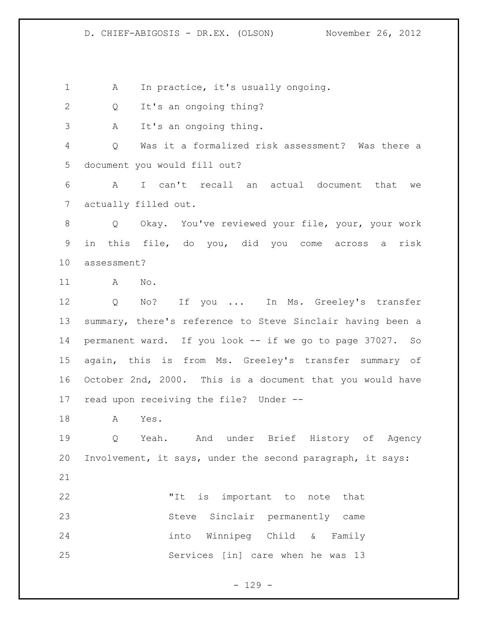1 A In practice, it's usually ongoing.

Q It's an ongoing thing?

A It's an ongoing thing.

 Q Was it a formalized risk assessment? Was there a document you would fill out?

 A I can't recall an actual document that we actually filled out.

 Q Okay. You've reviewed your file, your, your work in this file, do you, did you come across a risk assessment?

A No.

 Q No? If you ... In Ms. Greeley's transfer summary, there's reference to Steve Sinclair having been a permanent ward. If you look -- if we go to page 37027. So again, this is from Ms. Greeley's transfer summary of October 2nd, 2000. This is a document that you would have read upon receiving the file? Under --

A Yes.

 Q Yeah. And under Brief History of Agency Involvement, it says, under the second paragraph, it says: 

 "It is important to note that Steve Sinclair permanently came into Winnipeg Child & Family Services [in] care when he was 13

- 129 -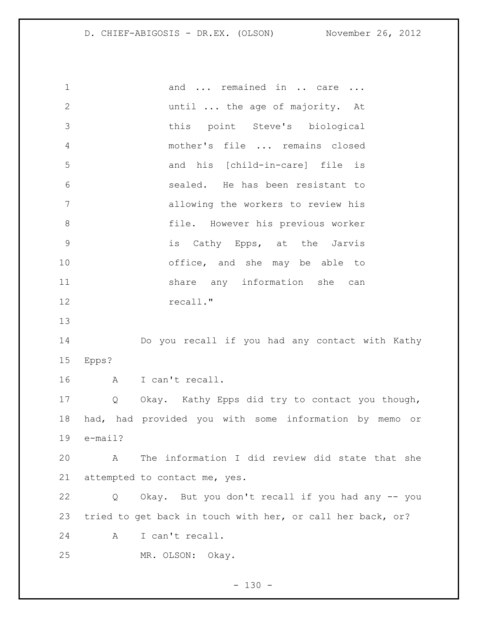1 and ... remained in .. care ... until ... the age of majority. At this point Steve's biological mother's file ... remains closed and his [child-in-care] file is sealed. He has been resistant to allowing the workers to review his file. However his previous worker is Cathy Epps, at the Jarvis office, and she may be able to 11 share any information she can 12 recall." Do you recall if you had any contact with Kathy Epps? A I can't recall. Q Okay. Kathy Epps did try to contact you though, had, had provided you with some information by memo or e-mail? A The information I did review did state that she attempted to contact me, yes. Q Okay. But you don't recall if you had any -- you tried to get back in touch with her, or call her back, or? A I can't recall. MR. OLSON: Okay.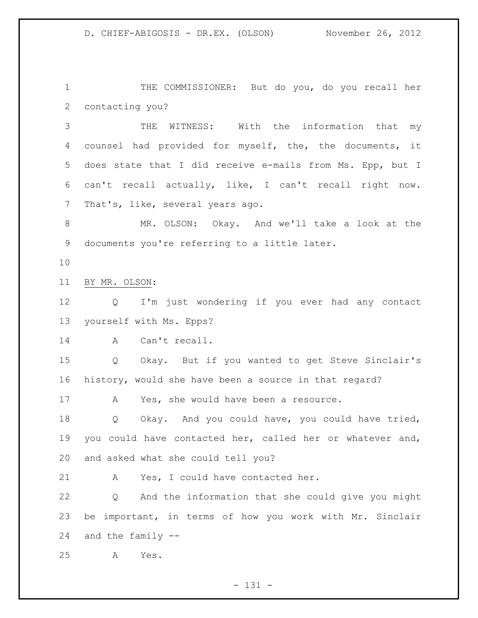THE COMMISSIONER: But do you, do you recall her contacting you?

 THE WITNESS: With the information that my counsel had provided for myself, the, the documents, it does state that I did receive e-mails from Ms. Epp, but I can't recall actually, like, I can't recall right now. That's, like, several years ago.

 MR. OLSON: Okay. And we'll take a look at the documents you're referring to a little later.

BY MR. OLSON:

 Q I'm just wondering if you ever had any contact yourself with Ms. Epps?

A Can't recall.

 Q Okay. But if you wanted to get Steve Sinclair's history, would she have been a source in that regard?

A Yes, she would have been a resource.

 Q Okay. And you could have, you could have tried, you could have contacted her, called her or whatever and, and asked what she could tell you?

A Yes, I could have contacted her.

 Q And the information that she could give you might be important, in terms of how you work with Mr. Sinclair and the family --

A Yes.

- 131 -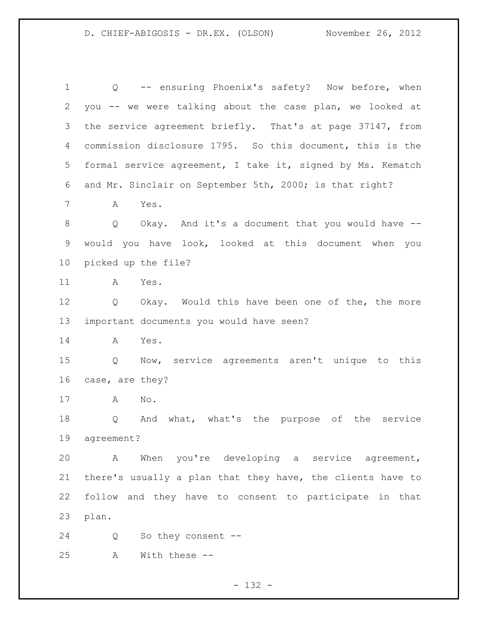Q -- ensuring Phoenix's safety? Now before, when you -- we were talking about the case plan, we looked at the service agreement briefly. That's at page 37147, from commission disclosure 1795. So this document, this is the formal service agreement, I take it, signed by Ms. Kematch and Mr. Sinclair on September 5th, 2000; is that right? A Yes. Q Okay. And it's a document that you would have -- would you have look, looked at this document when you picked up the file? A Yes. Q Okay. Would this have been one of the, the more important documents you would have seen? A Yes. Q Now, service agreements aren't unique to this case, are they? A No. Q And what, what's the purpose of the service agreement? A When you're developing a service agreement, there's usually a plan that they have, the clients have to follow and they have to consent to participate in that plan. Q So they consent --

- 132 -

A With these --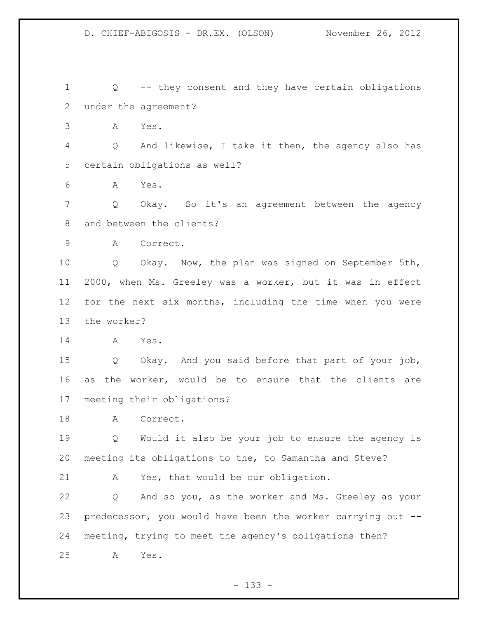Q -- they consent and they have certain obligations under the agreement?

A Yes.

 Q And likewise, I take it then, the agency also has certain obligations as well?

A Yes.

 Q Okay. So it's an agreement between the agency and between the clients?

A Correct.

 Q Okay. Now, the plan was signed on September 5th, 2000, when Ms. Greeley was a worker, but it was in effect for the next six months, including the time when you were the worker?

A Yes.

 Q Okay. And you said before that part of your job, as the worker, would be to ensure that the clients are meeting their obligations?

18 A Correct.

 Q Would it also be your job to ensure the agency is meeting its obligations to the, to Samantha and Steve?

A Yes, that would be our obligation.

 Q And so you, as the worker and Ms. Greeley as your predecessor, you would have been the worker carrying out -- meeting, trying to meet the agency's obligations then? A Yes.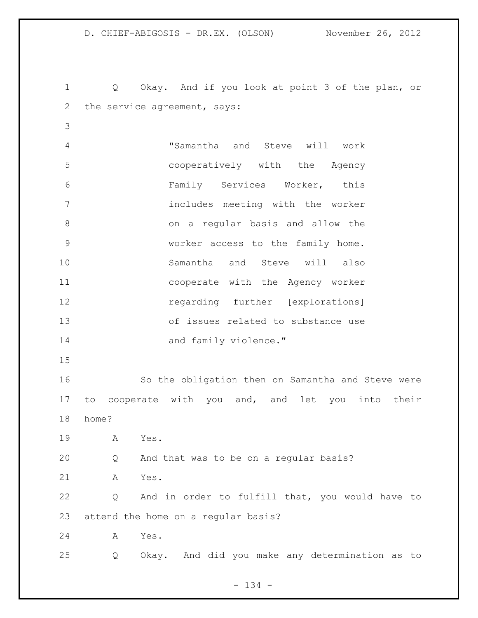Q Okay. And if you look at point 3 of the plan, or 2 the service agreement, says: "Samantha and Steve will work cooperatively with the Agency Family Services Worker, this includes meeting with the worker on a regular basis and allow the worker access to the family home. Samantha and Steve will also cooperate with the Agency worker regarding further [explorations] of issues related to substance use 14 and family violence." So the obligation then on Samantha and Steve were to cooperate with you and, and let you into their home? A Yes. Q And that was to be on a regular basis? A Yes. Q And in order to fulfill that, you would have to attend the home on a regular basis? A Yes. Q Okay. And did you make any determination as to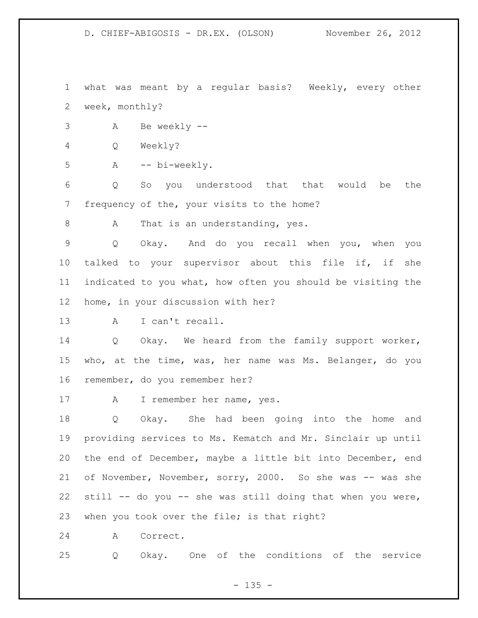what was meant by a regular basis? Weekly, every other week, monthly?

A Be weekly --

Q Weekly?

A -- bi-weekly.

 Q So you understood that that would be the frequency of the, your visits to the home?

8 A That is an understanding, yes.

 Q Okay. And do you recall when you, when you talked to your supervisor about this file if, if she indicated to you what, how often you should be visiting the home, in your discussion with her?

A I can't recall.

 Q Okay. We heard from the family support worker, who, at the time, was, her name was Ms. Belanger, do you remember, do you remember her?

A I remember her name, yes.

 Q Okay. She had been going into the home and providing services to Ms. Kematch and Mr. Sinclair up until the end of December, maybe a little bit into December, end 21 of November, November, sorry, 2000. So she was -- was she still -- do you -- she was still doing that when you were, 23 when you took over the file; is that right?

A Correct.

Q Okay. One of the conditions of the service

 $- 135 -$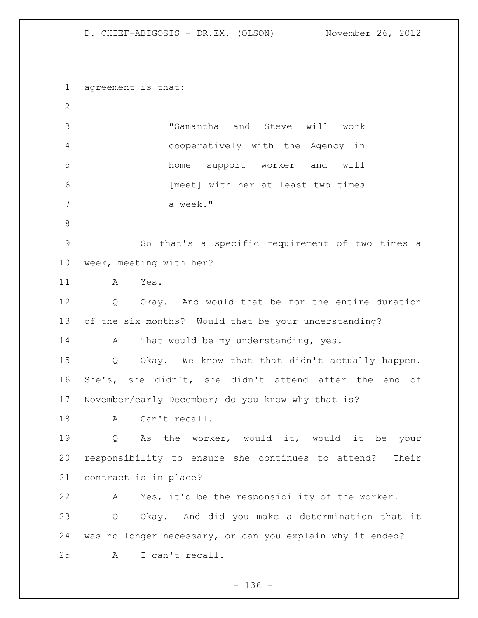agreement is that: "Samantha and Steve will work cooperatively with the Agency in home support worker and will [meet] with her at least two times a week." So that's a specific requirement of two times a week, meeting with her? A Yes. Q Okay. And would that be for the entire duration of the six months? Would that be your understanding? 14 A That would be my understanding, yes. Q Okay. We know that that didn't actually happen. She's, she didn't, she didn't attend after the end of November/early December; do you know why that is? 18 A Can't recall. Q As the worker, would it, would it be your responsibility to ensure she continues to attend? Their contract is in place? A Yes, it'd be the responsibility of the worker. Q Okay. And did you make a determination that it was no longer necessary, or can you explain why it ended? A I can't recall.

 $- 136 -$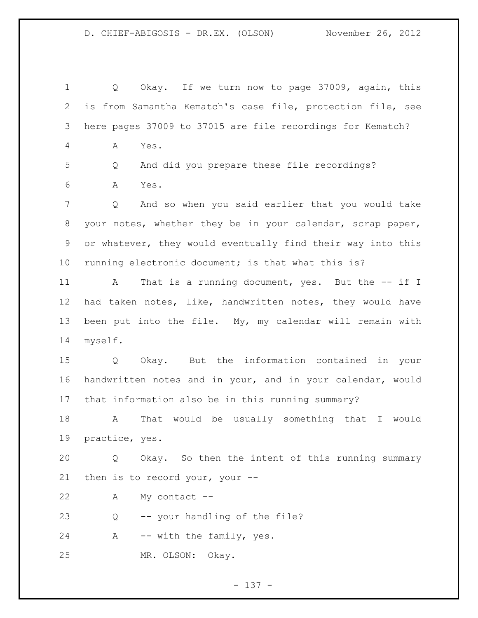Q Okay. If we turn now to page 37009, again, this is from Samantha Kematch's case file, protection file, see here pages 37009 to 37015 are file recordings for Kematch? A Yes. Q And did you prepare these file recordings? A Yes. Q And so when you said earlier that you would take your notes, whether they be in your calendar, scrap paper, or whatever, they would eventually find their way into this running electronic document; is that what this is? 11 A That is a running document, yes. But the -- if I had taken notes, like, handwritten notes, they would have been put into the file. My, my calendar will remain with myself. Q Okay. But the information contained in your handwritten notes and in your, and in your calendar, would that information also be in this running summary? A That would be usually something that I would practice, yes. Q Okay. So then the intent of this running summary then is to record your, your -- A My contact -- Q -- your handling of the file? 24 A -- with the family, yes. MR. OLSON: Okay.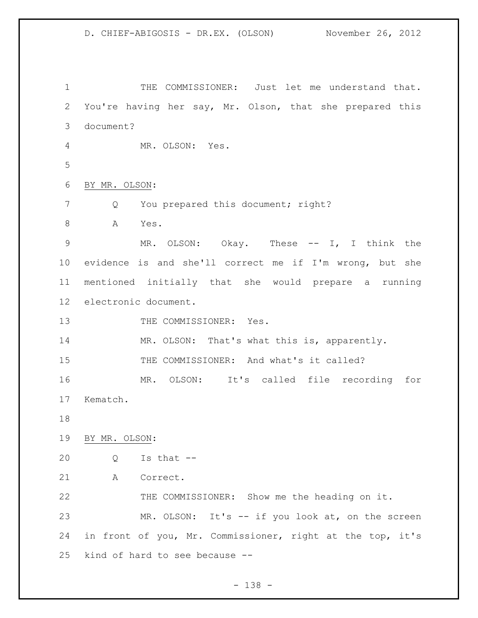THE COMMISSIONER: Just let me understand that. You're having her say, Mr. Olson, that she prepared this document? MR. OLSON: Yes. BY MR. OLSON: 7 Q You prepared this document; right? 8 A Yes. MR. OLSON: Okay. These -- I, I think the evidence is and she'll correct me if I'm wrong, but she mentioned initially that she would prepare a running electronic document. 13 THE COMMISSIONER: Yes. 14 MR. OLSON: That's what this is, apparently. THE COMMISSIONER: And what's it called? MR. OLSON: It's called file recording for Kematch. BY MR. OLSON: Q Is that -- A Correct. THE COMMISSIONER: Show me the heading on it. MR. OLSON: It's -- if you look at, on the screen in front of you, Mr. Commissioner, right at the top, it's kind of hard to see because --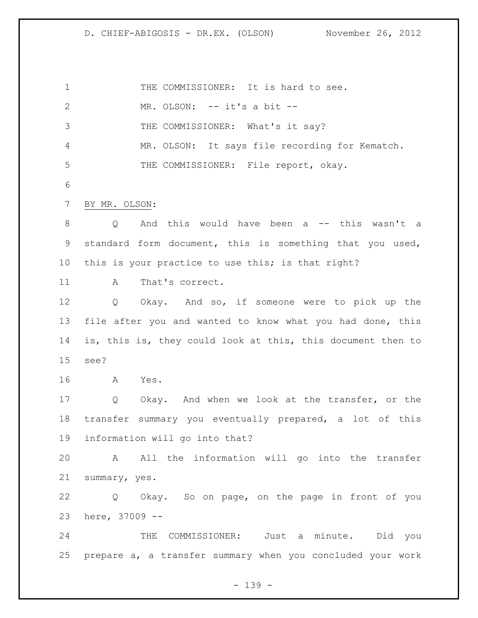1 THE COMMISSIONER: It is hard to see. MR. OLSON: -- it's a bit -- 3 THE COMMISSIONER: What's it say? MR. OLSON: It says file recording for Kematch. 5 THE COMMISSIONER: File report, okay. BY MR. OLSON: Q And this would have been a -- this wasn't a standard form document, this is something that you used, this is your practice to use this; is that right? 11 A That's correct. Q Okay. And so, if someone were to pick up the file after you and wanted to know what you had done, this is, this is, they could look at this, this document then to see? A Yes. Q Okay. And when we look at the transfer, or the transfer summary you eventually prepared, a lot of this information will go into that? A All the information will go into the transfer summary, yes. Q Okay. So on page, on the page in front of you here, 37009 -- THE COMMISSIONER: Just a minute. Did you prepare a, a transfer summary when you concluded your work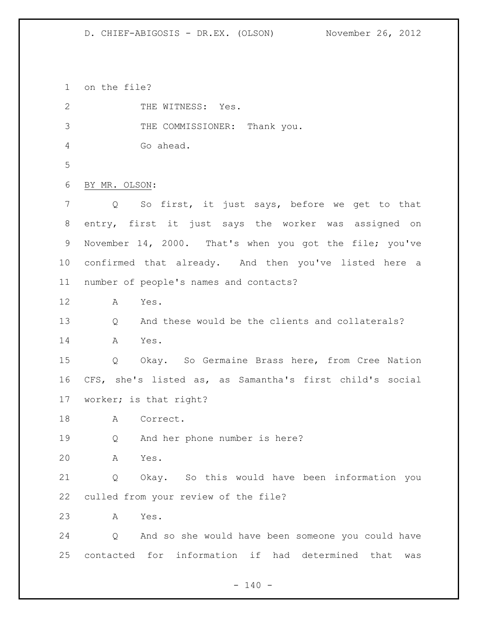on the file?

2 THE WITNESS: Yes. 3 THE COMMISSIONER: Thank you. Go ahead. BY MR. OLSON: Q So first, it just says, before we get to that entry, first it just says the worker was assigned on November 14, 2000. That's when you got the file; you've confirmed that already. And then you've listed here a number of people's names and contacts? A Yes. Q And these would be the clients and collaterals? A Yes. Q Okay. So Germaine Brass here, from Cree Nation CFS, she's listed as, as Samantha's first child's social worker; is that right? A Correct. Q And her phone number is here? A Yes. Q Okay. So this would have been information you culled from your review of the file? A Yes. Q And so she would have been someone you could have contacted for information if had determined that was

 $- 140 -$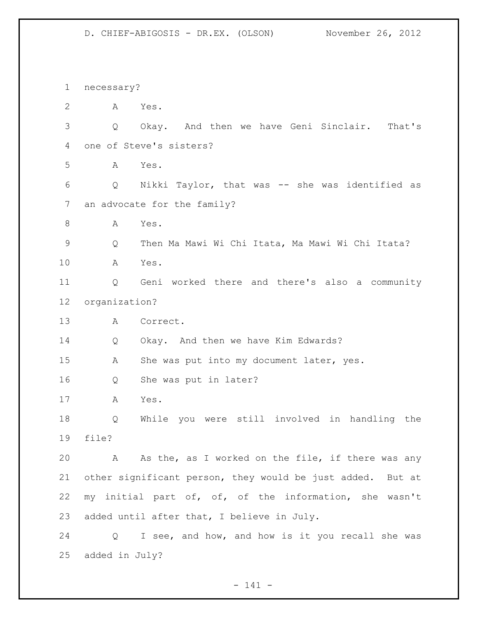necessary? A Yes. Q Okay. And then we have Geni Sinclair. That's one of Steve's sisters? A Yes. Q Nikki Taylor, that was -- she was identified as an advocate for the family? A Yes. Q Then Ma Mawi Wi Chi Itata, Ma Mawi Wi Chi Itata? A Yes. Q Geni worked there and there's also a community organization? A Correct. Q Okay. And then we have Kim Edwards? A She was put into my document later, yes. Q She was put in later? A Yes. Q While you were still involved in handling the file? A As the, as I worked on the file, if there was any other significant person, they would be just added. But at my initial part of, of, of the information, she wasn't added until after that, I believe in July. Q I see, and how, and how is it you recall she was added in July?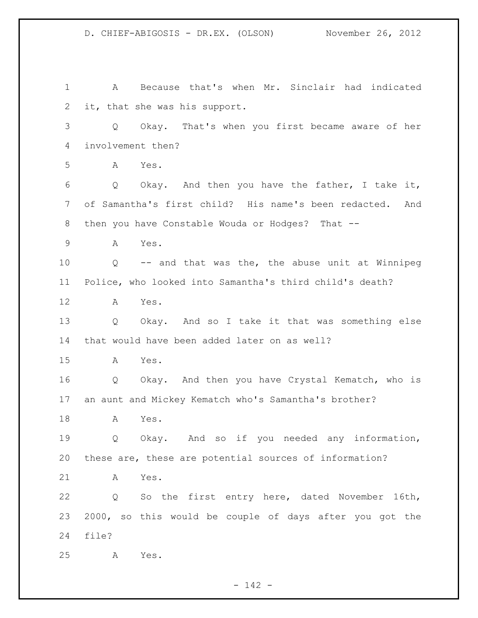A Because that's when Mr. Sinclair had indicated it, that she was his support. Q Okay. That's when you first became aware of her involvement then? A Yes. Q Okay. And then you have the father, I take it, of Samantha's first child? His name's been redacted. And then you have Constable Wouda or Hodges? That -- A Yes. Q -- and that was the, the abuse unit at Winnipeg Police, who looked into Samantha's third child's death? A Yes. Q Okay. And so I take it that was something else that would have been added later on as well? A Yes. Q Okay. And then you have Crystal Kematch, who is an aunt and Mickey Kematch who's Samantha's brother? A Yes. 19 0 Okay. And so if you needed any information, these are, these are potential sources of information? A Yes. Q So the first entry here, dated November 16th, 2000, so this would be couple of days after you got the file? A Yes.

- 142 -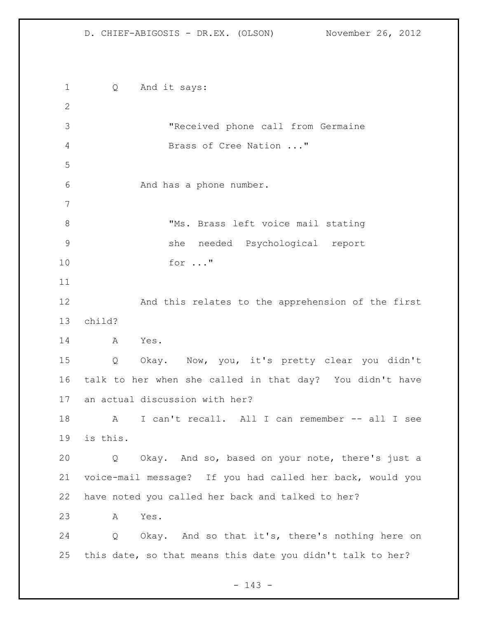Q And it says: "Received phone call from Germaine Brass of Cree Nation ..." 6 And has a phone number. 8 TMS. Brass left voice mail stating she needed Psychological report for ..." And this relates to the apprehension of the first child? A Yes. Q Okay. Now, you, it's pretty clear you didn't talk to her when she called in that day? You didn't have an actual discussion with her? A I can't recall. All I can remember -- all I see is this. Q Okay. And so, based on your note, there's just a voice-mail message? If you had called her back, would you have noted you called her back and talked to her? A Yes. Q Okay. And so that it's, there's nothing here on this date, so that means this date you didn't talk to her?

- 143 -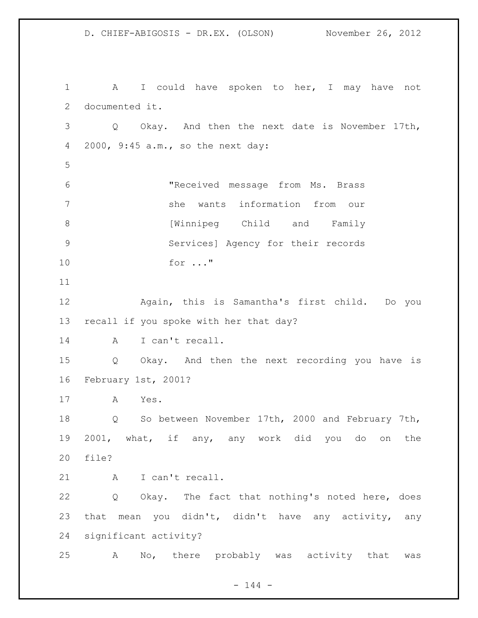D. CHIEF-ABIGOSIS - DR.EX. (OLSON) November 26, 2012 1 A I could have spoken to her, I may have not documented it. Q Okay. And then the next date is November 17th, 2000, 9:45 a.m., so the next day: "Received message from Ms. Brass she wants information from our 8 [Winnipeg Child and Family Services] Agency for their records for ..." Again, this is Samantha's first child. Do you recall if you spoke with her that day? A I can't recall. Q Okay. And then the next recording you have is February 1st, 2001? A Yes. Q So between November 17th, 2000 and February 7th, 2001, what, if any, any work did you do on the file? 21 A I can't recall. Q Okay. The fact that nothing's noted here, does that mean you didn't, didn't have any activity, any significant activity? A No, there probably was activity that was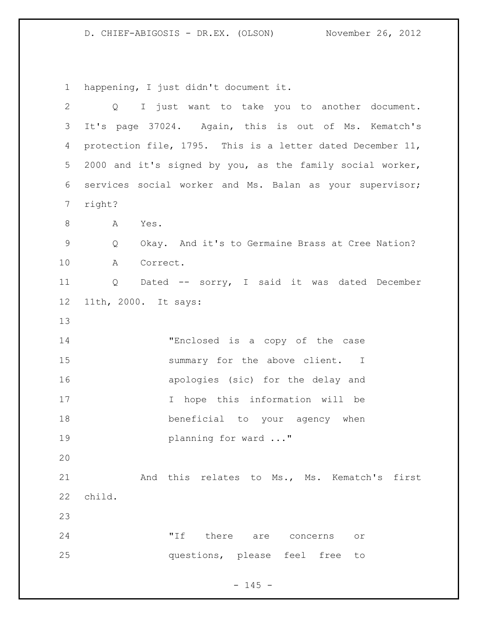happening, I just didn't document it.

| $\overline{2}$ | I just want to take you to another document.<br>$Q \qquad \qquad$ |
|----------------|-------------------------------------------------------------------|
| 3              | It's page 37024. Again, this is out of Ms. Kematch's              |
| 4              | protection file, 1795. This is a letter dated December 11,        |
| 5              | 2000 and it's signed by you, as the family social worker,         |
| 6              | services social worker and Ms. Balan as your supervisor;          |
| 7              | right?                                                            |
| 8              | A<br>Yes.                                                         |
| $\mathsf 9$    | Okay. And it's to Germaine Brass at Cree Nation?<br>Q             |
| 10             | Correct.<br>Α                                                     |
| 11             | Dated -- sorry, I said it was dated December<br>Q                 |
| 12             | 11th, 2000. It says:                                              |
| 13             |                                                                   |
| 14             | "Enclosed is a copy of the case                                   |
| 15             | summary for the above client. I                                   |
| 16             | apologies (sic) for the delay and                                 |
| 17             | I hope this information will be                                   |
| 18             | beneficial to your agency when                                    |
| 19             | planning for ward "                                               |
| 20             |                                                                   |
| 21             | And this relates to Ms., Ms. Kematch's first                      |
| 22             | child.                                                            |
| 23             |                                                                   |
| 24             | "If<br>there are concerns<br>$\circ$ r                            |
| 25             | questions, please feel free<br>to                                 |

- 145 -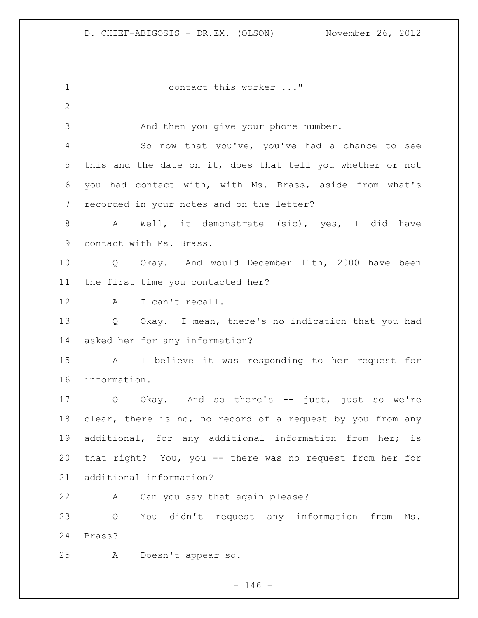contact this worker ..." And then you give your phone number. So now that you've, you've had a chance to see this and the date on it, does that tell you whether or not you had contact with, with Ms. Brass, aside from what's recorded in your notes and on the letter? A Well, it demonstrate (sic), yes, I did have contact with Ms. Brass. Q Okay. And would December 11th, 2000 have been the first time you contacted her? 12 A I can't recall. Q Okay. I mean, there's no indication that you had asked her for any information? A I believe it was responding to her request for information. Q Okay. And so there's -- just, just so we're clear, there is no, no record of a request by you from any additional, for any additional information from her; is that right? You, you -- there was no request from her for additional information? A Can you say that again please? Q You didn't request any information from Ms. Brass? A Doesn't appear so.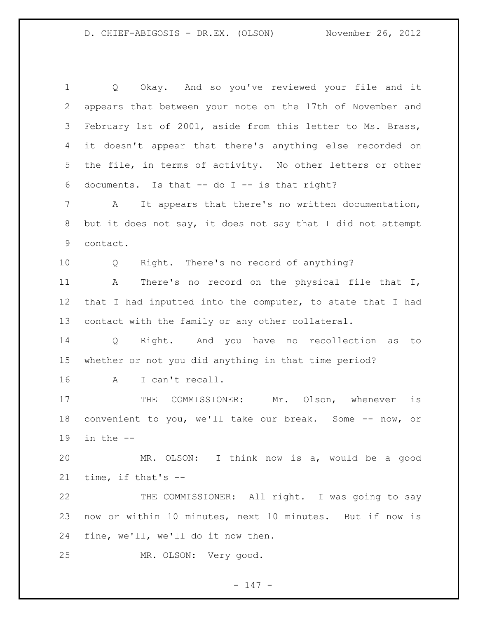Q Okay. And so you've reviewed your file and it appears that between your note on the 17th of November and February 1st of 2001, aside from this letter to Ms. Brass, it doesn't appear that there's anything else recorded on the file, in terms of activity. No other letters or other documents. Is that -- do I -- is that right? A It appears that there's no written documentation, but it does not say, it does not say that I did not attempt contact. Q Right. There's no record of anything? A There's no record on the physical file that I, 12 that I had inputted into the computer, to state that I had contact with the family or any other collateral. Q Right. And you have no recollection as to whether or not you did anything in that time period? A I can't recall. 17 THE COMMISSIONER: Mr. Olson, whenever is convenient to you, we'll take our break. Some -- now, or 19 in the  $-$  MR. OLSON: I think now is a, would be a good time, if that's -- THE COMMISSIONER: All right. I was going to say now or within 10 minutes, next 10 minutes. But if now is fine, we'll, we'll do it now then. MR. OLSON: Very good.

 $- 147 -$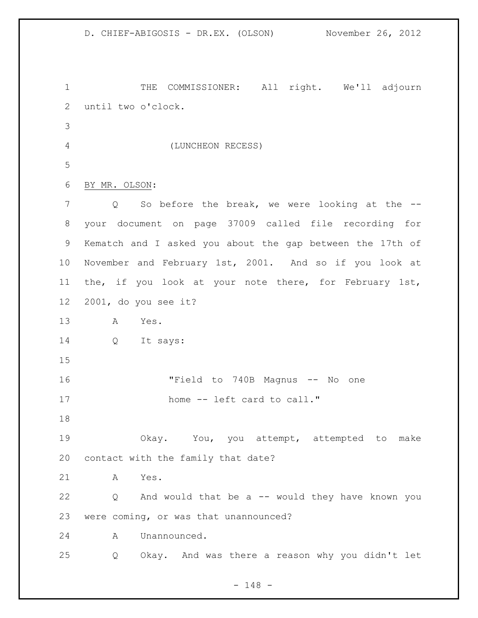1 THE COMMISSIONER: All right. We'll adjourn until two o'clock. (LUNCHEON RECESS) BY MR. OLSON: Q So before the break, we were looking at the -- your document on page 37009 called file recording for Kematch and I asked you about the gap between the 17th of November and February 1st, 2001. And so if you look at the, if you look at your note there, for February 1st, 2001, do you see it? A Yes. Q It says: "Field to 740B Magnus -- No one 17 home -- left card to call." Okay. You, you attempt, attempted to make contact with the family that date? A Yes. Q And would that be a -- would they have known you were coming, or was that unannounced? A Unannounced. Q Okay. And was there a reason why you didn't let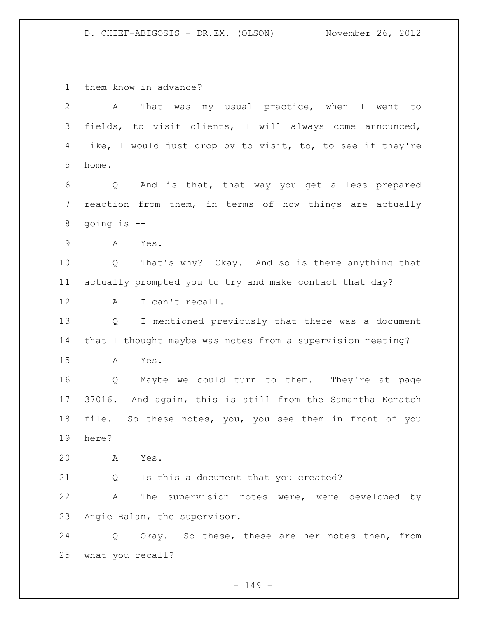them know in advance?

| $\overline{2}$  | That was my usual practice, when I went to<br>A                       |
|-----------------|-----------------------------------------------------------------------|
| 3               | fields, to visit clients, I will always come announced,               |
| 4               | like, I would just drop by to visit, to, to see if they're            |
| 5               | home.                                                                 |
| 6               | Q And is that, that way you get a less prepared                       |
| $7\phantom{.0}$ | reaction from them, in terms of how things are actually               |
| 8               | going is --                                                           |
| $\mathsf 9$     | A<br>Yes.                                                             |
| 10              | That's why? Okay. And so is there anything that<br>Q                  |
| 11              | actually prompted you to try and make contact that day?               |
| 12              | I can't recall.<br>A                                                  |
| 13              | I mentioned previously that there was a document<br>$Q \qquad \qquad$ |
| 14              | that I thought maybe was notes from a supervision meeting?            |
| 15              | Yes.<br>A                                                             |
| 16              | Maybe we could turn to them. They're at page<br>Q                     |
| 17              | 37016. And again, this is still from the Samantha Kematch             |
| 18              | file. So these notes, you, you see them in front of you               |
| 19              | here?                                                                 |
| 20              | Yes.<br>A                                                             |
| 21              | Is this a document that you created?<br>Q                             |
| 22              | The supervision notes were, were developed by<br>A                    |
| 23              | Angie Balan, the supervisor.                                          |
| 24              | Okay. So these, these are her notes then, from<br>Q                   |
| 25              | what you recall?                                                      |

- 149 -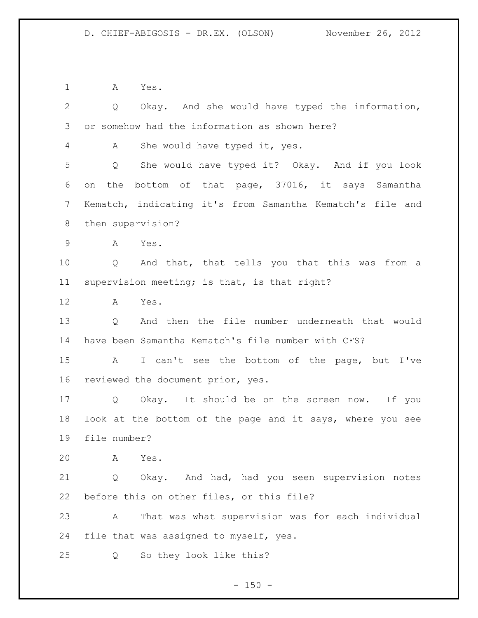A Yes.

| $\overline{2}$ | Okay. And she would have typed the information,<br>$Q \qquad \qquad$ |  |
|----------------|----------------------------------------------------------------------|--|
| 3              | or somehow had the information as shown here?                        |  |
| 4              | She would have typed it, yes.<br>A                                   |  |
| 5              | She would have typed it? Okay. And if you look<br>Q                  |  |
| 6              | bottom of that page, 37016, it says Samantha<br>the<br>on            |  |
| 7              | Kematch, indicating it's from Samantha Kematch's file and            |  |
| 8              | then supervision?                                                    |  |
| $\mathsf 9$    | A<br>Yes.                                                            |  |
| 10             | Q And that, that tells you that this was from a                      |  |
| 11             | supervision meeting; is that, is that right?                         |  |
| 12             | A<br>Yes.                                                            |  |
| 13             | And then the file number underneath that would<br>Q                  |  |
| 14             | have been Samantha Kematch's file number with CFS?                   |  |
| 15             | I can't see the bottom of the page, but I've<br>A                    |  |
| 16             | reviewed the document prior, yes.                                    |  |
| 17             | Q<br>Okay. It should be on the screen now. If you                    |  |
| 18             | look at the bottom of the page and it says, where you see            |  |
| 19             | file number?                                                         |  |
| 20             | Yes.<br>A                                                            |  |
| 21             | Okay. And had, had you seen supervision notes<br>Q                   |  |
| 22             | before this on other files, or this file?                            |  |
| 23             | That was what supervision was for each individual<br>A               |  |
| 24             | file that was assigned to myself, yes.                               |  |
| 25             | So they look like this?<br>Q                                         |  |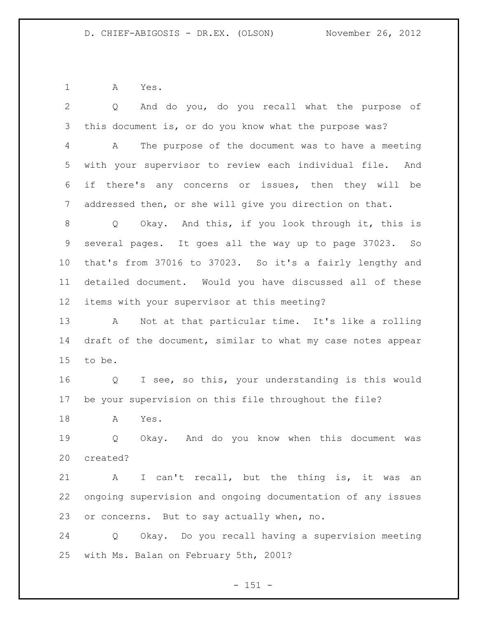A Yes.

 Q And do you, do you recall what the purpose of this document is, or do you know what the purpose was? A The purpose of the document was to have a meeting with your supervisor to review each individual file. And if there's any concerns or issues, then they will be addressed then, or she will give you direction on that. Q Okay. And this, if you look through it, this is several pages. It goes all the way up to page 37023. So that's from 37016 to 37023. So it's a fairly lengthy and detailed document. Would you have discussed all of these items with your supervisor at this meeting? A Not at that particular time. It's like a rolling draft of the document, similar to what my case notes appear to be. Q I see, so this, your understanding is this would be your supervision on this file throughout the file? A Yes. Q Okay. And do you know when this document was created? A I can't recall, but the thing is, it was an ongoing supervision and ongoing documentation of any issues or concerns. But to say actually when, no. Q Okay. Do you recall having a supervision meeting with Ms. Balan on February 5th, 2001?

- 151 -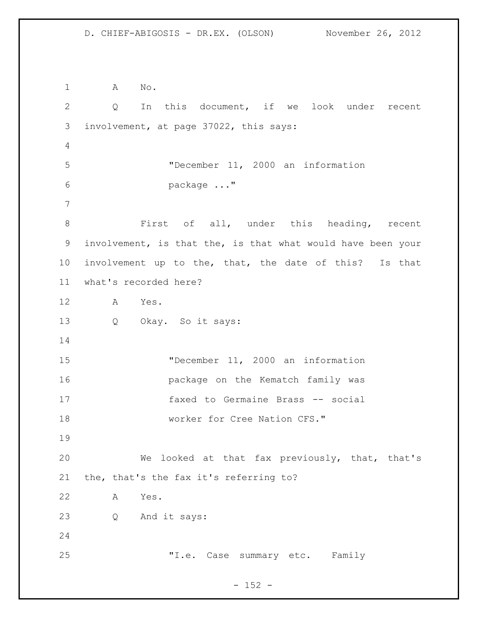A No. Q In this document, if we look under recent involvement, at page 37022, this says: "December 11, 2000 an information package ..." First of all, under this heading, recent involvement, is that the, is that what would have been your involvement up to the, that, the date of this? Is that what's recorded here? A Yes. Q Okay. So it says: "December 11, 2000 an information package on the Kematch family was faxed to Germaine Brass -- social 18 worker for Cree Nation CFS." We looked at that fax previously, that, that's the, that's the fax it's referring to? A Yes. Q And it says: "I.e. Case summary etc. Family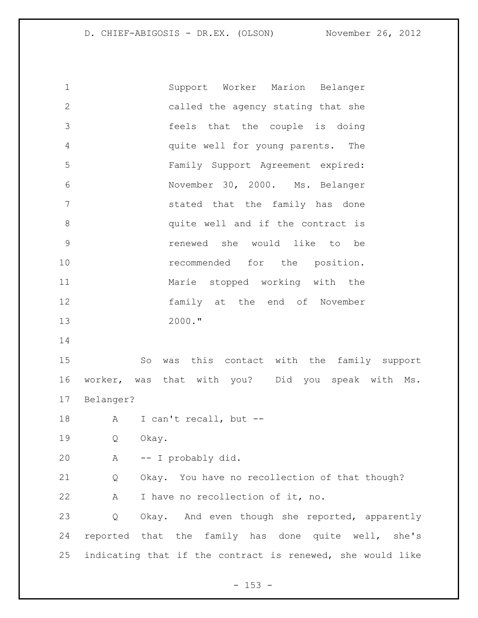Support Worker Marion Belanger called the agency stating that she feels that the couple is doing quite well for young parents. The Family Support Agreement expired: November 30, 2000. Ms. Belanger stated that the family has done 8 and quite well and if the contract is renewed she would like to be **recommended** for the position. Marie stopped working with the family at the end of November 2000." So was this contact with the family support worker, was that with you? Did you speak with Ms. Belanger? A I can't recall, but -- Q Okay. A -- I probably did. Q Okay. You have no recollection of that though? A I have no recollection of it, no. Q Okay. And even though she reported, apparently reported that the family has done quite well, she's indicating that if the contract is renewed, she would like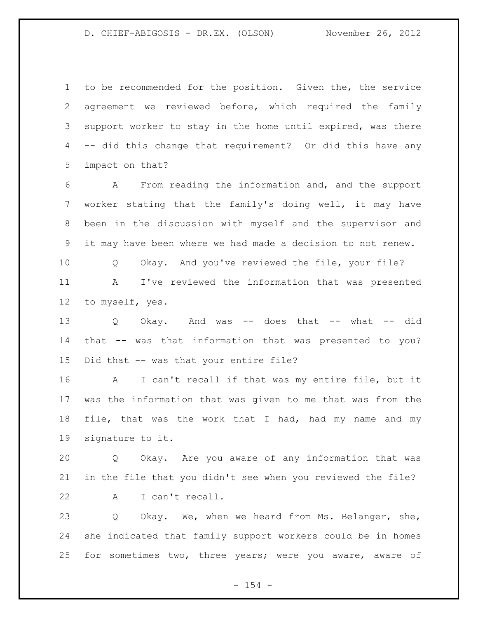to be recommended for the position. Given the, the service agreement we reviewed before, which required the family 3 support worker to stay in the home until expired, was there -- did this change that requirement? Or did this have any impact on that?

 A From reading the information and, and the support worker stating that the family's doing well, it may have been in the discussion with myself and the supervisor and it may have been where we had made a decision to not renew.

 Q Okay. And you've reviewed the file, your file? A I've reviewed the information that was presented to myself, yes.

 Q Okay. And was -- does that -- what -- did that -- was that information that was presented to you? Did that -- was that your entire file?

 A I can't recall if that was my entire file, but it was the information that was given to me that was from the 18 file, that was the work that I had, had my name and my signature to it.

 Q Okay. Are you aware of any information that was in the file that you didn't see when you reviewed the file? A I can't recall.

 Q Okay. We, when we heard from Ms. Belanger, she, she indicated that family support workers could be in homes for sometimes two, three years; were you aware, aware of

 $- 154 -$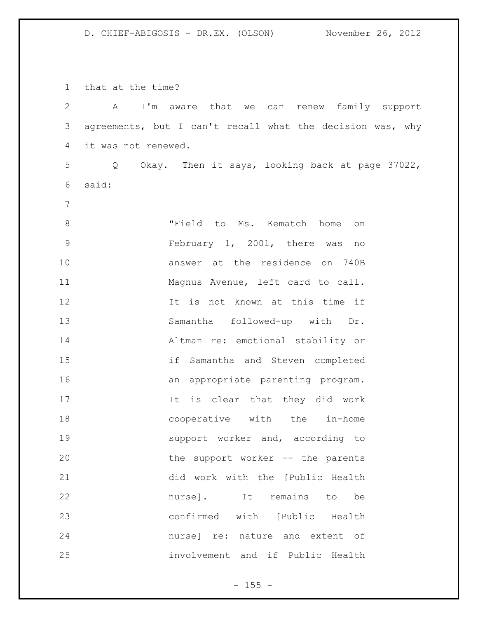that at the time?

| $\mathbf{2}$   | I'm aware that we<br>renew family support<br>A<br>can     |
|----------------|-----------------------------------------------------------|
| 3              | agreements, but I can't recall what the decision was, why |
| 4              | it was not renewed.                                       |
| 5              | Okay. Then it says, looking back at page 37022,<br>Q      |
| 6              | said:                                                     |
| $7\phantom{.}$ |                                                           |
| 8              | "Field to Ms. Kematch home<br>on                          |
| $\mathsf 9$    | February 1, 2001, there was<br>no                         |
| 10             | answer at the residence on 740B                           |
| 11             | Magnus Avenue, left card to call.                         |
| 12             | It is not known at this time if                           |
| 13             | Samantha followed-up with Dr.                             |
| 14             | Altman re: emotional stability or                         |
| 15             | if Samantha and Steven completed                          |
| 16             | appropriate parenting program.<br>an                      |
| 17             | It is clear that they did work                            |
| 18             | cooperative with the in-home                              |
| 19             | support worker and, according to                          |
| 20             | the support worker -- the parents                         |
| 21             | did work with the [Public Health                          |
| 22             | nurse]. It remains to be                                  |
| 23             | confirmed with [Public Health                             |
| 24             | nurse] re: nature and extent of                           |
| 25             | involvement and if Public Health                          |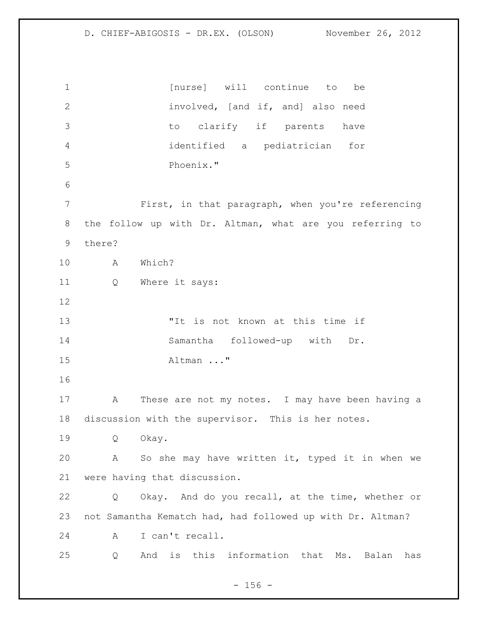**1** [nurse] will continue to be involved, [and if, and] also need to clarify if parents have identified a pediatrician for Phoenix." First, in that paragraph, when you're referencing the follow up with Dr. Altman, what are you referring to there? A Which? Q Where it says: "It is not known at this time if Samantha followed-up with Dr. Altman ..." A These are not my notes. I may have been having a discussion with the supervisor. This is her notes. Q Okay. A So she may have written it, typed it in when we were having that discussion. Q Okay. And do you recall, at the time, whether or not Samantha Kematch had, had followed up with Dr. Altman? A I can't recall. Q And is this information that Ms. Balan has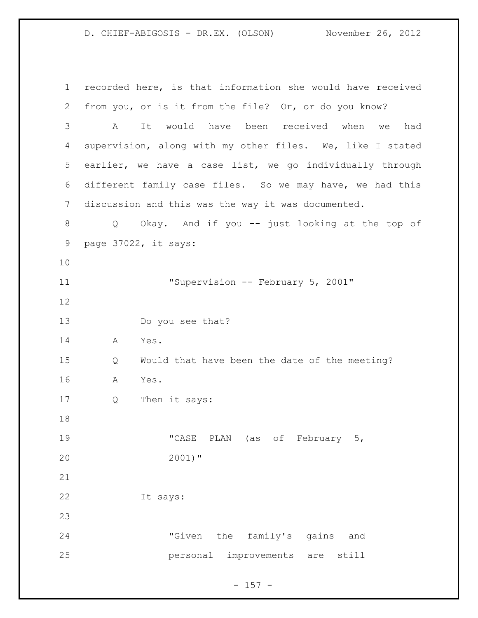recorded here, is that information she would have received from you, or is it from the file? Or, or do you know? A It would have been received when we had supervision, along with my other files. We, like I stated earlier, we have a case list, we go individually through different family case files. So we may have, we had this discussion and this was the way it was documented. Q Okay. And if you -- just looking at the top of page 37022, it says: 11 "Supervision -- February 5, 2001" Do you see that? A Yes. Q Would that have been the date of the meeting? A Yes. Q Then it says: "CASE PLAN (as of February 5, 2001)" It says: "Given the family's gains and personal improvements are still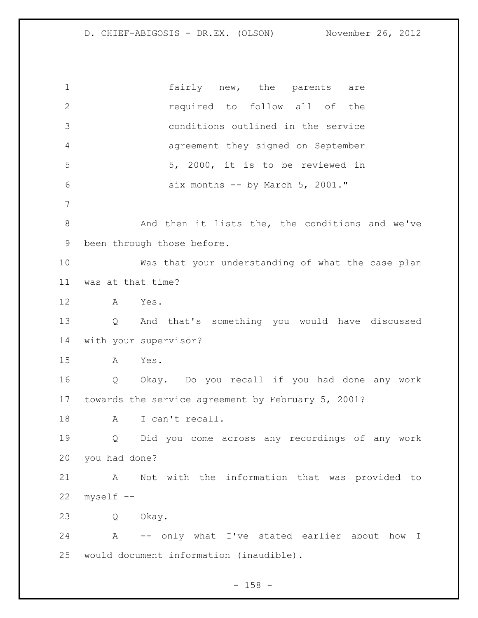1 fairly new, the parents are required to follow all of the conditions outlined in the service agreement they signed on September 5, 2000, it is to be reviewed in six months -- by March 5, 2001." And then it lists the, the conditions and we've been through those before. Was that your understanding of what the case plan was at that time? A Yes. Q And that's something you would have discussed with your supervisor? A Yes. Q Okay. Do you recall if you had done any work towards the service agreement by February 5, 2001? 18 A I can't recall. Q Did you come across any recordings of any work you had done? A Not with the information that was provided to myself -- Q Okay. A -- only what I've stated earlier about how I would document information (inaudible).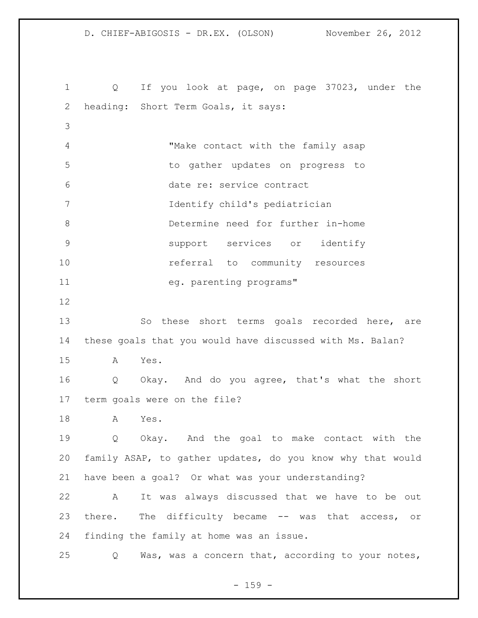D. CHIEF-ABIGOSIS - DR.EX. (OLSON) November 26, 2012 Q If you look at page, on page 37023, under the heading: Short Term Goals, it says: "Make contact with the family asap to gather updates on progress to date re: service contract Identify child's pediatrician Determine need for further in-home support services or identify referral to community resources 11 eg. parenting programs" So these short terms goals recorded here, are these goals that you would have discussed with Ms. Balan? A Yes. Q Okay. And do you agree, that's what the short term goals were on the file? A Yes. Q Okay. And the goal to make contact with the family ASAP, to gather updates, do you know why that would have been a goal? Or what was your understanding?

 A It was always discussed that we have to be out there. The difficulty became -- was that access, or finding the family at home was an issue.

Q Was, was a concern that, according to your notes,

- 159 -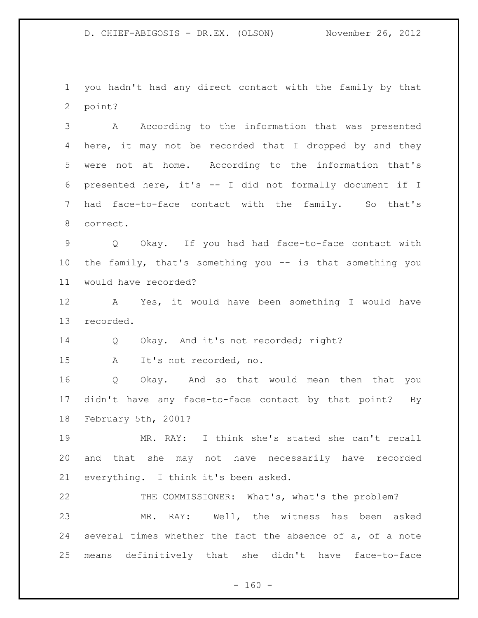you hadn't had any direct contact with the family by that point?

 A According to the information that was presented here, it may not be recorded that I dropped by and they were not at home. According to the information that's presented here, it's -- I did not formally document if I had face-to-face contact with the family. So that's correct.

 Q Okay. If you had had face-to-face contact with the family, that's something you -- is that something you would have recorded?

 A Yes, it would have been something I would have recorded.

Q Okay. And it's not recorded; right?

A It's not recorded, no.

 Q Okay. And so that would mean then that you didn't have any face-to-face contact by that point? By February 5th, 2001?

 MR. RAY: I think she's stated she can't recall and that she may not have necessarily have recorded everything. I think it's been asked.

 THE COMMISSIONER: What's, what's the problem? MR. RAY: Well, the witness has been asked several times whether the fact the absence of a, of a note means definitively that she didn't have face-to-face

 $- 160 -$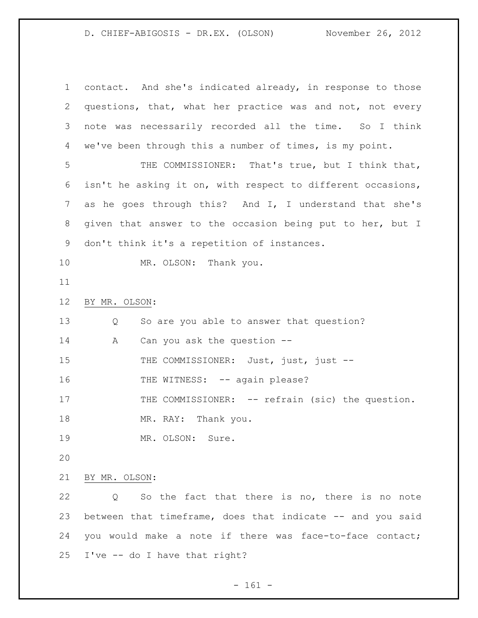contact. And she's indicated already, in response to those questions, that, what her practice was and not, not every note was necessarily recorded all the time. So I think we've been through this a number of times, is my point. THE COMMISSIONER: That's true, but I think that, isn't he asking it on, with respect to different occasions, as he goes through this? And I, I understand that she's given that answer to the occasion being put to her, but I don't think it's a repetition of instances. 10 MR. OLSON: Thank you. BY MR. OLSON: Q So are you able to answer that question? 14 A Can you ask the question --15 THE COMMISSIONER: Just, just, just --16 THE WITNESS: -- again please? 17 THE COMMISSIONER: -- refrain (sic) the question. 18 MR. RAY: Thank you. 19 MR. OLSON: Sure. BY MR. OLSON: Q So the fact that there is no, there is no note 23 between that timeframe, does that indicate -- and you said you would make a note if there was face-to-face contact; I've -- do I have that right?

- 161 -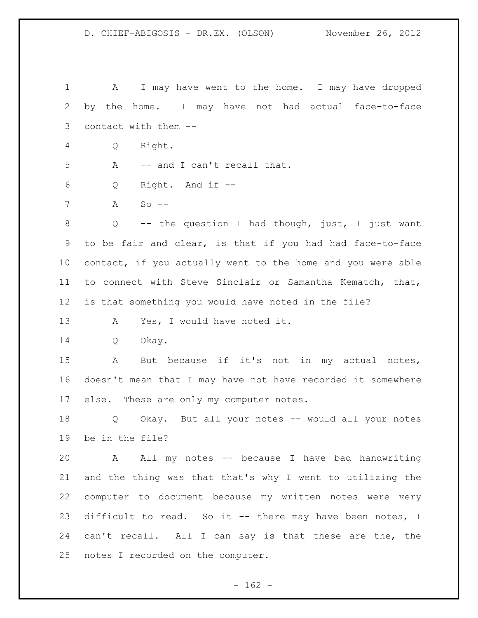A I may have went to the home. I may have dropped by the home. I may have not had actual face-to-face contact with them -- Q Right. A -- and I can't recall that. Q Right. And if -- A So -- Q -- the question I had though, just, I just want to be fair and clear, is that if you had had face-to-face contact, if you actually went to the home and you were able to connect with Steve Sinclair or Samantha Kematch, that, is that something you would have noted in the file? 13 A Yes, I would have noted it. Q Okay. A But because if it's not in my actual notes, doesn't mean that I may have not have recorded it somewhere 17 else. These are only my computer notes. Q Okay. But all your notes -- would all your notes be in the file? A All my notes -- because I have bad handwriting and the thing was that that's why I went to utilizing the computer to document because my written notes were very difficult to read. So it -- there may have been notes, I can't recall. All I can say is that these are the, the notes I recorded on the computer.

 $- 162 -$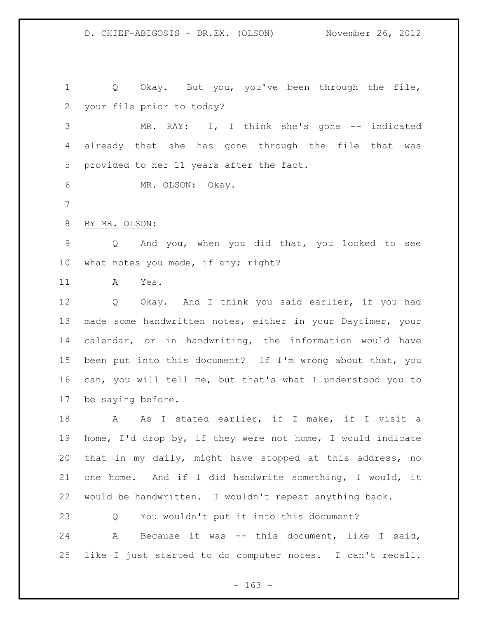Q Okay. But you, you've been through the file, your file prior to today?

 MR. RAY: I, I think she's gone -- indicated already that she has gone through the file that was provided to her 11 years after the fact.

MR. OLSON: Okay.

BY MR. OLSON:

 Q And you, when you did that, you looked to see what notes you made, if any; right?

A Yes.

 Q Okay. And I think you said earlier, if you had made some handwritten notes, either in your Daytimer, your calendar, or in handwriting, the information would have been put into this document? If I'm wrong about that, you can, you will tell me, but that's what I understood you to be saying before.

18 A As I stated earlier, if I make, if I visit a home, I'd drop by, if they were not home, I would indicate that in my daily, might have stopped at this address, no one home. And if I did handwrite something, I would, it would be handwritten. I wouldn't repeat anything back.

Q You wouldn't put it into this document?

 A Because it was -- this document, like I said, like I just started to do computer notes. I can't recall.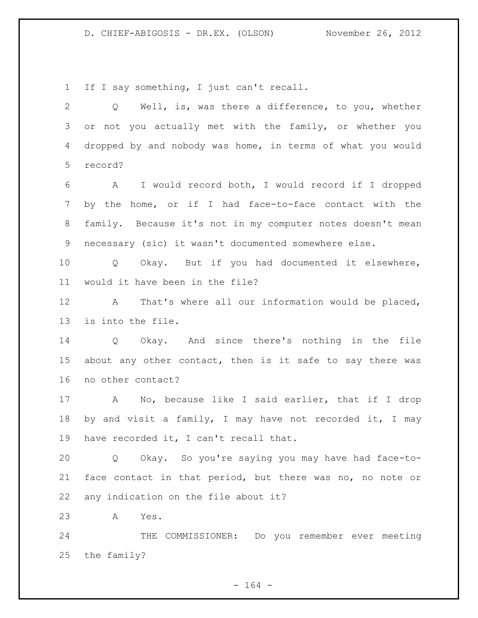If I say something, I just can't recall.

| $\mathbf{2}$   | Q Well, is, was there a difference, to you, whether        |
|----------------|------------------------------------------------------------|
| 3              | or not you actually met with the family, or whether you    |
| 4              | dropped by and nobody was home, in terms of what you would |
| 5              | record?                                                    |
| 6              | A I would record both, I would record if I dropped         |
| $7\phantom{.}$ | by the home, or if I had face-to-face contact with the     |
| 8              | family. Because it's not in my computer notes doesn't mean |
| 9              | necessary (sic) it wasn't documented somewhere else.       |
| 10             | Q Okay. But if you had documented it elsewhere,            |
| 11             | would it have been in the file?                            |
| 12             | A That's where all our information would be placed,        |
| 13             | is into the file.                                          |
| 14             | Q Okay. And since there's nothing in the file              |
| 15             | about any other contact, then is it safe to say there was  |
| 16             | no other contact?                                          |
| 17             | A No, because like I said earlier, that if I drop          |
| 18             | by and visit a family, I may have not recorded it, I may   |
| 19             | have recorded it, I can't recall that.                     |
| 20             | Okay. So you're saying you may have had face-to-<br>Q      |
| 21             | face contact in that period, but there was no, no note or  |
| 22             | any indication on the file about it?                       |
| 23             | Α<br>Yes.                                                  |
| 24             | COMMISSIONER: Do you remember ever meeting<br>THE          |
| 25             | the family?                                                |

- 164 -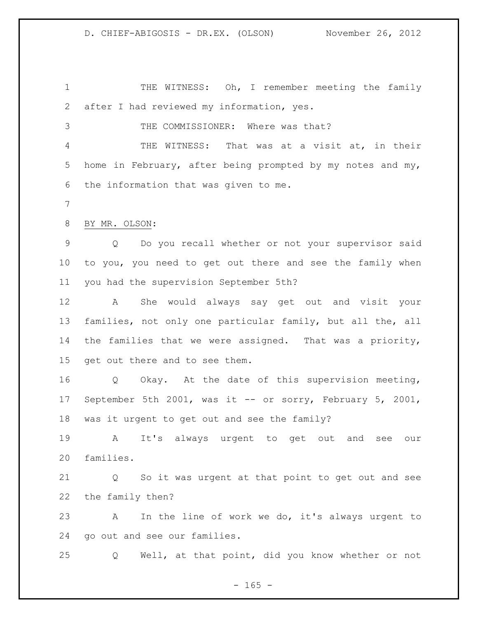1 THE WITNESS: Oh, I remember meeting the family after I had reviewed my information, yes. THE COMMISSIONER: Where was that? THE WITNESS: That was at a visit at, in their home in February, after being prompted by my notes and my, the information that was given to me. BY MR. OLSON: Q Do you recall whether or not your supervisor said to you, you need to get out there and see the family when you had the supervision September 5th? A She would always say get out and visit your families, not only one particular family, but all the, all the families that we were assigned. That was a priority, get out there and to see them. Q Okay. At the date of this supervision meeting, September 5th 2001, was it -- or sorry, February 5, 2001, was it urgent to get out and see the family? A It's always urgent to get out and see our families. Q So it was urgent at that point to get out and see the family then? A In the line of work we do, it's always urgent to go out and see our families. Q Well, at that point, did you know whether or not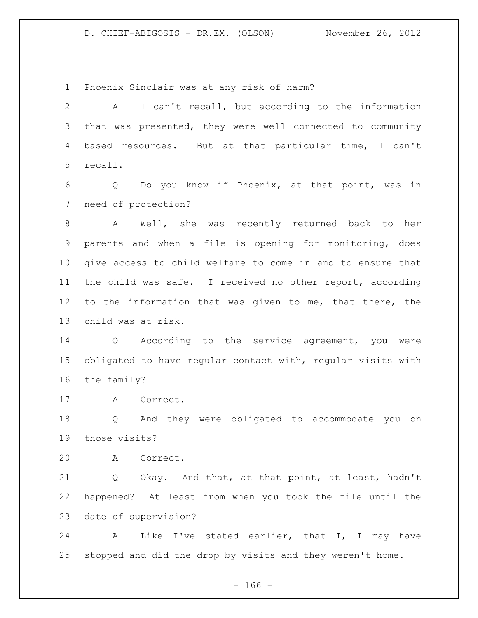Phoenix Sinclair was at any risk of harm?

 A I can't recall, but according to the information that was presented, they were well connected to community based resources. But at that particular time, I can't recall.

 Q Do you know if Phoenix, at that point, was in need of protection?

 A Well, she was recently returned back to her parents and when a file is opening for monitoring, does give access to child welfare to come in and to ensure that the child was safe. I received no other report, according to the information that was given to me, that there, the child was at risk.

 Q According to the service agreement, you were obligated to have regular contact with, regular visits with the family?

A Correct.

 Q And they were obligated to accommodate you on those visits?

A Correct.

 Q Okay. And that, at that point, at least, hadn't happened? At least from when you took the file until the date of supervision?

 A Like I've stated earlier, that I, I may have stopped and did the drop by visits and they weren't home.

 $- 166 -$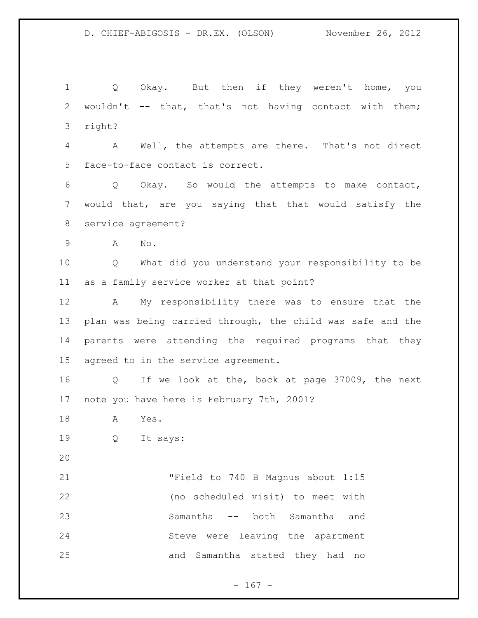1 Q Okay. But then if they weren't home, you wouldn't -- that, that's not having contact with them; right? A Well, the attempts are there. That's not direct face-to-face contact is correct. Q Okay. So would the attempts to make contact,

 would that, are you saying that that would satisfy the service agreement?

A No.

 Q What did you understand your responsibility to be as a family service worker at that point?

 A My responsibility there was to ensure that the plan was being carried through, the child was safe and the parents were attending the required programs that they agreed to in the service agreement.

 Q If we look at the, back at page 37009, the next note you have here is February 7th, 2001?

- A Yes.
- Q It says:
- 

 "Field to 740 B Magnus about 1:15 (no scheduled visit) to meet with Samantha -- both Samantha and Steve were leaving the apartment and Samantha stated they had no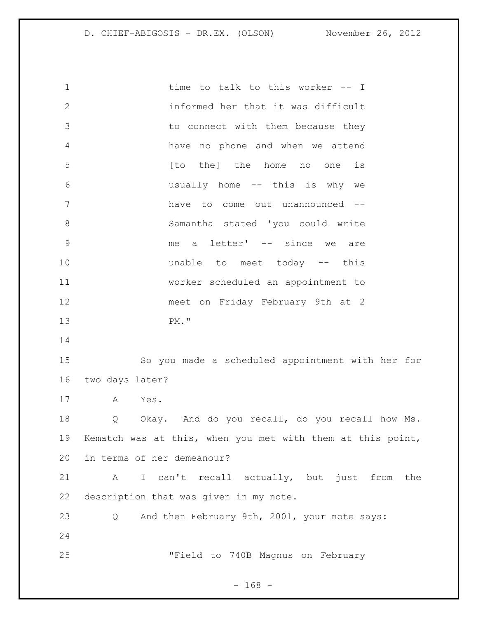1 time to talk to this worker -- I informed her that it was difficult to connect with them because they have no phone and when we attend **b** [to the] the home no one is usually home -- this is why we have to come out unannounced -- Samantha stated 'you could write me a letter' -- since we are **unable** to meet today -- this worker scheduled an appointment to meet on Friday February 9th at 2 PM." So you made a scheduled appointment with her for two days later? A Yes. Q Okay. And do you recall, do you recall how Ms. Kematch was at this, when you met with them at this point, in terms of her demeanour? A I can't recall actually, but just from the description that was given in my note. Q And then February 9th, 2001, your note says: "Field to 740B Magnus on February

- 168 -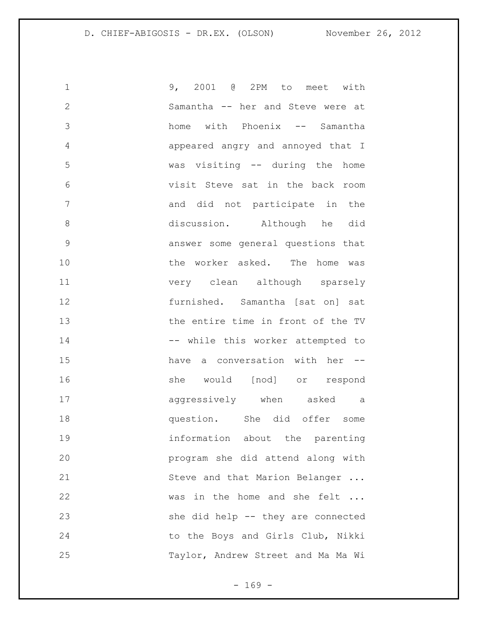| 1            | 9, 2001 @ 2PM to meet with         |
|--------------|------------------------------------|
| $\mathbf{2}$ | Samantha -- her and Steve were at  |
| 3            | home with Phoenix -- Samantha      |
| 4            | appeared angry and annoyed that I  |
| 5            | was visiting -- during the home    |
| 6            | visit Steve sat in the back room   |
| 7            | and did not participate in the     |
| 8            | discussion. Although he did        |
| 9            | answer some general questions that |
| 10           | the worker asked. The home was     |
| 11           | very clean although sparsely       |
| 12           | furnished. Samantha [sat on] sat   |
| 13           | the entire time in front of the TV |
| 14           | -- while this worker attempted to  |
| 15           | have a conversation with her --    |
| 16           | she would [nod] or respond         |
| 17           | aggressively when asked a          |
| 18           | question. She did offer some       |
| 19           | information about the parenting    |
| 20           | program she did attend along with  |
| 21           | Steve and that Marion Belanger     |
| 22           | was in the home and she felt       |
| 23           | she did help -- they are connected |
| 24           | to the Boys and Girls Club, Nikki  |
| 25           | Taylor, Andrew Street and Ma Ma Wi |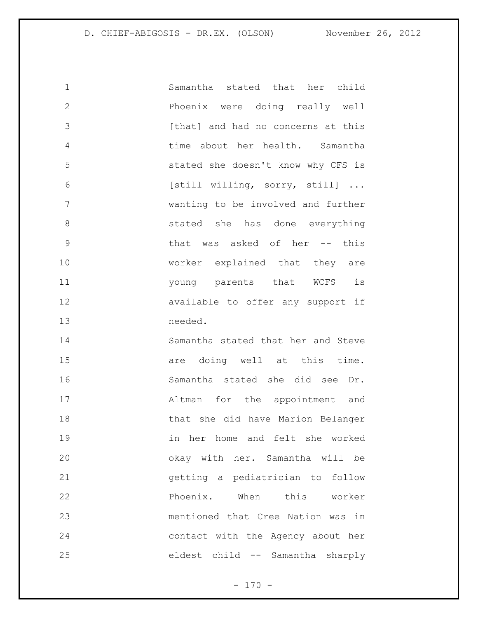| $\mathbf 1$  | Samantha stated that her child     |
|--------------|------------------------------------|
| $\mathbf{2}$ | Phoenix were doing really well     |
| 3            | [that] and had no concerns at this |
| 4            | time about her health. Samantha    |
| 5            | stated she doesn't know why CFS is |
| 6            | [still willing, sorry, still]      |
| 7            | wanting to be involved and further |
| 8            | stated she has done everything     |
| 9            | that was asked of her -- this      |
| 10           | worker explained that they are     |
| 11           | young parents that WCFS is         |
| 12           | available to offer any support if  |
| 13           | needed.                            |
| 14           | Samantha stated that her and Steve |
| 15           | are doing well at this time.       |
| 16           | Samantha stated she did see Dr.    |
| 17           | Altman for the appointment and     |
| 18           | that she did have Marion Belanger  |
| 19           | in her home and felt she worked    |
| 20           | okay with her. Samantha will be    |
| 21           | getting a pediatrician to follow   |
| 22           | Phoenix. When this worker          |
| 23           | mentioned that Cree Nation was in  |
| 24           | contact with the Agency about her  |
| 25           | eldest child -- Samantha sharply   |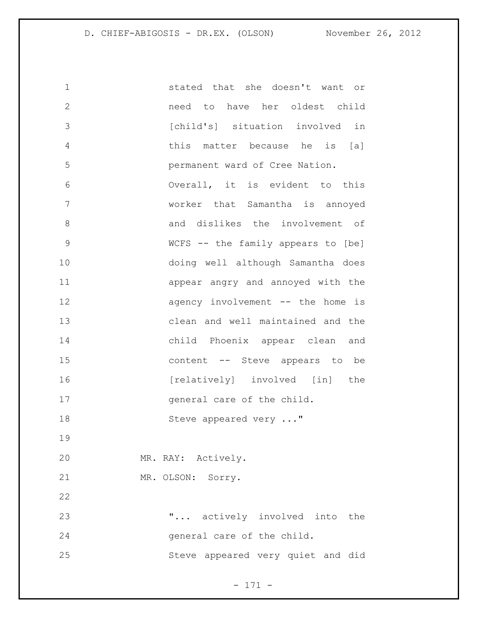stated that she doesn't want or need to have her oldest child [child's] situation involved in this matter because he is [a] permanent ward of Cree Nation. Overall, it is evident to this worker that Samantha is annoyed 8 and dislikes the involvement of WCFS -- the family appears to [be] doing well although Samantha does appear angry and annoyed with the 12 agency involvement -- the home is clean and well maintained and the child Phoenix appear clean and content -- Steve appears to be 16 [relatively] involved [in] the 17 general care of the child. 18 Steve appeared very ..." MR. RAY: Actively. MR. OLSON: Sorry. "... actively involved into the general care of the child. Steve appeared very quiet and did

- 171 -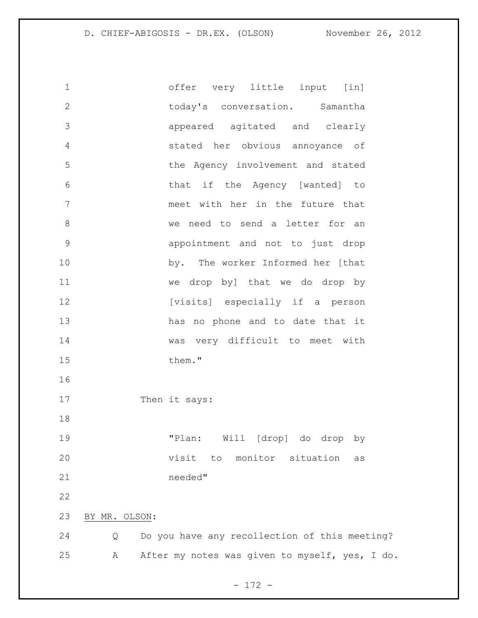offer very little input [in] today's conversation. Samantha appeared agitated and clearly stated her obvious annoyance of the Agency involvement and stated that if the Agency [wanted] to meet with her in the future that we need to send a letter for an appointment and not to just drop by. The worker Informed her [that we drop by] that we do drop by **[visits]** especially if a person has no phone and to date that it was very difficult to meet with 15 them." 17 Then it says: "Plan: Will [drop] do drop by visit to monitor situation as needed" BY MR. OLSON: Q Do you have any recollection of this meeting? A After my notes was given to myself, yes, I do.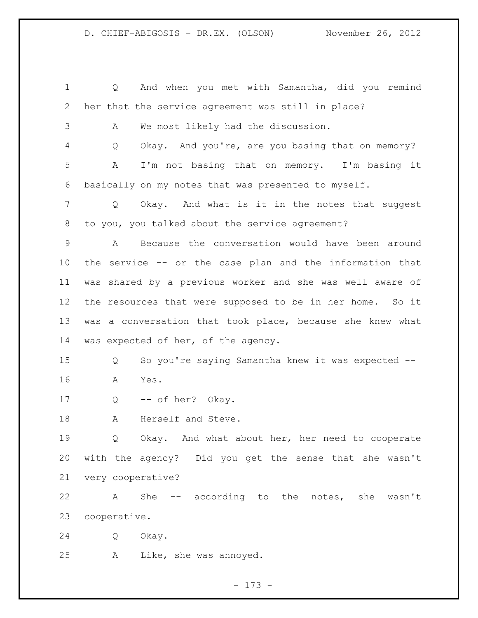Q And when you met with Samantha, did you remind her that the service agreement was still in place? A We most likely had the discussion. Q Okay. And you're, are you basing that on memory? A I'm not basing that on memory. I'm basing it basically on my notes that was presented to myself. Q Okay. And what is it in the notes that suggest to you, you talked about the service agreement? A Because the conversation would have been around the service -- or the case plan and the information that was shared by a previous worker and she was well aware of the resources that were supposed to be in her home. So it was a conversation that took place, because she knew what was expected of her, of the agency. Q So you're saying Samantha knew it was expected -- A Yes. 17 Q -- of her? Okay. A Herself and Steve. Q Okay. And what about her, her need to cooperate with the agency? Did you get the sense that she wasn't very cooperative? A She -- according to the notes, she wasn't cooperative. Q Okay. A Like, she was annoyed.

- 173 -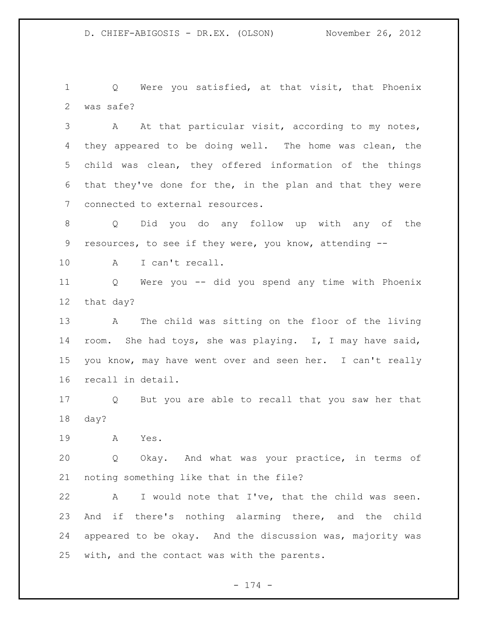Q Were you satisfied, at that visit, that Phoenix was safe?

 A At that particular visit, according to my notes, they appeared to be doing well. The home was clean, the child was clean, they offered information of the things that they've done for the, in the plan and that they were connected to external resources.

 Q Did you do any follow up with any of the resources, to see if they were, you know, attending --

A I can't recall.

 Q Were you -- did you spend any time with Phoenix that day?

 A The child was sitting on the floor of the living room. She had toys, she was playing. I, I may have said, you know, may have went over and seen her. I can't really recall in detail.

 Q But you are able to recall that you saw her that day?

A Yes.

 Q Okay. And what was your practice, in terms of noting something like that in the file?

 A I would note that I've, that the child was seen. And if there's nothing alarming there, and the child appeared to be okay. And the discussion was, majority was with, and the contact was with the parents.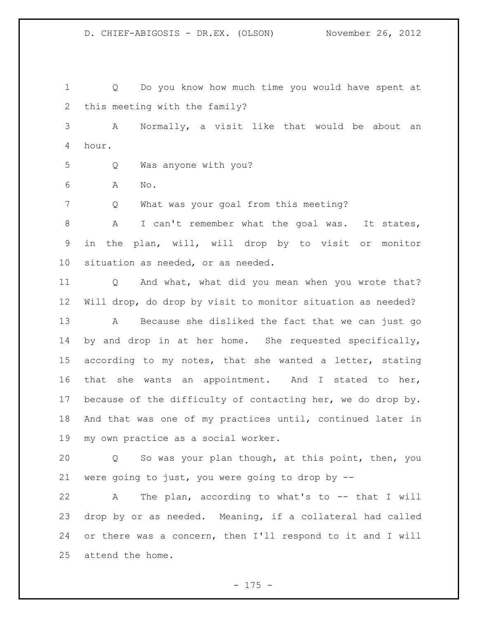Q Do you know how much time you would have spent at this meeting with the family?

 A Normally, a visit like that would be about an hour.

- Q Was anyone with you?
- A No.

Q What was your goal from this meeting?

8 A I can't remember what the goal was. It states, in the plan, will, will drop by to visit or monitor situation as needed, or as needed.

 Q And what, what did you mean when you wrote that? Will drop, do drop by visit to monitor situation as needed? A Because she disliked the fact that we can just go by and drop in at her home. She requested specifically, according to my notes, that she wanted a letter, stating that she wants an appointment. And I stated to her, because of the difficulty of contacting her, we do drop by. And that was one of my practices until, continued later in my own practice as a social worker.

 Q So was your plan though, at this point, then, you were going to just, you were going to drop by --

 A The plan, according to what's to -- that I will drop by or as needed. Meaning, if a collateral had called or there was a concern, then I'll respond to it and I will attend the home.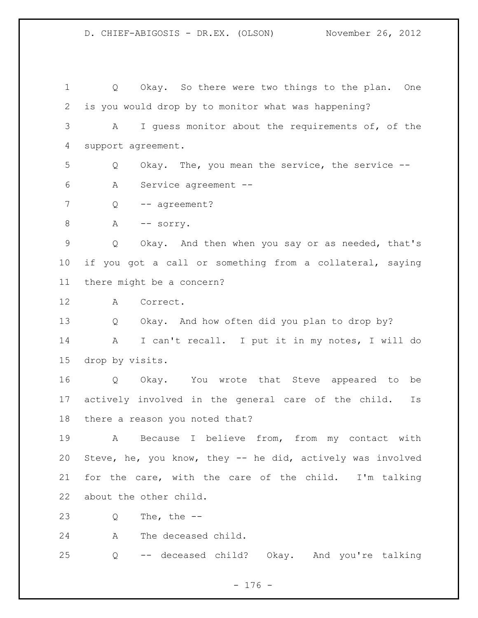Q Okay. So there were two things to the plan. One is you would drop by to monitor what was happening? A I guess monitor about the requirements of, of the support agreement. Q Okay. The, you mean the service, the service -- A Service agreement -- 7 Q -- agreement? 8 A -- sorry. Q Okay. And then when you say or as needed, that's if you got a call or something from a collateral, saying there might be a concern? A Correct. Q Okay. And how often did you plan to drop by? A I can't recall. I put it in my notes, I will do drop by visits. Q Okay. You wrote that Steve appeared to be actively involved in the general care of the child. Is there a reason you noted that? A Because I believe from, from my contact with Steve, he, you know, they -- he did, actively was involved for the care, with the care of the child. I'm talking about the other child. Q The, the -- A The deceased child.

Q -- deceased child? Okay. And you're talking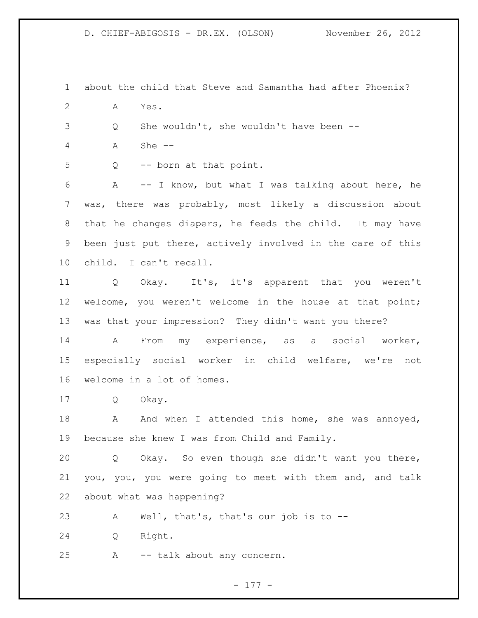about the child that Steve and Samantha had after Phoenix? A Yes. Q She wouldn't, she wouldn't have been -- A She -- Q -- born at that point. A -- I know, but what I was talking about here, he was, there was probably, most likely a discussion about that he changes diapers, he feeds the child. It may have been just put there, actively involved in the care of this child. I can't recall. Q Okay. It's, it's apparent that you weren't welcome, you weren't welcome in the house at that point; was that your impression? They didn't want you there? A From my experience, as a social worker, especially social worker in child welfare, we're not welcome in a lot of homes. Q Okay. 18 A And when I attended this home, she was annoyed, because she knew I was from Child and Family. Q Okay. So even though she didn't want you there, you, you, you were going to meet with them and, and talk about what was happening? A Well, that's, that's our job is to -- Q Right. A -- talk about any concern.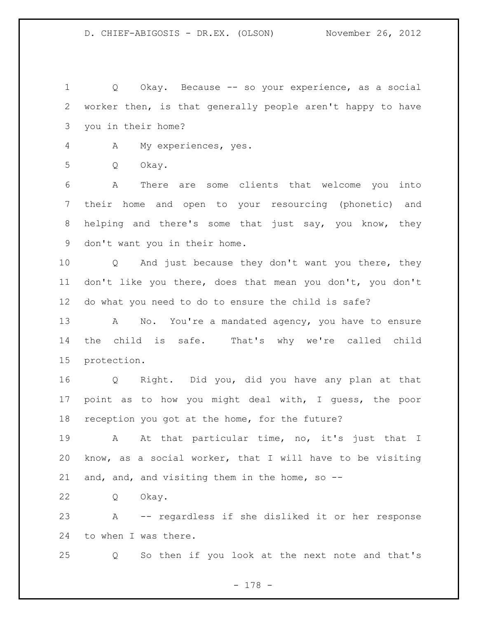Q Okay. Because -- so your experience, as a social worker then, is that generally people aren't happy to have you in their home?

A My experiences, yes.

Q Okay.

 A There are some clients that welcome you into their home and open to your resourcing (phonetic) and helping and there's some that just say, you know, they don't want you in their home.

 Q And just because they don't want you there, they don't like you there, does that mean you don't, you don't do what you need to do to ensure the child is safe?

13 A No. You're a mandated agency, you have to ensure the child is safe. That's why we're called child protection.

 Q Right. Did you, did you have any plan at that point as to how you might deal with, I guess, the poor reception you got at the home, for the future?

19 A At that particular time, no, it's just that I know, as a social worker, that I will have to be visiting and, and, and visiting them in the home, so --

Q Okay.

 A -- regardless if she disliked it or her response to when I was there.

Q So then if you look at the next note and that's

- 178 -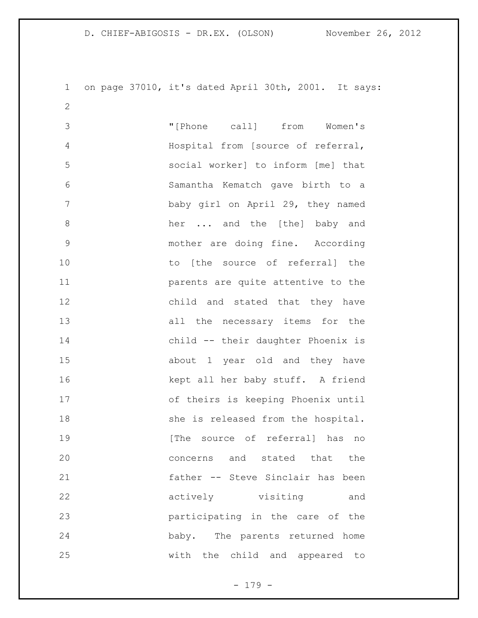on page 37010, it's dated April 30th, 2001. It says: 

 "[Phone call] from Women's Hospital from [source of referral, social worker] to inform [me] that Samantha Kematch gave birth to a baby girl on April 29, they named 8 her ... and the [the] baby and mother are doing fine. According 10 to [the source of referral] the parents are quite attentive to the child and stated that they have all the necessary items for the child -- their daughter Phoenix is about 1 year old and they have kept all her baby stuff. A friend of theirs is keeping Phoenix until 18 she is released from the hospital. 19 The source of referral has no concerns and stated that the father -- Steve Sinclair has been actively visiting and participating in the care of the baby. The parents returned home with the child and appeared to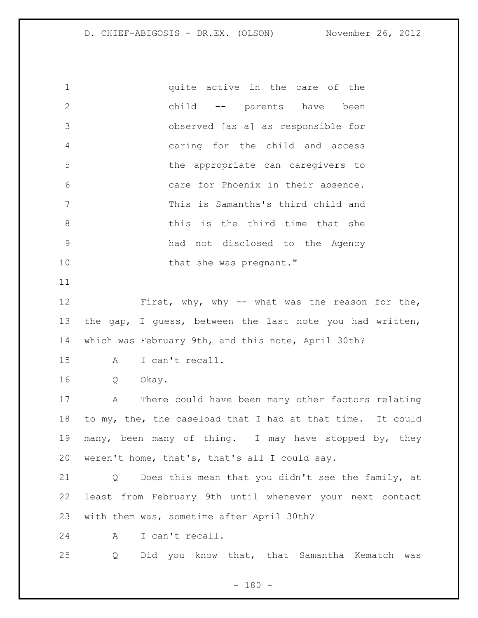1 quite active in the care of the child -- parents have been observed [as a] as responsible for caring for the child and access the appropriate can caregivers to care for Phoenix in their absence. This is Samantha's third child and 8 bhis is the third time that she had not disclosed to the Agency 10 that she was pregnant." First, why, why -- what was the reason for the, the gap, I guess, between the last note you had written, which was February 9th, and this note, April 30th? A I can't recall. Q Okay. A There could have been many other factors relating to my, the, the caseload that I had at that time. It could many, been many of thing. I may have stopped by, they weren't home, that's, that's all I could say. Q Does this mean that you didn't see the family, at least from February 9th until whenever your next contact with them was, sometime after April 30th? A I can't recall. Q Did you know that, that Samantha Kematch was

 $- 180 -$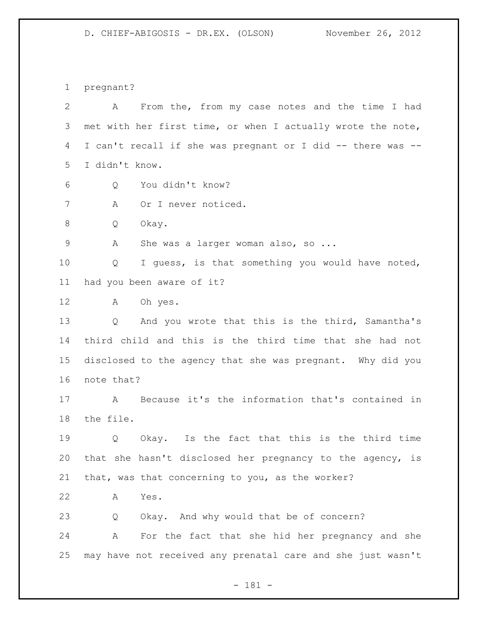pregnant?

 A From the, from my case notes and the time I had met with her first time, or when I actually wrote the note, I can't recall if she was pregnant or I did -- there was -- I didn't know. Q You didn't know? A Or I never noticed. Q Okay. A She was a larger woman also, so ... Q I guess, is that something you would have noted, had you been aware of it? A Oh yes. Q And you wrote that this is the third, Samantha's third child and this is the third time that she had not disclosed to the agency that she was pregnant. Why did you note that? A Because it's the information that's contained in the file. Q Okay. Is the fact that this is the third time that she hasn't disclosed her pregnancy to the agency, is that, was that concerning to you, as the worker? A Yes. Q Okay. And why would that be of concern? A For the fact that she hid her pregnancy and she may have not received any prenatal care and she just wasn't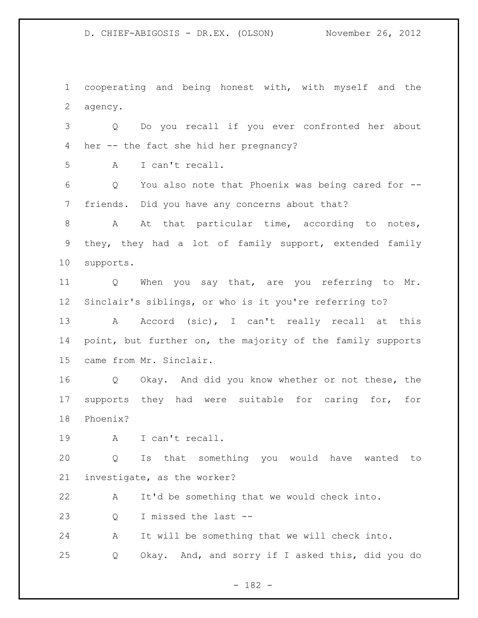cooperating and being honest with, with myself and the agency.

 Q Do you recall if you ever confronted her about her -- the fact she hid her pregnancy?

A I can't recall.

 Q You also note that Phoenix was being cared for -- friends. Did you have any concerns about that?

8 A At that particular time, according to notes, they, they had a lot of family support, extended family supports.

11 Q When you say that, are you referring to Mr. Sinclair's siblings, or who is it you're referring to?

13 A Accord (sic), I can't really recall at this 14 point, but further on, the majority of the family supports came from Mr. Sinclair.

 Q Okay. And did you know whether or not these, the supports they had were suitable for caring for, for Phoenix?

A I can't recall.

 Q Is that something you would have wanted to investigate, as the worker?

A It'd be something that we would check into.

Q I missed the last --

A It will be something that we will check into.

Q Okay. And, and sorry if I asked this, did you do

- 182 -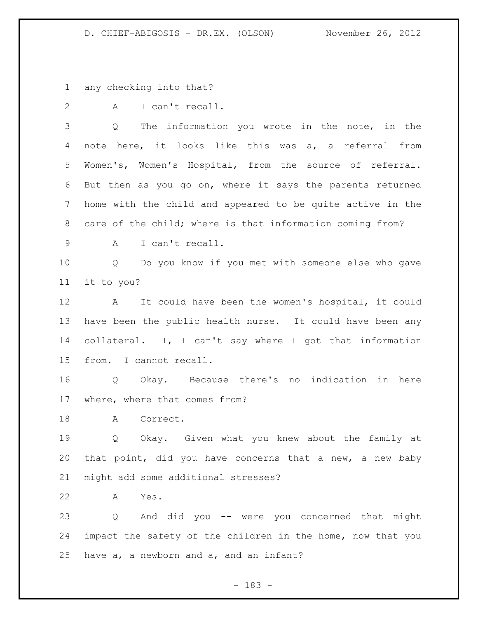any checking into that?

2 A I can't recall.

 Q The information you wrote in the note, in the note here, it looks like this was a, a referral from Women's, Women's Hospital, from the source of referral. But then as you go on, where it says the parents returned home with the child and appeared to be quite active in the care of the child; where is that information coming from?

A I can't recall.

 Q Do you know if you met with someone else who gave it to you?

 A It could have been the women's hospital, it could have been the public health nurse. It could have been any collateral. I, I can't say where I got that information from. I cannot recall.

 Q Okay. Because there's no indication in here where, where that comes from?

18 A Correct.

 Q Okay. Given what you knew about the family at that point, did you have concerns that a new, a new baby might add some additional stresses?

A Yes.

 Q And did you -- were you concerned that might impact the safety of the children in the home, now that you have a, a newborn and a, and an infant?

- 183 -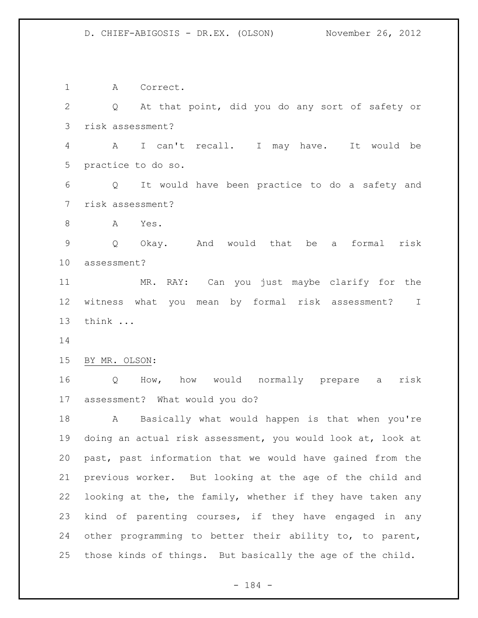A Correct. Q At that point, did you do any sort of safety or risk assessment? A I can't recall. I may have. It would be practice to do so. Q It would have been practice to do a safety and risk assessment? A Yes. Q Okay. And would that be a formal risk assessment? MR. RAY: Can you just maybe clarify for the witness what you mean by formal risk assessment? I think ... BY MR. OLSON: Q How, how would normally prepare a risk assessment? What would you do? A Basically what would happen is that when you're doing an actual risk assessment, you would look at, look at past, past information that we would have gained from the previous worker. But looking at the age of the child and looking at the, the family, whether if they have taken any kind of parenting courses, if they have engaged in any other programming to better their ability to, to parent, those kinds of things. But basically the age of the child.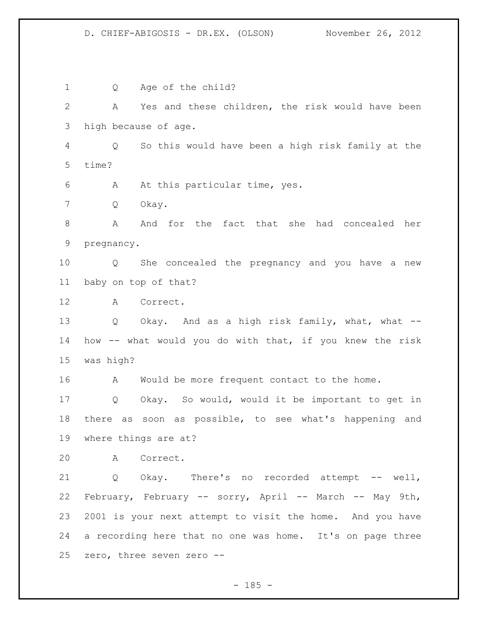Q Age of the child? A Yes and these children, the risk would have been high because of age. Q So this would have been a high risk family at the time? A At this particular time, yes. Q Okay. A And for the fact that she had concealed her pregnancy. Q She concealed the pregnancy and you have a new baby on top of that? A Correct. 13 Q Okay. And as a high risk family, what, what -- how -- what would you do with that, if you knew the risk was high? 16 A Would be more frequent contact to the home. Q Okay. So would, would it be important to get in there as soon as possible, to see what's happening and where things are at? A Correct. Q Okay. There's no recorded attempt -- well, February, February -- sorry, April -- March -- May 9th, 2001 is your next attempt to visit the home. And you have a recording here that no one was home. It's on page three zero, three seven zero --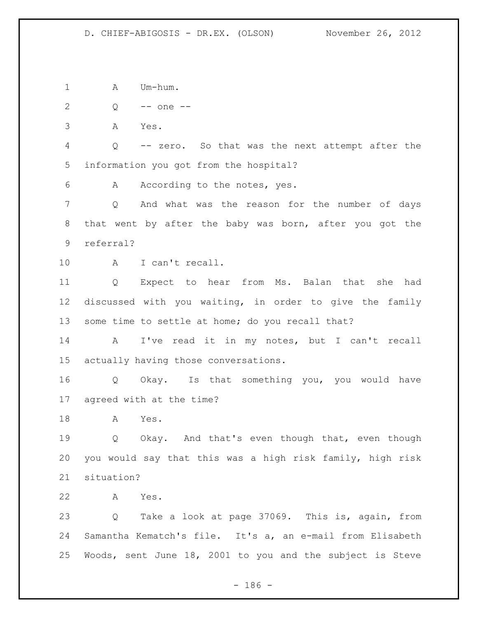1 A Um-hum.

Q -- one --

A Yes.

 Q -- zero. So that was the next attempt after the information you got from the hospital?

6 A According to the notes, yes.

 Q And what was the reason for the number of days that went by after the baby was born, after you got the referral?

A I can't recall.

 Q Expect to hear from Ms. Balan that she had discussed with you waiting, in order to give the family some time to settle at home; do you recall that?

 A I've read it in my notes, but I can't recall actually having those conversations.

 Q Okay. Is that something you, you would have agreed with at the time?

A Yes.

 Q Okay. And that's even though that, even though you would say that this was a high risk family, high risk situation?

A Yes.

 Q Take a look at page 37069. This is, again, from Samantha Kematch's file. It's a, an e-mail from Elisabeth Woods, sent June 18, 2001 to you and the subject is Steve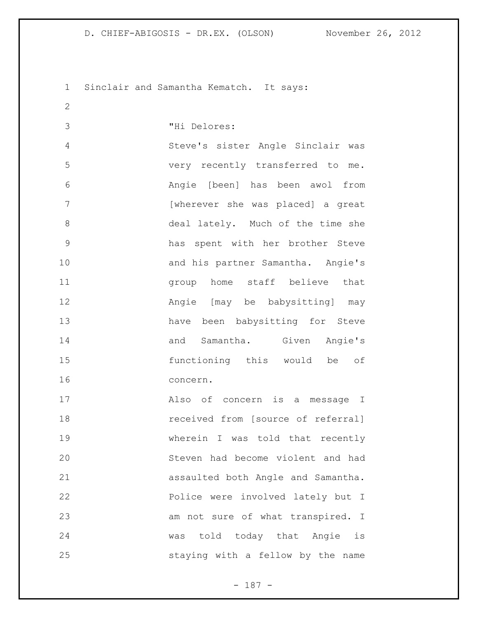Sinclair and Samantha Kematch. It says:

"Hi Delores:

 Steve's sister Angle Sinclair was very recently transferred to me. Angie [been] has been awol from [wherever she was placed] a great deal lately. Much of the time she has spent with her brother Steve 10 and his partner Samantha. Angie's group home staff believe that Angie [may be babysitting] may have been babysitting for Steve 14 and Samantha. Given Angie's functioning this would be of concern.

 Also of concern is a message I **18** received from [source of referral] wherein I was told that recently Steven had become violent and had assaulted both Angle and Samantha. Police were involved lately but I 23 am not sure of what transpired. I was told today that Angie is staying with a fellow by the name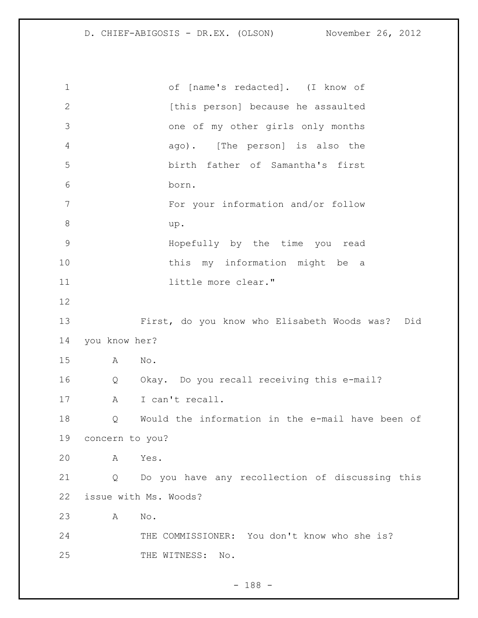| $\mathbf 1$   |                       | of [name's redacted]. (I know of                 |  |
|---------------|-----------------------|--------------------------------------------------|--|
| $\mathbf{2}$  |                       | [this person] because he assaulted               |  |
| 3             |                       | one of my other girls only months                |  |
| 4             |                       | ago). [The person] is also the                   |  |
| 5             |                       | birth father of Samantha's first                 |  |
| 6             |                       | born.                                            |  |
| 7             |                       | For your information and/or follow               |  |
| 8             |                       | up.                                              |  |
| $\mathcal{G}$ |                       | Hopefully by the time you read                   |  |
| 10            |                       | this my information might be a                   |  |
| 11            |                       | little more clear."                              |  |
| 12            |                       |                                                  |  |
| 13            |                       | First, do you know who Elisabeth Woods was? Did  |  |
| 14            | you know her?         |                                                  |  |
| 15            | A                     | No.                                              |  |
| 16            | Q                     | Okay. Do you recall receiving this e-mail?       |  |
| 17            | Α                     | I can't recall.                                  |  |
| 18            | Q                     | Would the information in the e-mail have been of |  |
| 19            | concern to you?       |                                                  |  |
| 20            | A                     | Yes.                                             |  |
| 21            | Q                     | Do you have any recollection of discussing this  |  |
| 22            | issue with Ms. Woods? |                                                  |  |
| 23            | Α                     | No.                                              |  |
| 24            |                       | THE COMMISSIONER: You don't know who she is?     |  |
| 25            |                       | THE WITNESS:<br>$\mathbb{N} \circ$ .             |  |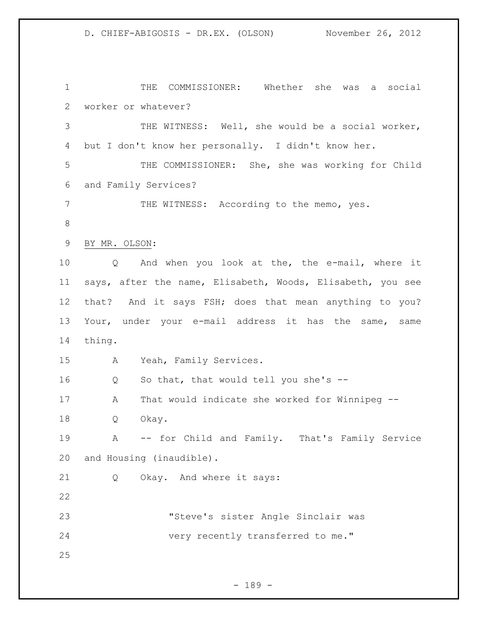THE COMMISSIONER: Whether she was a social worker or whatever? THE WITNESS: Well, she would be a social worker, but I don't know her personally. I didn't know her. THE COMMISSIONER: She, she was working for Child and Family Services? 7 THE WITNESS: According to the memo, yes. BY MR. OLSON: Q And when you look at the, the e-mail, where it says, after the name, Elisabeth, Woods, Elisabeth, you see that? And it says FSH; does that mean anything to you? Your, under your e-mail address it has the same, same thing. A Yeah, Family Services. Q So that, that would tell you she's -- A That would indicate she worked for Winnipeg -- Q Okay. A -- for Child and Family. That's Family Service and Housing (inaudible). Q Okay. And where it says: "Steve's sister Angle Sinclair was very recently transferred to me."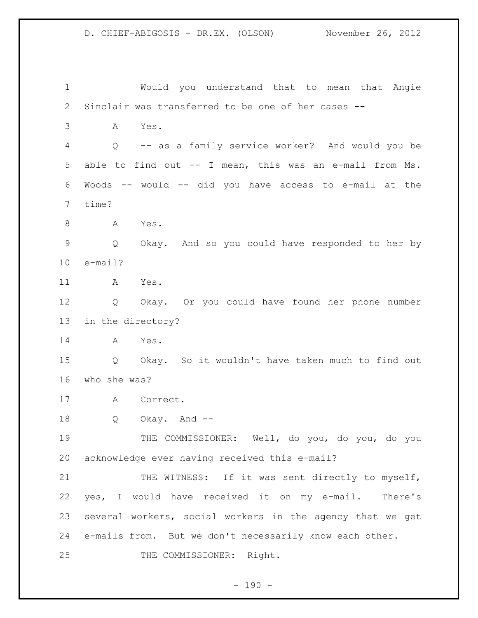Would you understand that to mean that Angie Sinclair was transferred to be one of her cases -- A Yes. Q -- as a family service worker? And would you be able to find out -- I mean, this was an e-mail from Ms. Woods -- would -- did you have access to e-mail at the time? 8 A Yes. Q Okay. And so you could have responded to her by e-mail? A Yes. Q Okay. Or you could have found her phone number in the directory? A Yes. Q Okay. So it wouldn't have taken much to find out who she was? A Correct. Q Okay. And -- THE COMMISSIONER: Well, do you, do you, do you acknowledge ever having received this e-mail? 21 THE WITNESS: If it was sent directly to myself, yes, I would have received it on my e-mail. There's several workers, social workers in the agency that we get e-mails from. But we don't necessarily know each other. 25 THE COMMISSIONER: Right.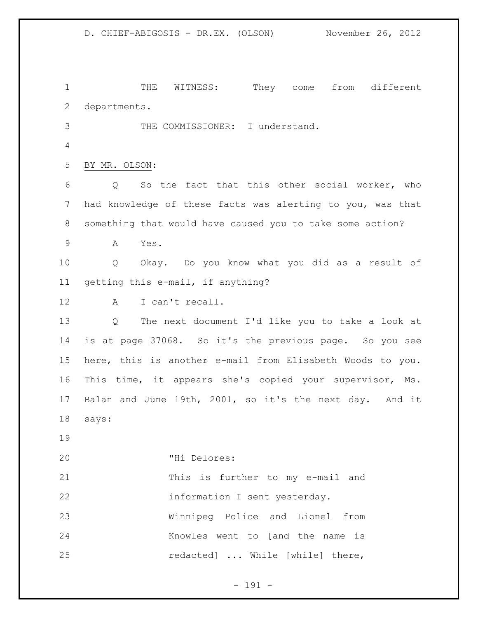THE WITNESS: They come from different departments. THE COMMISSIONER: I understand. BY MR. OLSON: Q So the fact that this other social worker, who had knowledge of these facts was alerting to you, was that something that would have caused you to take some action? A Yes. Q Okay. Do you know what you did as a result of getting this e-mail, if anything? A I can't recall. Q The next document I'd like you to take a look at is at page 37068. So it's the previous page. So you see here, this is another e-mail from Elisabeth Woods to you. This time, it appears she's copied your supervisor, Ms. Balan and June 19th, 2001, so it's the next day. And it says: "Hi Delores: This is further to my e-mail and information I sent yesterday. Winnipeg Police and Lionel from Knowles went to [and the name is 25 redacted] ... While [while] there,

- 191 -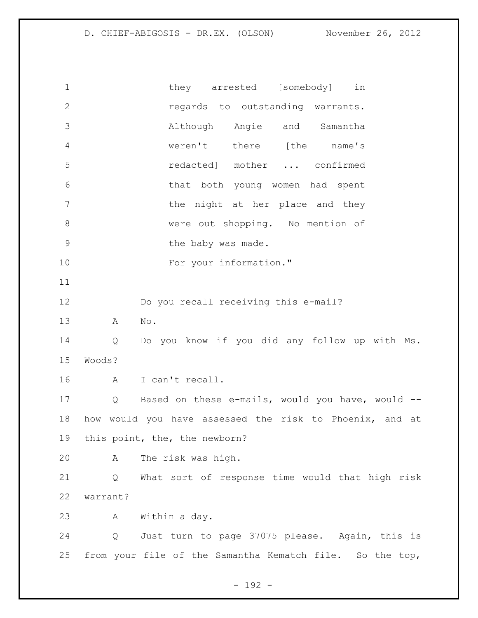1 they arrested [somebody] in regards to outstanding warrants. Although Angie and Samantha weren't there [the name's redacted] mother ... confirmed that both young women had spent **blue 1** the night at her place and they 8 were out shopping. No mention of 9 baby was made. 10 For your information." Do you recall receiving this e-mail? A No. Q Do you know if you did any follow up with Ms. Woods? A I can't recall. Q Based on these e-mails, would you have, would -- how would you have assessed the risk to Phoenix, and at this point, the, the newborn? A The risk was high. Q What sort of response time would that high risk warrant? A Within a day. Q Just turn to page 37075 please. Again, this is from your file of the Samantha Kematch file. So the top,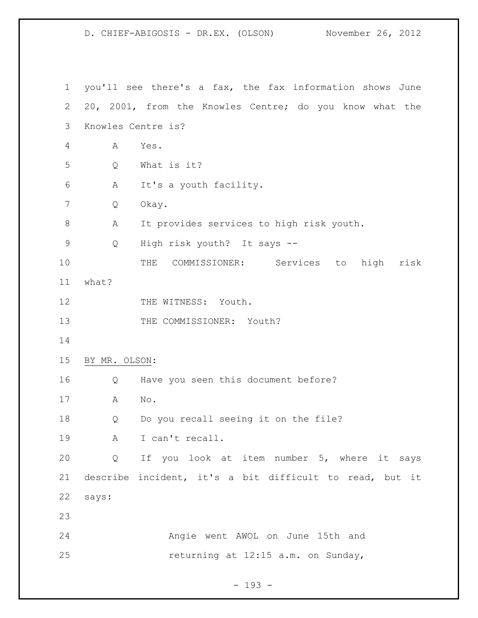you'll see there's a fax, the fax information shows June 20, 2001, from the Knowles Centre; do you know what the Knowles Centre is? A Yes. Q What is it? A It's a youth facility. Q Okay. A It provides services to high risk youth. Q High risk youth? It says -- THE COMMISSIONER: Services to high risk what? 12 THE WITNESS: Youth. 13 THE COMMISSIONER: Youth? BY MR. OLSON: Q Have you seen this document before? A No. Q Do you recall seeing it on the file? A I can't recall. Q If you look at item number 5, where it says describe incident, it's a bit difficult to read, but it says: Angie went AWOL on June 15th and returning at 12:15 a.m. on Sunday,

- 193 -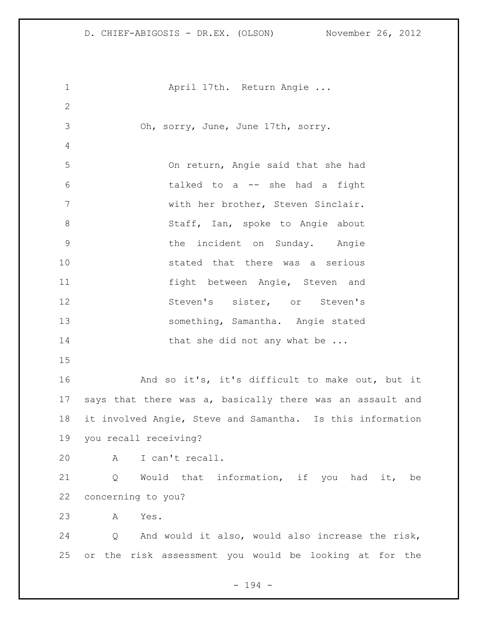1 April 17th. Return Angie ... Oh, sorry, June, June 17th, sorry. On return, Angie said that she had talked to a -- she had a fight with her brother, Steven Sinclair. 8 Staff, Ian, spoke to Angie about the incident on Sunday. Angie stated that there was a serious fight between Angie, Steven and Steven's sister, or Steven's something, Samantha. Angie stated 14 that she did not any what be ... And so it's, it's difficult to make out, but it says that there was a, basically there was an assault and it involved Angie, Steve and Samantha. Is this information you recall receiving? A I can't recall. Q Would that information, if you had it, be concerning to you? A Yes. Q And would it also, would also increase the risk, or the risk assessment you would be looking at for the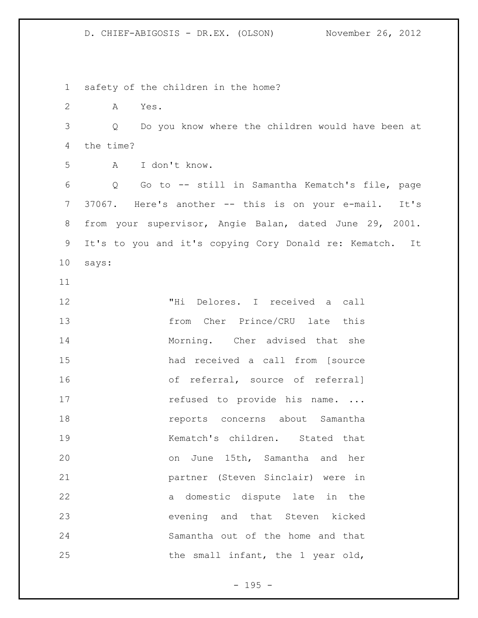safety of the children in the home? A Yes. Q Do you know where the children would have been at the time? A I don't know. Q Go to -- still in Samantha Kematch's file, page 7 37067. Here's another -- this is on your e-mail. It's from your supervisor, Angie Balan, dated June 29, 2001. It's to you and it's copying Cory Donald re: Kematch. It says: "Hi Delores. I received a call from Cher Prince/CRU late this 14 Morning. Cher advised that she had received a call from [source of referral, source of referral] 17 refused to provide his name. ... reports concerns about Samantha Kematch's children. Stated that on June 15th, Samantha and her partner (Steven Sinclair) were in a domestic dispute late in the evening and that Steven kicked Samantha out of the home and that 25 the small infant, the 1 year old,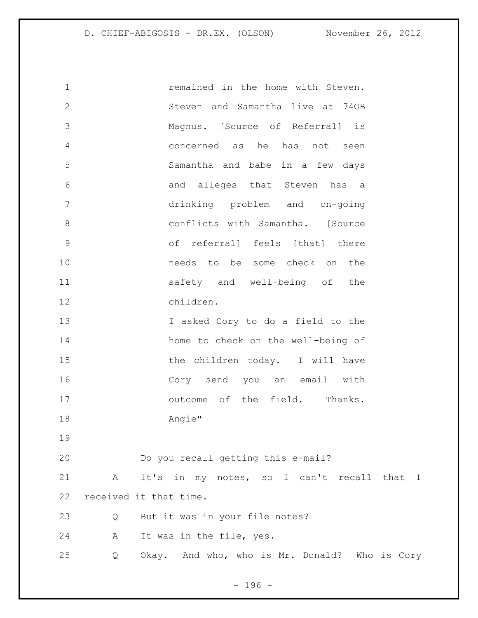remained in the home with Steven. Steven and Samantha live at 74OB Magnus. [Source of Referral] is concerned as he has not seen Samantha and babe in a few days and alleges that Steven has a drinking problem and on-going conflicts with Samantha. [Source of referral] feels [that] there needs to be some check on the safety and well-being of the children. I asked Cory to do a field to the home to check on the well-being of 15 the children today. I will have Cory send you an email with **butcome** of the field. Thanks. Angie" Do you recall getting this e-mail? A It's in my notes, so I can't recall that I received it that time. Q But it was in your file notes? A It was in the file, yes. Q Okay. And who, who is Mr. Donald? Who is Cory

- 196 -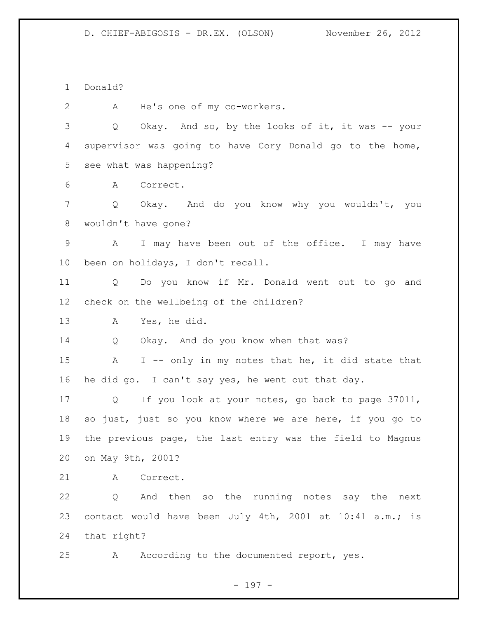Donald?

A He's one of my co-workers.

 Q Okay. And so, by the looks of it, it was -- your supervisor was going to have Cory Donald go to the home, see what was happening?

A Correct.

 Q Okay. And do you know why you wouldn't, you wouldn't have gone?

 A I may have been out of the office. I may have been on holidays, I don't recall.

 Q Do you know if Mr. Donald went out to go and check on the wellbeing of the children?

A Yes, he did.

Q Okay. And do you know when that was?

 A I -- only in my notes that he, it did state that he did go. I can't say yes, he went out that day.

 Q If you look at your notes, go back to page 37011, so just, just so you know where we are here, if you go to the previous page, the last entry was the field to Magnus on May 9th, 2001?

A Correct.

 Q And then so the running notes say the next contact would have been July 4th, 2001 at 10:41 a.m.; is that right?

A According to the documented report, yes.

- 197 -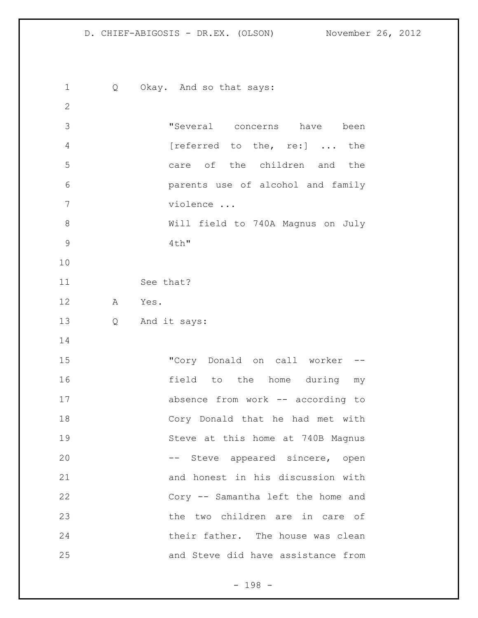1 Q Okay. And so that says: "Several concerns have been 4 [referred to the, re:] ... the care of the children and the parents use of alcohol and family violence ... Will field to 740A Magnus on July 4th" See that? A Yes. Q And it says: "Cory Donald on call worker -- field to the home during my absence from work -- according to Cory Donald that he had met with Steve at this home at 740B Magnus 20 -- Steve appeared sincere, open and honest in his discussion with Cory -- Samantha left the home and the two children are in care of their father. The house was clean and Steve did have assistance from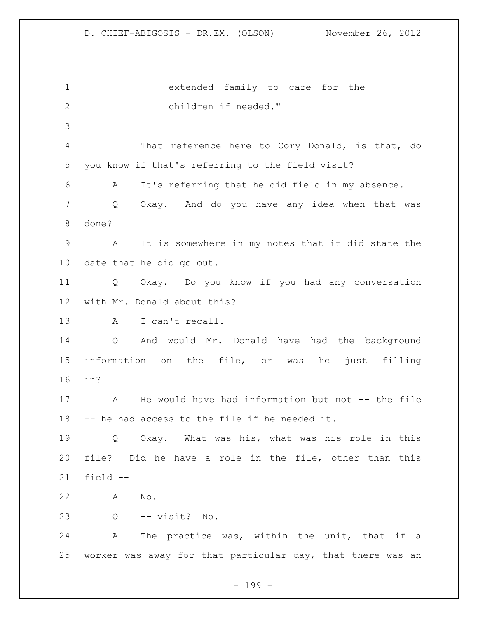extended family to care for the children if needed." That reference here to Cory Donald, is that, do you know if that's referring to the field visit? A It's referring that he did field in my absence. Q Okay. And do you have any idea when that was done? A It is somewhere in my notes that it did state the date that he did go out. Q Okay. Do you know if you had any conversation with Mr. Donald about this? A I can't recall. Q And would Mr. Donald have had the background information on the file, or was he just filling in? A He would have had information but not -- the file -- he had access to the file if he needed it. Q Okay. What was his, what was his role in this file? Did he have a role in the file, other than this field -- A No. Q -- visit? No. A The practice was, within the unit, that if a worker was away for that particular day, that there was an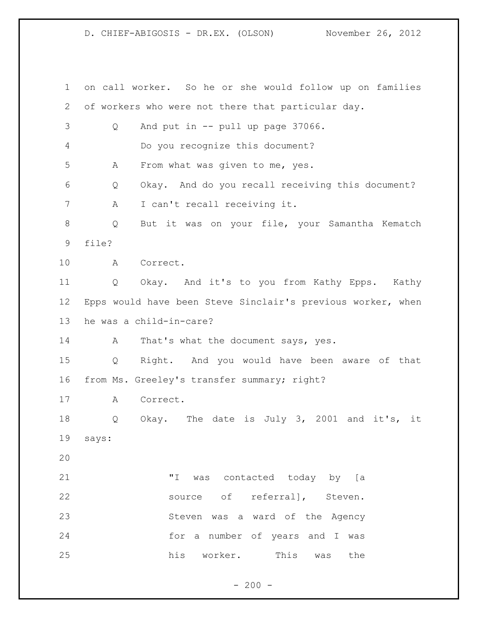on call worker. So he or she would follow up on families of workers who were not there that particular day. Q And put in -- pull up page 37066. Do you recognize this document? A From what was given to me, yes. Q Okay. And do you recall receiving this document? A I can't recall receiving it. Q But it was on your file, your Samantha Kematch file? A Correct. Q Okay. And it's to you from Kathy Epps. Kathy Epps would have been Steve Sinclair's previous worker, when he was a child-in-care? 14 A That's what the document says, yes. Q Right. And you would have been aware of that from Ms. Greeley's transfer summary; right? A Correct. Q Okay. The date is July 3, 2001 and it's, it says: "I was contacted today by [a 22 source of referral], Steven. Steven was a ward of the Agency for a number of years and I was his worker. This was the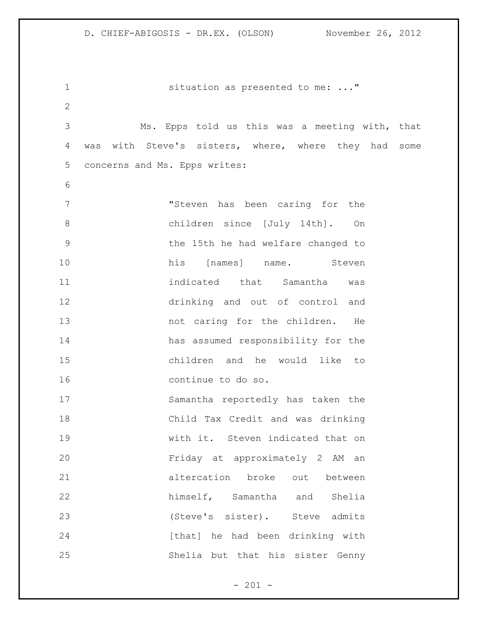1 situation as presented to me: ..." Ms. Epps told us this was a meeting with, that was with Steve's sisters, where, where they had some concerns and Ms. Epps writes: "Steven has been caring for the children since [July 14th]. On the 15th he had welfare changed to 10 his [names] name. Steven indicated that Samantha was drinking and out of control and 13 hot caring for the children. He has assumed responsibility for the children and he would like to continue to do so. Samantha reportedly has taken the Child Tax Credit and was drinking with it. Steven indicated that on Friday at approximately 2 AM an altercation broke out between himself, Samantha and Shelia (Steve's sister). Steve admits 24 [that] he had been drinking with Shelia but that his sister Genny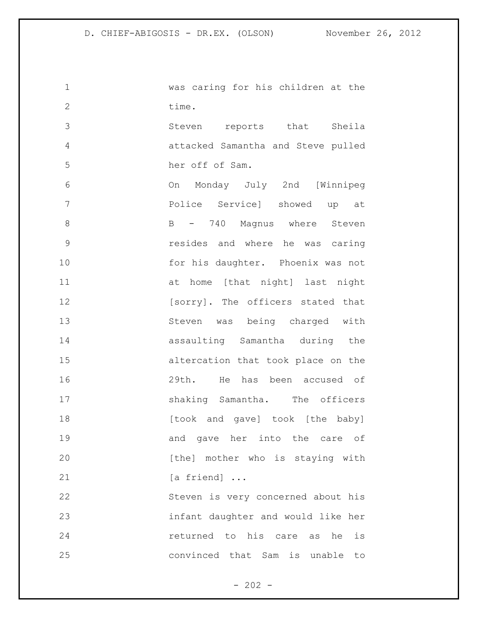| 1              | was caring for his children at the |
|----------------|------------------------------------|
| $\mathbf{2}$   | time.                              |
| 3              | Steven reports that Sheila         |
| $\overline{4}$ | attacked Samantha and Steve pulled |
| 5              | her off of Sam.                    |
| 6              | On Monday July 2nd [Winnipeg       |
| 7              | Police Service] showed up at       |
| 8              | B - 740 Magnus where Steven        |
| $\mathcal{G}$  | resides and where he was caring    |
| 10             | for his daughter. Phoenix was not  |
| 11             | at home [that night] last night    |
| 12             | [sorry]. The officers stated that  |
| 13             | Steven was being charged with      |
| 14             | assaulting Samantha during the     |
| 15             | altercation that took place on the |
| 16             | 29th. He has been accused of       |
| 17             | shaking Samantha. The officers     |
| 18             | [took and gave] took [the baby]    |
| 19             | and gave her into the care of      |
| 20             | [the] mother who is staying with   |
| 21             | [a friend]                         |
| 22             | Steven is very concerned about his |
| 23             | infant daughter and would like her |
| 24             | returned to his care as<br>he is   |
| 25             | convinced that Sam is unable to    |
|                |                                    |

- 202 -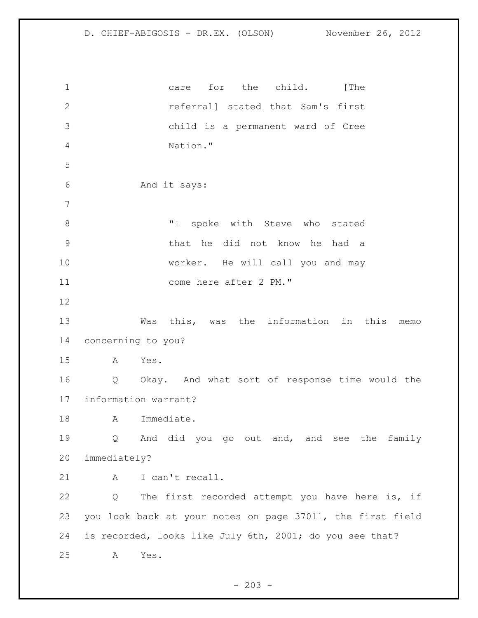1 care for the child. [The referral] stated that Sam's first child is a permanent ward of Cree Nation." And it says: 8 T spoke with Steve who stated that he did not know he had a worker. He will call you and may 11 come here after 2 PM." Was this, was the information in this memo concerning to you? A Yes. Q Okay. And what sort of response time would the information warrant? 18 A Immediate. Q And did you go out and, and see the family immediately? 21 A I can't recall. Q The first recorded attempt you have here is, if you look back at your notes on page 37011, the first field is recorded, looks like July 6th, 2001; do you see that? A Yes.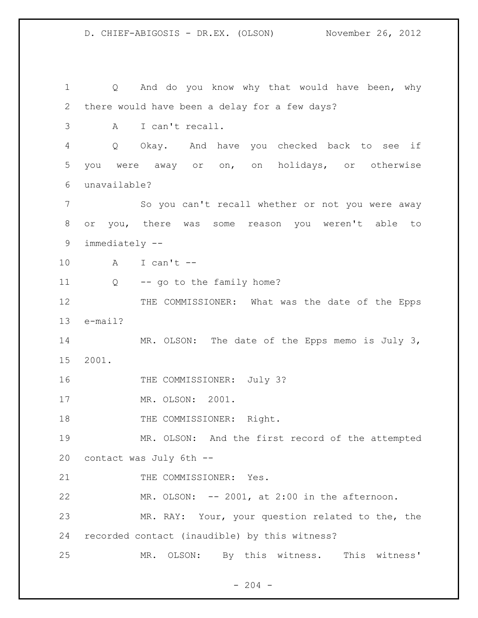1 Q And do you know why that would have been, why there would have been a delay for a few days? A I can't recall. Q Okay. And have you checked back to see if you were away or on, on holidays, or otherwise unavailable? So you can't recall whether or not you were away or you, there was some reason you weren't able to immediately -- A I can't -- 11 Q -- go to the family home? 12 THE COMMISSIONER: What was the date of the Epps e-mail? 14 MR. OLSON: The date of the Epps memo is July 3, 2001. 16 THE COMMISSIONER: July 3? MR. OLSON: 2001. 18 THE COMMISSIONER: Right. MR. OLSON: And the first record of the attempted contact was July 6th -- 21 THE COMMISSIONER: Yes. MR. OLSON: -- 2001, at 2:00 in the afternoon. MR. RAY: Your, your question related to the, the recorded contact (inaudible) by this witness? MR. OLSON: By this witness. This witness'

 $-204 -$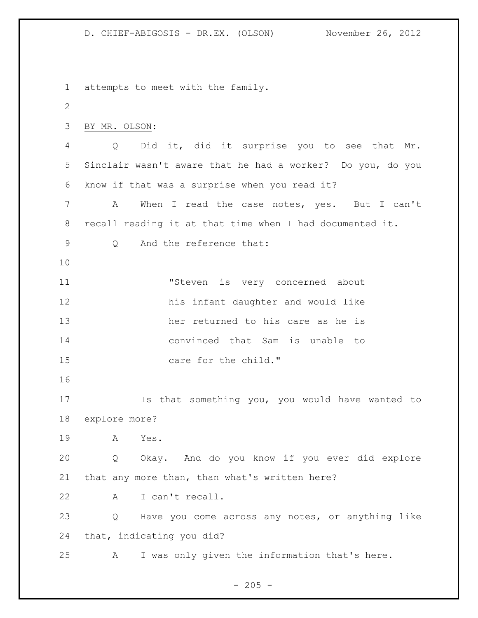attempts to meet with the family. BY MR. OLSON: Q Did it, did it surprise you to see that Mr. Sinclair wasn't aware that he had a worker? Do you, do you know if that was a surprise when you read it? A When I read the case notes, yes. But I can't recall reading it at that time when I had documented it. Q And the reference that: "Steven is very concerned about his infant daughter and would like her returned to his care as he is convinced that Sam is unable to 15 care for the child." Is that something you, you would have wanted to explore more? A Yes. Q Okay. And do you know if you ever did explore that any more than, than what's written here? A I can't recall. Q Have you come across any notes, or anything like that, indicating you did? A I was only given the information that's here.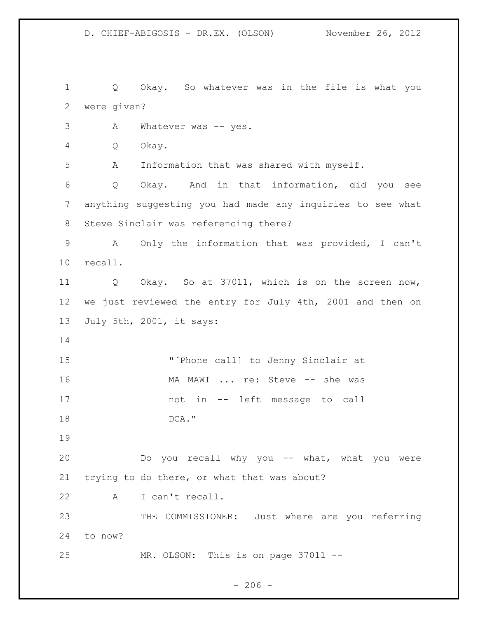Q Okay. So whatever was in the file is what you were given? 3 A Whatever was -- yes. Q Okay. A Information that was shared with myself. Q Okay. And in that information, did you see anything suggesting you had made any inquiries to see what Steve Sinclair was referencing there? A Only the information that was provided, I can't recall. Q Okay. So at 37011, which is on the screen now, we just reviewed the entry for July 4th, 2001 and then on July 5th, 2001, it says: "[Phone call] to Jenny Sinclair at MA MAWI ... re: Steve -- she was not in -- left message to call 18 DCA." Do you recall why you -- what, what you were trying to do there, or what that was about? A I can't recall. THE COMMISSIONER: Just where are you referring to now? MR. OLSON: This is on page 37011 --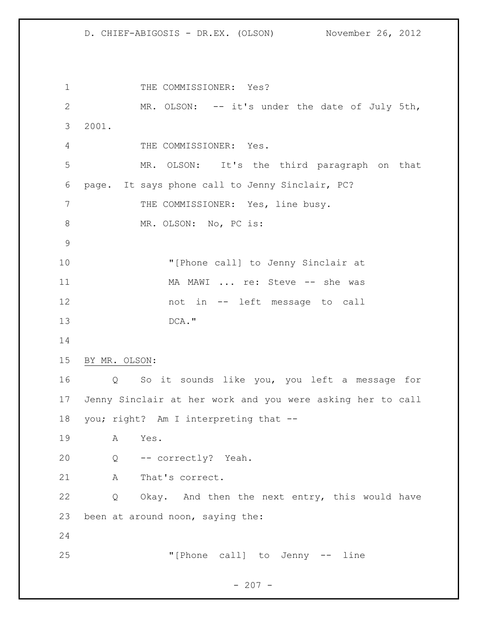1 THE COMMISSIONER: Yes? MR. OLSON: -- it's under the date of July 5th, 2001. THE COMMISSIONER: Yes. MR. OLSON: It's the third paragraph on that page. It says phone call to Jenny Sinclair, PC? 7 THE COMMISSIONER: Yes, line busy. 8 MR. OLSON: No, PC is: "[Phone call] to Jenny Sinclair at 11 MA MAWI ... re: Steve -- she was not in -- left message to call DCA." BY MR. OLSON: Q So it sounds like you, you left a message for Jenny Sinclair at her work and you were asking her to call you; right? Am I interpreting that -- A Yes. Q -- correctly? Yeah. 21 A That's correct. Q Okay. And then the next entry, this would have been at around noon, saying the: "[Phone call] to Jenny -- line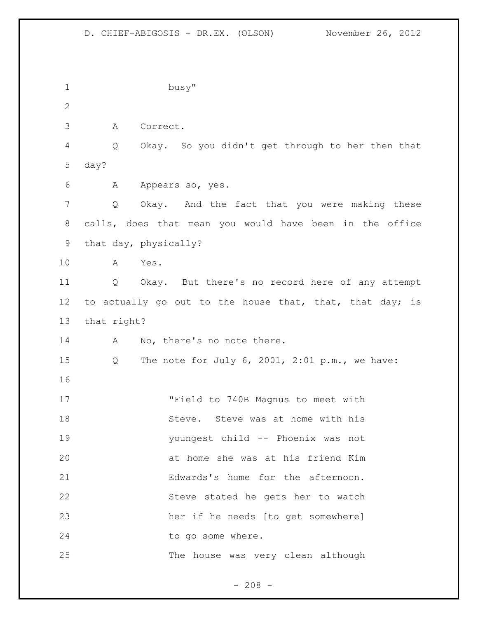busy" A Correct. Q Okay. So you didn't get through to her then that day? A Appears so, yes. Q Okay. And the fact that you were making these calls, does that mean you would have been in the office that day, physically? A Yes. Q Okay. But there's no record here of any attempt 12 to actually go out to the house that, that, that day; is that right? 14 A No, there's no note there. Q The note for July 6, 2001, 2:01 p.m., we have: "Field to 740B Magnus to meet with 18 Steve. Steve was at home with his youngest child -- Phoenix was not at home she was at his friend Kim Edwards's home for the afternoon. Steve stated he gets her to watch her if he needs [to get somewhere] 24 to go some where. The house was very clean although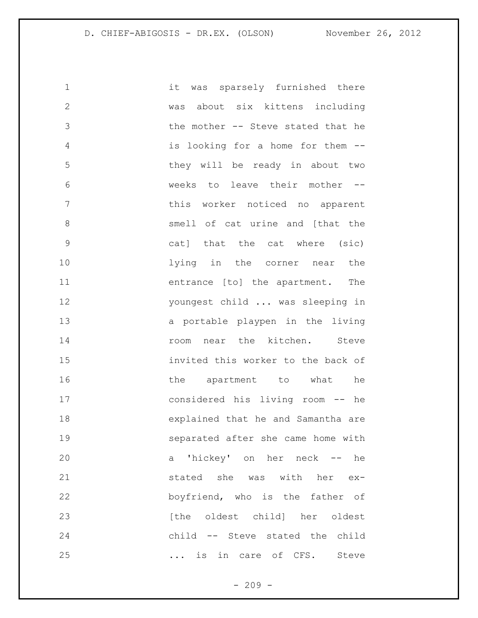it was sparsely furnished there was about six kittens including the mother -- Steve stated that he is looking for a home for them -- they will be ready in about two weeks to leave their mother -- **this worker noticed no apparent**  smell of cat urine and [that the cat] that the cat where (sic) lying in the corner near the entrance [to] the apartment. The youngest child ... was sleeping in a portable playpen in the living **14** room near the kitchen. Steve invited this worker to the back of 16 the apartment to what he considered his living room -- he explained that he and Samantha are separated after she came home with a 'hickey' on her neck -- he 21 stated she was with her ex- boyfriend, who is the father of **b** [the oldest child] her oldest child -- Steve stated the child 25 ... is in care of CFS. Steve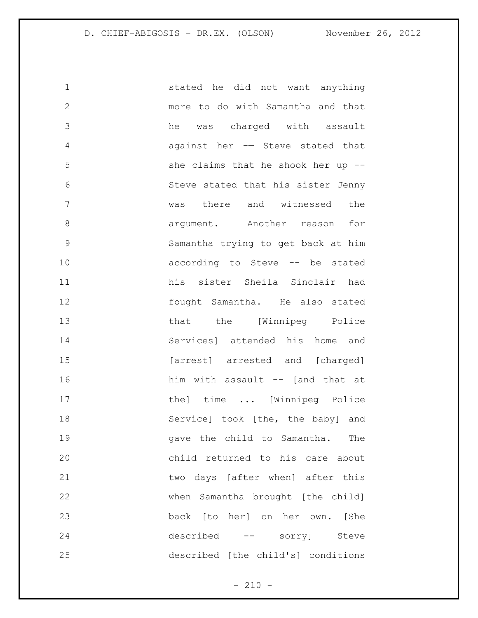stated he did not want anything more to do with Samantha and that he was charged with assault against her -— Steve stated that she claims that he shook her up -- Steve stated that his sister Jenny was there and witnessed the 8 argument. Another reason for Samantha trying to get back at him according to Steve -- be stated his sister Sheila Sinclair had fought Samantha. He also stated 13 that the [Winnipeg Police Services] attended his home and 15 [arrest] arrested and [charged] 16 him with assault -- [and that at 17 the] time ... [Winnipeg Police 18 Service] took [the, the baby] and gave the child to Samantha. The child returned to his care about two days [after when] after this when Samantha brought [the child] back [to her] on her own. [She described -- sorry] Steve described [the child's] conditions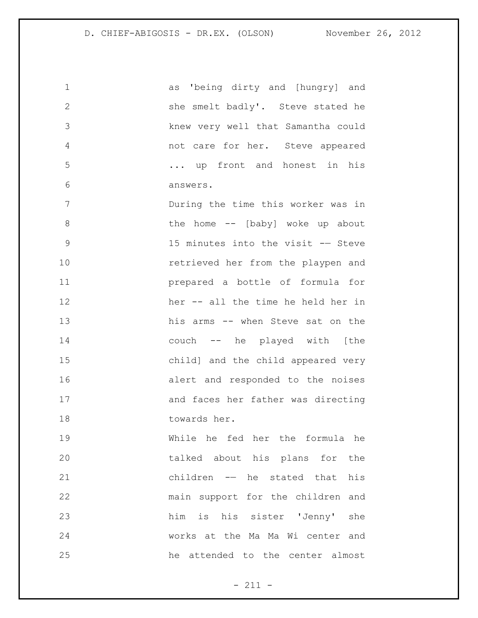as 'being dirty and [hungry] and 2 she smelt badly'. Steve stated he knew very well that Samantha could not care for her. Steve appeared ... up front and honest in his answers. During the time this worker was in 8 the home -- [baby] woke up about 15 minutes into the visit -— Steve retrieved her from the playpen and prepared a bottle of formula for her -- all the time he held her in his arms -- when Steve sat on the couch -- he played with [the child] and the child appeared very alert and responded to the noises and faces her father was directing towards her. While he fed her the formula he talked about his plans for the children -— he stated that his main support for the children and him is his sister 'Jenny' she works at the Ma Ma Wi center and he attended to the center almost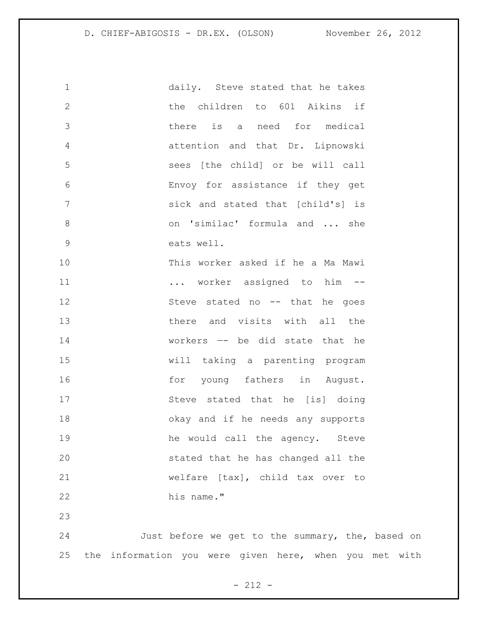| $\mathbf 1$    | daily. Steve stated that he takes  |
|----------------|------------------------------------|
| $\mathbf{2}$   | the children to 601 Aikins if      |
| 3              | there is a need for medical        |
| $\overline{4}$ | attention and that Dr. Lipnowski   |
| 5              | sees [the child] or be will call   |
| 6              | Envoy for assistance if they get   |
| 7              | sick and stated that [child's] is  |
| 8              | on 'similac' formula and  she      |
| $\mathsf 9$    | eats well.                         |
| 10             | This worker asked if he a Ma Mawi  |
| 11             | worker assigned to him --          |
| 12             | Steve stated no -- that he goes    |
| 13             | there and visits with all the      |
| 14             | workers -- be did state that he    |
| 15             | will taking a parenting program    |
| 16             | for young fathers in August.       |
| 17             | Steve stated that he [is] doing    |
| 18             | okay and if he needs any supports  |
| 19             | he would call the agency. Steve    |
| 20             | stated that he has changed all the |
| 21             | welfare [tax], child tax over to   |
| 22             | his name."                         |

 Just before we get to the summary, the, based on the information you were given here, when you met with

- 212 -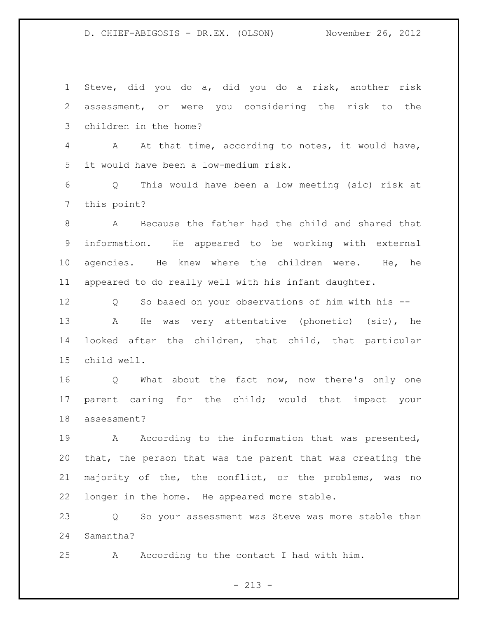Steve, did you do a, did you do a risk, another risk assessment, or were you considering the risk to the children in the home? A At that time, according to notes, it would have, it would have been a low-medium risk. Q This would have been a low meeting (sic) risk at this point? A Because the father had the child and shared that information. He appeared to be working with external agencies. He knew where the children were. He, he appeared to do really well with his infant daughter. Q So based on your observations of him with his -- A He was very attentative (phonetic) (sic), he looked after the children, that child, that particular child well. Q What about the fact now, now there's only one parent caring for the child; would that impact your assessment? 19 A According to the information that was presented, that, the person that was the parent that was creating the majority of the, the conflict, or the problems, was no longer in the home. He appeared more stable. Q So your assessment was Steve was more stable than Samantha? A According to the contact I had with him.

 $- 213 -$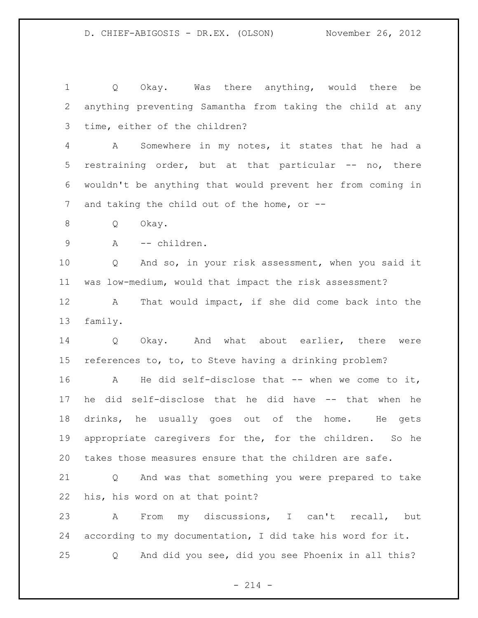Q Okay. Was there anything, would there be anything preventing Samantha from taking the child at any time, either of the children? A Somewhere in my notes, it states that he had a restraining order, but at that particular -- no, there wouldn't be anything that would prevent her from coming in 7 and taking the child out of the home, or -- Q Okay. 9 A -- children. Q And so, in your risk assessment, when you said it was low-medium, would that impact the risk assessment? A That would impact, if she did come back into the family. Q Okay. And what about earlier, there were references to, to, to Steve having a drinking problem? 16 A He did self-disclose that -- when we come to it, he did self-disclose that he did have -- that when he drinks, he usually goes out of the home. He gets appropriate caregivers for the, for the children. So he takes those measures ensure that the children are safe. Q And was that something you were prepared to take his, his word on at that point? A From my discussions, I can't recall, but according to my documentation, I did take his word for it. Q And did you see, did you see Phoenix in all this?

 $- 214 -$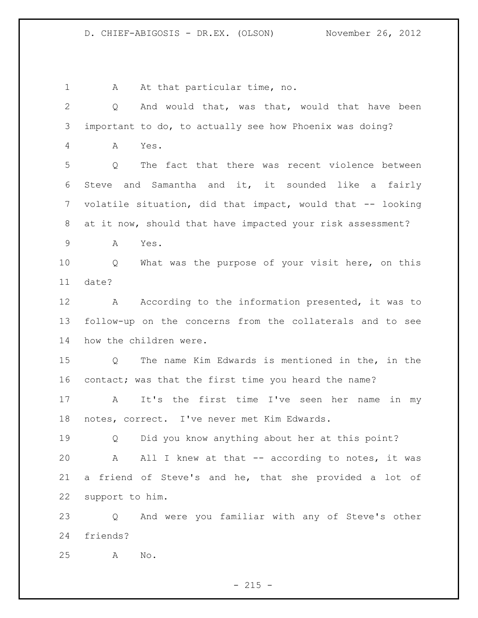1 A At that particular time, no. Q And would that, was that, would that have been important to do, to actually see how Phoenix was doing? A Yes. Q The fact that there was recent violence between Steve and Samantha and it, it sounded like a fairly volatile situation, did that impact, would that -- looking at it now, should that have impacted your risk assessment? A Yes. Q What was the purpose of your visit here, on this date? 12 A According to the information presented, it was to follow-up on the concerns from the collaterals and to see how the children were.

 Q The name Kim Edwards is mentioned in the, in the contact; was that the first time you heard the name?

 A It's the first time I've seen her name in my notes, correct. I've never met Kim Edwards.

 Q Did you know anything about her at this point? A All I knew at that -- according to notes, it was a friend of Steve's and he, that she provided a lot of support to him.

 Q And were you familiar with any of Steve's other friends?

A No.

 $- 215 -$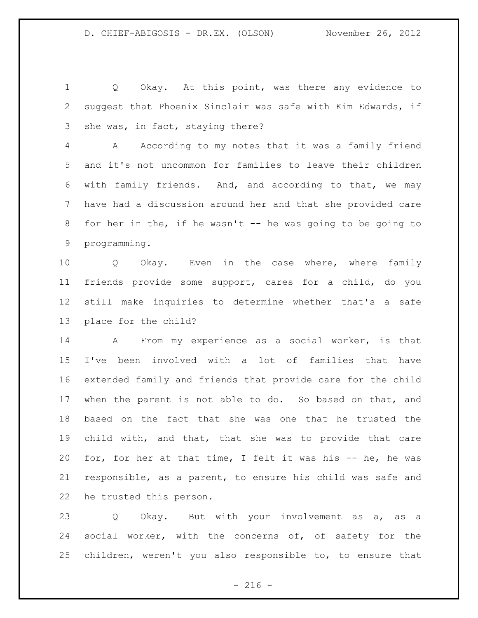1 Q Okay. At this point, was there any evidence to suggest that Phoenix Sinclair was safe with Kim Edwards, if she was, in fact, staying there?

 A According to my notes that it was a family friend and it's not uncommon for families to leave their children with family friends. And, and according to that, we may have had a discussion around her and that she provided care 8 for her in the, if he wasn't -- he was going to be going to programming.

 Q Okay. Even in the case where, where family friends provide some support, cares for a child, do you still make inquiries to determine whether that's a safe place for the child?

 A From my experience as a social worker, is that I've been involved with a lot of families that have extended family and friends that provide care for the child when the parent is not able to do. So based on that, and based on the fact that she was one that he trusted the child with, and that, that she was to provide that care for, for her at that time, I felt it was his -- he, he was responsible, as a parent, to ensure his child was safe and he trusted this person.

23 Q Okay. But with your involvement as a, as a 24 social worker, with the concerns of, of safety for the children, weren't you also responsible to, to ensure that

 $-216 -$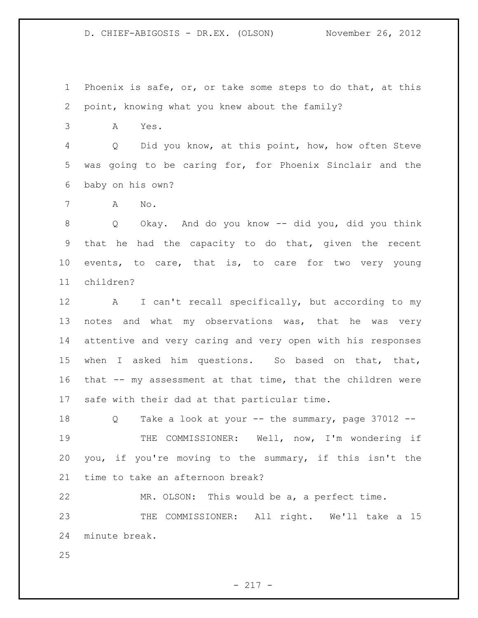Phoenix is safe, or, or take some steps to do that, at this point, knowing what you knew about the family?

A Yes.

 Q Did you know, at this point, how, how often Steve was going to be caring for, for Phoenix Sinclair and the baby on his own?

A No.

 Q Okay. And do you know -- did you, did you think that he had the capacity to do that, given the recent events, to care, that is, to care for two very young children?

 A I can't recall specifically, but according to my 13 notes and what my observations was, that he was very attentive and very caring and very open with his responses when I asked him questions. So based on that, that, that -- my assessment at that time, that the children were safe with their dad at that particular time.

 Q Take a look at your -- the summary, page 37012 -- THE COMMISSIONER: Well, now, I'm wondering if you, if you're moving to the summary, if this isn't the time to take an afternoon break?

MR. OLSON: This would be a, a perfect time.

23 THE COMMISSIONER: All right. We'll take a 15 minute break.

- 217 -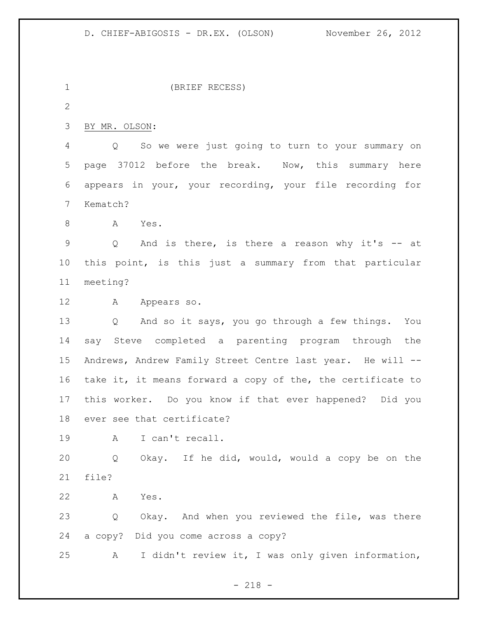(BRIEF RECESS) BY MR. OLSON: Q So we were just going to turn to your summary on page 37012 before the break. Now, this summary here appears in your, your recording, your file recording for Kematch? A Yes. Q And is there, is there a reason why it's -- at this point, is this just a summary from that particular meeting? A Appears so. Q And so it says, you go through a few things. You say Steve completed a parenting program through the Andrews, Andrew Family Street Centre last year. He will -- take it, it means forward a copy of the, the certificate to this worker. Do you know if that ever happened? Did you ever see that certificate? A I can't recall. Q Okay. If he did, would, would a copy be on the file? A Yes. Q Okay. And when you reviewed the file, was there a copy? Did you come across a copy?

A I didn't review it, I was only given information,

- 218 -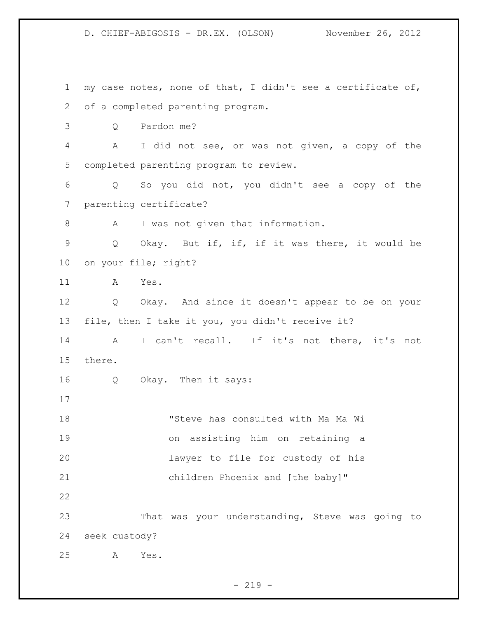D. CHIEF-ABIGOSIS - DR.EX. (OLSON) November 26, 2012 my case notes, none of that, I didn't see a certificate of, of a completed parenting program. Q Pardon me? A I did not see, or was not given, a copy of the completed parenting program to review. Q So you did not, you didn't see a copy of the parenting certificate? 8 A I was not given that information. Q Okay. But if, if, if it was there, it would be on your file; right? A Yes. Q Okay. And since it doesn't appear to be on your file, then I take it you, you didn't receive it? A I can't recall. If it's not there, it's not there. Q Okay. Then it says: "Steve has consulted with Ma Ma Wi on assisting him on retaining a lawyer to file for custody of his children Phoenix and [the baby]" That was your understanding, Steve was going to seek custody? A Yes.

 $- 219 -$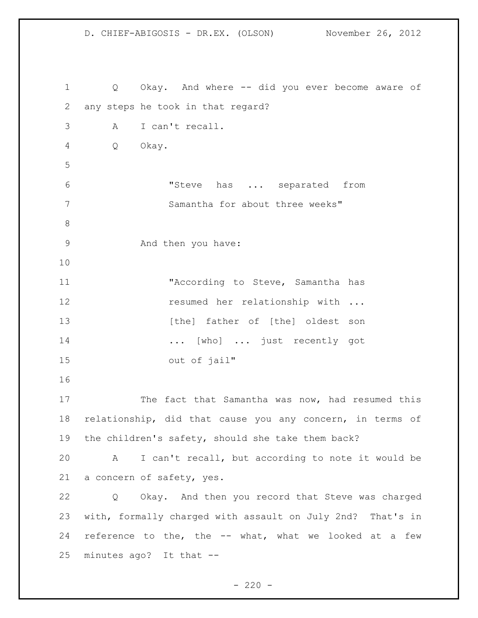Q Okay. And where -- did you ever become aware of any steps he took in that regard? A I can't recall. Q Okay. "Steve has ... separated from Samantha for about three weeks" And then you have: 11 The Maccording to Steve, Samantha has **resumed** her relationship with ... 13 [the] father of [the] oldest son ... [who] ... just recently got out of jail" 17 The fact that Samantha was now, had resumed this relationship, did that cause you any concern, in terms of the children's safety, should she take them back? A I can't recall, but according to note it would be a concern of safety, yes. Q Okay. And then you record that Steve was charged with, formally charged with assault on July 2nd? That's in reference to the, the -- what, what we looked at a few minutes ago? It that --

 $- 220 -$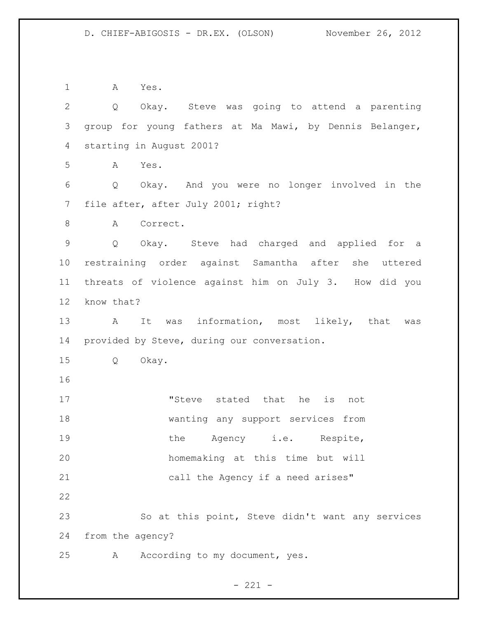A Yes. Q Okay. Steve was going to attend a parenting group for young fathers at Ma Mawi, by Dennis Belanger, starting in August 2001? A Yes. Q Okay. And you were no longer involved in the file after, after July 2001; right? 8 A Correct. Q Okay. Steve had charged and applied for a restraining order against Samantha after she uttered threats of violence against him on July 3. How did you know that? A It was information, most likely, that was provided by Steve, during our conversation. Q Okay. 17 The stated that he is not wanting any support services from 19 the Agency i.e. Respite, homemaking at this time but will 21 call the Agency if a need arises" So at this point, Steve didn't want any services from the agency? A According to my document, yes.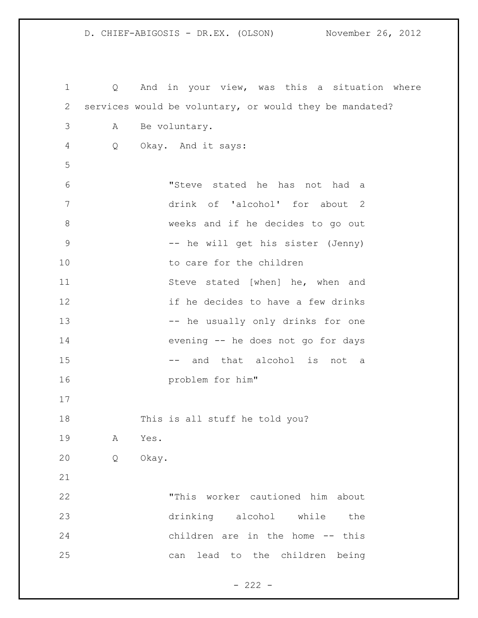Q And in your view, was this a situation where services would be voluntary, or would they be mandated? A Be voluntary. Q Okay. And it says: "Steve stated he has not had a drink of 'alcohol' for about 2 weeks and if he decides to go out 9 -- he will get his sister (Jenny) 10 to care for the children 11 Steve stated [when] he, when and if he decides to have a few drinks 13 -- he usually only drinks for one evening -- he does not go for days 15 -- and that alcohol is not a problem for him" This is all stuff he told you? A Yes. Q Okay. "This worker cautioned him about drinking alcohol while the children are in the home -- this can lead to the children being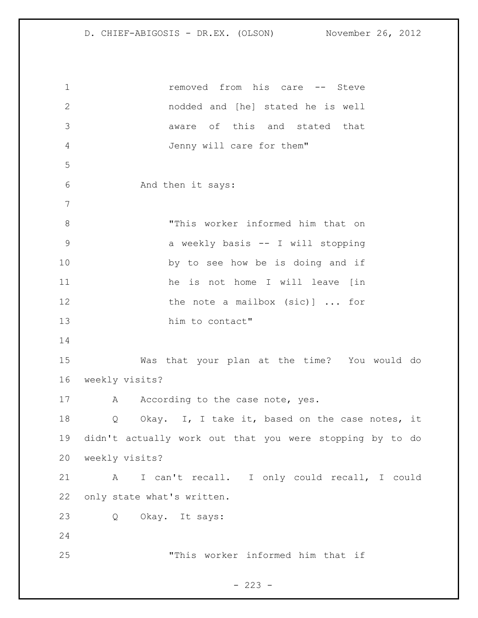1 1 removed from his care -- Steve nodded and [he] stated he is well aware of this and stated that Jenny will care for them" And then it says: "This worker informed him that on a weekly basis -- I will stopping 10 by to see how be is doing and if 11 he is not home I will leave (in 12 the note a mailbox (sic)] ... for him to contact" Was that your plan at the time? You would do weekly visits? 17 A According to the case note, yes. Q Okay. I, I take it, based on the case notes, it didn't actually work out that you were stopping by to do weekly visits? A I can't recall. I only could recall, I could only state what's written. Q Okay. It says: "This worker informed him that if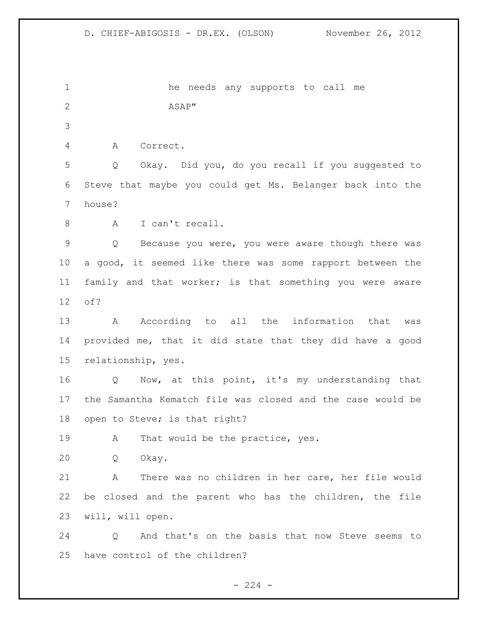he needs any supports to call me ASAP" A Correct. Q Okay. Did you, do you recall if you suggested to Steve that maybe you could get Ms. Belanger back into the house? A I can't recall. Q Because you were, you were aware though there was a good, it seemed like there was some rapport between the family and that worker; is that something you were aware of? 13 A According to all the information that was provided me, that it did state that they did have a good relationship, yes. Q Now, at this point, it's my understanding that the Samantha Kematch file was closed and the case would be open to Steve; is that right? 19 A That would be the practice, yes. Q Okay. A There was no children in her care, her file would be closed and the parent who has the children, the file will, will open. Q And that's on the basis that now Steve seems to have control of the children?

 $-224 -$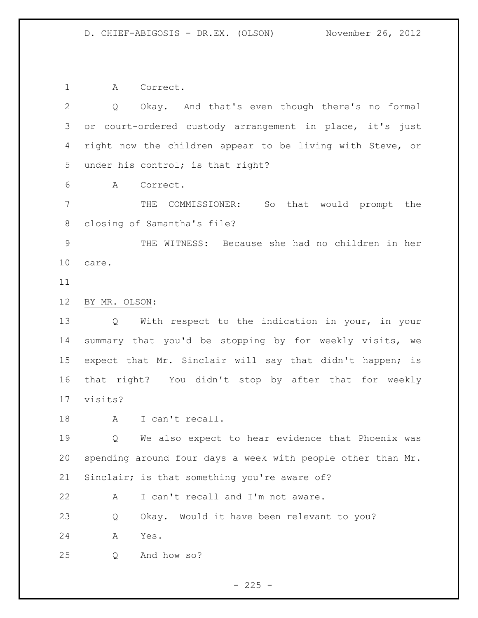A Correct.

 Q Okay. And that's even though there's no formal or court-ordered custody arrangement in place, it's just right now the children appear to be living with Steve, or under his control; is that right?

A Correct.

 THE COMMISSIONER: So that would prompt the closing of Samantha's file?

 THE WITNESS: Because she had no children in her care.

## BY MR. OLSON:

 Q With respect to the indication in your, in your summary that you'd be stopping by for weekly visits, we expect that Mr. Sinclair will say that didn't happen; is that right? You didn't stop by after that for weekly visits?

18 A I can't recall.

 Q We also expect to hear evidence that Phoenix was spending around four days a week with people other than Mr. Sinclair; is that something you're aware of?

22 A I can't recall and I'm not aware.

Q Okay. Would it have been relevant to you?

A Yes.

Q And how so?

 $- 225 -$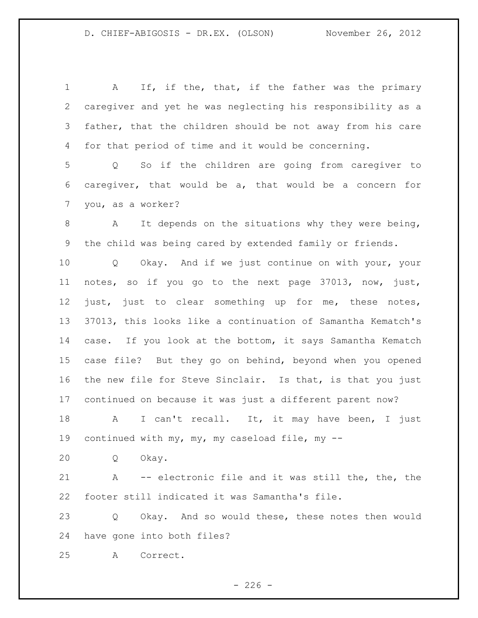A If, if the, that, if the father was the primary caregiver and yet he was neglecting his responsibility as a father, that the children should be not away from his care for that period of time and it would be concerning. Q So if the children are going from caregiver to caregiver, that would be a, that would be a concern for you, as a worker? 8 A It depends on the situations why they were being, the child was being cared by extended family or friends. Q Okay. And if we just continue on with your, your notes, so if you go to the next page 37013, now, just, just, just to clear something up for me, these notes, 37013, this looks like a continuation of Samantha Kematch's case. If you look at the bottom, it says Samantha Kematch case file? But they go on behind, beyond when you opened the new file for Steve Sinclair. Is that, is that you just continued on because it was just a different parent now? 18 A I can't recall. It, it may have been, I just continued with my, my, my caseload file, my -- Q Okay. A -- electronic file and it was still the, the, the footer still indicated it was Samantha's file. Q Okay. And so would these, these notes then would have gone into both files? A Correct.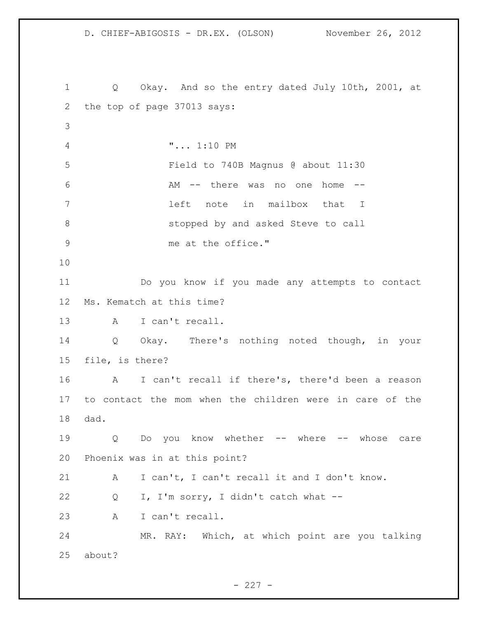D. CHIEF-ABIGOSIS - DR.EX. (OLSON) November 26, 2012 Q Okay. And so the entry dated July 10th, 2001, at the top of page 37013 says: "... 1:10 PM Field to 740B Magnus @ about 11:30 AM -- there was no one home -- left note in mailbox that I 8 stopped by and asked Steve to call 9 me at the office." Do you know if you made any attempts to contact Ms. Kematch at this time? A I can't recall. Q Okay. There's nothing noted though, in your file, is there? A I can't recall if there's, there'd been a reason to contact the mom when the children were in care of the dad. Q Do you know whether -- where -- whose care Phoenix was in at this point? A I can't, I can't recall it and I don't know. Q I, I'm sorry, I didn't catch what -- A I can't recall. MR. RAY: Which, at which point are you talking about?

 $- 227 -$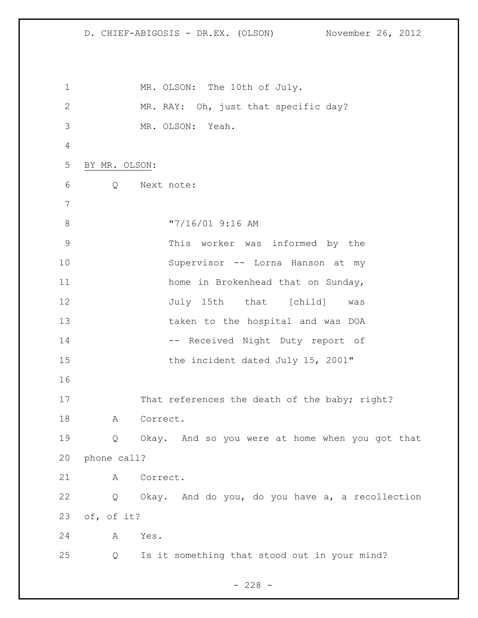D. CHIEF-ABIGOSIS - DR.EX. (OLSON) November 26, 2012 1 MR. OLSON: The 10th of July. MR. RAY: Oh, just that specific day? MR. OLSON: Yeah. BY MR. OLSON: Q Next note: 8  $\frac{17}{16}$  (01 9:16 AM This worker was informed by the Supervisor -- Lorna Hanson at my 11 home in Brokenhead that on Sunday, 12 July 15th that [child] was taken to the hospital and was DOA 14 -- Received Night Duty report of 15 the incident dated July 15, 2001" 17 That references the death of the baby; right? 18 A Correct. Q Okay. And so you were at home when you got that phone call? A Correct. Q Okay. And do you, do you have a, a recollection of, of it? A Yes. Q Is it something that stood out in your mind?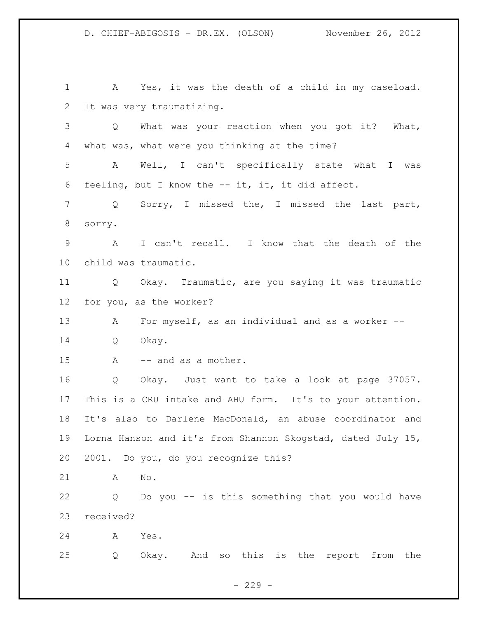A Yes, it was the death of a child in my caseload. It was very traumatizing. Q What was your reaction when you got it? What, what was, what were you thinking at the time? A Well, I can't specifically state what I was 6 feeling, but I know the  $--$  it, it, it did affect. Q Sorry, I missed the, I missed the last part, sorry. A I can't recall. I know that the death of the child was traumatic. Q Okay. Traumatic, are you saying it was traumatic for you, as the worker? 13 A For myself, as an individual and as a worker -- Q Okay. 15 A -- and as a mother. Q Okay. Just want to take a look at page 37057. This is a CRU intake and AHU form. It's to your attention. It's also to Darlene MacDonald, an abuse coordinator and Lorna Hanson and it's from Shannon Skogstad, dated July 15, 2001. Do you, do you recognize this? A No. Q Do you -- is this something that you would have received? A Yes. Q Okay. And so this is the report from the

 $-229 -$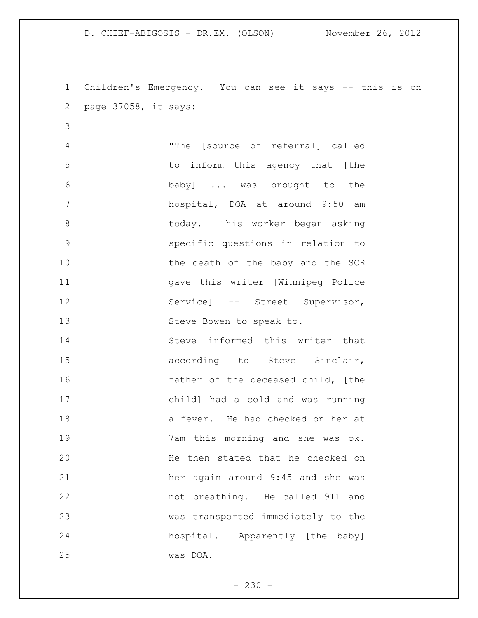Children's Emergency. You can see it says -- this is on page 37058, it says: "The [source of referral] called to inform this agency that [the baby] ... was brought to the hospital, DOA at around 9:50 am today. This worker began asking specific questions in relation to 10 the death of the baby and the SOR gave this writer [Winnipeg Police 12 Service] -- Street Supervisor, Steve Bowen to speak to. Steve informed this writer that 15 according to Steve Sinclair, father of the deceased child, [the child] had a cold and was running a fever. He had checked on her at 7am this morning and she was ok. He then stated that he checked on her again around 9:45 and she was not breathing. He called 911 and was transported immediately to the hospital. Apparently [the baby] was DOA.

 $-230 -$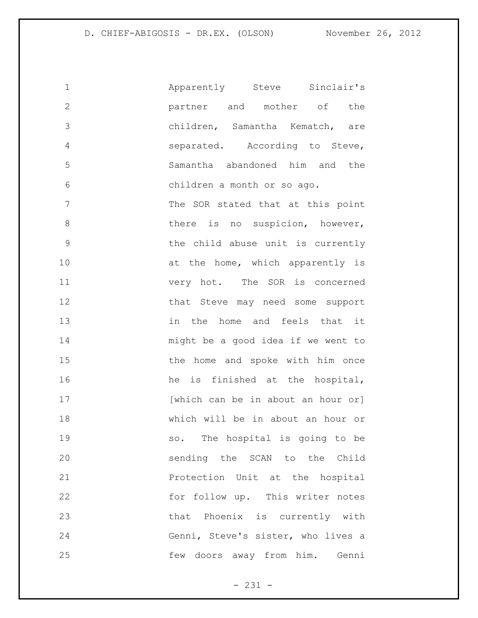| 1             | Apparently Steve Sinclair's        |
|---------------|------------------------------------|
| $\mathbf{2}$  | partner and mother of the          |
| 3             | children, Samantha Kematch, are    |
| 4             | separated. According to Steve,     |
| 5             | Samantha abandoned him and the     |
| 6             | children a month or so ago.        |
| 7             | The SOR stated that at this point  |
| 8             | there is no suspicion, however,    |
| $\mathcal{G}$ | the child abuse unit is currently  |
| 10            | at the home, which apparently is   |
| 11            | very hot. The SOR is concerned     |
| 12            | that Steve may need some support   |
| 13            | in the home and feels that it      |
| 14            | might be a good idea if we went to |
| 15            | the home and spoke with him once   |
| 16            | he is finished at the hospital,    |
| 17            | [which can be in about an hour or] |
| 18            | which will be in about an hour or  |
| 19            | so. The hospital is going to be    |
| 20            | sending the SCAN to the Child      |
| 21            | Protection Unit at the hospital    |
| 22            | for follow up. This writer notes   |
| 23            | that Phoenix is currently with     |
| 24            | Genni, Steve's sister, who lives a |
| 25            | few doors away from him. Genni     |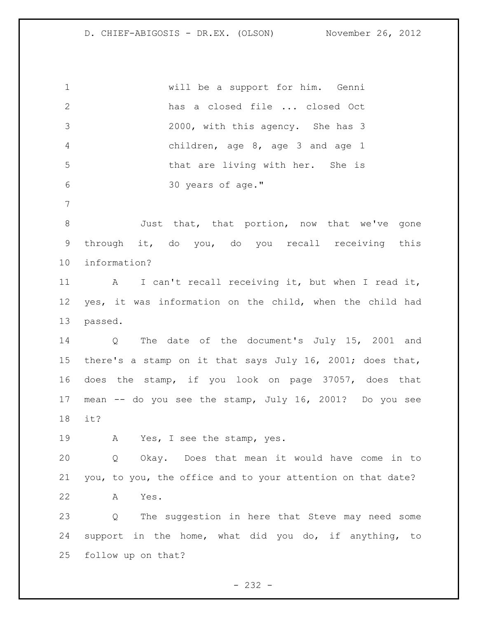will be a support for him. Genni has a closed file ... closed Oct 2000, with this agency. She has 3 children, age 8, age 3 and age 1 that are living with her. She is 30 years of age." 8 3 Just that, that portion, now that we've gone

 through it, do you, do you recall receiving this information?

 A I can't recall receiving it, but when I read it, yes, it was information on the child, when the child had passed.

 Q The date of the document's July 15, 2001 and there's a stamp on it that says July 16, 2001; does that, does the stamp, if you look on page 37057, does that mean -- do you see the stamp, July 16, 2001? Do you see it?

A Yes, I see the stamp, yes.

 Q Okay. Does that mean it would have come in to you, to you, the office and to your attention on that date? A Yes.

 Q The suggestion in here that Steve may need some support in the home, what did you do, if anything, to follow up on that?

 $- 232 -$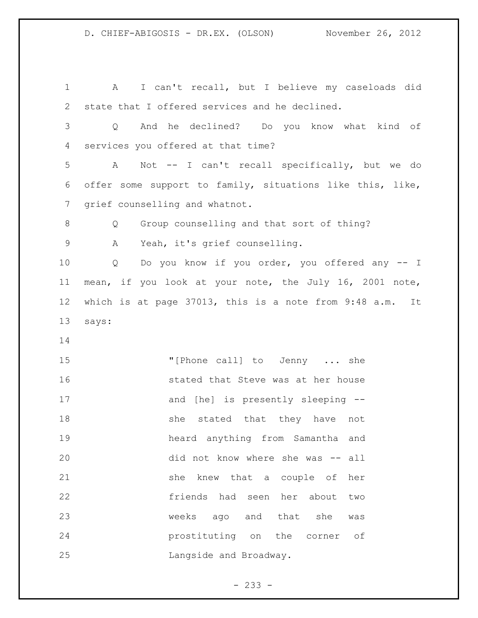A I can't recall, but I believe my caseloads did state that I offered services and he declined. Q And he declined? Do you know what kind of services you offered at that time? A Not -- I can't recall specifically, but we do offer some support to family, situations like this, like, grief counselling and whatnot. Q Group counselling and that sort of thing? A Yeah, it's grief counselling. Q Do you know if you order, you offered any -- I mean, if you look at your note, the July 16, 2001 note, which is at page 37013, this is a note from 9:48 a.m. It says: 15 "[Phone call] to Jenny ... she stated that Steve was at her house 17 and [he] is presently sleeping --18 she stated that they have not heard anything from Samantha and did not know where she was -- all she knew that a couple of her friends had seen her about two weeks ago and that she was prostituting on the corner of Langside and Broadway.

 $- 233 -$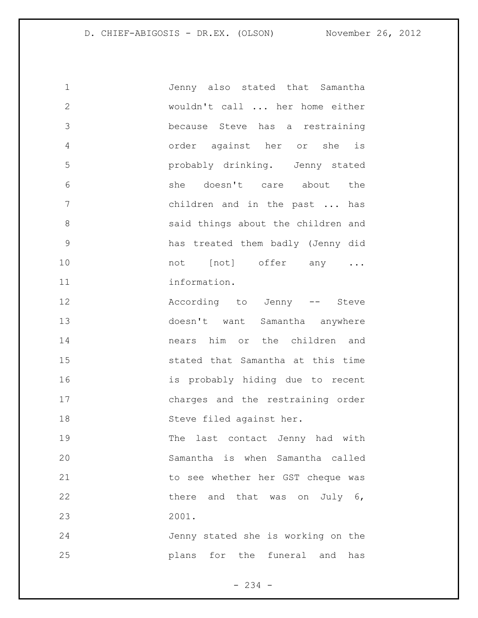Jenny also stated that Samantha wouldn't call ... her home either because Steve has a restraining order against her or she is probably drinking. Jenny stated she doesn't care about the children and in the past ... has said things about the children and has treated them badly (Jenny did 10 mot [not] offer any ... 11 information.

 According to Jenny -- Steve doesn't want Samantha anywhere nears him or the children and stated that Samantha at this time is probably hiding due to recent charges and the restraining order Steve filed against her.

 The last contact Jenny had with Samantha is when Samantha called to see whether her GST cheque was 22 there and that was on July 6, 2001.

 Jenny stated she is working on the plans for the funeral and has

- 234 -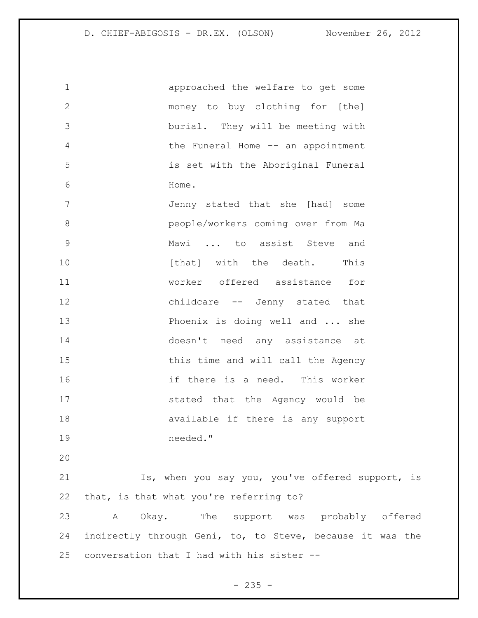approached the welfare to get some money to buy clothing for [the] burial. They will be meeting with the Funeral Home -- an appointment is set with the Aboriginal Funeral Home. Jenny stated that she [had] some people/workers coming over from Ma

 Mawi ... to assist Steve and **b** [that] with the death. This worker offered assistance for childcare -- Jenny stated that 13 Phoenix is doing well and ... she doesn't need any assistance at 15 this time and will call the Agency if there is a need. This worker stated that the Agency would be available if there is any support needed."

21 Is, when you say you, you've offered support, is that, is that what you're referring to?

 A Okay. The support was probably offered indirectly through Geni, to, to Steve, because it was the conversation that I had with his sister --

 $- 235 -$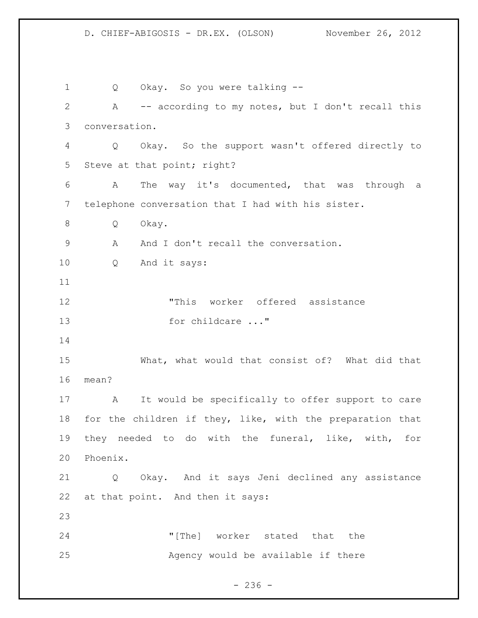Q Okay. So you were talking -- A -- according to my notes, but I don't recall this conversation. Q Okay. So the support wasn't offered directly to Steve at that point; right? A The way it's documented, that was through a telephone conversation that I had with his sister. Q Okay. 9 A And I don't recall the conversation. Q And it says: "This worker offered assistance 13 for childcare ..." What, what would that consist of? What did that mean? A It would be specifically to offer support to care for the children if they, like, with the preparation that they needed to do with the funeral, like, with, for Phoenix. Q Okay. And it says Jeni declined any assistance at that point. And then it says: "[The] worker stated that the Agency would be available if there

 $- 236 -$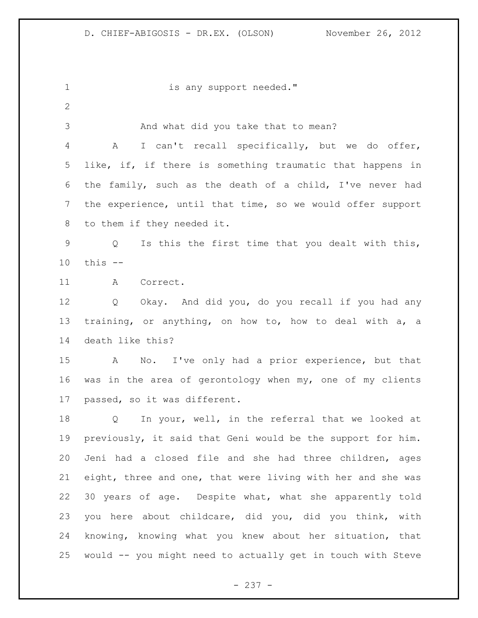1 is any support needed." And what did you take that to mean? A I can't recall specifically, but we do offer, 5 like, if, if there is something traumatic that happens in the family, such as the death of a child, I've never had the experience, until that time, so we would offer support to them if they needed it. Q Is this the first time that you dealt with this, this -- A Correct. Q Okay. And did you, do you recall if you had any training, or anything, on how to, how to deal with a, a death like this? A No. I've only had a prior experience, but that was in the area of gerontology when my, one of my clients passed, so it was different. Q In your, well, in the referral that we looked at previously, it said that Geni would be the support for him. Jeni had a closed file and she had three children, ages eight, three and one, that were living with her and she was 30 years of age. Despite what, what she apparently told you here about childcare, did you, did you think, with knowing, knowing what you knew about her situation, that would -- you might need to actually get in touch with Steve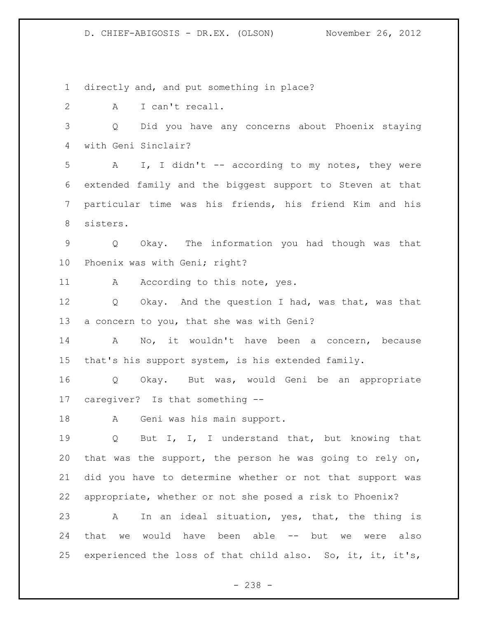directly and, and put something in place?

A I can't recall.

 Q Did you have any concerns about Phoenix staying with Geni Sinclair?

 A I, I didn't -- according to my notes, they were extended family and the biggest support to Steven at that particular time was his friends, his friend Kim and his sisters.

 Q Okay. The information you had though was that Phoenix was with Geni; right?

11 A According to this note, yes.

 Q Okay. And the question I had, was that, was that a concern to you, that she was with Geni?

 A No, it wouldn't have been a concern, because that's his support system, is his extended family.

 Q Okay. But was, would Geni be an appropriate caregiver? Is that something --

A Geni was his main support.

 Q But I, I, I understand that, but knowing that that was the support, the person he was going to rely on, did you have to determine whether or not that support was appropriate, whether or not she posed a risk to Phoenix?

 A In an ideal situation, yes, that, the thing is that we would have been able -- but we were also experienced the loss of that child also. So, it, it, it's,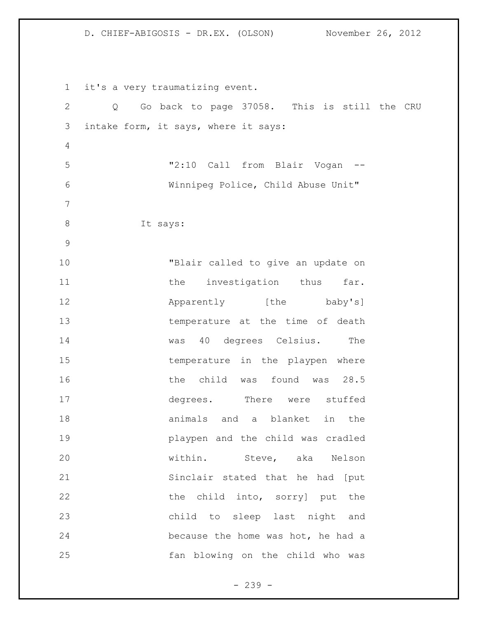it's a very traumatizing event. Q Go back to page 37058. This is still the CRU intake form, it says, where it says: "2:10 Call from Blair Vogan -- Winnipeg Police, Child Abuse Unit" 8 It says: "Blair called to give an update on 11 the investigation thus far. **Apparently** [the baby's] temperature at the time of death 14 was 40 degrees Celsius. The 15 temperature in the playpen where 16 16 the child was found was 28.5 degrees. There were stuffed animals and a blanket in the playpen and the child was cradled within. Steve, aka Nelson Sinclair stated that he had [put 22 the child into, sorry] put the child to sleep last night and because the home was hot, he had a fan blowing on the child who was

- 239 -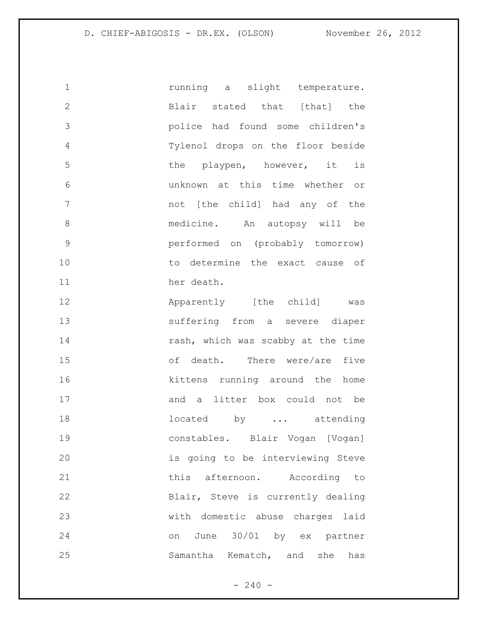**1** running a slight temperature. 2 Blair stated that [that] the police had found some children's Tylenol drops on the floor beside 5 the playpen, however, it is unknown at this time whether or not [the child] had any of the medicine. An autopsy will be performed on (probably tomorrow) 10 to determine the exact cause of 11 her death.

**Apparently** [the child] was suffering from a severe diaper 14 rash, which was scabby at the time of death. There were/are five **kittens** running around the home 17 and a litter box could not be 18 18 located by ... attending constables. Blair Vogan [Vogan] is going to be interviewing Steve 21 this afternoon. According to Blair, Steve is currently dealing with domestic abuse charges laid on June 30/01 by ex partner Samantha Kematch, and she has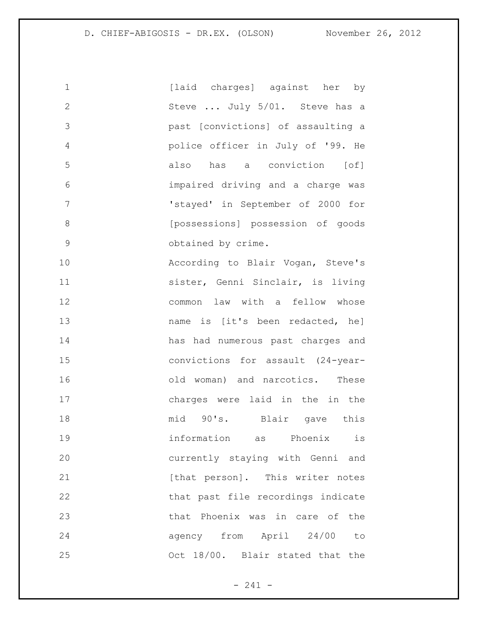| $\mathbf 1$   | [laid charges] against her by      |
|---------------|------------------------------------|
| $\mathbf{2}$  | Steve  July 5/01. Steve has a      |
| 3             | past [convictions] of assaulting a |
| 4             | police officer in July of '99. He  |
| 5             | also has a conviction [of]         |
| 6             | impaired driving and a charge was  |
| 7             | 'stayed' in September of 2000 for  |
| 8             | [possessions] possession of goods  |
| $\mathcal{G}$ | obtained by crime.                 |
| 10            | According to Blair Vogan, Steve's  |
| 11            | sister, Genni Sinclair, is living  |
| 12            | common law with a fellow whose     |
| 13            | name is [it's been redacted, he]   |
| 14            | has had numerous past charges and  |
| 15            | convictions for assault (24-year-  |
| 16            | old woman) and narcotics. These    |
| 17            | charges were laid in the in the    |
| 18            | mid 90's. Blair gave this          |
| 19            | information as Phoenix<br>is       |
| 20            | currently staying with Genni and   |
| 21            | [that person]. This writer notes   |
| 22            | that past file recordings indicate |
| 23            | that Phoenix was in care of the    |
| 24            | agency from April 24/00 to         |
| 25            | Oct 18/00. Blair stated that the   |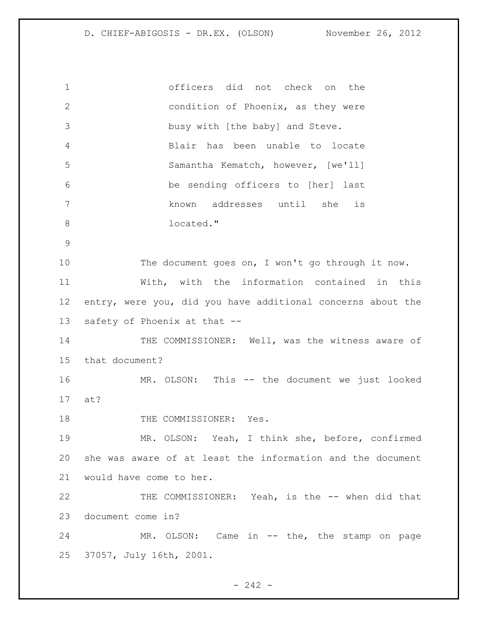officers did not check on the condition of Phoenix, as they were busy with [the baby] and Steve. Blair has been unable to locate Samantha Kematch, however, [we'll] be sending officers to [her] last known addresses until she is 8 located." 10 The document goes on, I won't go through it now. With, with the information contained in this entry, were you, did you have additional concerns about the safety of Phoenix at that -- 14 THE COMMISSIONER: Well, was the witness aware of that document? MR. OLSON: This -- the document we just looked at? 18 THE COMMISSIONER: Yes. MR. OLSON: Yeah, I think she, before, confirmed she was aware of at least the information and the document would have come to her. 22 THE COMMISSIONER: Yeah, is the -- when did that document come in? 24 MR. OLSON: Came in -- the, the stamp on page 37057, July 16th, 2001.

 $- 242 -$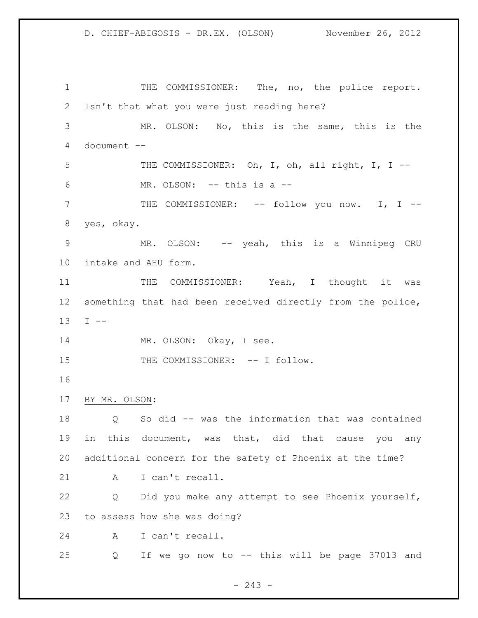1 THE COMMISSIONER: The, no, the police report. Isn't that what you were just reading here? MR. OLSON: No, this is the same, this is the document -- THE COMMISSIONER: Oh, I, oh, all right, I, I -- MR. OLSON: -- this is a -- THE COMMISSIONER: -- follow you now. I, I -- yes, okay. 9 MR. OLSON: -- yeah, this is a Winnipeg CRU intake and AHU form. 11 THE COMMISSIONER: Yeah, I thought it was something that had been received directly from the police, I -- 14 MR. OLSON: Okay, I see. 15 THE COMMISSIONER: -- I follow. BY MR. OLSON: Q So did -- was the information that was contained in this document, was that, did that cause you any additional concern for the safety of Phoenix at the time? 21 A I can't recall. Q Did you make any attempt to see Phoenix yourself, to assess how she was doing? A I can't recall. Q If we go now to -- this will be page 37013 and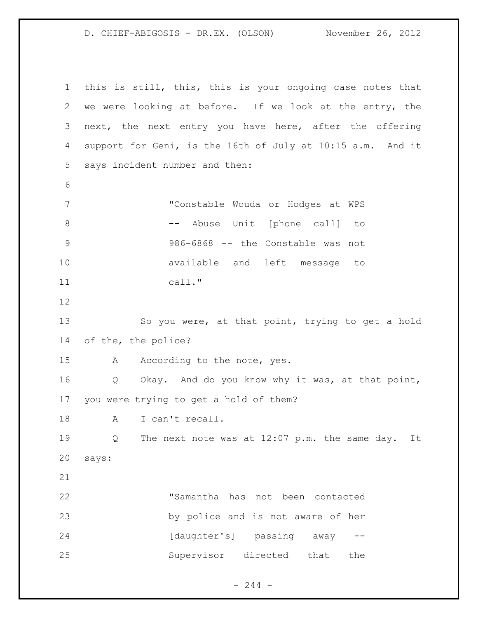this is still, this, this is your ongoing case notes that we were looking at before. If we look at the entry, the next, the next entry you have here, after the offering support for Geni, is the 16th of July at 10:15 a.m. And it says incident number and then: "Constable Wouda or Hodges at WPS 8 -- Abuse Unit [phone call] to 986-6868 -- the Constable was not available and left message to call." So you were, at that point, trying to get a hold of the, the police? 15 A According to the note, yes. Q Okay. And do you know why it was, at that point, you were trying to get a hold of them? 18 A I can't recall. Q The next note was at 12:07 p.m. the same day. It says: "Samantha has not been contacted by police and is not aware of her 24 [daughter's] passing away --Supervisor directed that the

 $-244 -$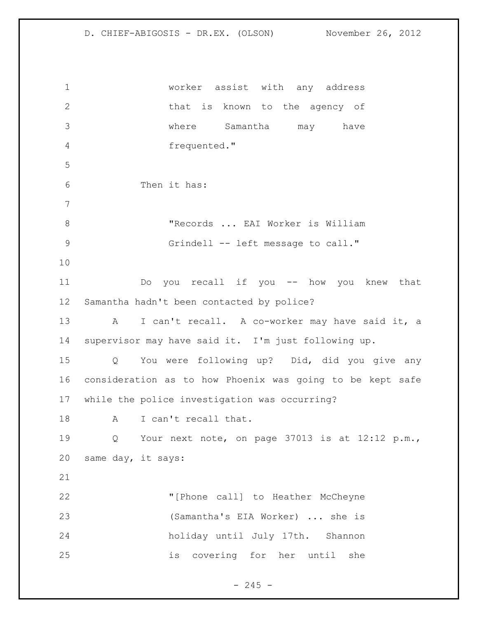worker assist with any address 2 that is known to the agency of where Samantha may have frequented." Then it has: 8 TRecords ... EAI Worker is William 9 Grindell -- left message to call." Do you recall if you -- how you knew that Samantha hadn't been contacted by police? 13 A I can't recall. A co-worker may have said it, a supervisor may have said it. I'm just following up. Q You were following up? Did, did you give any consideration as to how Phoenix was going to be kept safe while the police investigation was occurring? A I can't recall that. Q Your next note, on page 37013 is at 12:12 p.m., same day, it says: "[Phone call] to Heather McCheyne (Samantha's EIA Worker) ... she is holiday until July 17th. Shannon is covering for her until she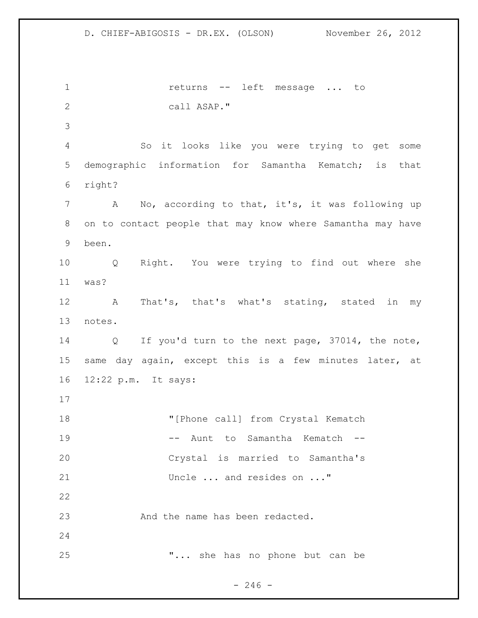1 returns -- left message ... to call ASAP." So it looks like you were trying to get some demographic information for Samantha Kematch; is that right? A No, according to that, it's, it was following up on to contact people that may know where Samantha may have been. Q Right. You were trying to find out where she was? A That's, that's what's stating, stated in my notes. Q If you'd turn to the next page, 37014, the note, same day again, except this is a few minutes later, at 12:22 p.m. It says: 18 "[Phone call] from Crystal Kematch 19 -- Aunt to Samantha Kematch -- Crystal is married to Samantha's Uncle ... and resides on ..." 23 And the name has been redacted. "... she has no phone but can be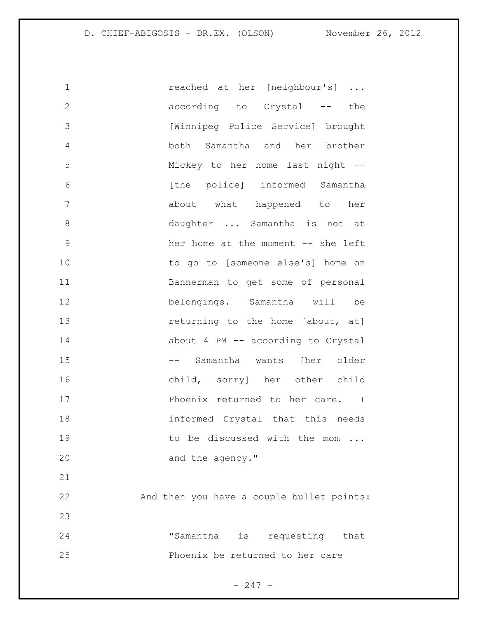| 1            | reached at her [neighbour's]              |
|--------------|-------------------------------------------|
| $\mathbf{2}$ | according to Crystal -- the               |
| 3            | [Winnipeg Police Service] brought         |
| 4            | both Samantha and her brother             |
| 5            | Mickey to her home last night --          |
| 6            | [the police] informed Samantha            |
| 7            | about what happened to her                |
| 8            | daughter  Samantha is not at              |
| $\mathsf 9$  | her home at the moment -- she left        |
| 10           | to go to [someone else's] home on         |
| 11           | Bannerman to get some of personal         |
| 12           | belongings. Samantha will be              |
| 13           | returning to the home [about, at]         |
| 14           | about 4 PM -- according to Crystal        |
| 15           | -- Samantha wants [her older              |
| 16           | child, sorry] her other child             |
| 17           | Phoenix returned to her care. I           |
| 18           | informed Crystal that this needs          |
| 19           | to be discussed with the mom              |
| 20           | and the agency."                          |
| 21           |                                           |
| 22           | And then you have a couple bullet points: |
| 23           |                                           |
| 24           | "Samantha is requesting that              |
| 25           | Phoenix be returned to her care           |
|              |                                           |

- 247 -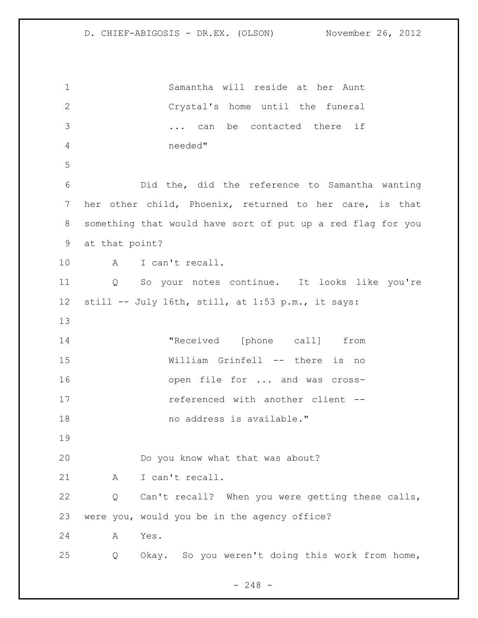Samantha will reside at her Aunt Crystal's home until the funeral ... can be contacted there if needed" Did the, did the reference to Samantha wanting her other child, Phoenix, returned to her care, is that something that would have sort of put up a red flag for you at that point? A I can't recall. Q So your notes continue. It looks like you're still -- July 16th, still, at 1:53 p.m., it says: 14 The received [phone call] from William Grinfell -- there is no open file for ... and was cross-**referenced** with another client --18 mo address is available." Do you know what that was about? 21 A I can't recall. Q Can't recall? When you were getting these calls, were you, would you be in the agency office? A Yes. Q Okay. So you weren't doing this work from home,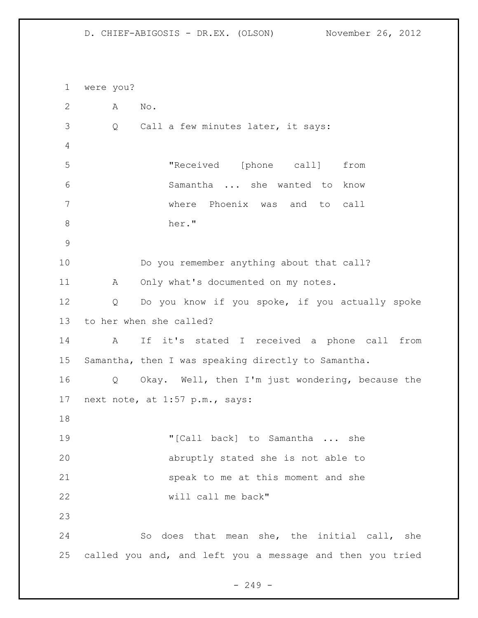were you? A No. Q Call a few minutes later, it says: "Received [phone call] from Samantha ... she wanted to know where Phoenix was and to call her." Do you remember anything about that call? 11 A Only what's documented on my notes. Q Do you know if you spoke, if you actually spoke to her when she called? A If it's stated I received a phone call from Samantha, then I was speaking directly to Samantha. Q Okay. Well, then I'm just wondering, because the next note, at 1:57 p.m., says: "[Call back] to Samantha ... she abruptly stated she is not able to speak to me at this moment and she will call me back" So does that mean she, the initial call, she called you and, and left you a message and then you tried

 $-249 -$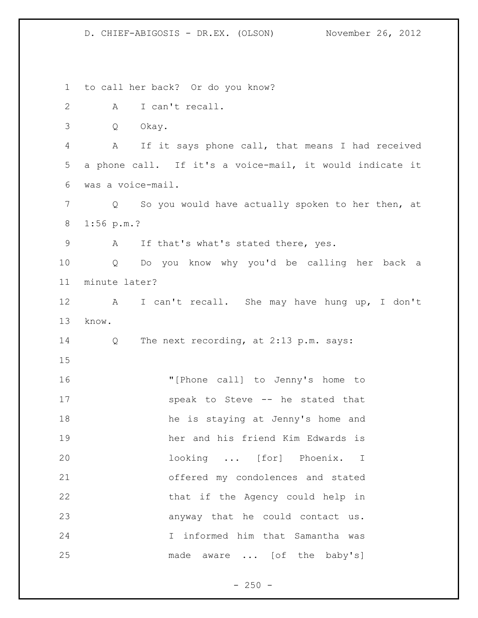to call her back? Or do you know? A I can't recall. Q Okay. A If it says phone call, that means I had received a phone call. If it's a voice-mail, it would indicate it was a voice-mail. Q So you would have actually spoken to her then, at 1:56 p.m.? A If that's what's stated there, yes. Q Do you know why you'd be calling her back a minute later? A I can't recall. She may have hung up, I don't know. Q The next recording, at 2:13 p.m. says: "[Phone call] to Jenny's home to speak to Steve -- he stated that he is staying at Jenny's home and her and his friend Kim Edwards is looking ... [for] Phoenix. I offered my condolences and stated 22 that if the Agency could help in anyway that he could contact us. I informed him that Samantha was 25 made aware ... [of the baby's]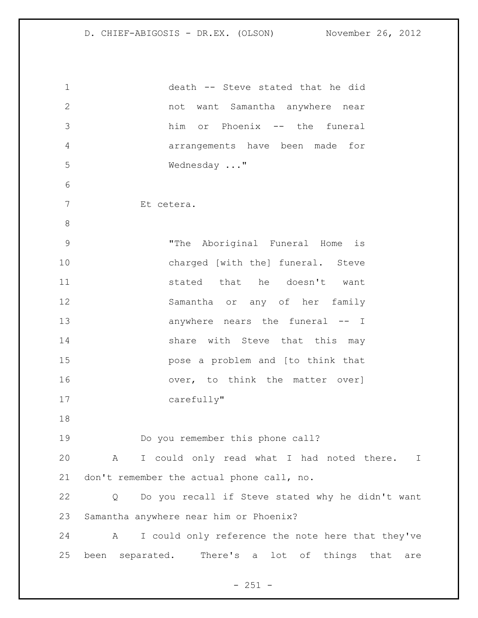death -- Steve stated that he did not want Samantha anywhere near him or Phoenix -- the funeral arrangements have been made for Wednesday ..." Et cetera. "The Aboriginal Funeral Home is charged [with the] funeral. Steve **stated** that he doesn't want Samantha or any of her family 13 anywhere nears the funeral -- I 14 Share with Steve that this may pose a problem and [to think that 16 over, to think the matter over] carefully" Do you remember this phone call? A I could only read what I had noted there. I don't remember the actual phone call, no. Q Do you recall if Steve stated why he didn't want Samantha anywhere near him or Phoenix? A I could only reference the note here that they've been separated. There's a lot of things that are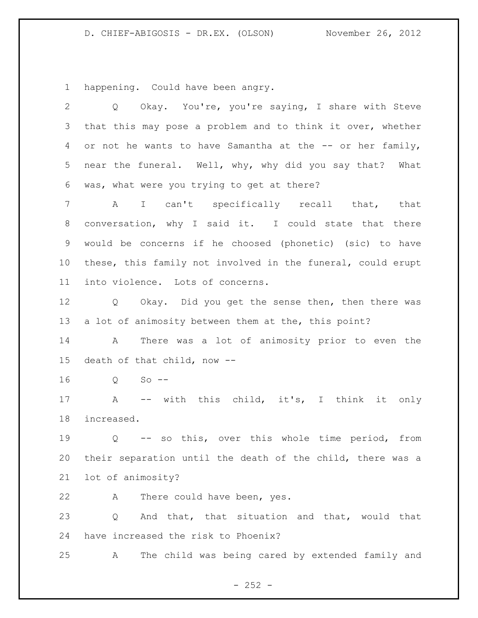happening. Could have been angry.

| $\overline{2}$  | Okay. You're, you're saying, I share with Steve<br>Q               |
|-----------------|--------------------------------------------------------------------|
| 3               | that this may pose a problem and to think it over, whether         |
| 4               | or not he wants to have Samantha at the -- or her family,          |
| 5               | near the funeral. Well, why, why did you say that? What            |
| 6               | was, what were you trying to get at there?                         |
| 7               | A I can't specifically recall that, that                           |
| 8               | conversation, why I said it. I could state that there              |
| 9               | would be concerns if he choosed (phonetic) (sic) to have           |
| 10 <sub>o</sub> | these, this family not involved in the funeral, could erupt        |
| 11              | into violence. Lots of concerns.                                   |
| 12              | Q Okay. Did you get the sense then, then there was                 |
| 13              | a lot of animosity between them at the, this point?                |
| 14              | There was a lot of animosity prior to even the<br>A                |
| 15              | death of that child, now --                                        |
| 16              | $Q$ So --                                                          |
| 17              | A -- with this child, it's, I think it only                        |
| 18              | increased.                                                         |
| 19              | -- so this, over this whole time period, from<br>$Q \qquad \qquad$ |
| 20              | their separation until the death of the child, there was a         |
| 21              | lot of animosity?                                                  |
| 22              | There could have been, yes.<br>A                                   |
| 23              | And that, that situation and that, would that<br>Q                 |
| 24              | have increased the risk to Phoenix?                                |
| 25              | The child was being cared by extended family and<br>Α              |

- 252 -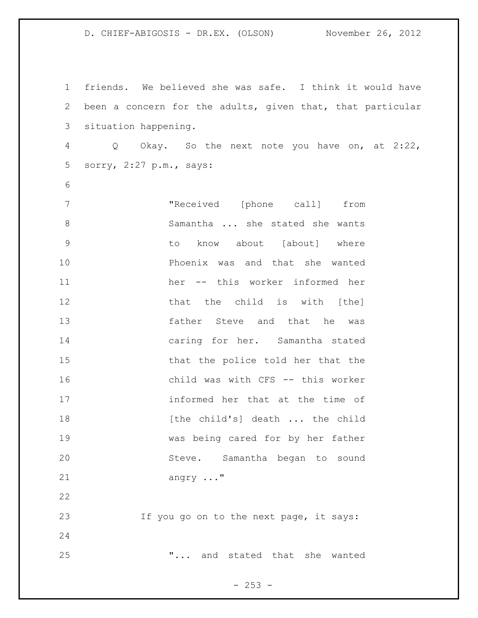friends. We believed she was safe. I think it would have been a concern for the adults, given that, that particular situation happening. Q Okay. So the next note you have on, at 2:22, sorry, 2:27 p.m., says: "Received [phone call] from Samantha ... she stated she wants to know about [about] where Phoenix was and that she wanted her -- this worker informed her 12 that the child is with [the] father Steve and that he was caring for her. Samantha stated that the police told her that the child was with CFS -- this worker informed her that at the time of **18** [the child's] death ... the child was being cared for by her father Steve. Samantha began to sound angry ..." If you go on to the next page, it says: "... and stated that she wanted

 $- 253 -$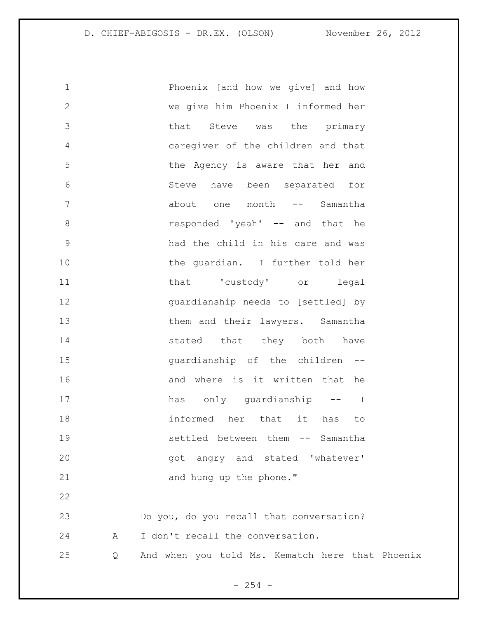1 Phoenix [and how we give] and how 2 we give him Phoenix I informed her 3 that Steve was the primary 4 caregiver of the children and that 5 the Agency is aware that her and 6 Steve have been separated for 7 about one month -- Samantha 8 responded 'yeah' -- and that he 9 had the child in his care and was 10 the guardian. I further told her 11 that 'custody' or legal 12 guardianship needs to [settled] by 13 them and their lawyers. Samantha 14 stated that they both have 15 guardianship of the children -- 16 and where is it written that he 17 has only quardianship -- I 18 informed her that it has to 19 settled between them -- Samantha 20 angry and stated 'whatever' 21 and hung up the phone." 22 23 Do you, do you recall that conversation?

24 A I don't recall the conversation.

25 Q And when you told Ms. Kematch here that Phoenix

 $- 254 -$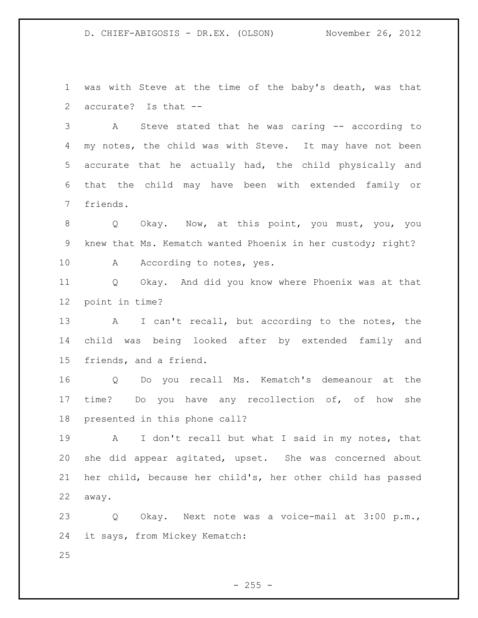was with Steve at the time of the baby's death, was that accurate? Is that --

 A Steve stated that he was caring -- according to my notes, the child was with Steve. It may have not been accurate that he actually had, the child physically and that the child may have been with extended family or friends.

 Q Okay. Now, at this point, you must, you, you knew that Ms. Kematch wanted Phoenix in her custody; right? 10 A According to notes, yes.

 Q Okay. And did you know where Phoenix was at that point in time?

 A I can't recall, but according to the notes, the child was being looked after by extended family and friends, and a friend.

 Q Do you recall Ms. Kematch's demeanour at the time? Do you have any recollection of, of how she presented in this phone call?

 A I don't recall but what I said in my notes, that she did appear agitated, upset. She was concerned about her child, because her child's, her other child has passed away.

 Q Okay. Next note was a voice-mail at 3:00 p.m., it says, from Mickey Kematch:

 $- 255 -$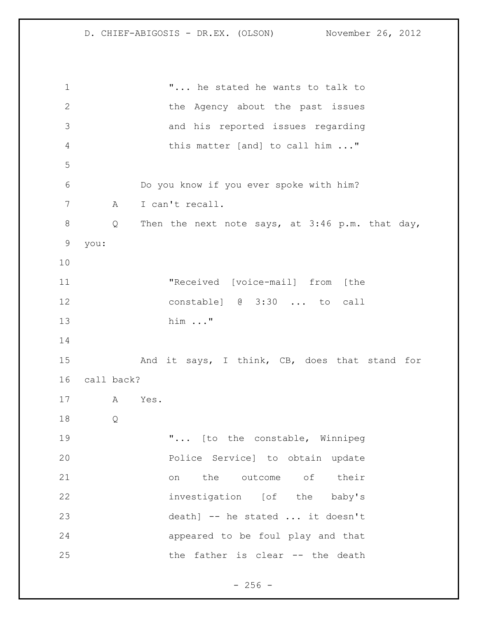"... he stated he wants to talk to 2 the Agency about the past issues and his reported issues regarding this matter [and] to call him ..." Do you know if you ever spoke with him? A I can't recall. Q Then the next note says, at 3:46 p.m. that day, you: "Received [voice-mail] from [the constable] @ 3:30 ... to call him ..." 15 And it says, I think, CB, does that stand for call back? A Yes. Q "... [to the constable, Winnipeg Police Service] to obtain update on the outcome of their investigation [of the baby's death] -- he stated ... it doesn't appeared to be foul play and that the father is clear -- the death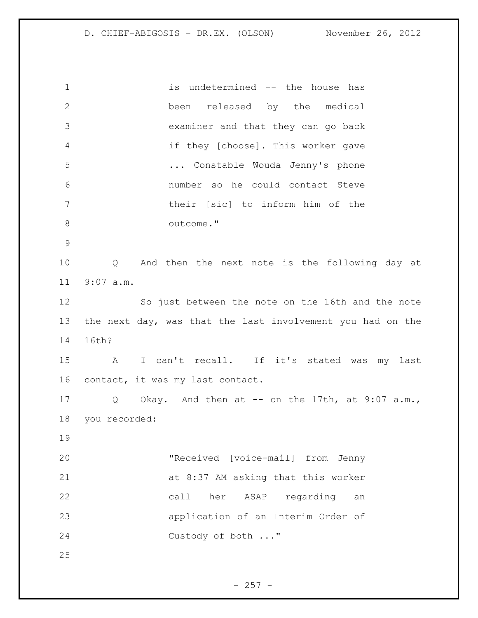is undetermined -- the house has been released by the medical examiner and that they can go back if they [choose]. This worker gave ... Constable Wouda Jenny's phone number so he could contact Steve their [sic] to inform him of the outcome." Q And then the next note is the following day at 9:07 a.m. So just between the note on the 16th and the note the next day, was that the last involvement you had on the 16th? A I can't recall. If it's stated was my last contact, it was my last contact. Q Okay. And then at -- on the 17th, at 9:07 a.m., you recorded: "Received [voice-mail] from Jenny at 8:37 AM asking that this worker call her ASAP regarding an application of an Interim Order of Custody of both ..."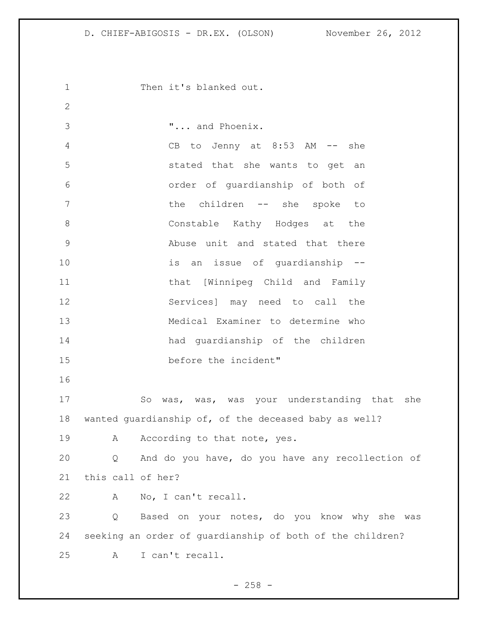1 Then it's blanked out. "... and Phoenix. CB to Jenny at 8:53 AM -- she stated that she wants to get an order of guardianship of both of 7 the children -- she spoke to 8 Constable Kathy Hodges at the Abuse unit and stated that there is an issue of guardianship -- that [Winnipeg Child and Family Services] may need to call the Medical Examiner to determine who had guardianship of the children before the incident" So was, was, was your understanding that she wanted guardianship of, of the deceased baby as well? 19 A According to that note, yes. Q And do you have, do you have any recollection of this call of her? A No, I can't recall. Q Based on your notes, do you know why she was seeking an order of guardianship of both of the children? A I can't recall.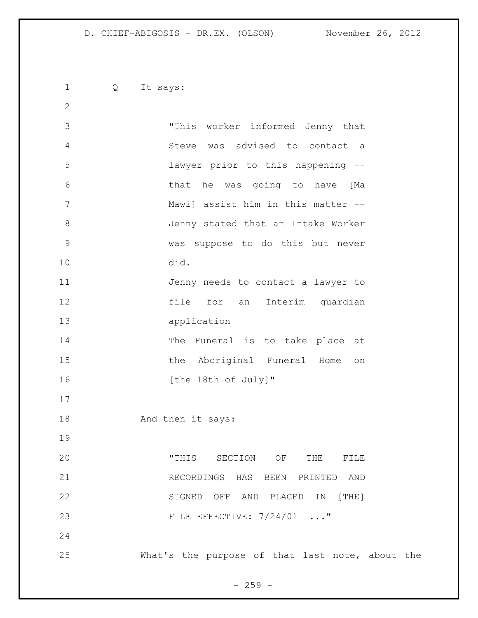Q It says: "This worker informed Jenny that Steve was advised to contact a lawyer prior to this happening -- that he was going to have [Ma Mawi] assist him in this matter -- Jenny stated that an Intake Worker was suppose to do this but never did. Jenny needs to contact a lawyer to file for an Interim guardian application 14 The Funeral is to take place at 15 the Aboriginal Funeral Home on 16 [the 18th of July]" 18 And then it says: "THIS SECTION OF THE FILE RECORDINGS HAS BEEN PRINTED AND SIGNED OFF AND PLACED IN [THE] 23 FILE EFFECTIVE:  $7/24/01$  ..." What's the purpose of that last note, about the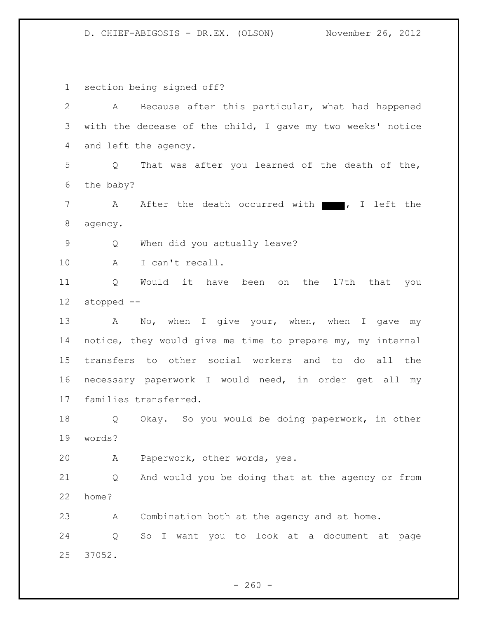1 section being signed off? 2 A Because after this particular, what had happened 3 with the decease of the child, I gave my two weeks' notice 4 and left the agency. 5 Q That was after you learned of the death of the, 6 the baby? 7 A After the death occurred with 7, I left the 8 agency. 9 Q When did you actually leave? 10 A I can't recall. 11 Q Would it have been on the 17th that you 12 stopped -- 13 A No, when I give your, when, when I gave my 14 notice, they would give me time to prepare my, my internal 15 transfers to other social workers and to do all the 16 necessary paperwork I would need, in order get all my 17 families transferred. 18 Q Okay. So you would be doing paperwork, in other 19 words? 20 A Paperwork, other words, yes. 21 Q And would you be doing that at the agency or from 22 home? 23 A Combination both at the agency and at home. 24 Q So I want you to look at a document at page 25 37052.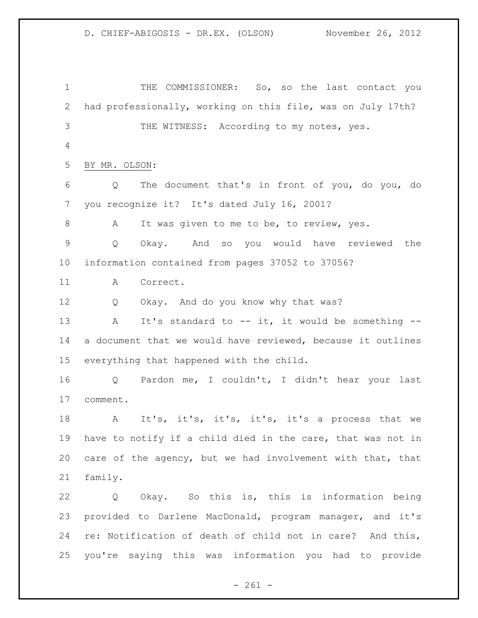THE COMMISSIONER: So, so the last contact you had professionally, working on this file, was on July 17th? THE WITNESS: According to my notes, yes. BY MR. OLSON: Q The document that's in front of you, do you, do you recognize it? It's dated July 16, 2001? A It was given to me to be, to review, yes. Q Okay. And so you would have reviewed the information contained from pages 37052 to 37056? A Correct. Q Okay. And do you know why that was? A It's standard to -- it, it would be something -- a document that we would have reviewed, because it outlines everything that happened with the child. Q Pardon me, I couldn't, I didn't hear your last comment. A It's, it's, it's, it's, it's a process that we have to notify if a child died in the care, that was not in care of the agency, but we had involvement with that, that family. Q Okay. So this is, this is information being provided to Darlene MacDonald, program manager, and it's re: Notification of death of child not in care? And this, you're saying this was information you had to provide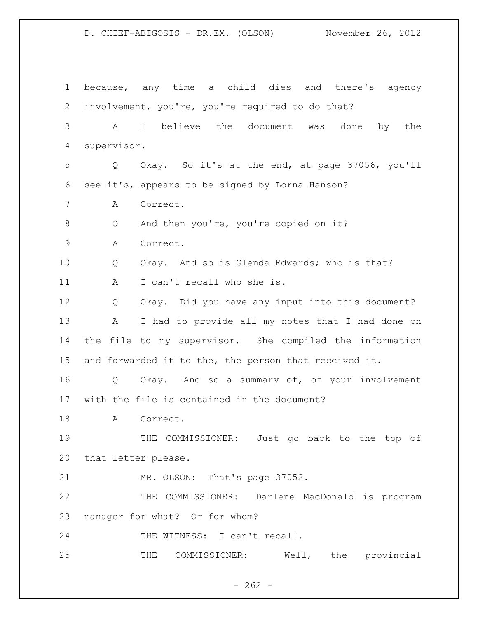because, any time a child dies and there's agency involvement, you're, you're required to do that? A I believe the document was done by the supervisor. Q Okay. So it's at the end, at page 37056, you'll see it's, appears to be signed by Lorna Hanson? A Correct. Q And then you're, you're copied on it? A Correct. Q Okay. And so is Glenda Edwards; who is that? 11 A I can't recall who she is. Q Okay. Did you have any input into this document? A I had to provide all my notes that I had done on the file to my supervisor. She compiled the information and forwarded it to the, the person that received it. Q Okay. And so a summary of, of your involvement with the file is contained in the document? A Correct. 19 THE COMMISSIONER: Just go back to the top of that letter please. MR. OLSON: That's page 37052. THE COMMISSIONER: Darlene MacDonald is program manager for what? Or for whom? 24 THE WITNESS: I can't recall. THE COMMISSIONER: Well, the provincial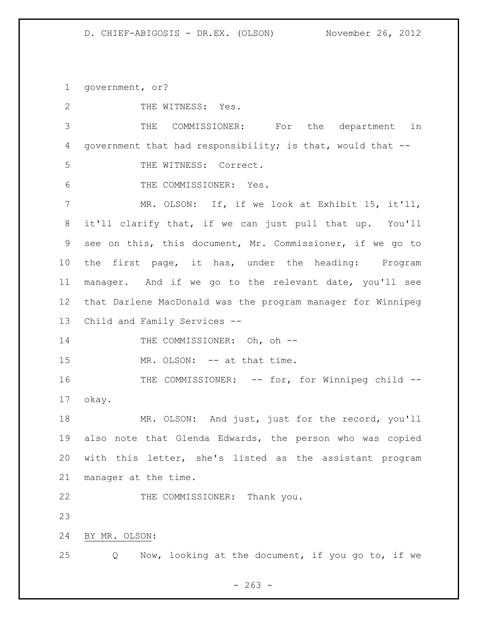government, or?

| $\mathbf{2}$ | THE WITNESS: Yes.                                           |
|--------------|-------------------------------------------------------------|
| 3            | THE COMMISSIONER: For the department in                     |
| 4            | government that had responsibility; is that, would that --  |
| 5            | THE WITNESS: Correct.                                       |
| 6            | THE COMMISSIONER: Yes.                                      |
| 7            | MR. OLSON: If, if we look at Exhibit 15, it'll,             |
| 8            | it'll clarify that, if we can just pull that up. You'll     |
| 9            | see on this, this document, Mr. Commissioner, if we go to   |
| 10           | the first page, it has, under the heading: Program          |
| 11           | manager. And if we go to the relevant date, you'll see      |
| 12           | that Darlene MacDonald was the program manager for Winnipeg |
| 13           | Child and Family Services --                                |
| 14           | THE COMMISSIONER: Oh, oh --                                 |
| 15           | MR. OLSON: -- at that time.                                 |
| 16           | THE COMMISSIONER: -- for, for Winnipeg child --             |
| 17           | okay.                                                       |
| 18           | MR. OLSON: And just, just for the record, you'll            |
| 19           | also note that Glenda Edwards, the person who was copied    |
| 20           | with this letter, she's listed as the assistant program     |
| 21           | manager at the time.                                        |
| 22           | THE COMMISSIONER: Thank you.                                |
| 23           |                                                             |
| 24           | BY MR. OLSON:                                               |
| 25           | Now, looking at the document, if you go to, if we<br>Q      |

- 263 -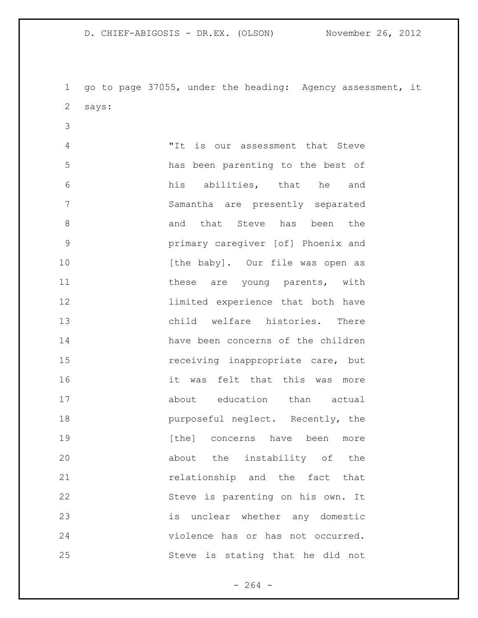go to page 37055, under the heading: Agency assessment, it says:

 "It is our assessment that Steve has been parenting to the best of his abilities, that he and Samantha are presently separated 8 and that Steve has been the primary caregiver [of] Phoenix and 10 [the baby]. Our file was open as 11 these are young parents, with limited experience that both have child welfare histories. There have been concerns of the children **15** receiving inappropriate care, but it was felt that this was more 17 about education than actual **purposeful neglect.** Recently, the **19 19 have the concerns** have been more about the instability of the 21 can be all the fact that the fact that Steve is parenting on his own. It is unclear whether any domestic violence has or has not occurred. Steve is stating that he did not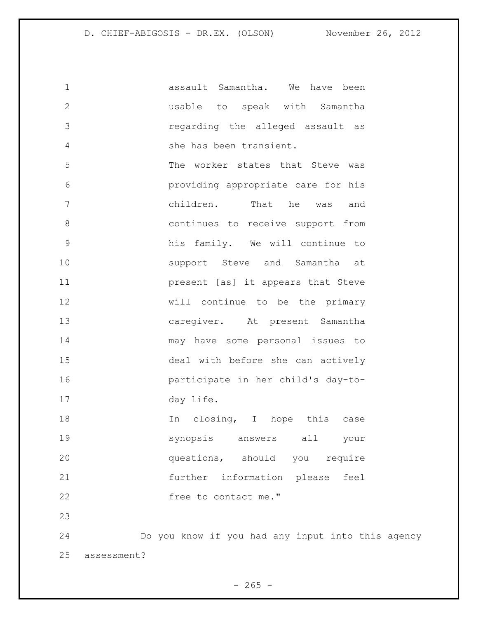assault Samantha. We have been usable to speak with Samantha regarding the alleged assault as she has been transient. The worker states that Steve was providing appropriate care for his children. That he was and continues to receive support from his family. We will continue to 10 Support Steve and Samantha at present [as] it appears that Steve will continue to be the primary caregiver. At present Samantha may have some personal issues to deal with before she can actively participate in her child's day-to- day life. 18 18 In closing, I hope this case synopsis answers all your questions, should you require further information please feel 22 free to contact me." Do you know if you had any input into this agency assessment?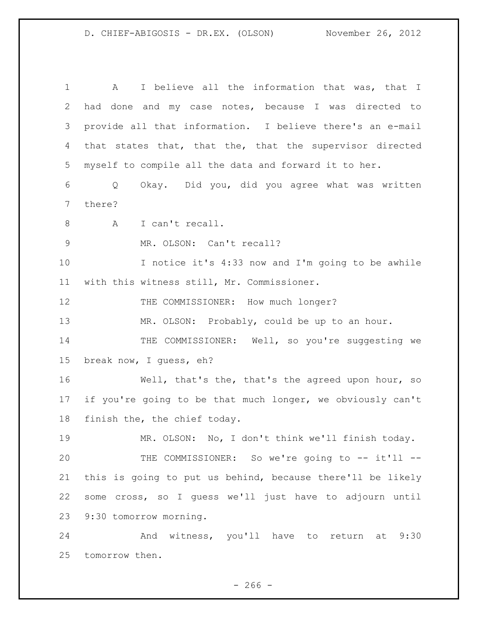A I believe all the information that was, that I had done and my case notes, because I was directed to provide all that information. I believe there's an e-mail that states that, that the, that the supervisor directed myself to compile all the data and forward it to her. Q Okay. Did you, did you agree what was written there? A I can't recall. MR. OLSON: Can't recall? I notice it's 4:33 now and I'm going to be awhile with this witness still, Mr. Commissioner. 12 THE COMMISSIONER: How much longer? MR. OLSON: Probably, could be up to an hour. 14 THE COMMISSIONER: Well, so you're suggesting we break now, I guess, eh? Well, that's the, that's the agreed upon hour, so if you're going to be that much longer, we obviously can't finish the, the chief today. MR. OLSON: No, I don't think we'll finish today. 20 THE COMMISSIONER: So we're going to -- it'll -- this is going to put us behind, because there'll be likely some cross, so I guess we'll just have to adjourn until 9:30 tomorrow morning. And witness, you'll have to return at 9:30

tomorrow then.

 $-266 -$